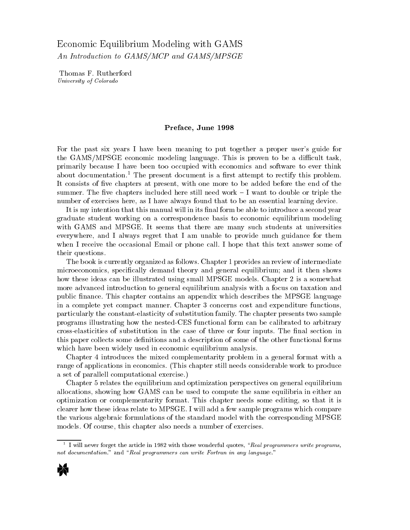# Economic Equilibrium Modeling with GAMS An Introduction to GAMS/MCP and GAMS/MPSGE

Thomas F. Rutherford University of Colorado

#### Preface, June 1998

For the past six years I have been meaning to put together a proper user's guide for the GAMS/MPSGE economic modeling language. This is proven to be a difficult task, primarily because I have been too occupied with economics and software to ever think about documentation.<sup>1</sup> The present document is a first attempt to rectify this problem. It consists of five chapters at present, with one more to be added before the end of the summer. The five chapters included here still need work  $-1$  want to double or triple the number of exercises here, as I have always found that to be an essential learning device.

It is my intention that this manual will in its final form be able to introduce a second year graduate student working on a correspondence basis to economic equilibrium modeling with GAMS and MPSGE. It seems that there are many such students at universities everywhere, and I always regret that I am unable to provide much guidance for them when I receive the occasional Email or phone call. I hope that this text answer some of their questions.

The book is currently organized as follows. Chapter 1 provides an review of intermediate microeconomics, specically demand theory and general equilibrium; and it then shows how these ideas can be illustrated using small MPSGE models. Chapter 2 is a somewhat more advanced introduction to general equilibrium analysis with a focus on taxation and public finance. This chapter contains an appendix which describes the MPSGE language in a complete yet compact manner. Chapter 3 concerns cost and expenditure functions, particularly the constant-elasticity of substitution family. The chapter presents two sample programs illustrating how the nested-CES functional form can be calibrated to arbitrary cross-elasticities of substitution in the case of three or four inputs. The final section in this paper collects some denitions and a description of some of the other functional forms which have been widely used in economic equilibrium analysis.

Chapter 4 introduces the mixed complementarity problem in a general format with a range of applications in economics. (This chapter still needs considerable work to produce a set of parallell computational exercise.)

Chapter 5 relates the equilibrium and optimization perspectives on general equilibrium allocations, showing how GAMS can be used to compute the same equilibria in either an optimization or complementarity format. This chapter needs some editing, so that it is clearer how these ideas relate to MPSGE. I will add a few sample programs which compare the various algebraic formulations of the standard model with the corresponding MPSGE models. Of course, this chapter also needs a number of exercises.

 $^\circ$  1 will never forget the article in 1982 with those wonderful quotes, "*Real programmers write programs*, not documentation." and "Real programmers can write Fortran in any language."

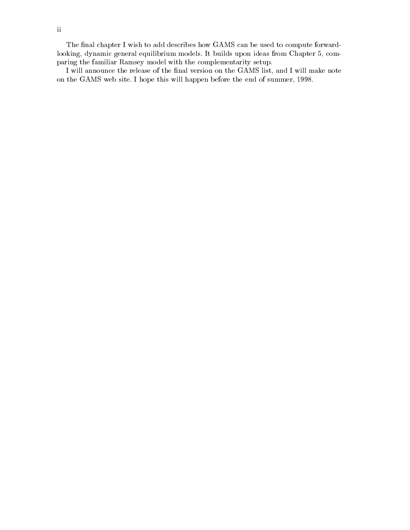The final chapter I wish to add describes how GAMS can be used to compute forwardlooking, dynamic general equilibrium models. It builds upon ideas from Chapter 5, comparing the familiar Ramsey model with the complementarity setup.

I will announce the release of the final version on the GAMS list, and I will make note on the GAMS web site. I hope this will happen before the end of summer, 1998.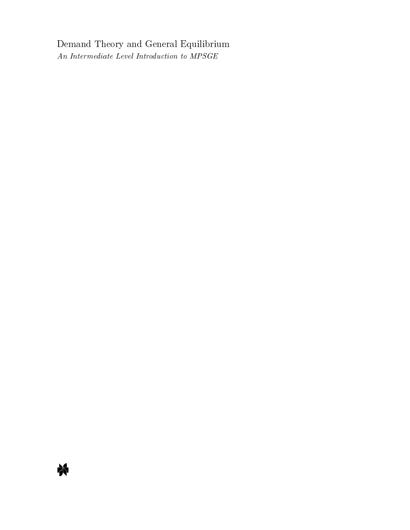Demand Theory and General Equilibrium An Intermediate Level Introduction to MPSGE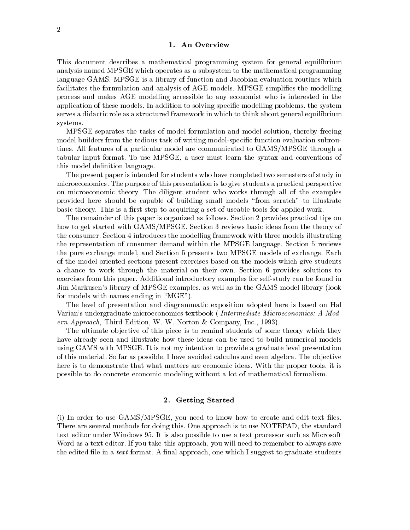This document describes a mathematical programming system for general equilibrium analysis named MPSGE which operates as a subsystem to the mathematical programming language GAMS. MPSGE is a library of function and Jacobian evaluation routines which facilitates the formulation and analysis of AGE models. MPSGE simplifies the modelling process and makes AGE modelling accessible to any economist who is interested in the application of these models. In addition to solving specic modelling problems, the system serves a didactic role as a structured framework in which to think about general equilibrium systems.

MPSGE separates the tasks of model formulation and model solution, thereby freeing model builders from the tedious task of writing model-specic function evaluation subroutines. All features of a particular model are communicated to GAMS/MPSGE through a tabular input format. To use MPSGE, a user must learn the syntax and conventions of this model definition language.

The present paper is intended for students who have completed two semesters of study in microeconomics. The purpose of this presentation is to give students a practical perspective on microeconomic theory. The diligent student who works through all of the examples provided here should be capable of building small models \from scratch" to illustrate basic theory. This is a first step to acquiring a set of useable tools for applied work.

The remainder of this paper is organized as follows. Section 2 provides practical tips on how to get started with GAMS/MPSGE. Section 3 reviews basic ideas from the theory of the consumer. Section 4 introduces the modelling framework with three models illustrating the representation of consumer demand within the MPSGE language. Section 5 reviews the pure exchange model, and Section 5 presents two MPSGE models of exchange. Each of the model-oriented sections present exercises based on the models which give students a chance to work through the material on their own. Section 6 provides solutions to exercises from this paper. Additional introductory examples for self-study can be found in Jim Markusen's library of MPSGE examples, as well as in the GAMS model library (look for models with names ending in "MGE").

The level of presentation and diagrammatic exposition adopted here is based on Hal Varian's undergraduate microeconomics textbook ( Intermediate Microeconomics: A Modern Approach, Third Edition, W. W. Norton & Company, Inc., 1993).

The ultimate objective of this piece is to remind students of some theory which they have already seen and illustrate how these ideas can be used to build numerical models using GAMS with MPSGE. It is not my intention to provide a graduate level presentation of this material. So far as possible, I have avoided calculus and even algebra. The ob jective here is to demonstrate that what matters are economic ideas. With the proper tools, it is possible to do concrete economic modeling without a lot of mathematical formalism.

#### 2. Getting Started

(i) In order to use GAMS/MPSGE, you need to know how to create and edit text files. There are several methods for doing this. One approach is to use NOTEPAD, the standard text editor under Windows 95. It is also possible to use a text processor such as Microsoft Word as a text editor. If you take this approach, you will need to remember to always save the edited file in a text format. A final approach, one which I suggest to graduate students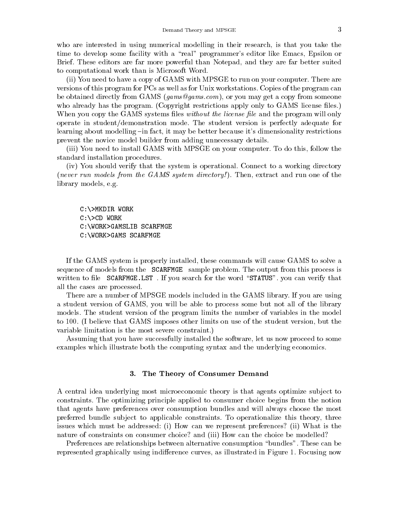who are interested in using numerical modelling in their research, is that you take the time to develop some facility with a \real" programmer's editor like Emacs, Epsilon or Brief. These editors are far more powerful than Notepad, and they are far better suited to computational work than is Microsoft Word.

(ii) You need to have a copy of GAMS with MPSGE to run on your computer. There are versions of this program for PCs as well as for Unix workstations. Copies of the program can be obtained directly from GAMS (gams@gams.com), or you may get a copy from someone who already has the program. (Copyright restrictions apply only to GAMS license files.) When you copy the GAMS systems files *without the license file* and the program will only operate in student/demonstration mode. The student version is perfectly adequate for learning about modelling -in fact, it may be better because it's dimensionality restrictions prevent the novice model builder from adding unnecessary details.

(iii) You need to install GAMS with MPSGE on your computer. To do this, follow the standard installation procedures.

(iv) You should verify that the system is operational. Connect to a working directory (never run models from the GAMS system directory!). Then, extract and run one of the library models, e.g.

C:\>MKDIR WORK  $C:\>CD$  WORK C:\WORK>GAMSLIB SCARFMGE C:\WORK>GAMS SCARFMGE

If the GAMS system is properly installed, these commands will cause GAMS to solve a sequence of models from the SCARFMGE sample problem. The output from this process is written to file SCARFMGE.LST. If you search for the word "STATUS". you can verify that all the cases are processed.

There are a number of MPSGE models included in the GAMS library. If you are using a student version of GAMS, you will be able to process some but not all of the library models. The student version of the program limits the number of variables in the model to 100. (I believe that GAMS imposes other limits on use of the student version, but the variable limitation is the most severe constraint.)

Assuming that you have successfully installed the software, let us now proceed to some examples which illustrate both the computing syntax and the underlying economics.

#### 3. The Theory of Consumer Demand

A central idea underlying most microeconomic theory is that agents optimize sub ject to constraints. The optimizing principle applied to consumer choice begins from the notion that agents have preferences over consumption bundles and will always choose the most preferred bundle subject to applicable constraints. To operationalize this theory, three issues which must be addressed: (i) How can we represent preferences? (ii) What is the nature of constraints on consumer choice? and (iii) How can the choice be modelled?

Preferences are relationships between alternative consumption "bundles". These can be represented graphically using indifference curves, as illustrated in Figure 1. Focusing now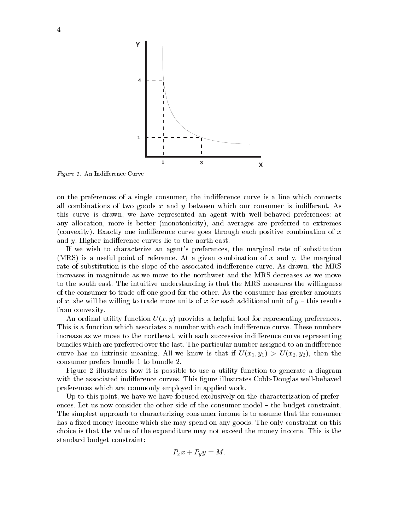

Figure 1. An Indifference Curve

on the preferences of a single consumer, the indifference curve is a line which connects all combinations of two goods  $x$  and  $y$  between which our consumer is indifferent. As this curve is drawn, we have represented an agent with well-behaved preferences: at any allocation, more is better (monotonicity), and averages are preferred to extremes (convexity). Exactly one indifference curve goes through each positive combination of  $x$ and  $y$ . Higher indifference curves lie to the north-east.

If we wish to characterize an agent's preferences, the marginal rate of substitution (MRS) is a useful point of reference. At a given combination of  $x$  and  $y$ , the marginal rate of substitution is the slope of the associated indifference curve. As drawn, the MRS increases in magnitude as we move to the northwest and the MRS decreases as we move to the south east. The intuitive understanding is that the MRS measures the willingness of the consumer to trade off one good for the other. As the consumer has greater amounts of x, she will be willing to trade more units of x for each additional unit of  $y$  – this results from convexity.

An ordinal utility function  $U(x, y)$  provides a helpful tool for representing preferences. This is a function which associates a number with each indifference curve. These numbers increase as we move to the northeast, with each successive indifference curve representing bundles which are preferred over the last. The particular number assigned to an indifference curve has no intrinsic meaning. All we know is that if  $U(x_1, y_1) > U(x_2, y_2)$ , then the consumer prefers bundle 1 to bundle 2.

Figure 2 illustrates how it is possible to use a utility function to generate a diagram with the associated indifference curves. This figure illustrates Cobb-Douglas well-behaved preferences which are commonly employed in applied work.

Up to this point, we have we have focused exclusively on the characterization of preferences. Let us now consider the other side of the consumer model – the budget constraint. The simplest approach to characterizing consumer income is to assume that the consumer has a fixed money income which she may spend on any goods. The only constraint on this choice is that the value of the expenditure may not exceed the money income. This is the standard budget constraint:

$$
P_x x + P_y y = M.
$$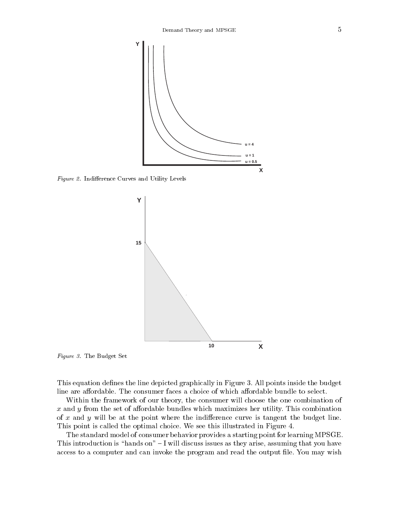

Figure 2. Indifference Curves and Utility Levels



Figure 3. The Budget Set

This equation defines the line depicted graphically in Figure 3. All points inside the budget line are affordable. The consumer faces a choice of which affordable bundle to select.

Within the framework of our theory, the consumer will choose the one combination of  $x$  and  $y$  from the set of affordable bundles which maximizes her utility. This combination of  $x$  and  $y$  will be at the point where the indifference curve is tangent the budget line. This point is called the optimal choice. We see this illustrated in Figure 4.

The standard model of consumer behavior provides a starting point for learning MPSGE. This introduction is "hands on"  $-1$  will discuss issues as they arise, assuming that you have access to a computer and can invoke the program and read the output file. You may wish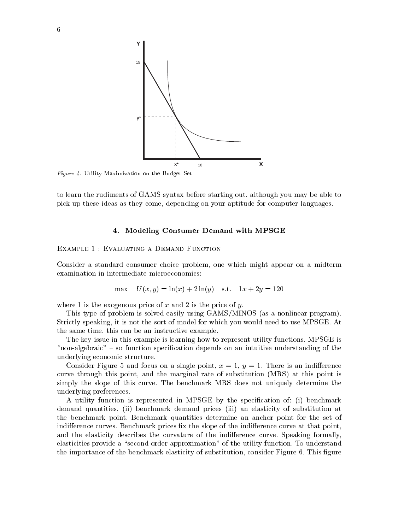

Figure 4. Utility Maximization on the Budget Set

to learn the rudiments of GAMS syntax before starting out, although you may be able to pick up these ideas as they come, depending on your aptitude for computer languages.

### 4. Modeling Consumer Demand with MPSGE

#### Example 1 : Evaluating a Demand Function

Consider a standard consumer choice problem, one which might appear on a midterm examination in intermediate microeconomics:

$$
\max \quad U(x, y) = \ln(x) + 2\ln(y) \quad \text{s.t.} \quad 1x + 2y = 120
$$

where 1 is the exogenous price of  $x$  and 2 is the price of  $y$ .

This type of problem is solved easily using GAMS/MINOS (as a nonlinear program). Strictly speaking, it is not the sort of model for which you would need to use MPSGE. At the same time, this can be an instructive example.

The key issue in this example is learning how to represent utility functions. MPSGE is "non-algebraic"  $-$  so function specification depends on an intuitive understanding of the underlying economic structure.

Consider Figure 5 and focus on a single point,  $x = 1$ ,  $y = 1$ . There is an indifference curve through this point, and the marginal rate of substitution (MRS) at this point is simply the slope of this curve. The benchmark MRS does not uniquely determine the underlying preferences.

A utility function is represented in MPSGE by the specification of: (i) benchmark demand quantities, (ii) benchmark demand prices (iii) an elasticity of substitution at the benchmark point. Benchmark quantities determine an anchor point for the set of indifference curves. Benchmark prices fix the slope of the indifference curve at that point, and the elasticity describes the curvature of the indifference curve. Speaking formally, elasticities provide a "second order approximation" of the utility function. To understand the importance of the benchmark elasticity of substitution, consider Figure 6. This figure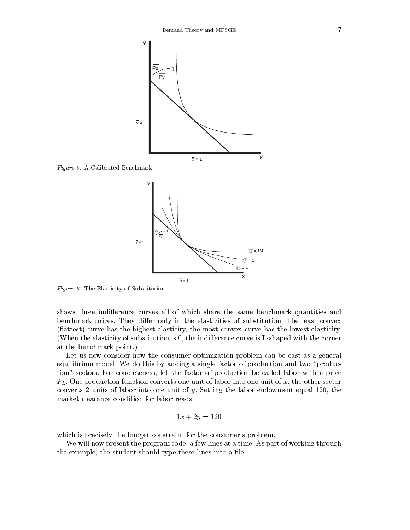

Figure 6. The Elasticity of Substitution

shows three indifference curves all of which share the same benchmark quantities and benchmark prices. They differ only in the elasticities of substitution. The least convex (
attest) curve has the highest elasticity, the most convex curve has the lowest elasticity. (When the elasticity of substitution is 0, the indifference curve is L-shaped with the corner at the benchmark point.)

Let us now consider how the consumer optimization problem can be cast as a general equilibrium model. We do this by adding a single factor of production and two "production" sectors. For concreteness, let the factor of production be called labor with a price  $P<sub>L</sub>$ . One production function converts one unit of labor into one unit of x, the other sector converts 2 units of labor into one unit of y. Setting the labor endowment equal 120, the market clearance condition for labor reads:

$$
1x + 2y = 120
$$

which is precisely the budget constraint for the consumer's problem.

We will now present the program code, a few lines at a time. As part of working through the example, the student should type these lines into a file.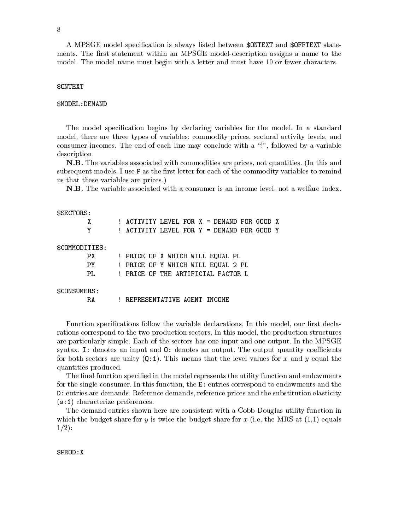A MPSGE model specication is always listed between \$ONTEXT and \$OFFTEXT statements. The first statement within an MPSGE model-description assigns a name to the model. The model name must begin with a letter and must have 10 or fewer characters.

#### \$ONTEXT

\$MODEL:DEMAND

The model specication begins by declaring variables for the model. In a standard model, there are three types of variables: commodity prices, sectoral activity levels, and consumer incomes. The end of each line may conclude with a \!", followed by a variable description.

N.B. The variables associated with commodities are prices, not quantities. (In this and subsequent models, I use P as the first letter for each of the commodity variables to remind us that these variables are prices.)

N.B. The variable associated with a consumer is an income level, not a welfare index.

| \$SECTORS:     |                                               |
|----------------|-----------------------------------------------|
| χ              | ! ACTIVITY LEVEL FOR $X = D$ EMAND FOR GOOD X |
| Υ              | ! ACTIVITY LEVEL FOR $Y = DEMAND$ FOR GOOD Y  |
| \$COMMODITIES: |                                               |
| PХ             | ! PRICE OF X WHICH WILL EQUAL PL              |
| PΥ             | ! PRICE OF Y WHICH WILL EQUAL 2 PL            |
| PL             | ! PRICE OF THE ARTIFICIAL FACTOR L            |
| \$CONSUMERS:   |                                               |
| R A            | ! REPRESENTATIVE AGENT INCOME                 |

Function specifications follow the variable declarations. In this model, our first declarations correspond to the two production sectors. In this model, the production structures are particularly simple. Each of the sectors has one input and one output. In the MPSGE syntax,  $I:$  denotes an input and  $0:$  denotes an output. The output quantity coefficients for both sectors are unity  $(Q:1)$ . This means that the level values for x and y equal the quantities produced.

The final function specified in the model represents the utility function and endowments for the single consumer. In this function, the E: entries correspond to endowments and the D: entries are demands. Reference demands, reference prices and the substitution elasticity (s:1) characterize preferences.

The demand entries shown here are consistent with a Cobb-Douglas utility function in which the budget share for y is twice the budget share for x (i.e. the MRS at  $(1,1)$  equals  $1/2$ :

\$PROD:X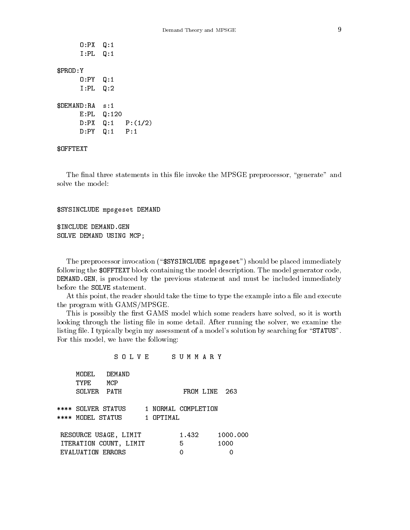| $0:PX$ $0:1$       |                          |          |
|--------------------|--------------------------|----------|
| I : PL             | Q:1                      |          |
|                    |                          |          |
| \$PROD:Y           |                          |          |
| $0:PY \quad Q:1$   |                          |          |
| I : PL             | Q:2                      |          |
|                    |                          |          |
| $$DEMAND:RA$ $s:1$ |                          |          |
| E : PL             | Q:120                    |          |
| D : P X            | 0:1                      | P: (1/2) |
| D : PY             | $\mathsf{Q}: \mathsf{1}$ | P:1      |
|                    |                          |          |

#### \$0FFTEXT  $\mathbf{r}$

The final three statements in this file invoke the MPSGE preprocessor, "generate" and solve the model:

\$SYSINCLUDE mpsgeset DEMAND

\$INCLUDE DEMAND.GEN SOLVE DEMAND USING MCP;

The preprocessor invocation ("\$SYSINCLUDE mpsgeset") should be placed immediately following the \$OFFTEXT block containing the model description. The model generator code, DEMAND.GEN, is produced by the previous statement and must be included immediately before the SOLVE statement.

At this point, the reader should take the time to type the example into a file and execute the program with GAMS/MPSGE.

This is possibly the first GAMS model which some readers have solved, so it is worth looking through the listing file in some detail. After running the solver, we examine the listing file. I typically begin my assessment of a model's solution by searching for "STATUS". For this model, we have the following:

|  | 3 O L V E |  |  |  |  | SUMMARY |  |
|--|-----------|--|--|--|--|---------|--|
|  |           |  |  |  |  |         |  |

| MODFI<br>TYPE<br>SOLVER PATH            | <b>DFMAND</b><br>MCP   | FROM LINE 263                    |          |
|-----------------------------------------|------------------------|----------------------------------|----------|
| **** SOLVER STATUS<br>**** MODEL STATUS |                        | 1 NORMAL COMPLETION<br>1 OPTIMAL |          |
|                                         | RESOURCE USAGE, LIMIT  | 1.432                            | 1000.000 |
|                                         | ITERATION COUNT, LIMIT | 5<br>1000                        |          |
| EVALUATION ERRORS                       |                        | 0                                |          |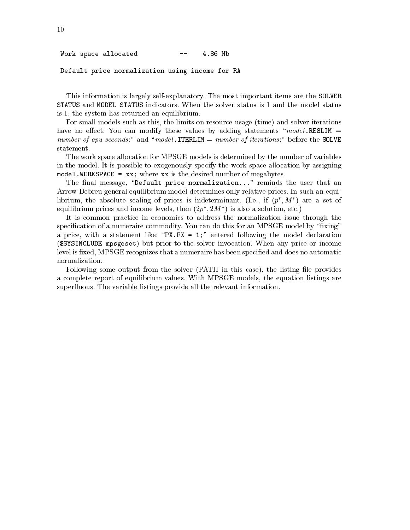Work space allocated 4.86 Mb

Default price normalization using income for RA

This information is largely self-explanatory. The most important items are the SOLVER STATUS and MODEL STATUS indicators. When the solver status is 1 and the model status is 1, the system has returned an equilibrium.

For small models such as this, the limits on resource usage (time) and solver iterations have no effect. You can modify these values by adding statements "model .RESLIM  $=$ number of cpu seconds;" and "model .ITERLIM = number of iterations;" before the SOLVE

The work space allocation for MPSGE models is determined by the number of variables in the model. It is possible to exogenously specify the work space allocation by assigning model.WORKSPACE =  $xx$ ; where  $xx$  is the desired number of megabytes.

The final message, "Default price normalization..." reminds the user that an Arrow-Debreu general equilibrium model determines only relative prices. In such an equifibrium, the absolute scaling of prices is indeterminant. (i.e., if  $(p_-,M_-)$  are a set of equilibrium prices and income levels, then  $\langle z p \rangle$ ,  $\bar{z} m$  ) is also a solution, etc.)

It is common practice in economics to address the normalization issue through the specification of a numeraire commodity. You can do this for an MPSGE model by "fixing" a price, with a statement like: "PX.FX = 1;" entered following the model declaration (\$SYSINCLUDE mpsgeset) but prior to the solver invocation. When any price or income level is fixed, MPSGE recognizes that a numeraire has been specified and does no automatic normalization.

Following some output from the solver (PATH in this case), the listing file provides a complete report of equilibrium values. With MPSGE models, the equation listings are superfluous. The variable listings provide all the relevant information.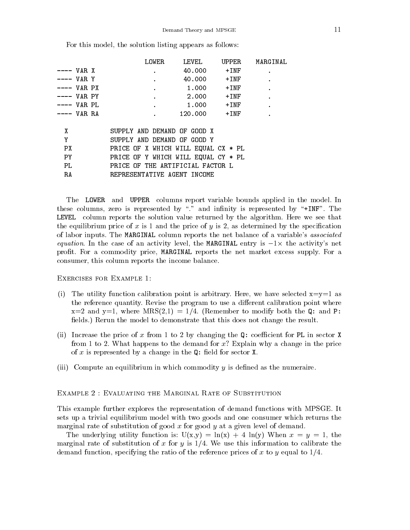For this model, the solution listing appears as follows:

|              |                                       | LOWER | LEVEL   | UPPER. |        | MARGINAL  |
|--------------|---------------------------------------|-------|---------|--------|--------|-----------|
| $---$ VAR X  |                                       |       | 40.000  |        | $+IMF$ |           |
| $---$ VAR Y  |                                       |       | 40.000  | $+INF$ |        |           |
| $---$ VAR PX |                                       |       | 1.000   | $+INF$ |        |           |
| $---$ VAR PY |                                       |       | 2.000   |        | $+INF$ | $\bullet$ |
| $---$ VAR PL |                                       |       | 1.000   |        | $+IMF$ |           |
| $---$ VAR RA |                                       |       | 120.000 |        | $+IMF$ |           |
|              |                                       |       |         |        |        |           |
| X            | SUPPLY AND DEMAND OF GOOD X           |       |         |        |        |           |
| Y            | SUPPLY AND DEMAND OF GOOD Y           |       |         |        |        |           |
| PХ           | PRICE OF X WHICH WILL EQUAL CX $*$ PL |       |         |        |        |           |
| ΡY           | PRICE OF Y WHICH WILL EQUAL CY $*$ PL |       |         |        |        |           |
| PL           | PRICE OF THE ARTIFICIAL FACTOR L      |       |         |        |        |           |
| RA           | REPRESENTATIVE AGENT INCOME           |       |         |        |        |           |

The LOWER and UPPER columns report variable bounds applied in the model. In these columns, zero is represented by "." and infinity is represented by " $+INF$ ". The LEVEL column reports the solution value returned by the algorithm. Here we see that the equilibrium price of x is 1 and the price of  $y$  is 2, as determined by the specification of labor inputs. The MARGINAL column reports the net balance of a variable's associated *equation*. In the case of an activity level, the MARGINAL entry is  $-1\times$  the activity's net prot. For a commodity price, MARGINAL reports the net market excess supply. For a consumer, this column reports the income balance.

Exercises for Example 1:

- (i) The utility function calibration point is arbitrary. Here, we have selected  $x=y=1$  as the reference quantity. Revise the program to use a different calibration point where  $x=2$  and  $y=1$ , where  $MRS(2,1) = 1/4$ . (Remember to modify both the Q: and P: fields.) Rerun the model to demonstrate that this does not change the result.
- (ii) Increase the price of x from 1 to 2 by changing the  $Q$ : coefficient for PL in sector X from 1 to 2. What happens to the demand for  $x$ ? Explain why a change in the price of x is represented by a change in the  $Q$ : field for sector X.
- (iii) Compute an equilibrium in which commodity  $y$  is defined as the numeraire.

#### Example 2 : Evaluating the Marginal Rate of Substitution

This example further explores the representation of demand functions with MPSGE. It sets up a trivial equilibrium model with two goods and one consumer which returns the marginal rate of substitution of good  $x$  for good  $y$  at a given level of demand.

The underlying utility function is:  $U(x,y) = \ln(x) + 4 \ln(y)$  When  $x = y = 1$ , the marginal rate of substitution of x for y is  $1/4$ . We use this information to calibrate the demand function, specifying the ratio of the reference prices of x to y equal to  $1/4$ .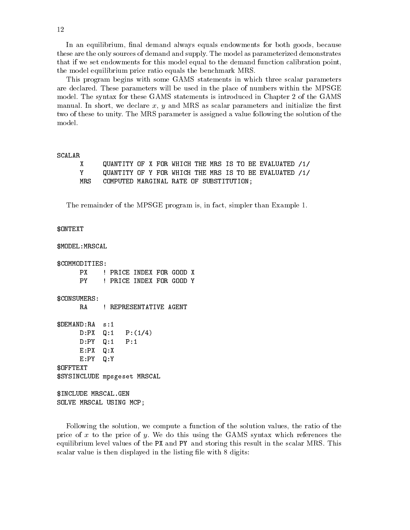In an equilibrium, final demand always equals endowments for both goods, because these are the only sources of demand and supply. The model as parameterized demonstrates that if we set endowments for this model equal to the demand function calibration point, the model equilibrium price ratio equals the benchmark MRS.

This program begins with some GAMS statements in which three scalar parameters are declared. These parameters will be used in the place of numbers within the MPSGE model. The syntax for these GAMS statements is introduced in Chapter 2 of the GAMS manual. In short, we declare x,  $y$  and MRS as scalar parameters and initialize the first two of these to unity. The MRS parameter is assigned a value following the solution of the model.

#### SCALAR

| X.  |                                         |  |  |  |  | QUANTITY OF X FOR WHICH THE MRS IS TO BE EVALUATED /1/ |  |
|-----|-----------------------------------------|--|--|--|--|--------------------------------------------------------|--|
|     |                                         |  |  |  |  | QUANTITY OF Y FOR WHICH THE MRS IS TO BE EVALUATED /1/ |  |
| MRS | COMPUTED MARGINAL RATE OF SUBSTITUTION: |  |  |  |  |                                                        |  |

The remainder of the MPSGE program is, in fact, simpler than Example 1.

#### \$ONTEXT

\$MODEL:MRSCAL

\$COMMODITIES: ! PRICE INDEX FOR GOOD X PX PY ! PRICE INDEX FOR GOOD Y \$CONSUMERS: ! REPRESENTATIVE AGENT RA \$DEMAND:RA s:1  $D:PX$   $Q:1$   $P: (1/4)$ D:PY Q:1 P:1 E:PX Q:X E:PY Q:Y \$OFFTEXT \$SYSINCLUDE mpsgeset MRSCAL \$INCLUDE MRSCAL.GEN

SOLVE MRSCAL USING MCP;

Following the solution, we compute a function of the solution values, the ratio of the price of x to the price of y. We do this using the GAMS syntax which references the equilibrium level values of the PX and PY and storing this result in the scalar MRS. This scalar value is then displayed in the listing file with 8 digits: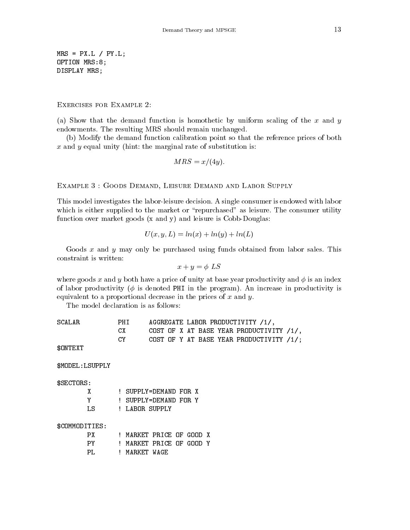$MRS = PX.L / PY.L;$ OPTION MRS:8; DISPLAY MRS;

### Exercises for Example 2:

(a) Show that the demand function is homothetic by uniform scaling of the  $x$  and  $y$ endowments. The resulting MRS should remain unchanged.

(b) Modify the demand function calibration point so that the reference prices of both  $x$  and  $y$  equal unity (hint: the marginal rate of substitution is:

$$
MRS = x/(4y).
$$

Example 3 : Goods Demand, Leisure Demand and Labor Supply

This model investigates the labor-leisure decision. A single consumer is endowed with labor which is either supplied to the market or "repurchased" as leisure. The consumer utility function over market goods (x and y) and leisure is Cobb-Douglas:

$$
U(x, y, L) = \ln(x) + \ln(y) + \ln(L)
$$

Goods x and y may only be purchased using funds obtained from labor sales. This constraint is written:

$$
x + y = \phi \, \, LS
$$

where goods x and y both have a price of unity at base year productivity and  $\phi$  is an index of labor productivity ( $\phi$  is denoted PHI in the program). An increase in productivity is equivalent to a proportional decrease in the prices of  $x$  and  $y$ .

The model declaration is as follows:

| <b>SCALAR</b> | PHI |  |  |  | AGGREGATE LABOR PRODUCTIVITY /1/.        |  |
|---------------|-----|--|--|--|------------------------------------------|--|
|               |     |  |  |  | COST OF X AT BASE YEAR PRODUCTIVITY /1/. |  |
|               | CΥ  |  |  |  | COST OF Y AT BASE YEAR PRODUCTIVITY /1/: |  |

\$0NTEXT \$ONTEXT

\$MODEL:LSUPPLY

\$SECTORS:

|    | ! SUPPLY=DEMAND FOR X |  |
|----|-----------------------|--|
|    | ! SUPPLY=DEMAND FOR Y |  |
| ΙS | I LAROR SUPPLY        |  |

\$COMMODITIES:

| PХ  | ! MARKFT PRICF OF GOOD X |  |  |
|-----|--------------------------|--|--|
| ΡY  | ! MARKET PRICE OF GOOD Y |  |  |
| PI. | ! MARKFT WAGF            |  |  |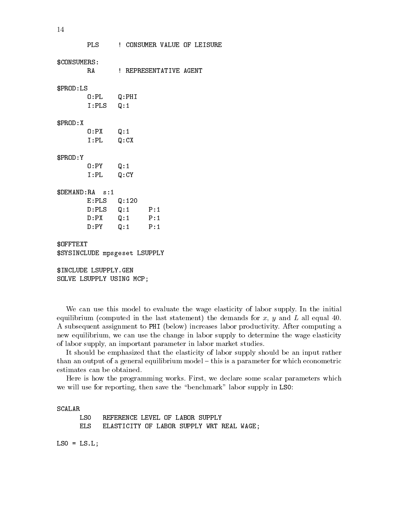PLS ! CONSUMER VALUE OF LEISURE \$CONSUMERS: RA ! REPRESENTATIVE AGENT \$PROD:LS  $0:$  PL  $Q:$  PHI I:PLS Q:1 \$PROD:X O:PX Q:1 I:PL Q:CX \$PROD:Y  $0:PY$   $Q:1$ I:PL Q:CY \$DEMAND:RA s:1 E:PLS Q:120 D:PLS Q:1 P:1 D:PX Q:1 P:1 D:PY Q:1 P:1 \$0FFTEXT  $\bullet$ \$SYSINCLUDE mpsgeset LSUPPLY \$INCLUDE LSUPPLY.GEN SOLVE LSUPPLY USING MCP;

We can use this model to evaluate the wage elasticity of labor supply. In the initial equilibrium (computed in the last statement) the demands for  $x, y$  and  $L$  all equal 40. A subsequent assignment to PHI (below) increases labor productivity. After computing a new equilibrium, we can use the change in labor supply to determine the wage elasticity of labor supply, an important parameter in labor market studies.

It should be emphasized that the elasticity of labor supply should be an input rather than an output of a general equilibrium model  $-$  this is a parameter for which econometric estimates can be obtained.

Here is how the programming works. First, we declare some scalar parameters which we will use for reporting, then save the "benchmark" labor supply in LS0:

SCALAR

LS0 REFERENCE LEVEL OF LABOR SUPPLY ELS ELASTICITY OF LABOR SUPPLY WRT REAL WAGE;

 $LSO = LS.L;$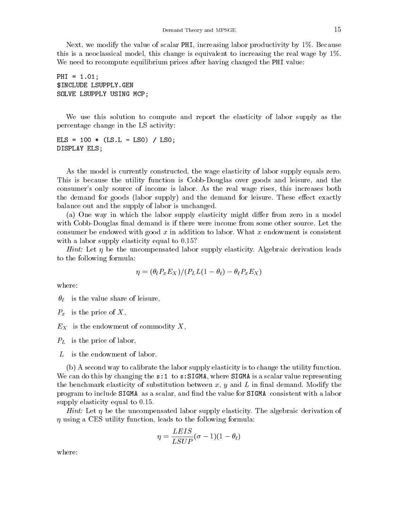Next, we modify the value of scalar PHI, increasing labor productivity by 1%. Because this is a neoclassical model, this change is equivalent to increasing the real wage by 1%. We need to recompute equilibrium prices after having changed the PHI value:

PHI = 1.01; \$INCLUDE LSUPPLY.GEN SOLVE LSUPPLY USING MCP;

We use this solution to compute and report the elasticity of labor supply as the percentage change in the LS activity:

 $ELS = 100 * (LS.L - LSO) / LSO;$ DISPLAY ELS;

As the model is currently constructed, the wage elasticity of labor supply equals zero. This is because the utility function isCobb-Douglas over goods and leisure, and the consumer's only source of income is labor. As the real wage rises, this increases both the demand for goods (labor supply) and the demand for leisure. These effect exactly balance out and the supply of labor is unchanged.

(a) One way in which the labor supply elasticity might differ from zero in a model with Cobb-Douglas final demand is if there were income from some other source. Let the consumer be endowed with good  $x$  in addition to labor. What  $x$  endowment is consistent with a labor supply elasticity equal to  $0.15$ ?

*Hint*: Let  $\eta$  be the uncompensated labor supply elasticity. Algebraic derivation leads to the following formula:

 $\eta = (\theta_{\ell} P_x E_X) / (P_L L (1 - \theta_{\ell}) - \theta_{\ell} P_x E_X)$ 

where:

 $\theta_{\ell}$  is the value share of leisure,

 $P_x$  is the price of X,

 $E_X$  is the endowment of commodity X,

 $P_L$  is the price of labor,

L is the endowment of labor.

(b) A second way to calibrate the labor supply elasticity is to change the utility function. We can do this by changing the  $s:1$  to  $s:SIGMA$ , where SIGMA is a scalar value representing the benchmark elasticity of substitution between  $x, y$  and  $L$  in final demand. Modify the program to include SIGMA as a scalar, and find the value for SIGMA consistent with a labor supply elasticity equal to 0.15.

*Hint*: Let  $\eta$  be the uncompensated labor supply elasticity. The algebraic derivation of  $\eta$  using a CES utility function, leads to the following formula:

$$
\eta = \frac{LEIS}{LSUP}(\sigma - 1)(1 - \theta_\ell)
$$

where: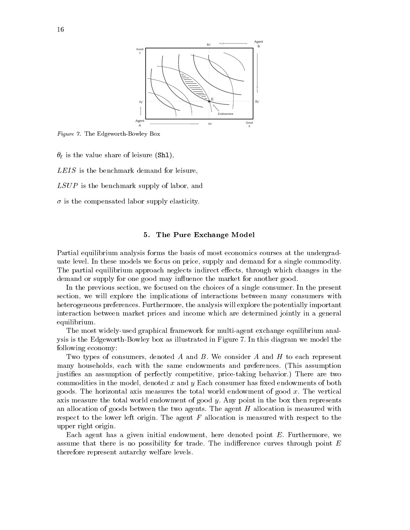

Figure 7. The Edgeworth-Bowley Box

 $\theta_{\ell}$  is the value share of leisure (Sh1),

LEIS is the benchmark demand for leisure,

 $LSUP$  is the benchmark supply of labor, and

 $\sigma$  is the compensated labor supply elasticity.

#### 5. The Pure Exchange Model

Partial equilibrium analysis forms the basis of most economics courses at the undergraduate level. In these models we focus on price, supply and demand for a single commodity. The partial equilibrium approach neglects indirect effects, through which changes in the demand or supply for one good may influence the market for another good.

In the previous section, we focused on the choices of a single consumer. In the present section, we will explore the implications of interactions between many consumers with heterogeneous preferences. Furthermore, the analysis will explore the potentially important interaction between market prices and income which are determined jointly in a general equilibrium.

The most widely-used graphical framework for multi-agent exchange equilibrium analysis is the Edgeworth-Bowley box as illustrated in Figure 7. In this diagram we model the following economy:

Two types of consumers, denoted  $A$  and  $B$ . We consider  $A$  and  $H$  to each represent many households, each with the same endowments and preferences. (This assumption justies an assumption of perfectly competitive, price-taking behavior.) There are two commodities in the model, denoted  $x$  and  $y$  Each consumer has fixed endowments of both goods. The horizontal axis measures the total world endowment of good  $x$ . The vertical axis measure the total world endowment of good  $y$ . Any point in the box then represents an allocation of goods between the two agents. The agent  $H$  allocation is measured with respect to the lower left origin. The agent  $F$  allocation is measured with respect to the upper right origin.

Each agent has a given initial endowment, here denoted point E. Furthermore, we assume that there is no possibility for trade. The indifference curves through point  $E$ therefore represent autarchy welfare levels.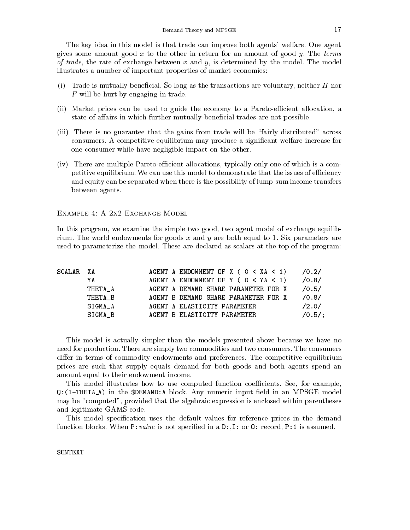The key idea in this model is that trade can improve both agents' welfare. One agent gives some amount good x to the other in return for an amount of good y. The terms of trade, the rate of exchange between  $x$  and  $y$ , is determined by the model. The model illustrates a number of important properties of market economies:

- (i) Trade is mutually beneficial. So long as the transactions are voluntary, neither  $H$  nor F will be hurt by engaging in trade.
- (ii) Market prices can be used to guide the economy to a Pareto-efficient allocation, a state of affairs in which further mutually-beneficial trades are not possible.
- (iii) There is no guarantee that the gains from trade will be \fairly distributed" across consumers. A competitive equilibrium may produce a signicant welfare increase for one consumer while have negligible impact on the other.
- (iv) There are multiple Pareto-efficient allocations, typically only one of which is a competitive equilibrium. We can use this model to demonstrate that the issues of efficiency and equity can be separated when there is the possibility of lump-sum income transfers between agents.

EXAMPLE 4: A 2x2 EXCHANGE MODEL

In this program, we examine the simple two good, two agent model of exchange equilibrium. The world endowments for goods x and y are both equal to 1. Six parameters are used to parameterize the model. These are declared as scalars at the top of the program:

| SCALAR XA |         | AGENT A ENDOWMENT OF X ( $0 < XA < 1$ ) | 10.21     |
|-----------|---------|-----------------------------------------|-----------|
|           | YΑ      | AGENT A ENDOWMENT OF Y ( 0 < YA < 1)    | /0.8/     |
|           | THETA A | AGENT A DEMAND SHARE PARAMETER FOR X    | 10.51     |
|           | THETA B | AGENT B DEMAND SHARE PARAMETER FOR X    | 10.81     |
|           | SIGMA A | AGENT A ELASTICITY PARAMETER            | /2.0/     |
|           | SIGMA B | AGENT B ELASTICITY PARAMETER            | $/0.5/$ : |

This model is actually simpler than the models presented above because we have no need for production. There are simply two commodities and two consumers. The consumers differ in terms of commodity endowments and preferences. The competitive equilibrium prices are such that supply equals demand for both goods and both agents spend an amount equal to their endowment income.

This model illustrates how to use computed function coefficients. See, for example,  $Q: (1-THETA.A)$  in the \$DEMAND: A block. Any numeric input field in an MPSGE model may be "computed", provided that the algebraic expression is enclosed within parentheses and legitimate GAMS code.

This model specification uses the default values for reference prices in the demand function blocks. When  $P: value$  is not specified in a  $D: I:$  or 0: record,  $P:1$  is assumed.

#### \$ONTEXT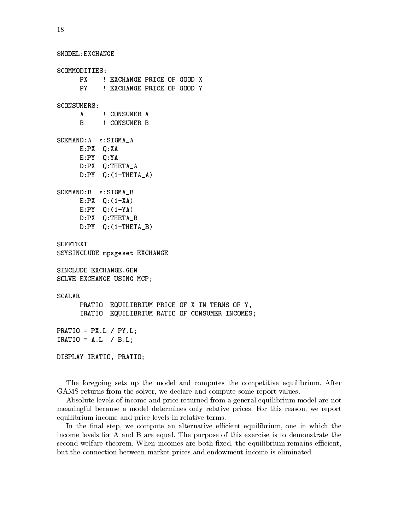\$MODEL: EXCHANGE \$MODEL:EXCHANGE \$COMMODITIES: PY ! EXCHANGE PRICE OF GOOD Y \$CONSUMERS: A ! CONSUMER A  $\overline{B}$ ! CONSUMER B \$DEMAND:A s:SIGMA\_A E:PX Q:XA E:PY Q:YA D:PX Q:THETA\_A  $D : PY$  $Q:$  (1-THETA\_A) \$DEMAND:B s:SIGMA\_B  $E:PX$   $Q: (1-XA)$  $E:PY$   $Q: (1-YA)$ D:PX Q:THETA\_B  $D: PY$  Q:  $(1-THETA_B)$ \$0FFTEXT  $\bullet$ \$SYSINCLUDE mpsgeset EXCHANGE \$INCLUDE EXCHANGE.GEN SOLVE EXCHANGE USING MCP; PRATIO EQUILIBRIUM PRICE OF X IN TERMS OF Y, IRATIO EQUILIBRIUM RATIO OF CONSUMER INCOMES; PRATIO =  $PX.L$  /  $PY.L$ ; IRATIO =  $A.L$  /  $B.L$ ; DISPLAY IRATIO, PRATIO;

The foregoing sets up the model and computes the competitive equilibrium. After GAMS returns from the solver, we declare and compute some report values.

Absolute levels of income and price returned from a general equilibrium model are not meaningful because a model determines only relative prices. For this reason, we report equilibrium income and price levels in relative terms.

In the final step, we compute an alternative efficient equilibrium, one in which the income levels for A and B are equal. The purpose of this exercise is to demonstrate the second welfare theorem. When incomes are both fixed, the equilibrium remains efficient, but the connection between market prices and endowment income is eliminated.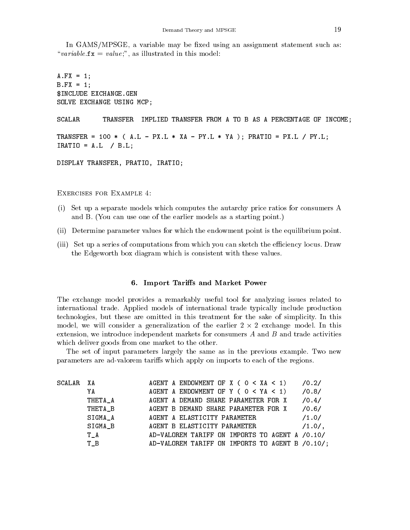In GAMS/MPSGE, a variable may be fixed using an assignment statement such as: "variable.fx = value;", as illustrated in this model:

A.FX = 1;  $B.FX = 1;$ \$INCLUDE EXCHANGE.GEN SOLVE EXCHANGE USING MCP;

SCALAR TRANSFER IMPLIED TRANSFER FROM A TO B AS A PERCENTAGE OF INCOME;

TRANSFER =  $100 * (A.L - PX.L * XA - PY.L * YA)$ ; PRATIO = PX.L / PY.L; IRATIO =  $A.L$  /  $B.L$ ;

DISPLAY TRANSFER, PRATIO, IRATIO;

- (i) Set up a separate models which computes the autarchy price ratios for consumers A and B. (You can use one of the earlier models as a starting point.)
- (ii) Determine parameter values for which the endowment point is the equilibrium point.
- (iii) Set up a series of computations from which you can sketch the efficiency locus. Draw the Edgeworth box diagram which is consistent with these values.

#### 6. Import Tariffs and Market Power

The exchange model provides a remarkably useful tool for analyzing issues related to international trade. Applied models of international trade typically include production technologies, but these are omitted in this treatment for the sake of simplicity. In this model, we will consider a generalization of the earlier  $2\times 2$  exchange model. In this extension, we introduce independent markets for consumers  $A$  and  $B$  and trade activities which deliver goods from one market to the other.

The set of input parameters largely the same as in the previous example. Two new parameters are ad-valorem tariffs which apply on imports to each of the regions.

| SCALAR | XA      | AGENT A ENDOWMENT OF X ( $0 < XA < 1$ )         | /0.2/     |
|--------|---------|-------------------------------------------------|-----------|
|        | ΥA      | AGENT A ENDOWMENT OF Y ( 0 < YA < 1)            | /0.8/     |
|        | THETA A | AGENT A DEMAND SHARE PARAMETER FOR X            | /0.4/     |
|        | THETA B | AGENT B DEMAND SHARE PARAMETER FOR X            | /0.6/     |
|        | SIGMA A | AGENT A ELASTICITY PARAMETER                    | /1.0/     |
|        | SIGMA_B | AGENT B ELASTICITY PARAMETER                    | $/1.0/$ . |
|        | ΤA      | AD-VALOREM TARIFF ON IMPORTS TO AGENT A /0.10/  |           |
|        | T B     | AD-VALOREM TARIFF ON IMPORTS TO AGENT B /0.10/; |           |
|        |         |                                                 |           |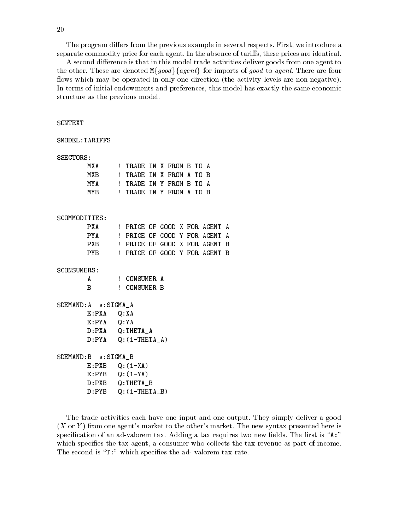The program differs from the previous example in several respects. First, we introduce a separate commodity price for each agent. In the absence of tariffs, these prices are identical.

A second difference is that in this model trade activities deliver goods from one agent to the other. These are denoted  $M{good}{head}$  for imports of good to agent. There are four flows which may be operated in only one direction (the activity levels are non-negative). In terms of initial endowments and preferences, this model has exactly the same economic structure as the previous model.

#### \$0NTEXT \$ONTEXT

### \$MODEL:TARIFFS

#### \$SECTORS:

| MX A  | ! TRADE IN X FROM B TO A |  |  |  |
|-------|--------------------------|--|--|--|
| MXB   | ! TRADE IN X FROM A TO B |  |  |  |
| M Y A | ! TRADE IN Y FROM B TO A |  |  |  |
| MYB   | ! TRADE IN Y FROM A TO B |  |  |  |

#### \$COMMODITIES:

| PXA  | ! PRICE OF GOOD X FOR AGENT A |  |  |  |
|------|-------------------------------|--|--|--|
| PYA  | ! PRICE OF GOOD Y FOR AGENT A |  |  |  |
| PX B | ! PRICE OF GOOD X FOR AGENT B |  |  |  |
| PYB. | ! PRICE OF GOOD Y FOR AGENT B |  |  |  |

#### \$CONSUMERS:

| А | CONSUMFR A |  |
|---|------------|--|
| B | CONSUMER B |  |

| $SDEMAND:A$ $s:SIGMAA$ |                |
|------------------------|----------------|
|                        | $E:PXA$ $Q:XA$ |
|                        | $E:PYA$ $Q:YA$ |

D:PXA Q:THETA\_A  $Q:$  (1-THETA\_A)  $D:PYA$ 

```
$DEMAND:B s:SIGMA_B
       E:PXB Q: (1-XA)E: PYB Q: (1-YA)D:PXB Q:THETA_B
       D:PYB Q:(1-THETA_B)
```
The trade activities each have one input and one output. They simply deliver a good  $(X \text{ or } Y)$  from one agent's market to the other's market. The new syntax presented here is specification of an ad-valorem tax. Adding a tax requires two new fields. The first is " $A$ :" which specifies the tax agent, a consumer who collects the tax revenue as part of income. The second is "T:" which specifies the ad- valorem tax rate.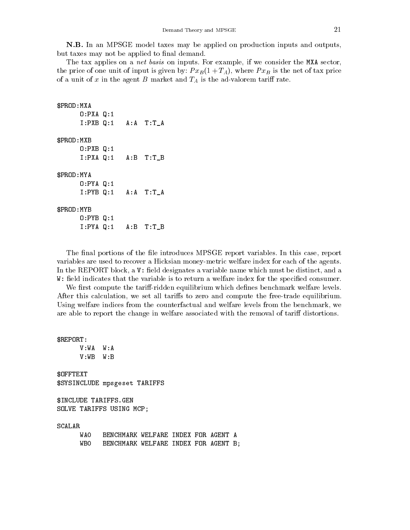N.B. In an MPSGE model taxes may be applied on production inputs and outputs, but taxes may not be applied to final demand.

The tax applies on a *net basis* on inputs. For example, if we consider the MXA sector, the price of one unit of input is given by:  $Px_B(1 + T_A)$ , where  $Px_B$  is the net of tax price of a unit of x in the agent B market and  $T_A$  is the ad-valorem tariff rate.

```
$PROD:MXA
     0:PXA Q:1I:PXB Q:1 A:A T:T_A
$PROD:MXB
     O:PXB Q:1
     I:PXA Q:1 A:B T:T_B
$PROD: MYA
$PROD:MYA
     O:PYA Q:1
     I:PYB Q:1 A:A T:T_A
$PROD:MYB
     O:PYB Q:1
     I:PYA Q:1 A:B T:T_B
```
The final portions of the file introduces MPSGE report variables. In this case, report variables are used to recover a Hicksian money-metric welfare index for each of the agents. In the REPORT block, a  $V:$  field designates a variable name which must be distinct, and a  $W:$  field indicates that the variable is to return a welfare index for the specified consumer.

We first compute the tariff-ridden equilibrium which defines benchmark welfare levels. After this calculation, we set all tariffs to zero and compute the free-trade equilibrium. Using welfare indices from the counterfactual and welfare levels from the benchmark, we are able to report the change in welfare associated with the removal of tariff distortions.

\$REPORT:  $V:WA$  $W: A$ V:WB W:B \$OFFTEXT \$SYSINCLUDE mpsgeset TARIFFS \$INCLUDE TARIFFS.GEN SOLVE TARIFFS USING MCP; SCALAR WA0 BENCHMARK WELFARE INDEX FOR AGENT A **WBO** BENCHMARK WELFARE INDEX FOR AGENT B;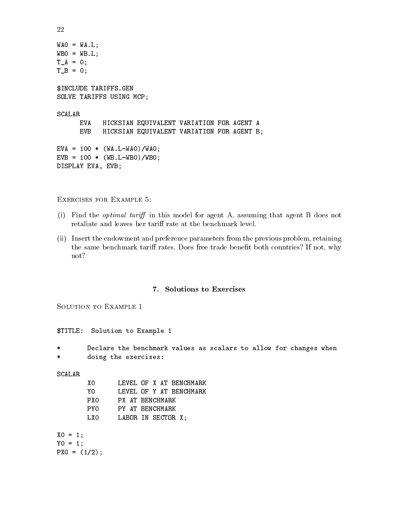$WAO = WA.L;$  $WBO = WB.L;$  $T_A = 0;$  $T_B = 0;$ \$INCLUDE TARIFFS.GEN SOLVE TARIFFS USING MCP; SCALAR **EVA** HICKSIAN EQUIVALENT VARIATION FOR AGENT A EVB HICKSIAN EQUIVALENT VARIATION FOR AGENT B;  $EVA = 100 * (WA.L-WAO)/WAO;$  $EVB = 100 * (WB.L-WBO)/WBO;$ DISPLAY EVA, EVB;

#### Exercises for Example 5:

- (i) Find the *optimal tariff* in this model for agent A, assuming that agent B does not retaliate and leaves her tariff rate at the benchmark level.
- (ii) Insert the endowment and preference parameters from the previous problem, retaining the same benchmark tariff rates. Does free trade benefit both countries? If not, why  $not?$

## 7. Solutions to Exercises

SOLUTION TO EXAMPLE 1

\$TITLE: Solution to Example 1

Declare the benchmark values as scalars to allow for changes when  $\star$ \* doing the exercises:

#### SCALAR

| XО   | LEVEL OF X AT BENCHMARK |
|------|-------------------------|
| Y0   | LEVEL OF Y AT BENCHMARK |
| PX 0 | PX AT BENCHMARK         |
| PY 0 | PY AT BENCHMARK         |
| T.XO | LABOR IN SECTOR X:      |

 $X0 = 1$ ;  $YO = 1;$  $PX0 = (1/2);$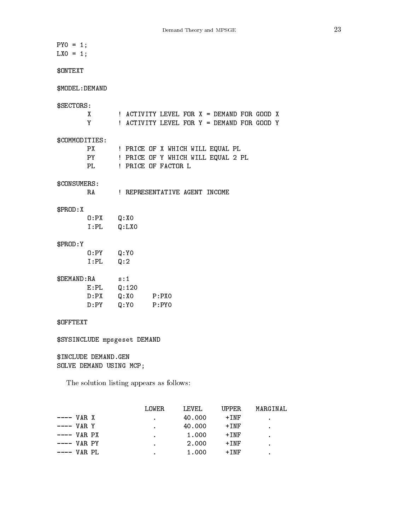| $PYO = 1;$<br>$LX0 = 1;$                                                                                                                                                                                                       |                                            |
|--------------------------------------------------------------------------------------------------------------------------------------------------------------------------------------------------------------------------------|--------------------------------------------|
| \$0NTEXT                                                                                                                                                                                                                       |                                            |
| \$MODEL:DEMAND                                                                                                                                                                                                                 |                                            |
| \$SECTORS:                                                                                                                                                                                                                     |                                            |
| X.                                                                                                                                                                                                                             | ! ACTIVITY LEVEL FOR X = DEMAND FOR GOOD I |
| Y                                                                                                                                                                                                                              | ! ACTIVITY LEVEL FOR Y = DEMAND FOR GOOD ' |
| \$COMMODITIES:                                                                                                                                                                                                                 |                                            |
| PX                                                                                                                                                                                                                             | ! PRICE OF X WHICH WILL EQUAL PL           |
|                                                                                                                                                                                                                                | PY : PRICE OF Y WHICH WILL EQUAL 2 PL      |
| PL and the set of the set of the set of the set of the set of the set of the set of the set of the set of the set of the set of the set of the set of the set of the set of the set of the set of the set of the set of the se | ! PRICE OF FACTOR L                        |
| \$CONSUMERS:                                                                                                                                                                                                                   |                                            |
| RA                                                                                                                                                                                                                             | ! REPRESENTATIVE AGENT INCOME              |
| \$PROD: X                                                                                                                                                                                                                      |                                            |
| $0:PX$ $Q:XO$                                                                                                                                                                                                                  |                                            |
| $I:PL$ $Q: LXO$                                                                                                                                                                                                                |                                            |
| \$PROD:Y                                                                                                                                                                                                                       |                                            |
| $\textbf{0}: \textbf{PY} \qquad \textbf{Q}: \textbf{YO}$                                                                                                                                                                       |                                            |
| $I:PL$ $Q:2$                                                                                                                                                                                                                   |                                            |
| $$DEMAND:RA$ $s:1$                                                                                                                                                                                                             |                                            |
| $E:PL$ Q:120                                                                                                                                                                                                                   |                                            |
|                                                                                                                                                                                                                                | $D:PX$ $Q:XO$ $P:PXO$                      |
|                                                                                                                                                                                                                                | $D: PY$ Q: YO P: PYO                       |
| \$0FFTEXT                                                                                                                                                                                                                      |                                            |
| \$SYSINCLUDE mpsgeset DEMAND                                                                                                                                                                                                   |                                            |
|                                                                                                                                                                                                                                |                                            |

\$INCLUDE DEMAND.GEN SOLVE DEMAND USING MCP;

The solution listing appears as follows:

|              | LOWER. | <b>LEVEL</b> | UPPFR. | MARGTNAL. |
|--------------|--------|--------------|--------|-----------|
| $---$ VAR X  |        | 40.000       | $+IMF$ |           |
| $---$ VAR Y  |        | 40.000       | $+INF$ | $\bullet$ |
| $---$ VAR PX |        | 1.000        | $+INF$ |           |
| ---- VAR PY  |        | 2.000        | $+IMF$ | $\bullet$ |
| ---- VAR PI. |        | 1.000        | $+INF$ |           |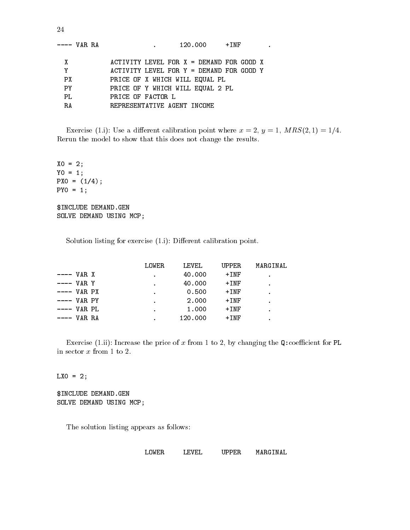| ---- VAR RA |                             | 120.000                                    | $+INF$ |  |
|-------------|-----------------------------|--------------------------------------------|--------|--|
| X.          |                             | ACTIVITY LEVEL FOR $X = DEMAND$ FOR GOOD X |        |  |
| Y           |                             | ACTIVITY LEVEL FOR $Y = DEMAND$ FOR GOOD Y |        |  |
| PХ          |                             | PRICE OF X WHICH WILL EQUAL PL             |        |  |
| ΡY          |                             | PRICE OF Y WHICH WILL EQUAL 2 PL           |        |  |
| PL          | PRICE OF FACTOR L           |                                            |        |  |
| R A         | REPRESENTATIVE AGENT INCOME |                                            |        |  |

Exercise (1.i): Use a different calibration point where  $x = 2$ ,  $y = 1$ ,  $MRS(2, 1) = 1/4$ . Rerun the model to show that this does not change the results.

 $X0 = 2;$ Y0 = 1;  $PX0 = (1/4);$  $PY0 = 1;$ \$INCLUDE DEMAND.GEN SOLVE DEMAND USING MCP;

Solution listing for exercise (1.i): Different calibration point.

|              |  | LOWER     | <b>LEVEL</b> | UPPFR. | MARGTNAL. |
|--------------|--|-----------|--------------|--------|-----------|
| $---$ VAR X  |  |           | 40.000       | $+IMF$ |           |
| $---$ VAR Y  |  |           | 40.000       | $+IMF$ |           |
| $---$ VAR PX |  | $\bullet$ | 0.500        | $+IMF$ |           |
| $---$ VAR PY |  |           | 2.000        | $+IMF$ |           |
| ---- VAR PL  |  |           | 1.000        | $+INF$ |           |
| $---$ VAR RA |  |           | 120.000      | $+IMF$ |           |

Exercise (1.ii): Increase the price of x from 1 to 2, by changing the  $Q$ : coefficient for PL in sector x from 1 to 2.

 $LX0 = 2;$ 

\$INCLUDE DEMAND.GEN SOLVE DEMAND USING MCP;

The solution listing appears as follows:

LOWER LEVEL UPPER MARGINAL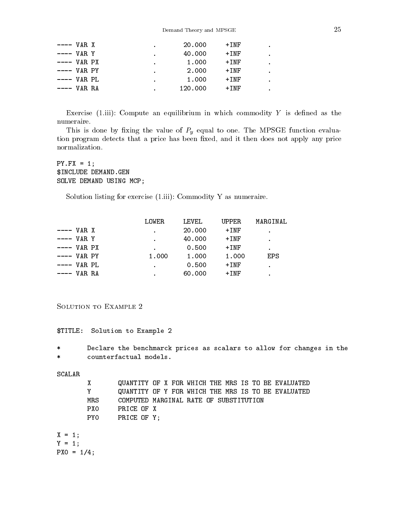| ---- VAR X   |  | $\sim$          | 20,000  | $+INF$ |  |
|--------------|--|-----------------|---------|--------|--|
| $---$ VAR Y  |  | <b>Contract</b> | 40.000  | $+INF$ |  |
| ---- VAR PX  |  |                 | 1.000   | $+INF$ |  |
| $---$ VAR PY |  |                 | 2.000   | $+INF$ |  |
| $---$ VAR PL |  |                 | 1.000   | $+INF$ |  |
| ---- VAR RA  |  |                 | 120.000 | $+INF$ |  |

Exercise  $(1.iii)$ : Compute an equilibrium in which commodity Y is defined as the numeraire.

This is done by fixing the value of  $P_y$  equal to one. The MPSGE function evaluation program detects that a price has been fixed, and it then does not apply any price normalization.

 $PY.FX = 1;$ \$INCLUDE DEMAND.GEN SOLVE DEMAND USING MCP;

Solution listing for exercise (1.iii): Commodity Y as numeraire.

|                                                                                                                                                                                                                                                                                                                                                                                              |        | LOWER     | <b>LEVEL</b> | UPPFR. | MARGTNAL. |
|----------------------------------------------------------------------------------------------------------------------------------------------------------------------------------------------------------------------------------------------------------------------------------------------------------------------------------------------------------------------------------------------|--------|-----------|--------------|--------|-----------|
| $---$ VAR X                                                                                                                                                                                                                                                                                                                                                                                  |        |           | 20,000       | $+IMF$ |           |
| $---$ VAR Y                                                                                                                                                                                                                                                                                                                                                                                  |        | $\bullet$ | 40.000       | $+IMF$ | $\bullet$ |
| ---- VAR PX                                                                                                                                                                                                                                                                                                                                                                                  |        |           | 0.500        | $+IMF$ |           |
| ---- VAR PY                                                                                                                                                                                                                                                                                                                                                                                  |        | 1.000     | 1.000        | 1,000  | EPS.      |
| ---- VAR PL                                                                                                                                                                                                                                                                                                                                                                                  |        |           | 0.500        | $+IMF$ | $\bullet$ |
| $\frac{1}{2} \frac{1}{2} \frac{1}{2} \frac{1}{2} \frac{1}{2} \frac{1}{2} \frac{1}{2} \frac{1}{2} \frac{1}{2} \frac{1}{2} \frac{1}{2} \frac{1}{2} \frac{1}{2} \frac{1}{2} \frac{1}{2} \frac{1}{2} \frac{1}{2} \frac{1}{2} \frac{1}{2} \frac{1}{2} \frac{1}{2} \frac{1}{2} \frac{1}{2} \frac{1}{2} \frac{1}{2} \frac{1}{2} \frac{1}{2} \frac{1}{2} \frac{1}{2} \frac{1}{2} \frac{1}{2} \frac{$ | VAR RA |           | 60.000       | $+IMF$ |           |

SOLUTION TO EXAMPLE 2

\$TITLE: Solution to Example 2

Py Observation of the Pyone of Pyone of the Pyone of the Pyone of the Pyone of the Pyone of the Pyone of the Pyone of the Pyone of the Pyone of the Pyone of the Pyone of the Pyone of the Pyone of the Pyone of the Pyone of

Declare the benchmarck prices as scalars to allow for changes in the  $\star$ \* counterfactual models.

SCALAR

| $\mathbf{X}$ and $\mathbf{X}$                                                                                                                                                                                                       |                                        |  |  |  |  | QUANTITY OF X FOR WHICH THE MRS IS TO BE EVALUATED |
|-------------------------------------------------------------------------------------------------------------------------------------------------------------------------------------------------------------------------------------|----------------------------------------|--|--|--|--|----------------------------------------------------|
| <b>Y</b> and the set of the set of the set of the set of the set of the set of the set of the set of the set of the set of the set of the set of the set of the set of the set of the set of the set of the set of the set of the s |                                        |  |  |  |  | QUANTITY OF Y FOR WHICH THE MRS IS TO BE EVALUATED |
| MR S                                                                                                                                                                                                                                | COMPUTED MARGINAL RATE OF SUBSTITUTION |  |  |  |  |                                                    |
| PX 0                                                                                                                                                                                                                                | PRICE OF X                             |  |  |  |  |                                                    |
|                                                                                                                                                                                                                                     | PYO PRICE OF Y:                        |  |  |  |  |                                                    |

 $X = 1;$  $Y = 1;$ PX0 = 1/4;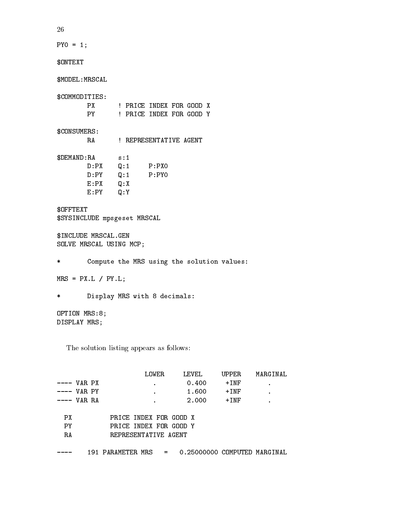PY0 = 1; \$ONTEXT \$MODEL:MRSCAL \$COMMODITIES: \$CONSUMERS: RA ! REPRESENTATIVE AGENT \$DEMAND:RA s:1 D:PX Q:1 P:PX0 D:PY Q:1 P:PY0 E:PX Q:X E:PY Q:Y \$OFFTEXT \$SYSINCLUDE mpsgeset MRSCAL \$INCLUDE MRSCAL.GEN SOLVE MRSCAL USING MCP; \* Compute the MRS using the solution values:  $MRS = PX.L / PY.L;$ \* Display MRS with 8 decimals: OPTION MRS:8; DISPLAY MRS;

The solution listing appears as follows:

|              |  |                      | LOWER                  |     | LEVEL | UPPER.                       | MARGINAL  |
|--------------|--|----------------------|------------------------|-----|-------|------------------------------|-----------|
| $---$ VAR PX |  |                      |                        |     | 0.400 | $+INF$                       |           |
| $---$ VAR PY |  |                      |                        |     | 1.600 | $+INF$                       | $\bullet$ |
| $---$ VAR RA |  |                      |                        |     | 2.000 | $+INF$                       |           |
|              |  |                      |                        |     |       |                              |           |
| PX.          |  |                      | PRICE INDEX FOR GOOD X |     |       |                              |           |
| PΥ           |  |                      | PRICE INDEX FOR GOOD Y |     |       |                              |           |
| R A          |  | REPRESENTATIVE AGENT |                        |     |       |                              |           |
|              |  |                      |                        |     |       |                              |           |
|              |  | 191 PARAMETER MRS    |                        | $=$ |       | 0.25000000 COMPUTED MARGINAL |           |

26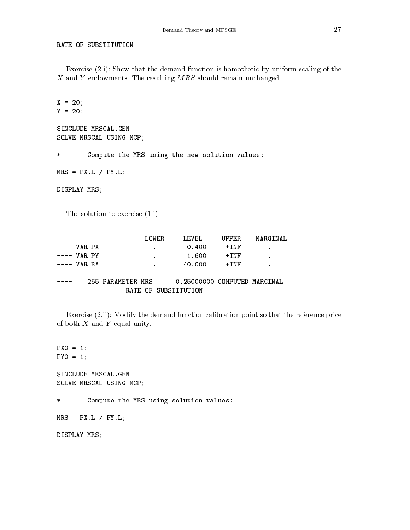RATE OF SUBSTITUTION

Exercise (2.i): Show that the demand function is homothetic by uniform scaling of the X and Y endowments. The resulting MRS should remain unchanged.

 $X = 20;$  $Y = 20;$ 

\$INCLUDE MRSCAL.GEN SOLVE MRSCAL USING MCP;

\* Compute the MRS using the new solution values:

 $MRS = PX.L / PY.L;$ 

DISPLAY MRS;

The solution to exercise (1.i):

|             | LOWER.                                             | LEVEL. | UPPFR. | MARGINAL. |
|-------------|----------------------------------------------------|--------|--------|-----------|
| ---- VAR PX |                                                    | 0.400  | $+INF$ |           |
| ---- VAR PY |                                                    | 1.600  | $+INF$ |           |
| ---- VAR RA |                                                    | 40.000 | $+TNF$ |           |
|             | 255 PARAMETER MRS = $0.25000000$ COMPUTED MARGINAL |        |        |           |
|             | RATE OF SUBSTITUTION                               |        |        |           |

Exercise (2.ii): Modify the demand function calibration point so that the reference price of both  $X$  and  $Y$  equal unity.

 $PX0 = 1;$ PY0 = 1; \$INCLUDE MRSCAL.GEN SOLVE MRSCAL USING MCP; \* Compute the MRS using solution values:  $MRS = PX.L / PY.L;$ 

DISPLAY MRS;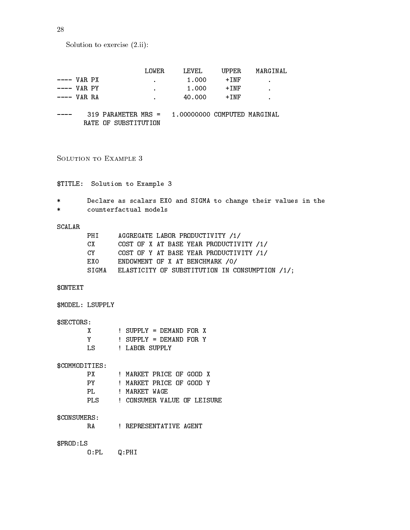Solution to exercise (2.ii):

|                       |                   | LOWER                                                                                                                                                                                                                        | LEVEL          | UPPER          | MARGINAL |  |
|-----------------------|-------------------|------------------------------------------------------------------------------------------------------------------------------------------------------------------------------------------------------------------------------|----------------|----------------|----------|--|
| $---$ VAR PX          |                   | $\mathbf{r} = \mathbf{r}$ , where $\mathbf{r} = \mathbf{r}$                                                                                                                                                                  |                | $1.000$ $+INF$ |          |  |
| $---$ VAR PY          |                   |                                                                                                                                                                                                                              | $1.000 + INF$  |                |          |  |
| $---$ VAR RA          |                   |                                                                                                                                                                                                                              | $40.000 + INF$ |                |          |  |
|                       |                   | $---$ 319 PARAMETER MRS = 1.00000000 COMPUTED MARGINAL<br>RATE OF SUBSTITUTION                                                                                                                                               |                |                |          |  |
| SOLUTION TO EXAMPLE 3 |                   |                                                                                                                                                                                                                              |                |                |          |  |
|                       |                   | \$TITLE: Solution to Example 3                                                                                                                                                                                               |                |                |          |  |
| $\ast$ .<br>$\ast$ .  |                   | Declare as scalars EXO and SIGMA to change their values in the<br>counterfactual models                                                                                                                                      |                |                |          |  |
| SCALAR                | CX                | PHI AGGREGATE LABOR PRODUCTIVITY /1/<br>COST OF X AT BASE YEAR PRODUCTIVITY /1/<br>CY COST OF Y AT BASE YEAR PRODUCTIVITY /1/<br>EXO ENDOWMENT OF X AT BENCHMARK /0/<br>SIGMA ELASTICITY OF SUBSTITUTION IN CONSUMPTION /1/; |                |                |          |  |
| \$0NTEXT              |                   |                                                                                                                                                                                                                              |                |                |          |  |
| \$MODEL: LSUPPLY      |                   |                                                                                                                                                                                                                              |                |                |          |  |
| \$SECTORS:            |                   |                                                                                                                                                                                                                              |                |                |          |  |
|                       |                   | X : SUPPLY = DEMAND FOR X                                                                                                                                                                                                    |                |                |          |  |
|                       | Y                 | ! SUPPLY = DEMAND FOR Y                                                                                                                                                                                                      |                |                |          |  |
|                       | LS —              | ! LABOR SUPPLY                                                                                                                                                                                                               |                |                |          |  |
| \$COMMODITIES:        |                   |                                                                                                                                                                                                                              |                |                |          |  |
|                       | PX F<br><b>PY</b> | ! MARKET PRICE OF GOOD X                                                                                                                                                                                                     |                |                |          |  |
|                       | PL                | ! MARKET PRICE OF GOOD Y<br>! MARKET WAGE                                                                                                                                                                                    |                |                |          |  |
|                       | PLS               | ! CONSUMER VALUE OF LEISURE                                                                                                                                                                                                  |                |                |          |  |
|                       |                   |                                                                                                                                                                                                                              |                |                |          |  |
| \$CONSUMERS:          |                   |                                                                                                                                                                                                                              |                |                |          |  |
|                       | RA                | ! REPRESENTATIVE AGENT                                                                                                                                                                                                       |                |                |          |  |
|                       |                   |                                                                                                                                                                                                                              |                |                |          |  |
| \$PROD:LS             |                   |                                                                                                                                                                                                                              |                |                |          |  |
|                       | 0:PL              | Q:PHI                                                                                                                                                                                                                        |                |                |          |  |

28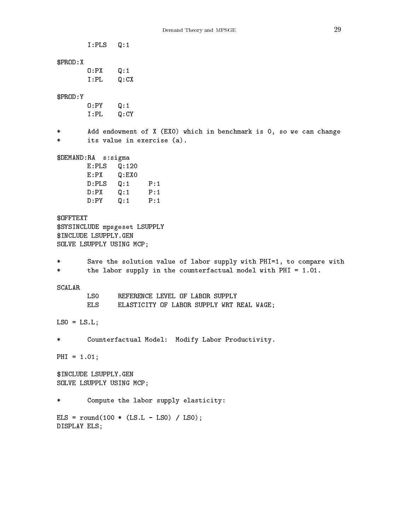I:PLS Q:1 \$PROD:X  $0:PX$   $Q:1$ I:PL Q:CX \$PROD:Y  $0:PY$   $Q:1$ I:PL Q:CY \* Add endowment of X (EX0) which in benchmark is 0, so we can change  $\star$ its value in exercise (a). \$DEMAND:RA s:sigma E:PLS Q:120  $E:PX$  $0:EXO$ E:PX Q:EXO Q:EXO Q:EXO Q:EXO Q:EXO Q:EXO Q:EXO Q:EXO Q:EXO Q:EXO Q:EXO Q:EXO Q:EXO Q:EXO Q:EXO Q:EXO Q:EXO Q:E D:PLS Q:1 P:1 D:PX Q:1 P:1 D:PY Q:1 P:1 \$OFFTEXT \$SYSINCLUDE mpsgeset LSUPPLY \$INCLUDE LSUPPLY.GEN SOLVE LSUPPLY USING MCP; \* Save the solution value of labor supply with PHI=1, to compare with  $\ast$ the labor supply in the counterfactual model with PHI =  $1.01$ . SCALAR LS0 REFERENCE LEVEL OF LABOR SUPPLY **ELS** ELASTICITY OF LABOR SUPPLY WRT REAL WAGE;  $LSO = LS.L;$  $\star$ Counterfactual Model: Modify Labor Productivity. PHI = 1.01; \$INCLUDE LSUPPLY.GEN SOLVE LSUPPLY USING MCP; \* Compute the labor supply elasticity: ELS =  $round(100 * (LS.L - LSO) / LSO);$ DISPLAY ELS;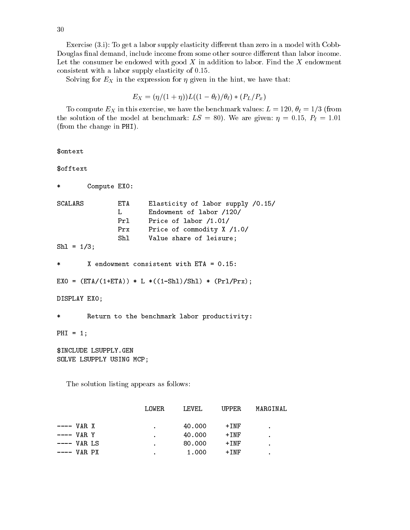Exercise  $(3.1)$ : To get a labor supply elasticity different than zero in a model with Cobb-Douglas final demand, include income from some other source different than labor income. Let the consumer be endowed with good  $X$  in addition to labor. Find the  $X$  endowment consistent with a labor supply elasticity of 0.15.

Solving for  $E_X$  in the expression for  $\eta$  given in the hint, we have that:

$$
E_X = (\eta/(1+\eta))L((1-\theta_\ell)/\theta_\ell) * (P_L/P_x)
$$

To compute  $E_X$  in this exercise, we have the benchmark values:  $L = 120, \theta_\ell = 1/3$  (from the solution of the model at benchmark:  $LS = 80$ ). We are given:  $\eta = 0.15$ ,  $P_{\ell} = 1.01$ (from the change in PHI).

\$ontext

\$offtext

 $\ast$ Compute EX0:

| SCALARS | ET A | Elasticity of labor supply /0.15/ |
|---------|------|-----------------------------------|
|         |      | Endowment of labor /120/          |
|         | Prl  | Price of labor $/1.01/$           |
|         | Prx  | Price of commodity X /1.0/        |
|         | Shl  | Value share of leisure;           |
|         |      |                                   |

 $Sh1 = 1/3;$ 

\* X endowment consistent with ETA = 0.15:

EXO =  $(ETA/(1+ETA)) * L * ((1-Sh1)/Sh1) * (Pr1/Prx);$ 

DISPLAY EX0;

\* Return to the benchmark labor productivity:

 $PHI = 1;$ 

\$INCLUDE LSUPPLY.GEN SOLVE LSUPPLY USING MCP;

The solution listing appears as follows:

|              |  | LOWER                | <b>LEVEL</b> | UPPFR. | MARGTNAL. |
|--------------|--|----------------------|--------------|--------|-----------|
| ---- VAR X   |  | $\bullet$            | 40.000       | $+INF$ | $\bullet$ |
| $---$ VAR Y  |  | $\ddot{\phantom{a}}$ | 40.000       | $+INF$ | ٠         |
| $---$ VAR LS |  | $\bullet$            | 80,000       | $+INF$ | ٠         |
| $---$ VAR PX |  | $\bullet$            | 1.000        | $+INF$ | ٠         |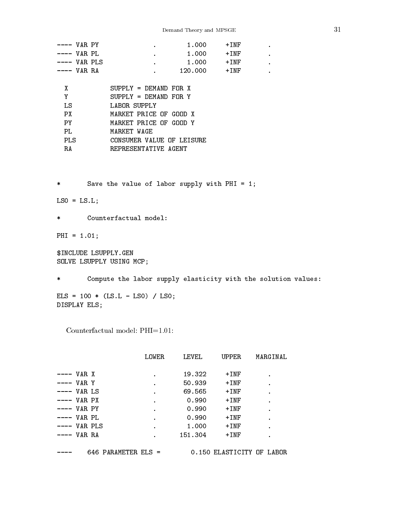| ---- VAR PY  |  | 1.000   | $+$ TNF |  |
|--------------|--|---------|---------|--|
| ---- VAR PI. |  | 1.000   | $+TNF$  |  |
| ---- VAR PLS |  | 1.000   | $+TNF$  |  |
| ---- VAR RA  |  | 120.000 | $+TNF$  |  |

| X   | $SUPPI.Y = DFMAND FOR X$  |
|-----|---------------------------|
| Υ   | $SUPPI.Y = DFMAND FOR Y$  |
| LS. | LABOR SUPPLY              |
| PΧ  | MARKFT PRICF OF GOOD X    |
| ΡY  | MARKFT PRICF OF GOOD Y    |
| PI. | MARKET WAGE               |
| PLS | CONSUMER VALUE OF LEISURE |
| RΑ  | REPRESENTATIVE AGENT      |

\* Save the value of labor supply with PHI = 1;

 $LSO = LS.L;$ 

\* Counterfactual model:

PHI = 1.01;

\$INCLUDE LSUPPLY.GEN SOLVE LSUPPLY USING MCP;

\* Compute the labor supply elasticity with the solution values:

 $ELS = 100 * (LS.L - LSO) / LSO;$ DISPLAY ELS;

Counterfactual model: PHI=1.01:

|               |                 | LOWER                | LEVEL   |       | <b>UPPER</b>  |  | MARGINAL  |
|---------------|-----------------|----------------------|---------|-------|---------------|--|-----------|
|               |                 |                      |         |       |               |  |           |
| ---- VAR X    |                 | $\bullet$            | 19.322  |       | $+INF$        |  | ٠         |
| ---- VAR Y    |                 | $\bullet$            | 50.939  |       | $+IMF$        |  | $\bullet$ |
| $---$ VAR LS  |                 | $\bullet$            | 69.565  |       | $+IMF$        |  | ٠         |
| $---$ VAR PX  |                 | $\bullet$            | 0.990   |       | $+INF$        |  | $\bullet$ |
| $---$ VAR PY  |                 | $\ddot{\phantom{0}}$ | 0.990   |       | $+IMF$        |  | $\bullet$ |
| $---$ VAR PL  |                 | $\ddot{\phantom{0}}$ | 0.990   |       | $+IMF$        |  | ٠         |
| $---$ VAR PLS |                 | $\bullet$            | 1,000   |       | $+INF$        |  | ٠         |
| $---$ VAR RA  |                 |                      | 151.304 |       | $+IMF$        |  | ٠         |
|               |                 |                      |         |       |               |  |           |
| 646.          | PARAMETER ELS = |                      |         | 0.150 | ELASTICITY OF |  | LABOR     |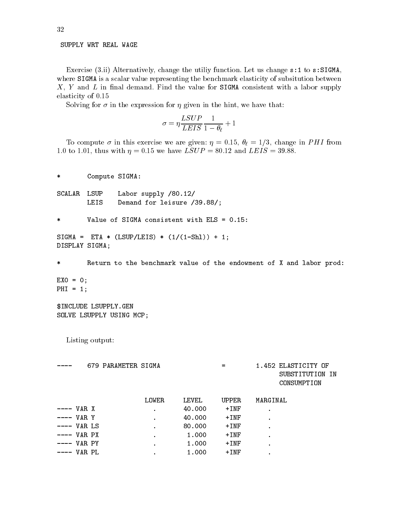SUPPLY WRT REAL WAGE

Exercise (3.ii) Alternatively, change the utiliy function. Let us change  $s:1$  to  $s:SIGMA$ , where SIGMA is a scalar value representing the benchmark elasticity of subsitution between  $X, Y$  and  $L$  in final demand. Find the value for SIGMA consistent with a labor supply elasticity of 0.15

Solving for  $\sigma$  in the expression for  $\eta$  given in the hint, we have that:

$$
\sigma = \eta \frac{LSUP}{LEIS} \frac{1}{1 - \theta_{\ell}} + 1
$$

To compute  $\sigma$  in this exercise we are given:  $\eta = 0.15, \ \theta_\ell = 1/3$ , change in PHI from 1.0 to 1.01, thus with  $\eta = 0.15$  we have  $LSUP = 80.12$  and  $LEIS = 39.88$ .

\* Compute SIGMA:

```
SCALAR LSUP Labor supply /80.12/
       LEIS Demand for leisure /39.88/;
```

```
Value of SIGMA consistent with ELS = 0.15:
\ast
```

```
SIGMA = ETA * (LSUP/LEIS) * (1/(1-Sh1)) + 1;DISPLAY SIGMA;
```

```
* Return to the benchmark value of the endowment of X and labor prod:
```
 $EXO = 0$ ;  $PHI = 1;$ 

\$INCLUDE LSUPPLY.GEN SOLVE LSUPPLY USING MCP;

Listing output:

|                       |              | 679 PARAMETER SIGMA |           |        | $=$          |          | 1.452 ELASTICITY OF<br>SUBSTITUTION IN<br>CONSUMPTION |
|-----------------------|--------------|---------------------|-----------|--------|--------------|----------|-------------------------------------------------------|
|                       |              |                     | LOWER.    | LEVEL  | <b>UPPER</b> | MARGINAL |                                                       |
|                       | $---$ VAR X  |                     | $\bullet$ | 40.000 | $+IMF$       |          |                                                       |
| $\qquad \qquad - - -$ | VAR Y        |                     | $\bullet$ | 40.000 | $+IMF$       |          |                                                       |
|                       | $---$ VAR LS |                     |           | 80,000 | $+IMF$       |          |                                                       |
|                       | ---- VAR PX  |                     |           | 1.000  | $+IMF$       |          |                                                       |
|                       | $---$ VAR PY |                     |           | 1,000  | $+IMF$       |          |                                                       |
|                       | ---- VAR PL  |                     | $\bullet$ | 1.000  | $+INF$       | $\cdot$  |                                                       |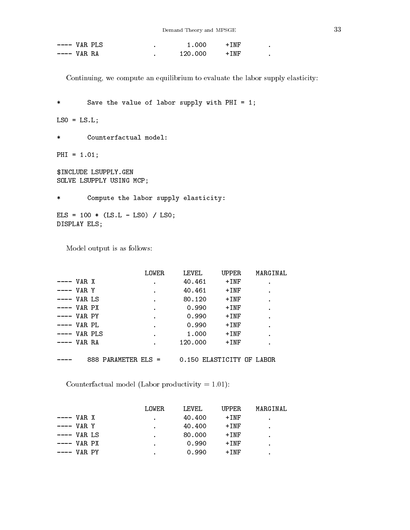| $---$ VAR PLS | 1. QQQ  | $+TNF$ |  |
|---------------|---------|--------|--|
| $---$ VAR RA  | 120.000 | $+TNF$ |  |

Continuing, we compute an equilibrium to evaluate the labor supply elasticity:

\* Save the value of labor supply with PHI = 1;  $LSO = LS.L;$ Counterfactual model:  $\ast$ PHI = 1.01; \$INCLUDE LSUPPLY.GEN SOLVE LSUPPLY USING MCP; \* Compute the labor supply elasticity:  $ELS = 100 * (LS.L - LSO) / LSO;$ DISPLAY ELS;

Model output is as follows:

|              |                     | LOWER. | LEVEL   | <b>UPPER</b>        | MARGINAL             |
|--------------|---------------------|--------|---------|---------------------|----------------------|
| ---- VAR X   |                     |        | 40.461  | $+INF$              | $\bullet$            |
| $---$ VAR Y  |                     |        | 40.461  | $+INF$              | $\bullet$            |
| $---$ VAR LS |                     |        | 80.120  | $+INF$              | $\ddot{\phantom{0}}$ |
| ---- VAR PX  |                     |        | 0.990   | $+INF$              | $\bullet$            |
| ---- VAR PY  |                     |        | 0.990   | $+IMF$              | $\bullet$            |
| ---- VAR PL  |                     |        | 0.990   | $+INF$              | $\bullet$            |
| ---- VAR PLS |                     |        | 1.000   | $+INF$              | ٠                    |
| $---$ VAR RA |                     |        | 120.000 | $+IMF$              | ٠                    |
|              | 888 PARAMETER ELS = |        |         | 0.150 ELASTICITY OF | T.A BOR.             |

Counterfactual model (Labor productivity  $= 1.01$ ):

|             | LOWER.               | <b>LEVEL</b> | UPPFR. | MARGTNAL |
|-------------|----------------------|--------------|--------|----------|
| ---- VAR X  | $\ddot{\phantom{a}}$ | 40.400       | $+INF$ |          |
| $---$ VAR Y |                      | 40.400       | $+TNF$ |          |
| ---- VAR LS |                      | 80.000       | $+INF$ | ٠        |
| ---- VAR PX |                      | 0.990        | $+INF$ |          |
| ---- VAR PY |                      | 0.990        | $+TNF$ |          |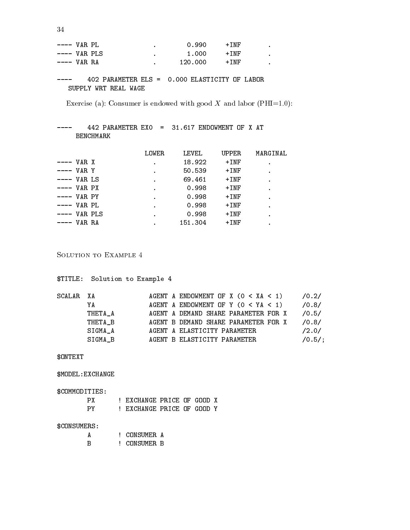| ---- VAR PL  |  |                      | 0.990   | $+INF$ |  |
|--------------|--|----------------------|---------|--------|--|
| ---- VAR PLS |  |                      | 1.000   | $+INF$ |  |
| ---- VAR RA  |  | $\ddot{\phantom{a}}$ | 120.000 | $+TNF$ |  |
|              |  |                      |         |        |  |

402 PARAMETER ELS = 0.000 ELASTICITY OF LABOR  $\rightarrow$   $\rightarrow$   $\rightarrow$   $\rightarrow$ SUPPLY WRT REAL WAGE

Exercise (a): Consumer is endowed with good  $X$  and labor (PHI=1.0):

 $442$  PARAMETER EXO = 31.617 ENDOWMENT OF X AT  $\frac{1}{2} \frac{1}{2} \frac{1}{2} \frac{1}{2} \frac{1}{2} \frac{1}{2} \frac{1}{2} \frac{1}{2} \frac{1}{2} \frac{1}{2} \frac{1}{2} \frac{1}{2} \frac{1}{2} \frac{1}{2} \frac{1}{2} \frac{1}{2} \frac{1}{2} \frac{1}{2} \frac{1}{2} \frac{1}{2} \frac{1}{2} \frac{1}{2} \frac{1}{2} \frac{1}{2} \frac{1}{2} \frac{1}{2} \frac{1}{2} \frac{1}{2} \frac{1}{2} \frac{1}{2} \frac{1}{2} \frac{$ BENCHMARK

|               |  | LOWER                | LEVEL   | <b>UPPER</b> | MARGINAL  |
|---------------|--|----------------------|---------|--------------|-----------|
| $---$ VAR X   |  | $\ddot{\phantom{a}}$ | 18.922  | $+INF$       | $\bullet$ |
| ---- VAR Y    |  | $\ddot{\phantom{a}}$ | 50.539  | $+INF$       | $\bullet$ |
| $---$ VAR LS  |  | $\ddot{\phantom{a}}$ | 69.461  | $+INF$       | $\bullet$ |
| $---$ VAR PX  |  | $\ddot{\phantom{1}}$ | 0.998   | $+INF$       | $\bullet$ |
| $---$ VAR PY  |  | $\Delta$             | 0.998   | $+INF$       | $\bullet$ |
| ---- VAR PL   |  | $\bullet$            | 0.998   | $+IMF$       | $\bullet$ |
| $---$ VAR PLS |  | $\bullet$            | 0.998   | $+INF$       | $\bullet$ |
| $---$ VAR RA  |  |                      | 151.304 | $+IMF$       | $\bullet$ |

SOLUTION TO EXAMPLE 4

\$TITLE: Solution to Example 4

| SCALAR XA |         | AGENT A ENDOWMENT OF X ( $0 < XA < 1$ ) | 10.21     |
|-----------|---------|-----------------------------------------|-----------|
|           | ΥA      | AGENT A ENDOWMENT OF Y ( $0 < YA < 1$ ) | /0.8/     |
|           | THETA A | AGENT A DEMAND SHARE PARAMETER FOR X    | 10.51     |
|           | THETA B | AGENT B DEMAND SHARE PARAMETER FOR X    | /0.8/     |
|           | SIGMA A | AGENT A ELASTICITY PARAMETER            | /2.0/     |
|           | SIGMA B | AGENT B ELASTICITY PARAMETER            | $/0.5/$ : |
|           |         |                                         |           |

\$ONTEXT

\$MODEL:EXCHANGE

\$COMMODITIES:

|  | ! FXCHANGE PRICE OF GOOD X |  |  |
|--|----------------------------|--|--|
|  | ! FXCHANGE PRICE OF GOOD Y |  |  |

\$CONSUMERS:

|  | CONSUMFR A   |  |
|--|--------------|--|
|  | I CONSUMER R |  |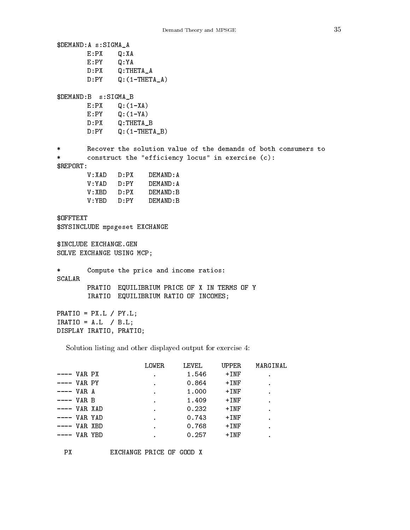```
$DEMAND:A s:SIGMA_A
       E:PX Q:XA
       E:PY Q:YA
       D:PX Q:THETA_A
       D: PY Q: (1-THETA_A)$DEMAND:B s:SIGMA_B
       E:PX Q: (1-XA)E:PY Q:(1-YA)
       D:PX Q:THETA_B
       D: PY Q: (1-THETA_B)Recover the solution value of the demands of both consumers to
\ast\starconstruct the "efficiency locus" in exercise (c):
$REPORT:
       V:XAD D:PX DEMAND:A
       V:YAD D:PY DEMAND:A
       V:XBD D:PX DEMAND:B
       V:YBD D:PY DEMAND:B
$OFFTEXT
$SYSINCLUDE mpsgeset EXCHANGE
$INCLUDE EXCHANGE.GEN
$INCLUDE EXCHANGE.GEN
SOLVE EXCHANGE USING MCP;
\astCompute the price and income ratios:
SCALAR
       PRATIO EQUILIBRIUM PRICE OF X IN TERMS OF Y
       IRATIO EQUILIBRIUM RATIO OF INCOMES;
PRACTIO = PX.L / PY.L;IRATIO = A.L / B.L;
DISPLAY IRATIO, PRATIO;
  Solution listing and other displayed output for exercise 4:
```

|               | LOWER                | LEVEL | UPPER. | MARGINAL  |
|---------------|----------------------|-------|--------|-----------|
| $---$ VAR PX  | $\ddot{\phantom{a}}$ | 1.546 | $+INF$ | $\bullet$ |
| $---$ VAR PY  | $\bullet$            | 0.864 | $+IMF$ | $\bullet$ |
| $---$ VAR A   | $\bullet$            | 1,000 | $+INF$ | $\bullet$ |
| $---$ VAR B   | $\ddot{\phantom{a}}$ | 1.409 | $+IMF$ | $\bullet$ |
| $---$ VAR XAD | $\bullet$            | 0.232 | $+IMF$ | $\bullet$ |
| $---$ VAR YAD |                      | 0.743 | $+IMF$ | $\bullet$ |
| $---$ VAR XBD | $\bullet$            | 0.768 | $+IMF$ | $\bullet$ |
| $---$ VAR YBD |                      | 0.257 | $+INF$ | $\bullet$ |
|               |                      |       |        |           |

PX EXCHANGE PRICE OF GOOD X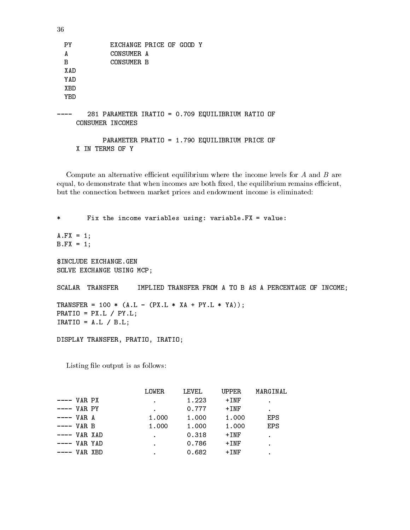PY EXCHANGE PRICE OF GOOD Y CONSUMER A  $\mathbf{A}$ B CONSUMER B XBD YBD  $\frac{1}{2}$  $281$  PARAMETER IRATIO = 0.709 EQUILIBRIUM RATIO OF CONSUMER INCOMES PARAMETER PRATIO = 1.790 EQUILIBRIUM PRICE OF X IN TERMS OF Y

Compute an alternative efficient equilibrium where the income levels for  $A$  and  $B$  are equal, to demonstrate that when incomes are both fixed, the equilibrium remains efficient, but the connection between market prices and endowment income is eliminated:

\* Fix the income variables using: variable.FX = value: A.FX = 1;  $B.FX = 1;$ \$INCLUDE EXCHANGE.GEN SOLVE EXCHANGE USING MCP; SCALAR TRANSFER IMPLIED TRANSFER FROM A TO B AS A PERCENTAGE OF INCOME; TRANSFER =  $100 * (A.L - (PX.L * XA + PY.L * YA));$ PRATIO =  $PX.L$  /  $PY.L$ ; IRATIO =  $A.L / B.L;$ 

DISPLAY TRANSFER, PRATIO, IRATIO;

Listing file output is as follows:

|                                                                                                                                                                                                                                                                                                                                                                                              |         | LOWER                | LEVEL | <b>UPPER</b> | MARGINAL  |
|----------------------------------------------------------------------------------------------------------------------------------------------------------------------------------------------------------------------------------------------------------------------------------------------------------------------------------------------------------------------------------------------|---------|----------------------|-------|--------------|-----------|
| $---$ VAR PX                                                                                                                                                                                                                                                                                                                                                                                 |         | $\ddot{\phantom{1}}$ | 1.223 | $+INF$       | $\bullet$ |
| $---$ VAR PY                                                                                                                                                                                                                                                                                                                                                                                 |         | $\bullet$            | 0.777 | $+INF$       | ٠         |
| $---$ VAR A                                                                                                                                                                                                                                                                                                                                                                                  |         | 1.000                | 1.000 | 1.000        | EPS       |
| $---$ VAR B                                                                                                                                                                                                                                                                                                                                                                                  |         | 1.000                | 1.000 | 1.000        | EPS.      |
| $---$ VAR XAD                                                                                                                                                                                                                                                                                                                                                                                |         | $\bullet$            | 0.318 | $+INF$       | $\bullet$ |
| $---$ VAR YAD                                                                                                                                                                                                                                                                                                                                                                                |         | $\bullet$            | 0.786 | $+INF$       | $\bullet$ |
| $\frac{1}{2} \frac{1}{2} \frac{1}{2} \frac{1}{2} \frac{1}{2} \frac{1}{2} \frac{1}{2} \frac{1}{2} \frac{1}{2} \frac{1}{2} \frac{1}{2} \frac{1}{2} \frac{1}{2} \frac{1}{2} \frac{1}{2} \frac{1}{2} \frac{1}{2} \frac{1}{2} \frac{1}{2} \frac{1}{2} \frac{1}{2} \frac{1}{2} \frac{1}{2} \frac{1}{2} \frac{1}{2} \frac{1}{2} \frac{1}{2} \frac{1}{2} \frac{1}{2} \frac{1}{2} \frac{1}{2} \frac{$ | VAR XBD | $\bullet$            | 0.682 | $+IMF$       | $\bullet$ |

36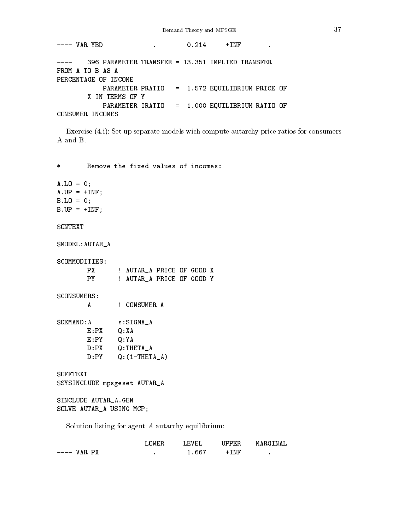$\perp$   $\perp$   $\perp$   $\perp$ 396 PARAMETER TRANSFER = 13.351 IMPLIED TRANSFER FROM A TO B AS A PERCENTAGE OF INCOME PARAMETER PRATIO = 1.572 EQUILIBRIUM PRICE OF X IN TERMS OF Y PARAMETER IRATIO = 1.000 EQUILIBRIUM RATIO OF CONSUMER INCOMES

Exercise (4.i): Set up separate models wich compute autarchy price ratios for consumers A and B.

\* Remove the fixed values of incomes:  $A.L0 = 0;$  $A.UP = +INF;$  $B.L0 = 0;$  $B.UP = +INF;$ \$ONTEXT \$MODEL:AUTAR\_A \$COMMODITIES: PX : AUTAR\_A PRICE OF GOOD X  $PY$ ! AUTAR\_A PRICE OF GOOD Y \$CONSUMERS: A : CONSUMER A \$DEMAND:A s:SIGMA\_A E:PX Q:XA E:PY Q:YA D:PX Q:THETA\_A  $D: PY$  Q:  $(1-THETA_A)$ \$OFFTEXT \$SYSINCLUDE mpsgeset AUTAR\_A \$INCLUDE AUTAR\_A.GEN SOLVE AUTAR\_A USING MCP;

Solution listing for agent A autarchy equilibrium:

|                  | いいにた | : VF*<br>н |    | MARGTNAL |
|------------------|------|------------|----|----------|
| $---$ VAR PX<br> |      | - 667      | NF |          |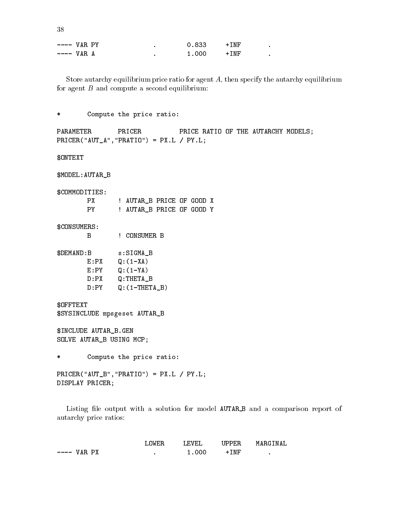| --          |            |        |  |
|-------------|------------|--------|--|
| ---- VAR PY | 0.833 +INF |        |  |
| $---$ VAR A | 1.000      | $+INF$ |  |

Store autarchy equilibrium price ratio for agent  $A$ , then specify the autarchy equilibrium for agent  $B$  and compute a second equilibrium:

Compute the price ratio:  $\ast$ 

PARAMETER PRICER PRICE RATIO OF THE AUTARCHY MODELS; PRICER("AUT\_A","PRATIO") = PX.L / PY.L;

\$0NTEXT \$ONTEXT

\$MODEL:AUTAR\_B

\$COMMODITIES:

| PХ | ! AUTAR B PRICE OF GOOD X |  |  |
|----|---------------------------|--|--|
| PΥ | ! AUTAR B PRICE OF GOOD Y |  |  |

### \$CONSUMERS:

B ! CONSUMER B

| \$DEMAND:B | s:SIGMA B        |
|------------|------------------|
| E:PX       | $Q: (1-XA)$      |
| F : PY     | $Q: (1-YA)$      |
| D : P X    | $0: THETA$ B     |
| D : PY     | $Q: (1-THETA_B)$ |

\$OFFTEXT \$SYSINCLUDE mpsgeset AUTAR\_B

\$INCLUDE AUTAR\_B.GEN SOLVE AUTAR\_B USING MCP;

\* Compute the price ratio:

PRICER("AUT\_B","PRATIO") = PX.L / PY.L; DISPLAY PRICER;

Listing file output with a solution for model AUTAR\_B and a comparison report of autarchy price ratios:

|              | חק⊿ר | FVFI   | שו   | MARGINAI |
|--------------|------|--------|------|----------|
| $---$ VAR PY |      | 1. QQQ | T NF |          |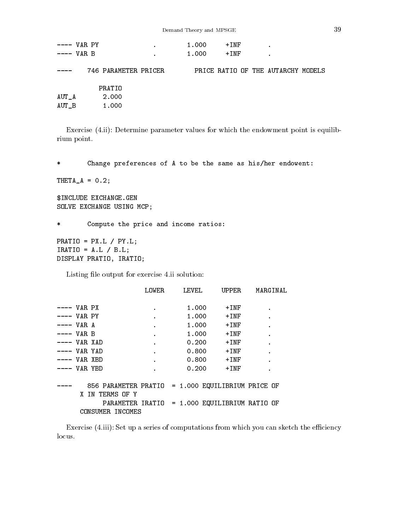|       | ---- VAR PY          |                      | 1,000 | $+IMF$ |                                    |
|-------|----------------------|----------------------|-------|--------|------------------------------------|
|       | $---$ VAR B          | $\ddot{\phantom{a}}$ | 1,000 | $+INF$ |                                    |
|       | 746 PARAMETER PRICER |                      |       |        | PRICE RATIO OF THE AUTARCHY MODELS |
|       | PRATIO               |                      |       |        |                                    |
| AUT A | 2.000                |                      |       |        |                                    |
| AUT_B | 1,000                |                      |       |        |                                    |

Exercise (4.ii): Determine parameter values for which the endowment point is equilibrium point.

\* Change preferences of A to be the same as his/her endowent:

 $THETA_A = 0.2;$ 

\$INCLUDE EXCHANGE.GEN SOLVE EXCHANGE USING MCP;

\* Compute the price and income ratios:

PRATIO =  $PX.L$  /  $PY.L$ ; IRATIO =  $A.L$  /  $B.L$ ; DISPLAY PRATIO, IRATIO;

Listing file output for exercise 4.ii solution:

|               |  |                                                   | LOWER | LEVEL | UPPER  |           | MARGINAL |
|---------------|--|---------------------------------------------------|-------|-------|--------|-----------|----------|
|               |  |                                                   |       |       |        |           |          |
| $---$ VAR PX  |  |                                                   |       | 1.000 | $+INF$ |           |          |
| ---- VAR PY   |  |                                                   |       | 1.000 | $+INF$ | $\bullet$ |          |
| $---$ VAR A   |  |                                                   |       | 1.000 | $+INF$ |           |          |
| ---- VAR B    |  |                                                   |       | 1.000 | $+INF$ | $\bullet$ |          |
| $---$ VAR XAD |  |                                                   |       | 0.200 | $+IMF$ |           |          |
| ---- VAR YAD  |  |                                                   |       | 0.800 | $+INF$ | $\bullet$ |          |
| $---$ VAR XBD |  |                                                   |       | 0.800 | $+IMF$ |           |          |
| ---- VAR YBD  |  |                                                   |       | 0.200 | $+INF$ |           |          |
|               |  |                                                   |       |       |        |           |          |
|               |  | 856 PARAMETER PRATIO = 1.000 EQUILIBRIUM PRICE OF |       |       |        |           |          |
|               |  | X IN TERMS OF Y                                   |       |       |        |           |          |
|               |  | PARAMETER IRATIO = 1.000 EQUILIBRIUM RATIO OF     |       |       |        |           |          |
|               |  | CONSUMER INCOMES                                  |       |       |        |           |          |

Exercise (4.iii): Set up a series of computations from which you can sketch the efficiency locus.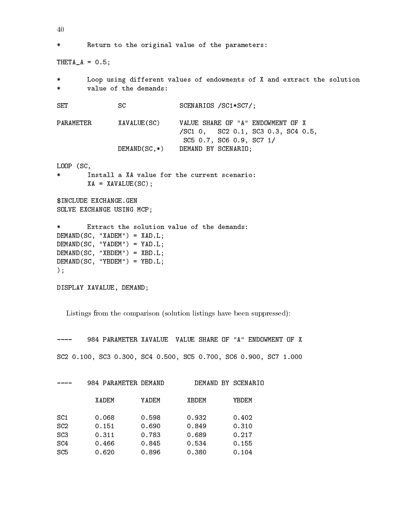\* Return to the original value of the parameters:  $THETA_A = 0.5;$ Loop using different values of endowments of X and extract the solution  $\ast$ value of the demands:  $\ast$ SET SC SCENARIOS / SC1 \* SC7/; PARAMETER XAVALUE(SC) VALUE SHARE OF "A" ENDOWMENT OF X /SC1 0, SC2 0.1, SC3 0.3, SC4 0.5, SC5 0.7, SC6 0.9, SC7 1/ DEMAND(SC,\*) DEMAND BY SCENARIO; LOOP (SC, Install a XA value for the current scenario:  $\ast$  $XA = XAVALUE(SC);$ \$INCLUDE EXCHANGE.GEN SOLVE EXCHANGE USING MCP; Extract the solution value of the demands:  $\star$  $DEMAND(SC, "XADER"') = XAD.L;$  $DEMAND(SC, "YADEM") = YAD.L;$ DEMAND(SC, "XBDEM") = XBD.L; DEMAND(SC, "YBDEM") = YBD.L; ); DISPLAY XAVALUE, DEMAND;

Listings from the comparison (solution listings have been suppressed):

 $\perp$   $\perp$   $\perp$   $\perp$ 984 PARAMETER XAVALUE VALUE SHARE OF "A" ENDOWMENT OF X SC2 0.100, SC3 0.300, SC4 0.500, SC5 0.700, SC6 0.900, SC7 1.000

|                 | 984 PARAMETER DEMAND |       | DFMAND. | BY SCENARIO |
|-----------------|----------------------|-------|---------|-------------|
|                 | XADEM                | YADEM | XBDEM   | YBDEM       |
| SC <sub>1</sub> | 0.068                | 0.598 | 0.932   | 0.402       |
| SC <sub>2</sub> | 0.151                | 0.690 | 0.849   | 0.310       |
| SC <sub>3</sub> | 0.311                | 0.783 | 0.689   | 0.217       |
| SC <sub>4</sub> | 0.466                | 0.845 | 0.534   | 0.155       |
| SC <sub>5</sub> | 0.620                | 0.896 | 0.380   | 0.104       |

40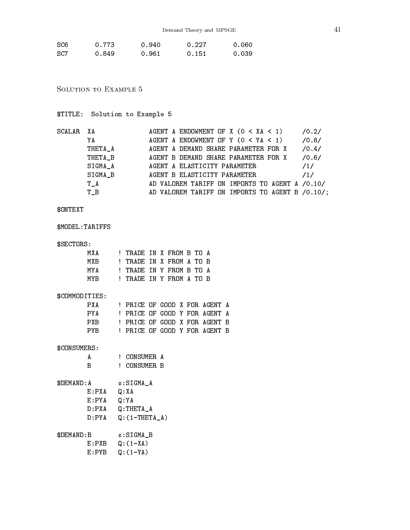| SC6 | 0.773 | 0.940 | 0.227 | 0.060 |
|-----|-------|-------|-------|-------|
| SC7 | 0.849 | 0.961 | 0.151 | 0.039 |

SOLUTION TO EXAMPLE 5

## \$TITLE: Solution to Example 5

| SCALAR XA |         |                              | AGENT A ENDOWMENT OF X (O < XA < 1)             | 10.21 |
|-----------|---------|------------------------------|-------------------------------------------------|-------|
|           | YA      |                              | AGENT A ENDOWMENT OF Y $(0 < YA < 1)$           | /0.8/ |
|           | THETA_A |                              | AGENT A DEMAND SHARE PARAMETER FOR X            | /0.4/ |
|           | THETA_B |                              | AGENT B DEMAND SHARE PARAMETER FOR X            | /0.6/ |
|           | SIGMA A | AGENT A ELASTICITY PARAMETER |                                                 | /1/   |
|           | SIGMA B | AGENT B ELASTICITY PARAMETER |                                                 | /1/   |
|           | T A     |                              | AD VALOREM TARIFF ON IMPORTS TO AGENT A /0.10/  |       |
|           | T B     |                              | AD VALOREM TARIFF ON IMPORTS TO AGENT B /0.10/; |       |

### \$ONTEXT

### \$MODEL:TARIFFS

### \$SECTORS:

| M X A | ! TRADE IN X FROM B TO A |  |  |  |
|-------|--------------------------|--|--|--|
| MX B. | ! TRADE IN X FROM A TO B |  |  |  |
| MYA   | ! TRADE IN Y FROM B TO A |  |  |  |
| MYB   | ! TRADE IN Y FROM A TO B |  |  |  |

### \$COMMODITIES:

| PXA  | ! PRICE OF GOOD X FOR AGENT A |  |  |  |
|------|-------------------------------|--|--|--|
| PYA  | ! PRICE OF GOOD Y FOR AGENT A |  |  |  |
| PX B | ! PRICE OF GOOD X FOR AGENT B |  |  |  |
| PYR  | ! PRICE OF GOOD Y FOR AGENT B |  |  |  |

### \$CONSUMERS:

|                        | ,,,,,,,,,,,,     |
|------------------------|------------------|
| B                      | CONSUMER B       |
| \$DEMAND: A            | s:SIGMA A        |
|                        |                  |
| E:PXA                  | Q:XA             |
| E:PYA                  | Q:YA             |
| D:PXA                  | Q:THETA A        |
| D:PYA                  | $Q: (1-THETA A)$ |
|                        |                  |
| <b>C . UN A ND . D</b> | 8. CTOMA         |

| SDEMAND:B | S:SIGMA B            |  |
|-----------|----------------------|--|
|           | $E:PXB$ $Q: (1-XA)$  |  |
|           | $E: PYB$ $Q: (1-YA)$ |  |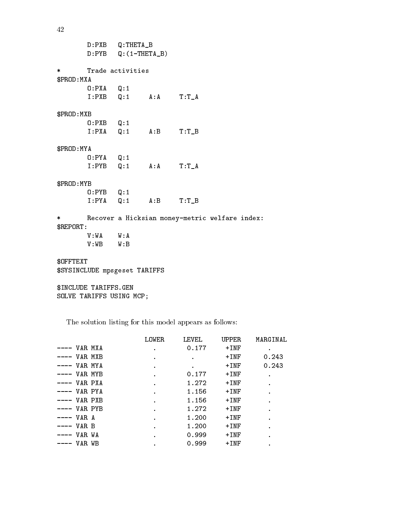D:PXB Q:THETA\_B D:PYB Q:(1-THETA\_B) \* Trade activities \$PROD:MXA O:PXA Q:1 I:PXB Q:1 A:A T:T\_A \$PROD:MXB  $0:PXB$   $Q:1$ I:PXA Q:1 A:B T:T\_B \$PROD:MYA O:PYA Q:1 I:PYB Q:1 A:A T:T\_A \$PROD:MYB O:PYB Q:1 I:PYA Q:1 A:B T:T\_B \* Recover a Hicksian money-metric welfare index: \$REPORT: V:WA W:A  $V:WB$  $W : B$ \$OFFTEXT \$SYSINCLUDE mpsgeset TARIFFS \$INCLUDE TARIFFS.GEN SOLVE TARIFFS USING MCP;

The solution listing for this model appears as follows:

|               |         | LOWER     | LEVEL     | <b>UPPER</b> | MARGINAL  |
|---------------|---------|-----------|-----------|--------------|-----------|
| ---- VAR MXA  |         | $\bullet$ | 0.177     | $+INF$       | $\bullet$ |
| ----          | VAR MXB | $\bullet$ | $\bullet$ | $+INF$       | 0.243     |
| $-- - -$      | VAR MYA | ٠         | $\bullet$ | $+IMF$       | 0.243     |
| ---- VAR MYB  |         | $\bullet$ | 0.177     | $+INF$       | $\bullet$ |
| ---- VAR PXA  |         |           | 1.272     | $+IMF$       |           |
| ---- VAR PYA  |         |           | 1.156     | $+INF$       |           |
| ---- VAR PXB  |         |           | 1.156     | $+INF$       |           |
| $---$ VAR PYB |         |           | 1.272     | $+INF$       |           |
| ----          | VAR A   |           | 1.200     | $+INF$       |           |
|               | VAR B   |           | 1.200     | $+INF$       |           |
| ----          | VAR WA  | $\bullet$ | 0.999     | $+INF$       | ٠         |
| $---$ VAR WB  |         |           | 0.999     | $+IMF$       |           |

42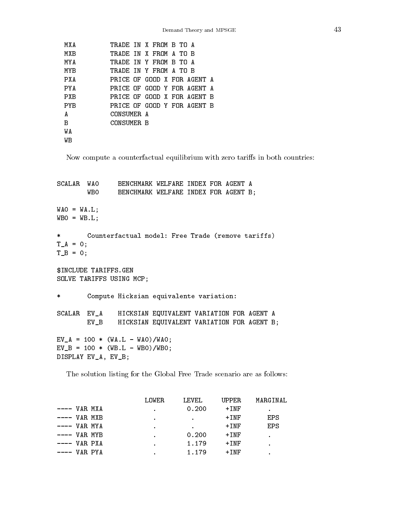| MXA | TRADE IN X FROM B TO A |                             |
|-----|------------------------|-----------------------------|
| MXB | TRADE IN X FROM A TO B |                             |
| MYA | TRADE IN Y FROM B TO A |                             |
| MYB | TRADF IN Y FROM A TO B |                             |
| PXA |                        | PRICE OF GOOD X FOR AGENT A |
| PYA |                        | PRICE OF GOOD Y FOR AGENT A |
| PXB |                        | PRICE OF GOOD X FOR AGENT B |
| PYB |                        | PRICE OF GOOD Y FOR AGENT B |
| А   | CONSUMER A             |                             |
| B   | CONSUMER B             |                             |
| WА  |                        |                             |
| WВ  |                        |                             |

Now compute a counterfactual equilibrium with zero tariffs in both countries:

SCALAR WA0 BENCHMARK WELFARE INDEX FOR AGENT A WB0 BENCHMARK WELFARE INDEX FOR AGENT B;  $WAO = WA.L;$  $WBO = WB.L;$ \* Counterfactual model: Free Trade (remove tariffs)  $T_A = 0;$  $T_B = 0;$ \$INCLUDE TARIFFS.GEN SOLVE TARIFFS USING MCP; \* Compute Hicksian equivalente variation: SCALAR EV\_A HICKSIAN EQUIVALENT VARIATION FOR AGENT A EV\_B HICKSIAN EQUIVALENT VARIATION FOR AGENT B;  $EV_A = 100 * (WA.L - WAO)/WAO;$  $EV_B = 100 * (WB.L - WBO)/WBO;$ DISPLAY EV\_A, EV\_B;

The solution listing for the Global Free Trade scenario are as follows:

|                                                                                                                                                                                                                                                                                                                                                                                              |         | LOWER     | <b>LEVEL</b> | <b>UPPER</b> | MARGINAL   |
|----------------------------------------------------------------------------------------------------------------------------------------------------------------------------------------------------------------------------------------------------------------------------------------------------------------------------------------------------------------------------------------------|---------|-----------|--------------|--------------|------------|
| ---- VAR MXA                                                                                                                                                                                                                                                                                                                                                                                 |         |           | 0.200        | $+INF$       | ٠          |
| $\frac{1}{2} \frac{1}{2} \frac{1}{2} \frac{1}{2} \frac{1}{2} \frac{1}{2} \frac{1}{2} \frac{1}{2} \frac{1}{2} \frac{1}{2} \frac{1}{2} \frac{1}{2} \frac{1}{2} \frac{1}{2} \frac{1}{2} \frac{1}{2} \frac{1}{2} \frac{1}{2} \frac{1}{2} \frac{1}{2} \frac{1}{2} \frac{1}{2} \frac{1}{2} \frac{1}{2} \frac{1}{2} \frac{1}{2} \frac{1}{2} \frac{1}{2} \frac{1}{2} \frac{1}{2} \frac{1}{2} \frac{$ | VAR MXB |           | $\bullet$    | $+IMF$       | <b>EPS</b> |
| ---- VAR MYA                                                                                                                                                                                                                                                                                                                                                                                 |         | $\bullet$ | $\bullet$    | $+IMF$       | <b>EPS</b> |
| ---- VAR MYB                                                                                                                                                                                                                                                                                                                                                                                 |         |           | 0.200        | $+IMF$       | $\bullet$  |
| ---- VAR PXA                                                                                                                                                                                                                                                                                                                                                                                 |         |           | 1.179        | $+IMF$       | ٠          |
| $\frac{1}{2} \frac{1}{2} \frac{1}{2} \frac{1}{2} \frac{1}{2} \frac{1}{2} \frac{1}{2} \frac{1}{2} \frac{1}{2} \frac{1}{2} \frac{1}{2} \frac{1}{2} \frac{1}{2} \frac{1}{2} \frac{1}{2} \frac{1}{2} \frac{1}{2} \frac{1}{2} \frac{1}{2} \frac{1}{2} \frac{1}{2} \frac{1}{2} \frac{1}{2} \frac{1}{2} \frac{1}{2} \frac{1}{2} \frac{1}{2} \frac{1}{2} \frac{1}{2} \frac{1}{2} \frac{1}{2} \frac{$ | VAR PYA |           | 1.179        | $+IMF$       | $\bullet$  |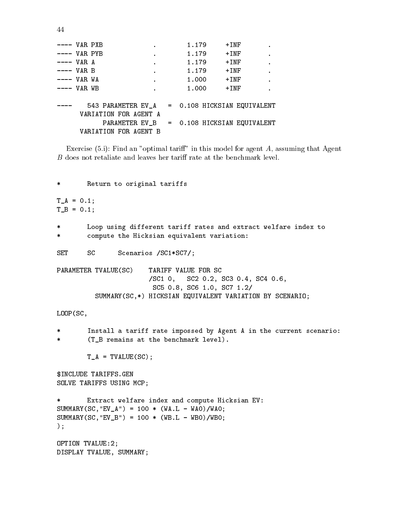| $---$ VAR PXB |  |                                                  | 1.179 | $+INF$ | $\bullet$ |
|---------------|--|--------------------------------------------------|-------|--------|-----------|
| $---$ VAR PYB |  |                                                  | 1.179 | $+IMF$ |           |
| $---$ VAR A   |  |                                                  | 1.179 | $+INF$ |           |
| $---$ VAR B   |  |                                                  | 1.179 | $+IMF$ |           |
| $---$ VAR WA  |  |                                                  | 1.000 | $+INF$ |           |
| $---$ VAR WB  |  |                                                  | 1.000 | $+IMF$ |           |
|               |  |                                                  |       |        |           |
|               |  | 543 PARAMETER EV A $=$ 0.108 HICKSIAN EQUIVALENT |       |        |           |
|               |  | VARIATION FOR AGENT A                            |       |        |           |
|               |  | PARAMETER EV B = 0.108 HICKSIAN EQUIVALENT       |       |        |           |
|               |  | VARIATION FOR AGENT B                            |       |        |           |

Exercise (5.i): Find an "optimal tariff" in this model for agent  $A$ , assuming that Agent  $B$  does not retaliate and leaves her tariff rate at the benchmark level.

 $\ast$ Return to original tariffs  $T_A = 0.1;$  $T_B = 0.1;$ Loop using different tariff rates and extract welfare index to  $\ast$  $\ast$ compute the Hicksian equivalent variation: **SET**  $SC$ Scenarios /SC1\*SC7/; PARAMETER TVALUE(SC) TARIFF VALUE FOR SC /SC1 0, SC2 0.2, SC3 0.4, SC4 0.6, SC5 0.8, SC6 1.0, SC7 1.2/ SUMMARY(SC,\*) HICKSIAN EQUIVALENT VARIATION BY SCENARIO; LOOP(SC, Install a tariff rate impossed by Agent A in the current scenario:  $\ast$  $\ast$  $(T_B$  remains at the benchmark level).  $T_A$  = TVALUE(SC); \$INCLUDE TARIFFS.GEN SOLVE TARIFFS USING MCP; \* Extract welfare index and compute Hicksian EV: SUMMARY(SC, "EV\_A") = 100 \* (WA.L - WAO)/WAO;  $SUMMARY(SC, "EV_B") = 100 * (WB.L - WBO)/WBO;$ ); OPTION TVALUE:2; DISPLAY TVALUE, SUMMARY;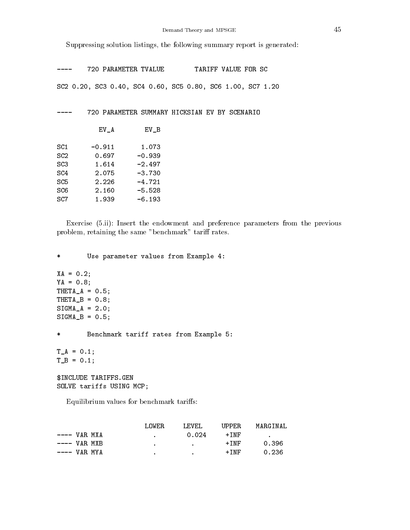Suppressing solution listings, the following summary report is generated:

720 PARAMETER TVALUE TARIFF VALUE FOR SC  $\frac{1}{2} \frac{1}{2} \frac{1}{2} \frac{1}{2} \frac{1}{2} \frac{1}{2} \frac{1}{2} \frac{1}{2} \frac{1}{2} \frac{1}{2} \frac{1}{2} \frac{1}{2} \frac{1}{2} \frac{1}{2} \frac{1}{2} \frac{1}{2} \frac{1}{2} \frac{1}{2} \frac{1}{2} \frac{1}{2} \frac{1}{2} \frac{1}{2} \frac{1}{2} \frac{1}{2} \frac{1}{2} \frac{1}{2} \frac{1}{2} \frac{1}{2} \frac{1}{2} \frac{1}{2} \frac{1}{2} \frac{$ SC2 0.20, SC3 0.40, SC4 0.60, SC5 0.80, SC6 1.00, SC7 1.20

720 PARAMETER SUMMARY HICKSIAN EV BY SCENARIO  $\qquad \qquad - - -$ 

| EV A  | EV B     |       |
|-------|----------|-------|
|       |          |       |
|       |          |       |
| 0.697 | $-0.939$ |       |
| 1.614 | $-2.497$ |       |
| 2.075 | $-3.730$ |       |
| 2.226 | $-4.721$ |       |
| 2.160 | $-5.528$ |       |
| 1.939 | $-6.193$ |       |
|       | $-0.911$ | 1.073 |

Exercise (5.ii): Insert the endowment and preference parameters from the previous problem, retaining the same "benchmark" tariff rates.

 $\ast$ Use parameter values from Example 4:  $XA = 0.2;$ YA = 0.8;  $THETA_A = 0.5;$  $THETA_B = 0.8;$  $SIGMA_A = 2.0;$  $SIGMA_B = 0.5;$ \* Benchmark tariff rates from Example 5:  $T_A = 0.1;$  $T_B = 0.1;$ \$INCLUDE TARIFFS.GEN SOLVE tariffs USING MCP;

Equilibrium values for benchmark taris:

|               |  | LOWER. | LEVEL. | UPPFR. | MARGINAL |
|---------------|--|--------|--------|--------|----------|
| ---- VAR MXA  |  |        | 0.024  | $+TNF$ |          |
| $---$ VAR MXB |  |        |        | $+TNF$ | 0.396    |
| ---- VAR MYA  |  |        |        | $+TNF$ | 0.236    |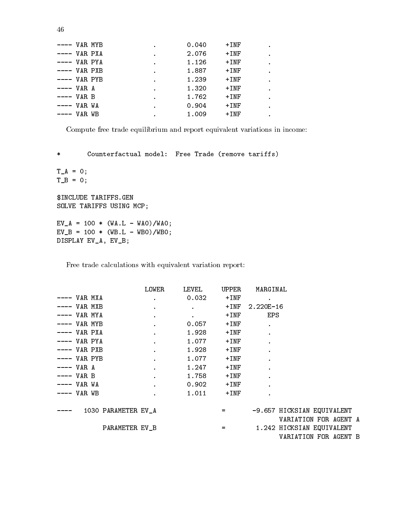| ---- VAR MYB    | $\sim 100$ |                      | 0.040 | $+INF$ | $\bullet$ |
|-----------------|------------|----------------------|-------|--------|-----------|
| ---- VAR PXA    | $\sim$     |                      | 2.076 | $+INF$ | $\bullet$ |
| ---- VAR PYA    |            | $\ddot{\phantom{a}}$ | 1.126 | $+INF$ | ٠         |
| $---$ VAR $PXB$ |            | $\ddot{\phantom{0}}$ | 1.887 | $+INF$ | ٠         |
| $---$ VAR PYB   |            | $\ddot{\phantom{a}}$ | 1.239 | $+INF$ | ٠         |
| ---- VAR A      |            | $\ddot{\phantom{a}}$ | 1.320 | $+IMF$ | $\bullet$ |
| $---$ VAR B     |            | $\ddot{\phantom{a}}$ | 1.762 | $+INF$ |           |
| ---- VAR WA     |            | $\ddot{\phantom{0}}$ | 0.904 | $+INF$ | ٠         |
| $---$ VAR WB    |            | $\ddot{\phantom{0}}$ | 1.009 | $+IMF$ | $\bullet$ |

Compute free trade equilibrium and report equivalent variations in income:

\* Counterfactual model: Free Trade (remove tariffs)  $T_A = 0;$  $T_B = 0$ ; \$INCLUDE TARIFFS.GEN SOLVE TARIFFS USING MCP;  $EV_A = 100 * (WA.L - WAO)/WAO;$  $EV_B = 100 * (WB.L - WBO)/WBO;$ DISPLAY EV\_A, EV\_B;

Free trade calculations with equivalent variation report:

|         |                     | <b>LOWER</b> | LEVEL     | <b>UPPER</b> | MARGINAL  |                            |
|---------|---------------------|--------------|-----------|--------------|-----------|----------------------------|
| VAR MXA |                     |              | 0.032     | $+IMF$       | $\bullet$ |                            |
| VAR MXB |                     |              |           | $+INF$       | 2.220E-16 |                            |
| VAR MYA |                     | $\bullet$    | $\bullet$ | $+IMF$       | EPS.      |                            |
| VAR MYB |                     |              | 0.057     | $+INF$       | $\bullet$ |                            |
| VAR PXA |                     |              | 1.928     | $+IMF$       | $\bullet$ |                            |
| VAR PYA |                     |              | 1.077     | $+IMF$       | $\bullet$ |                            |
| VAR PXB |                     |              | 1.928     | $+INF$       |           |                            |
| VAR PYB |                     |              | 1.077     | $+IMF$       |           |                            |
| VAR A   |                     |              | 1.247     | $+INF$       | $\bullet$ |                            |
| VAR B   |                     |              | 1.758     | $+INF$       |           |                            |
| VAR WA  |                     |              | 0.902     | $+IMF$       | $\bullet$ |                            |
| VAR WB  |                     |              | 1.011     | $+INF$       |           |                            |
|         |                     |              |           |              |           |                            |
|         | 1030 PARAMETER EV_A |              |           | =            |           | -9.657 HICKSIAN EQUIVALENT |
|         |                     |              |           |              |           | VARIATION FOR AGENT A      |
|         | PARAMETER EV_B      |              |           | =            |           | 1.242 HICKSIAN EQUIVALENT  |
|         |                     |              |           |              |           | VARIATION FOR AGENT B      |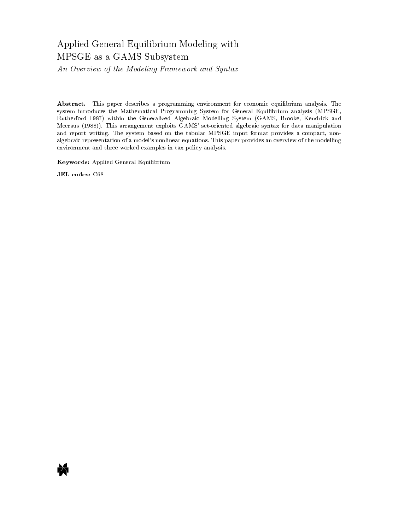# Applied General Equilibrium Modeling with MPSGE as a GAMS Subsystem

An Overview of the Modeling Framework and Syntax

Abstract. This paper describes a programming environment for economic equilibrium analysis. The system introduces the Mathematical Programming System for General Equilibrium analysis (MPSGE, Rutherford 1987) within the Generalized Algebraic Modelling System (GAMS, Brooke, Kendrick and Meeraus (1988)). This arrangement exploits GAMS' set-oriented algebraic syntax for data manipulation and report writing. The system based on the tabular MPSGE input format provides a compact, non algebraic representation of a model's nonlinear equations. This paper provides an overview of the modelling environment and three worked examples in tax policy analysis.

Keywords: Applied General Equilibrium

JEL codes: C68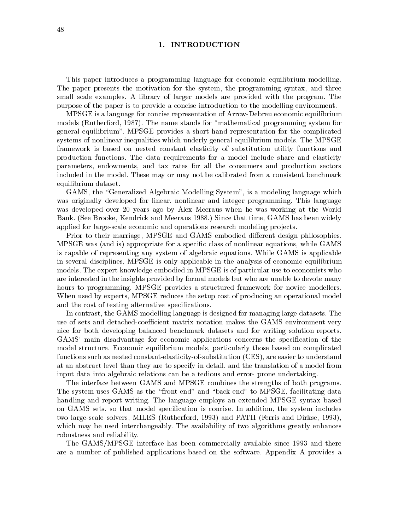### 1. INTRODUCTION

This paper introduces a programming language for economic equilibrium modelling. The paper presents the motivation for the system, the programming syntax, and three small scale examples. A library of larger models are provided with the program. The purpose of the paper is to provide a concise introduction to the modelling environment.

MPSGE is a language for concise representation of Arrow-Debreu economic equilibrium models (Rutherford, 1987). The name stands for "mathematical programming system for general equilibrium". MPSGE provides a short-hand representation for the complicated systems of nonlinear inequalities which underly general equilibrium models. The MPSGE framework is based on nested constant elasticity of substitution utility functions and production functions. The data requirements for a model include share and elasticity parameters, endowments, and tax rates for all the consumers and production sectors included in the model. These may or may not be calibrated from a consistent benchmark equilibrium dataset.

GAMS, the "Generalized Algebraic Modelling System", is a modeling language which was originally developed for linear, nonlinear and integer programming. This language was developed over 20 years ago by Alex Meeraus when he was working at the World Bank. (See Brooke, Kendrick and Meeraus 1988.) Since that time, GAMS has been widely applied for large-scale economic and operations research modeling projects.

Prior to their marriage, MPSGE and GAMS embodied different design philosophies. MPSGE was (and is) appropriate for a specic class of nonlinear equations, while GAMS is capable of representing any system of algebraic equations. While GAMS is applicable in several disciplines, MPSGE is only applicable in the analysis of economic equilibrium models. The expert knowledge embodied in MPSGE is of particular use to economists who are interested in the insights provided by formal models but who are unable to devote many hours to programming. MPSGE provides a structured framework for novice modellers. When used by experts, MPSGE reduces the setup cost of producing an operational model and the cost of testing alternative specifications.

In contrast, the GAMS modelling language is designed for managing large datasets. The use of sets and detached-coefficient matrix notation makes the GAMS environment very nice for both developing balanced benchmark datasets and for writing solution reports. GAMS' main disadvantage for economic applications concerns the specication of the model structure. Economic equilibrium models, particularly those based on complicated functions such as nested constant-elasticity-of-substitution (CES), are easier to understand at an abstract level than they are to specify in detail, and the translation of a model from input data into algebraic relations can be a tedious and error- prone undertaking.

The interface between GAMS and MPSGE combines the strengths of both programs. The system uses GAMS as the "front end" and "back end" to MPSGE, facilitating data handling and report writing. The language employs an extended MPSGE syntax based on GAMS sets, so that model specication is concise. In addition, the system includes two large-scale solvers, MILES (Rutherford, 1993) and PATH (Ferris and Dirkse, 1993), which may be used interchangeably. The availability of two algorithms greatly enhances robustness and reliability.

The GAMS/MPSGE interface has been commercially available since 1993 and there are a number of published applications based on the software. Appendix A provides a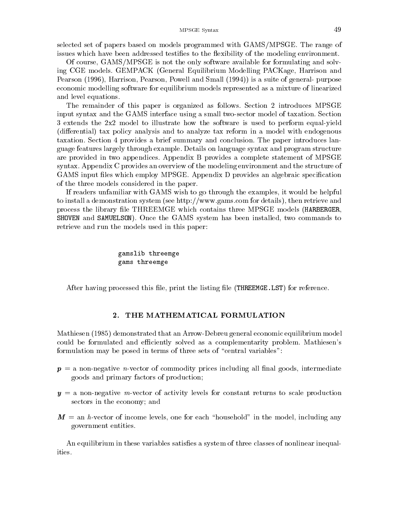selected set of papers based on models programmed with GAMS/MPSGE. The range of issues which have been addressed testifies to the flexibility of the modeling environment.

Of course, GAMS/MPSGE is not the only software available for formulating and solving CGE models. GEMPACK (General Equilibrium Modelling PACKage, Harrison and Pearson (1996), Harrison, Pearson, Powell and Small (1994)) is a suite of general- purpose economic modelling software for equilibrium models represented as a mixture of linearized and level equations.

The remainder of this paper is organized as follows. Section 2 introduces MPSGE input syntax and the GAMS interface using a small two-sector model of taxation. Section 3 extends the 2x2 model to illustrate how the software is used to perform equal-yield (differential) tax policy analysis and to analyze tax reform in a model with endogenous taxation. Section 4 provides a brief summary and conclusion. The paper introduces language features largely through example. Details on language syntax and program structure are provided in two appendices. Appendix B provides a complete statement of MPSGE syntax. Appendix C provides an overview of the modeling environment and the structure of GAMS input files which employ MPSGE. Appendix D provides an algebraic specification of the three models considered in the paper.

If readers unfamiliar with GAMS wish to go through the examples, it would be helpful to install a demonstration system (see http://www.gams.com for details), then retrieve and process the library file THREEMGE which contains three MPSGE models (HARBERGER, SHOVEN and SAMUELSON). Once the GAMS system has been installed, two commands to retrieve and run the models used in this paper:

> gamslib threemge gams threemge

After having processed this file, print the listing file (THREEMGE.LST) for reference.

### 2. THE MATHEMATICAL FORMULATION

Mathiesen (1985) demonstrated that an Arrow-Debreu general economic equilibrium model could be formulated and efficiently solved as a complementarity problem. Mathiesen's formulation may be posed in terms of three sets of "central variables":

- $p = a$  non-negative *n*-vector of commodity prices including all final goods, intermediate goods and primary factors of production;
- $y = a$  non-negative *m*-vector of activity levels for constant returns to scale production sectors in the economy; and
- $M =$ an h-vector of income levels, one for each "household" in the model, including any government entities.

An equilibrium in these variables satisfies a system of three classes of nonlinear inequalities.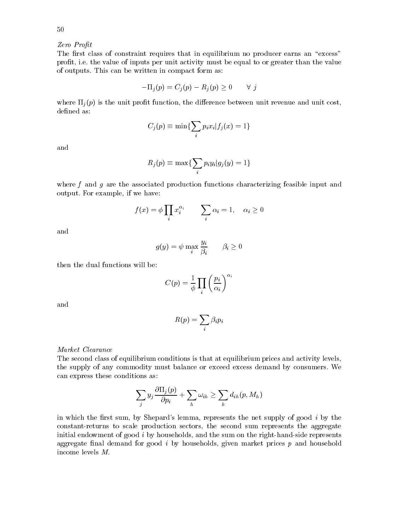Zero Profit

The first class of constraint requires that in equilibrium no producer earns an "excess" profit, i.e. the value of inputs per unit activity must be equal to or greater than the value of outputs. This can be written in compact form as:

$$
-\Pi_j(p) = C_j(p) - R_j(p) \ge 0 \qquad \forall \ j
$$

where  $\Pi_i(p)$  is the unit profit function, the difference between unit revenue and unit cost, defined as:

$$
C_j(p)\equiv\min\{\sum_i p_i x_i|f_j(x)=1\}
$$

and

$$
R_j(p) \equiv \max \{ \sum_i p_i y_i | g_j(y) = 1 \}
$$

where  $f$  and  $g$  are the associated production functions characterizing feasible input and output. For example, if we have:

$$
f(x) = \phi \prod_i x_i^{\alpha_i} \qquad \sum_i \alpha_i = 1, \quad \alpha_i \ge 0
$$

and

$$
g(y) = \psi \max_{i} \frac{y_i}{\beta_i} \qquad \beta_i \ge 0
$$

then the dual functions will be:

$$
C(p) = \frac{1}{\phi}\prod_i \left(\frac{p_i}{\alpha_i}\right)^{\alpha_i}
$$

and

$$
R(p) = \sum_i \beta_i p_i
$$

### Market Clearance

The second class of equilibrium conditions is that at equilibrium prices and activity levels, the supply of any commodity must balance or exceed excess demand by consumers. We can express these conditions as:

$$
\sum_j y_j \frac{\partial \Pi_j(p)}{\partial p_i} + \sum_h \omega_{ih} \geq \sum_h d_{ih}(p, M_h)
$$

in which the first sum, by Shepard's lemma, represents the net supply of good  $i$  by the constant-returns to scale production sectors, the second sum represents the aggregate initial endowment of good  $i$  by households, and the sum on the right-hand-side represents aggregate final demand for good  $i$  by households, given market prices  $p$  and household income levels M.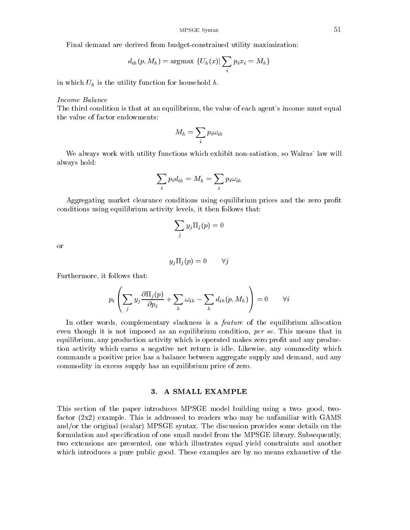Final demand are derived from budget-constrained utility maximization:

$$
d_{ih}(p,M_h) = \text{argmax} \ \{U_h(x)|\sum_i p_i x_i = M_h\}
$$

in which  $U_h$  is the utility function for household h.

### Income Balance

The third condition is that at an equilibrium, the value of each agent's income must equal the value of factor endowments:

$$
M_h=\sum_i p_i\omega_{ih}
$$

We always work with utility functions which exhibit non-satiation, so Walras' law will always hold:

$$
\sum_i p_id_{ih}=M_h=\sum_i p_i\omega_{ih}
$$

Aggregating market clearance conditions using equilibrium prices and the zero profit conditions using equilibrium activity levels, it then follows that:

$$
\sum_j y_j\Pi_j(p)=0
$$

or

$$
y_j \Pi_j(p) = 0 \qquad \forall j
$$

Furthermore, it follows that:

$$
p_i\left(\sum_j y_j\frac{\partial\Pi_j(p)}{\partial p_i}+\sum_h\omega_{ih}-\sum_h d_{ih}(p,M_h)\right)=0\qquad \forall i
$$

In other words, complementary slackness is a feature of the equilibrium allocation even though it is not imposed as an equilibrium condition, per se. This means that in equilibrium, any production activity which is operated makes zero profit and any production activity which earns a negative net return is idle. Likewise, any commodity which commands a positive price has a balance between aggregate supply and demand, and any commodity in excess supply has an equilibrium price of zero.

### 3. A SMALL EXAMPLE

This section of the paper introduces MPSGE model building using a two- good, twofactor (2x2) example. This is addressed to readers who may be unfamiliar with GAMS and/or the original (scalar) MPSGE syntax. The discussion provides some details on the formulation and specication of one small model from the MPSGE library. Subsequently, two extensions are presented, one which illustrates equal yield constraints and another which introduces a pure public good. These examples are by no means exhaustive of the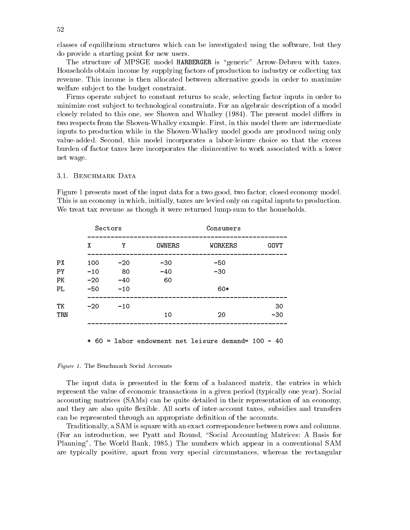classes of equilibrium structures which can be investigated using the software, but they do provide a starting point for new users.

The structure of MPSGE model HARBERGER is "generic" Arrow-Debreu with taxes. Households obtain income by supplying factors of production to industry or collecting tax revenue. This income is then allocated between alternative goods in order to maximize welfare subject to the budget constraint.

Firms operate subject to constant returns to scale, selecting factor inputs in order to minimize cost sub ject to technological constraints. For an algebraic description of a model closely related to this one, see Shoven and Whalley (1984). The present model differs in two respects from the Shoven-Whalley example. First, in this model there are intermediate inputs to production while in the Shoven-Whalley model goods are produced using only value-added. Second, this model incorporates a labor-leisure choice so that the excess burden of factor taxes here incorporates the disincentive to work associated with a lower net wage.

### 3.1. BENCHMARK DATA

Figure 1 presents most of the input data for a two good, two factor, closed economy model. This is an economy in which, initially, taxes are levied only on capital inputs to production. We treat tax revenue as though it were returned lump-sum to the households.

|            | Sectors |       | Consumers |         |             |  |  |
|------------|---------|-------|-----------|---------|-------------|--|--|
|            | X       | Y     | OWNERS    | WORKERS | <b>GOVT</b> |  |  |
| PХ         | 100     | $-20$ | $-30$     | -50     |             |  |  |
| PΥ         | $-10$   | 80    | $-40$     | $-30$   |             |  |  |
| PK         | $-20$   | $-40$ | 60        |         |             |  |  |
| PL         | $-50$   | $-10$ |           | 60*     |             |  |  |
| ТK         | $-20$   | $-10$ |           |         | 30          |  |  |
| <b>TRN</b> |         |       | 10        | 20      | -30         |  |  |
|            |         |       |           |         |             |  |  |

\* 60 = labor endowment net leisure demand= 100 - 40

Figure 1. The Benchmark Social Accounts

The input data is presented in the form of a balanced matrix, the entries in which represent the value of economic transactions in a given period (typically one year). Social accounting matrices (SAMs) can be quite detailed in their representation of an economy, and they are also quite flexible. All sorts of inter-account taxes, subsidies and transfers can be represented through an appropriate definition of the accounts.

Traditionally, a SAM is square with an exact correspondence between rows and columns. (For an introduction, see Pyatt and Round, "Social Accounting Matrices: A Basis for Planning", The World Bank, 1985.) The numbers which appear in a conventional SAM are typically positive, apart from very special circumstances, whereas the rectangular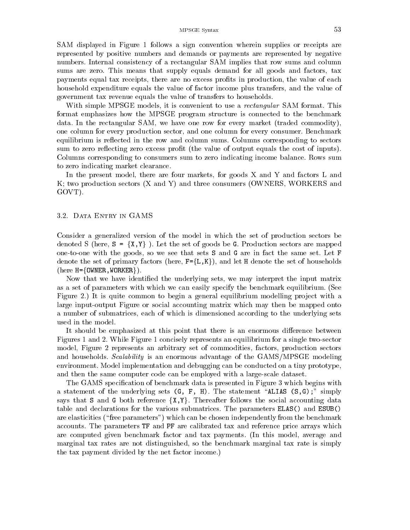### MPSGE Syntax

SAM displayed in Figure 1 follows a sign convention wherein supplies or receipts are represented by positive numbers and demands or payments are represented by negative numbers. Internal consistency of a rectangular SAM implies that row sums and column sums are zero. This means that supply equals demand for all goods and factors, tax payments equal tax receipts, there are no excess prots in production, the value of each household expenditure equals the value of factor income plus transfers, and the value of government tax revenue equals the value of transfers to households.

With simple MPSGE models, it is convenient to use a *rectangular* SAM format. This format emphasizes how the MPSGE program structure is connected to the benchmark data. In the rectangular SAM, we have one row for every market (traded commodity), one column for every production sector, and one column for every consumer. Benchmark equilibrium is re
ected in the row and column sums. Columns corresponding to sectors sum to zero reflecting zero excess profit (the value of output equals the cost of inputs). Columns corresponding to consumers sum to zero indicating income balance. Rows sum to zero indicating market clearance.

In the present model, there are four markets, for goods X and Y and factors L and K; two production sectors (X and Y) and three consumers (OWNERS, WORKERS and GOVT).

### 3.2. DATA ENTRY IN GAMS

Consider a generalized version of the model in which the set of production sectors be denoted S (here,  $S = \{X, Y\}$ ). Let the set of goods be G. Production sectors are mapped one-to-one with the goods, so we see that sets S and G are in fact the same set. Let F denote the set of primary factors (here,  $F = \{L, K\}$ ), and let H denote the set of households  $(here H = {OWNER, WORKER}).$ 

Now that we have identied the underlying sets, we may interpret the input matrix as a set of parameters with which we can easily specify the benchmark equilibrium. (See Figure 2.) It is quite common to begin a general equilibrium modelling project with a large input-output Figure or social accounting matrix which may then be mapped onto a number of submatrices, each of which is dimensioned according to the underlying sets used in the model.

It should be emphasized at this point that there is an enormous difference between Figures 1 and 2. While Figure 1 concisely represents an equilibrium for a single two-sector model, Figure 2 represents an arbitrary set of commodities, factors, production sectors and households. Scalability is an enormous advantage of the GAMS/MPSGE modeling environment. Model implementation and debugging can be conducted on a tiny prototype, and then the same computer code can be employed with a large-scale dataset.

The GAMS specication of benchmark data is presented in Figure 3 which begins with a statement of the underlying sets  $(G, F, H)$ . The statement "ALIAS  $(S, G)$ ;" simply says that S and G both reference  $\{X,Y\}$ . Thereafter follows the social accounting data table and declarations for the various submatrices. The parameters ELAS() and ESUB() are elasticities ("free parameters") which can be chosen independently from the benchmark accounts. The parameters TF and PF are calibrated tax and reference price arrays which are computed given benchmark factor and tax payments. (In this model, average and marginal tax rates are not distinguished, so the benchmark marginal tax rate is simply the tax payment divided by the net factor income.)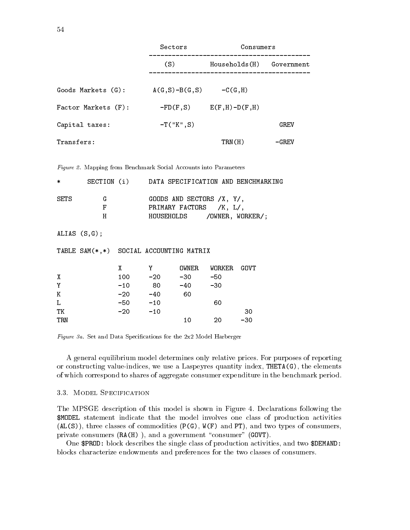|                     | Sectors             | Consumers                 |       |
|---------------------|---------------------|---------------------------|-------|
|                     | (S)                 | Households (H) Government |       |
| Goods Markets (G):  | $A(G, S) - B(G, S)$ | $-C(G,H)$                 |       |
| Factor Markets (F): | $-FD(F,S)$          | $E(F,H)-D(F,H)$           |       |
| Capital taxes:      | $-T("K", S)$        |                           | GREV  |
| Transfers:          |                     | TRN(H)                    | -GRFV |

Figure 2. Mapping from Benchmark Social Accounts into Parameters

| $\ast$ |                                         |            |                                                                                     |         |                   | SECTION (i) DATA SPECIFICATION AND BENCHMARKING |  |
|--------|-----------------------------------------|------------|-------------------------------------------------------------------------------------|---------|-------------------|-------------------------------------------------|--|
| SETS   | G<br>F<br>Н                             |            | GOODS AND SECTORS /X, Y/,<br>PRIMARY FACTORS /K, L/,<br>HOUSEHOLDS /OWNER, WORKER/; |         |                   |                                                 |  |
|        | ALIAS (S,G);                            |            |                                                                                     |         |                   |                                                 |  |
|        | TABLE SAM(*,*) SOCIAL ACCOUNTING MATRIX |            |                                                                                     |         |                   |                                                 |  |
|        |                                         | X —        | Y y                                                                                 |         | OWNER WORKER GOVT |                                                 |  |
| X      |                                         |            | $100 -20$                                                                           | -30 -50 |                   |                                                 |  |
| Y      |                                         |            | $-10$ 80 $-40$ $-30$                                                                |         |                   |                                                 |  |
| Κ      |                                         |            | $-20 -40 60$                                                                        |         |                   |                                                 |  |
| L      |                                         | $-50 - 10$ |                                                                                     |         | 60                |                                                 |  |
| TK     |                                         | $-20 -10$  |                                                                                     |         |                   | 30                                              |  |
| TRN    |                                         |            |                                                                                     | 10      | 20                | $-30$                                           |  |

Figure 3a. Set and Data Specifications for the 2x2 Model Harberger

A general equilibrium model determines only relative prices. For purposes of reporting or constructing value-indices, we use a Laspeyres quantity index,  $THETA(G)$ , the elements of which correspond to shares of aggregate consumer expenditure in the benchmark period.

### 3.3. MODEL SPECIFICATION

The MPSGE description of this model is shown in Figure 4.Declarations following the \$MODEL statement indicate that the model involves one class of production activities  $(AL(S))$ , three classes of commodities  $(P(G), W(F)$  and PT), and two types of consumers, private consumers  $(RA(H))$ , and a government "consumer" (GOVT).

One \$PROD: block describes the single class of production activities, and two \$DEMAND: blocks characterize endowments and preferences for the two classes of consumers.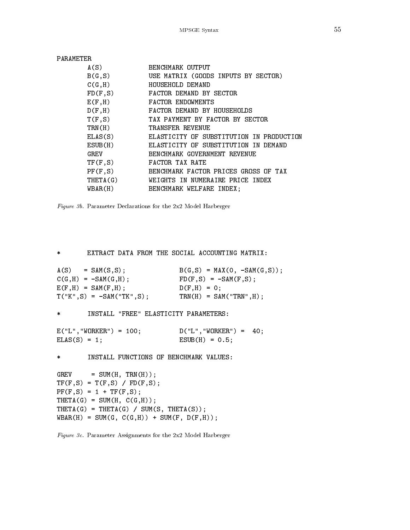| ARAMETER  |                                          |
|-----------|------------------------------------------|
| A(S)      | BENCHMARK OUTPUT                         |
| B(G, S)   | USE MATRIX (GOODS INPUTS BY SECTOR)      |
| C(G,H)    | HOUSEHOLD DEMAND                         |
| FD(F, S)  | FACTOR DEMAND BY SECTOR                  |
| E(F,H)    | FACTOR ENDOWMENTS                        |
| D(F,H)    | FACTOR DEMAND BY HOUSEHOLDS              |
| T(F, S)   | TAX PAYMENT BY FACTOR BY SECTOR          |
| TRN(H)    | TRANSFER REVENUE                         |
| ELAS(S)   | ELASTICITY OF SUBSTITUTION IN PRODUCTION |
| ESUB(H)   | ELASTICITY OF SUBSTITUTION IN DEMAND     |
| GREV      | BENCHMARK GOVERNMENT REVENUE             |
| TF(F, S)  | FACTOR TAX RATE                          |
| PF(F, S)  | BENCHMARK FACTOR PRICES GROSS OF TAX     |
| THETA (G) | WEIGHTS IN NUMERAIRE PRICE INDEX         |
| WBAR(H)   | BENCHMARK WELFARE INDEX;                 |

Figure 3b. Parameter Declarations for the 2x2 Model Harberger

\* EXTRACT DATA FROM THE SOCIAL ACCOUNTING MATRIX:  $\mathcal{L}(\mathcal{L}(\mathcal{L})) = \mathcal{L}(\mathcal{L}(\mathcal{L}(\mathcal{L}(\mathcal{L}(\mathcal{L}(\mathcal{L}(\mathcal{L}(\mathcal{L}(\mathcal{L}(\mathcal{L}(\mathcal{L}(\mathcal{L}(\mathcal{L}(\mathcal{L}(\mathcal{L}(\mathcal{L}(\mathcal{L}(\mathcal{L}(\mathcal{L}(\mathcal{L}(\mathcal{L}(\mathcal{L}(\mathcal{L}(\mathcal{L}(\mathcal{L}(\mathcal{L}(\mathcal{L}(\mathcal{L}(\mathcal{L}(\mathcal{L}(\mathcal{L}(\mathcal{L}(\mathcal$ C(G,H) = -SAM(G,H); FD(F,S) = -SAM(F,S);  $E(F,H) = SAM(F,H);$   $D(F,H) = 0;$  $T("K", S) = -SAM("TK", S);$  TRN(H) = SAM("TRN", H); \* INSTALL "FREE" ELASTICITY PARAMETERS:  $E("L", "WORKER") = 100;$   $D("L", "WORKER") = 40;$  $ELAS(S) = 1;$   $ESUB(H) = 0.5;$ INSTALL FUNCTIONS OF BENCHMARK VALUES:  $\ast$  $GREV$  = SUM(H, TRN(H));  $TF(F, S) = T(F, S) / FD(F, S);$  $PF(F, S) = 1 + TF(F, S);$ THETA $(G) = SUM(H, C(G,H))$ ; THETA(G) = THETA(G) / SUM(S, THETA(S));  $WBAR(H) = SUM(G, C(G,H)) + SUM(F, D(F,H));$ 

Figure 3c. Parameter Assignments for the 2x2 Model Harberger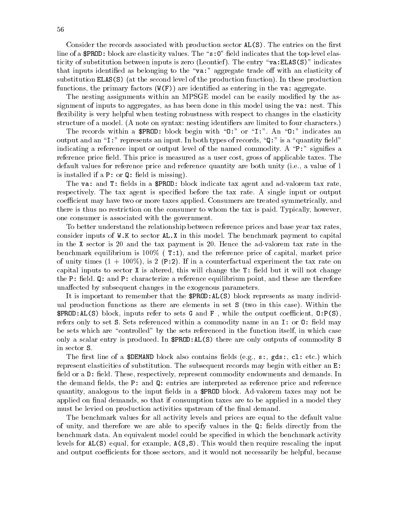Consider the records associated with production sector  $AL(S)$ . The entries on the first line of a  $\text{SPROD}: \text{block are elasticity values.}$  The " $s: 0$ " field indicates that the top-level elasticity of substitution between inputs is zero (Leontief). The entry  $\mathbf{``va:ELAS(S)}$  indicates that inputs identified as belonging to the "va:" aggregate trade off with an elasticity of substitution ELAS(S) (at the second level of the production function). In these production functions, the primary factors  $(W(F))$  are identified as entering in the va: aggregate.

The nesting assignments within an MPSGE model can be easily modified by the assignment of inputs to aggregates, as has been done in this model using the va: nest. This flexibility is very helpful when testing robustness with respect to changes in the elasticity structure of a model. (A note on syntax: nesting identifiers are limited to four characters.)

The records within a  $P$ *ROD*: block begin with "0:" or "I:". An "0:" indicates an output and an "I:" represents an input. In both types of records, " $Q$ :" is a "quantity field" indicating a reference input or output level of the named commodity. A  $\mathbb{P}:$  signifies a reference price field. This price is measured as a user cost, gross of applicable taxes. The default values for reference price and reference quantity are both unity (i.e., a value of 1 is installed if a  $P:$  or  $Q:$  field is missing).

The va: and T: fields in a \$PROD: block indicate tax agent and ad-valorem tax rate, respectively. The tax agent is specied before the tax rate. A single input or output coefficient may have two or more taxes applied. Consumers are treated symmetrically, and there is thus no restriction on the consumer to whom the tax is paid. Typically, however, one consumer is associated with the government.

To better understand the relationship between reference prices and base year tax rates, consider inputs of W.K to sector AL.X in this model. The benchmark payment to capital in the X sector is 20 and the tax payment is 20. Hence the ad-valorem tax rate in the benchmark equilibrium is  $100\%$  (T:1), and the reference price of capital, market price of unity times  $(1 + 100\%)$ , is 2 (P:2). If in a counterfactual experiment the tax rate on capital inputs to sector  $X$  is altered, this will change the  $T$ : field but it will not change the  $P$ : field.  $Q$ : and  $P$ : characterize a reference equilibrium point, and these are therefore unaffected by subsequent changes in the exogenous parameters.

It is important to remember that the \$PROD:AL(S) block represents as many individual production functions as there are elements in set S (two in this case). Within the  $$PROD:AL(S) block, inputs refer to sets G and F, while the output coefficient,  $O: P(S)$ ,$ refers only to set S. Sets referenced within a commodity name in an  $I:$  or  $O:$  field may be sets which are "controlled" by the sets referenced in the function itself, in which case only a scalar entry is produced. In \$PROD:AL(S) there are only outputs of commodity S in sector S.

The first line of a \$DEMAND block also contains fields (e.g.,  $s$ ;  $gds$ ; cl: etc.) which represent elasticities of substitution. The subsequent records may begin with either an E: field or a  $D$ : field. These, respectively, represent commodity endowments and demands. In the demand fields, the  $P$ : and  $Q$ : entries are interpreted as reference price and reference quantity, analogous to the input fields in a \$PROD block. Ad-valorem taxes may not be applied on final demands, so that if consumption taxes are to be applied in a model they must be levied on production activities upstream of the final demand.

The benchmark values for all activity levels and prices are equal to the default value of unity, and therefore we are able to specify values in the  $Q$ : fields directly from the benchmark data. An equivalent model could be specied in which the benchmark activity levels for AL(S) equal, for example, A(S,S). This would then require rescaling the input and output coefficients for those sectors, and it would not necessarily be helpful, because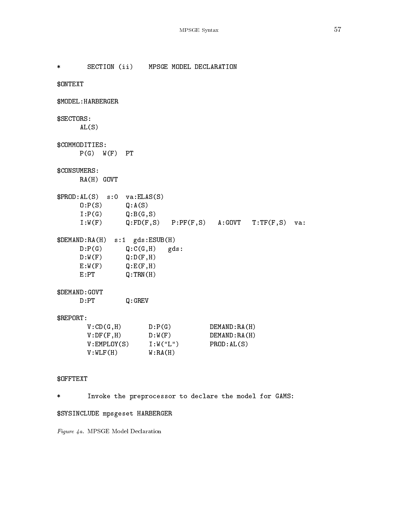\* SECTION (ii) MPSGE MODEL DECLARATION \$ONTEXT \$MODEL:HARBERGER \$SECTORS:  $AL(S)$ \$COMMODITIES:  $P(G)$   $W(F)$  PT \$CONSUMERS: RA(H) GOVT  $$PROD:AL(S)$  s:0 va: $ELAS(S)$  $0: P(S)$   $Q: A(S)$  $I:P(G)$   $Q:B(G, S)$  $\texttt{I}: \texttt{W}(\texttt{F}) \qquad \texttt{Q}: \texttt{FD}(\texttt{F}, \texttt{S}) \qquad \texttt{P}: \texttt{PF}(\texttt{F}, \texttt{S}) \qquad \texttt{A}: \texttt{GOVT} \qquad \texttt{T}: \texttt{TF}(\texttt{F}, \texttt{S}) \quad \texttt{va}:$ \$DEMAND:RA(H) s:1 gds:ESUB(H)  $D:P(G)$  Q:C(G,H) gds:  $D: W(F)$   $Q: D(F,H)$  $E: W(F)$   $Q: E(F,H)$  $E:PT$   $Q:TRN(H)$ \$DEMAND: GOVT \$DEMAND:GOVT D:PT Q:GREV \$REPORT: \$REPORT:  $V:CD(G,H)$   $D:P(G)$  DEMAND:RA(H)  $V:DF(F,H)$   $D:W(F)$  DEMAND:RA(H) V:EMPLOY(S) I:W("L") PROD:AL(S)  $V: WLF(H)$   $W:RA(H)$ 

### \$0FFTEXT  $\bullet$

Invoke the preprocessor to declare the model for GAMS:  $\ast$ 

### \$SYSINCLUDE mpsgeset HARBERGER

Figure 4a. MPSGE Model Declaration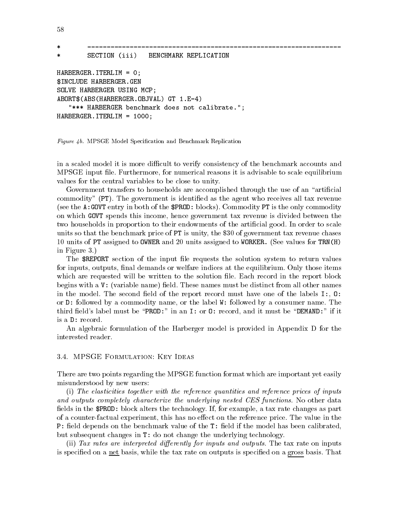$\ast$ 

 $\ast$ SECTION (iii) BENCHMARK REPLICATION

HARBERGER.ITERLIM = 0; \$INCLUDE HARBERGER.GEN SOLVE HARBERGER USING MCP; ABORT\$(ABS(HARBERGER.OBJVAL) GT 1.E-4) "\*\*\* HARBERGER benchmark does not calibrate."; HARBERGER.ITERLIM = 1000;

Figure 4b. MPSGE Model Specification and Benchmark Replication

in a scaled model it is more difficult to verify consistency of the benchmark accounts and MPSGE input le. Furthermore, for numerical reasons it is advisable to scale equilibrium values for the central variables to be close to unity.

Government transfers to households are accomplished through the use of an "artificial commodity" (PT). The government is identied as the agent who receives all tax revenue (see the A:GOVT entry in both of the \$PROD: blocks). Commodity PT is the only commodity on which GOVT spends this income, hence government tax revenue is divided between the two households in proportion to their endowments of the articial good. In order to scale units so that the benchmark price of PT is unity, the \$30 of government tax revenue chases 10 units of PT assigned to OWNER and 20 units assigned to WORKER. (See values for TRN(H) in Figure 3.)

The **\$REPORT** section of the input file requests the solution system to return values for inputs, outputs, final demands or welfare indices at the equilibrium. Only those items which are requested will be written to the solution file. Each record in the report block begins with a  $V:$  (variable name) field. These names must be distinct from all other names in the model. The second field of the report record must have one of the labels  $I:$ ,  $0:$ or D: followed by a commodity name, or the label W: followed by a consumer name. The third field's label must be "PROD:" in an I: or  $0:$  record, and it must be "DEMAND:" if it is a D: record.

An algebraic formulation of the Harberger model is provided in Appendix D for the interested reader.

### 3.4. MPSGE Formulation: Key Ideas

There are two points regarding the MPSGE function format which are important yet easily misunderstood by new users:

(i) The elasticities together with the reference quantities and reference prices of inputs and outputs completely characterize the underlying nested CES functions. No other data fields in the \$PROD: block alters the technology. If, for example, a tax rate changes as part of a counter-factual experiment, this has no effect on the reference price. The value in the P: field depends on the benchmark value of the T: field if the model has been calibrated, but subsequent changes in T: do not change the underlying technology.

(ii) Tax rates are interpreted differently for inputs and outputs. The tax rate on inputs is specified on a <u>net</u> basis, while the tax rate on outputs is specified on a gross basis. That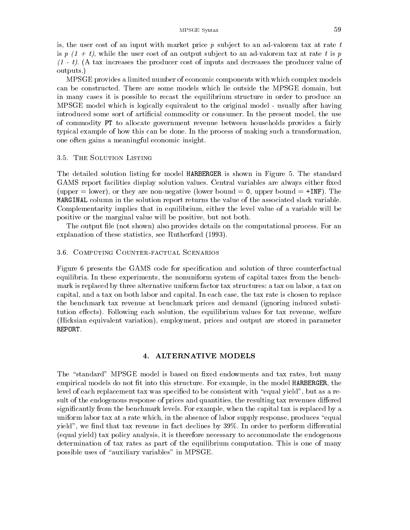### MPSGE Syntax

is, the user cost of an input with market price  $p$  subject to an ad-valorem tax at rate  $t$ is p  $(1 + t)$ , while the user cost of an output subject to an ad-valorem tax at rate t is p  $(1 - t)$ . (A tax increases the producer cost of inputs and decreases the producer value of outputs.)

MPSGE provides a limited number of economic components with which complex models can be constructed. There are some models which lie outside the MPSGE domain, but in many cases it is possible to recast the equilibrium structure in order to produce an MPSGE model which is logically equivalent to the original model - usually after having introduced some sort of articial commodity or consumer. In the present model, the use of commodity PT to allocate government revenue between households provides a fairly typical example of how this can be done. In the process of making such a transformation, one often gains a meaningful economic insight.

### 3.5. The Solution Listing

The detailed solution listing for model HARBERGER is shown in Figure 5.The standard GAMS report facilities display solution values. Central variables are always either fixed (upper  $=$  lower), or they are non-negative (lower bound  $= 0$ , upper bound  $= +IWF$ ). The MARGINAL column in the solution report returns the value of the associated slack variable. Complementarity implies that in equilibrium, either the level value of a variable will be positive or the marginal value will be positive, but not both.

The output file (not shown) also provides details on the computational process. For an explanation of these statistics, see Rutherford (1993).

Figure 6 presents the GAMS code for specication and solution of three counterfactual equilibria. In these experiments, the nonuniform system of capital taxes from the benchmark is replaced by three alternative uniform factor tax structures: a tax on labor, a tax on capital, and a tax on both labor and capital. In each case, the tax rate is chosen to replace the benchmark tax revenue at benchmark prices and demand (ignoring induced substitution effects). Following each solution, the equilibrium values for tax revenue, welfare (Hicksian equivalent variation), employment, prices and output are stored in parameter REPORT.

### 4. ALTERNATIVE MODELS

The "standard" MPSGE model is based on fixed endowments and tax rates, but many empirical models do not fit into this structure. For example, in the model HARBERGER, the level of each replacement tax was specified to be consistent with "equal yield", but as a result of the endogenous response of prices and quantities, the resulting tax revenues differed signicantly from the benchmark levels. For example, when the capital tax is replaced by a uniform labor tax at a rate which, in the absence of labor supply response, produces "equal yield", we find that tax revenue in fact declines by 39%. In order to perform differential (equal yield) tax policy analysis, it is therefore necessary to accommodate the endogenous determination of tax rates as part of the equilibrium computation. This is one of many possible uses of "auxiliary variables" in MPSGE.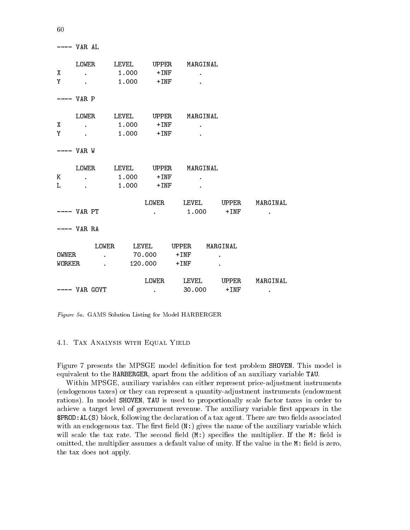| $---$ VAR AL           |                                                               |                                             |                                          |                                                     |                      |               |                            |
|------------------------|---------------------------------------------------------------|---------------------------------------------|------------------------------------------|-----------------------------------------------------|----------------------|---------------|----------------------------|
| Χ<br>Y                 | <b>Contract Contract</b>                                      |                                             | LOWER LEVEL UPPER MARGINAL<br>1.000 +INF | $1.000 + INF$                                       | $\ddot{\phantom{a}}$ |               |                            |
| ---- VAR P             |                                                               |                                             |                                          |                                                     |                      |               |                            |
| X<br>Y                 | LOWER<br><b>Contract Contract</b><br><b>Contract Contract</b> |                                             | LEVEL UPPER MARGINAL<br>1.000 +INF       | $1.000 + INF$                                       |                      |               |                            |
| $---$ VAR $W$          |                                                               |                                             |                                          |                                                     |                      |               |                            |
| Κ<br>L                 | LOWER<br><b>Contract Contract</b><br><b>Contract Contract</b> |                                             | LEVEL UPPER MARGINAL<br>1.000 +INF       | $1.000 + INF$                                       |                      |               |                            |
| $---$ VAR PT           |                                                               |                                             |                                          | $\mathbf{r} = \mathbf{r}$                           |                      | $1.000 + INF$ | LOWER LEVEL UPPER MARGINAL |
| $---$ VAR RA           |                                                               |                                             |                                          |                                                     |                      |               |                            |
| <b>OWNER</b><br>WORKER |                                                               | LOWER<br>$\sim$ $\sim$<br><b>Contractor</b> |                                          | LEVEL UPPER MARGINAL<br>70.000 +INF<br>120.000 +INF |                      |               |                            |
| $---$ VAR GOVT         |                                                               |                                             |                                          | LOWER<br>$\bullet$                                  | 30.000 +INF          | LEVEL UPPER   | MARGINAL<br>$\bullet$      |

|  |  |  | Figure 5a. GAMS Solution Listing for Model HARBERGER |  |
|--|--|--|------------------------------------------------------|--|
|--|--|--|------------------------------------------------------|--|

### 4.1. Tax Analysis with Equal Yield

Figure 7 presents the MPSGE model definition for test problem SHOVEN. This model is equivalent to the HARBERGER, apart from the addition of an auxiliary variable TAU.

Within MPSGE, auxiliary variables can either represent price-adjustment instruments (endogenous taxes) or they can represent a quantity-adjustment instruments (endowment rations). In model SHOVEN, TAU is used to proportionally scale factor taxes in order to achieve a target level of government revenue. The auxiliary variable first appears in the  $$PROD:AL(S) block, following the declaration of a tax agent. There are two fields associated$ with an endogenous tax. The first field  $(N: )$  gives the name of the auxiliary variable which will scale the tax rate. The second field  $(M: )$  specifies the multiplier. If the  $M:$  field is omitted, the multiplier assumes a default value of unity. If the value in the  $M$ : field is zero, the tax does not apply.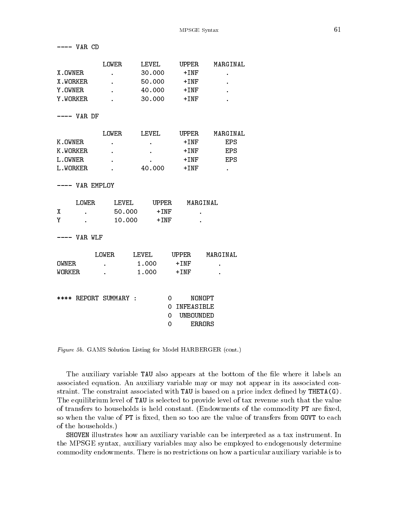---- VAR CD

|          | LOWFR. | LEVEL. | UPPFR. | MARGTNAL |
|----------|--------|--------|--------|----------|
| X.OWNFR  |        | 30.000 | $+TNF$ |          |
| X.WORKFR |        | 50.000 | $+TNF$ |          |
| Y.OWNFR  |        | 40.000 | $+TNF$ |          |
| Y.WORKFR |        | 30.000 | $+TNF$ |          |

---- VAR DF

|          | LOWER. | LEVEL. | UPPFR. | MARGTNAL |
|----------|--------|--------|--------|----------|
| K.OWNER  |        |        | $+TNF$ | FPS.     |
| K.WORKFR | ٠      |        | $+TNF$ | FPS.     |
| T.OWNFR  | ٠      |        | $+TNF$ | FPS      |
| L.WORKFR |        | 40.000 | $+TNF$ |          |

 $---$  VAR EMPLOY

|   | LOWER. | LEVEL. | UPPFR. | MARGTNAL |
|---|--------|--------|--------|----------|
|   |        | 50.000 | $+TNF$ |          |
| v |        | 10.000 | $+TNF$ |          |

### ---- VAR WLF

|                                                                                                                                                             | LOWER.               | <b>LEVEL</b> | UPPFR. | MARGINAL |
|-------------------------------------------------------------------------------------------------------------------------------------------------------------|----------------------|--------------|--------|----------|
| OWNER                                                                                                                                                       | $\ddot{\phantom{a}}$ | 1.000        | $+IMF$ | ٠        |
| WORKER                                                                                                                                                      | ٠                    | 1.000        | $+IMF$ | ٠        |
|                                                                                                                                                             |                      |              |        |          |
| $\mathbf{u}$ $\mathbf{u}$ $\mathbf{u}$ $\mathbf{u}$ $\mathbf{u}$ $\mathbf{v}$ $\mathbf{u}$ $\mathbf{v}$ $\mathbf{v}$ $\mathbf{v}$ $\mathbf{v}$ $\mathbf{v}$ |                      |              | ⌒      | ᅒᅁᅒᅁᅲ    |

|  | **** REPORT SUMMARY : | $\Omega$ | NONOPT       |
|--|-----------------------|----------|--------------|
|  |                       |          | O INFFASIBLE |
|  |                       | O.       | UNBOUNDED.   |
|  |                       | $\Omega$ | FRRORS       |
|  |                       |          |              |

Figure 5b. GAMS Solution Listing for Model HARBERGER (cont.)

The auxiliary variable TAU also appears at the bottom of the file where it labels an associated equation. An auxiliary variable may or may not appear in its associated constraint. The constraint associated with TAU is based on a price index defined by THETA $(G)$ . The equilibrium level of TAU is selected to provide level of tax revenue such that the value of transfers to households is held constant. (Endowments of the commodity PT are fixed, so when the value of PT is fixed, then so too are the value of transfers from GOVT to each of the households.)

SHOVEN illustrates how an auxiliary variable can be interpreted as a tax instrument. In the MPSGE syntax, auxiliary variables may also be employed to endogenously determine commodity endowments. There is no restrictions on how a particular auxiliary variable is to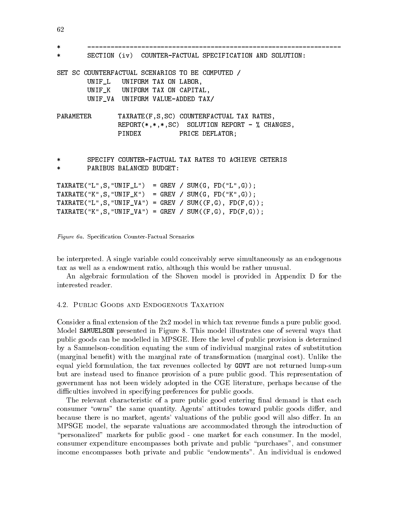```
\star\astSECTION (iv) COUNTER-FACTUAL SPECIFICATION AND SOLUTION:
SET SC COUNTERFACTUAL SCENARIOS TO BE COMPUTED /
        UNIF_L UNIFORM TAX ON LABOR,
        UNIF_K UNIFORM TAX ON CAPITAL,
        UNIF_VA UNIFORM VALUE-ADDED TAX/
                TAXRATE(F,S,SC) COUNTERFACTUAL TAX RATES,
PARAMETER
                REPORT(*,*,*,SC) SOLUTION REPORT - % CHANGES,
                PINDEX PRICE DEFLATOR;
        SPECIFY COUNTER-FACTUAL TAX RATES TO ACHIEVE CETERIS
\astPARIBUS BALANCED BUDGET:
TAXRATE("L",S,"UNIF_L") = GREV / SUM(G, FD("L",G));
TAXRATE("K",S,"UNIF_K") = GREV / SUM(G, FD("K",G));
TAXRATE("L",S,"UNIF_VA") = GREV / SUM((F,G), FD(F,G));
TAXRATE("K",S,"UNIF_VA") = GREV / SUM((F,G), FD(F,G));
```

```
Figure 6a. Specification Counter-Factual Scenarios
```
be interpreted. A single variable could conceivably serve simultaneously as an endogenous tax as well as a endowment ratio, although this would be rather unusual.

An algebraic formulation of the Shoven model is provided in Appendix D for the interested reader.

### 4.2. Public Goods and Endogenous Taxation

Consider a final extension of the  $2x2$  model in which tax revenue funds a pure public good. Model SAMUELSON presented in Figure 8. This model illustrates one of several ways that public goods can be modelled in MPSGE. Here the level of public provision is determined by a Samuelson-condition equating the sum of individual marginal rates of substitution (marginal benet) with the marginal rate of transformation (marginal cost). Unlike the equal yield formulation, the tax revenues collected by GOVT are not returned lump-sum but are instead used to finance provision of a pure public good. This representation of government has not been widely adopted in the CGE literature, perhaps because of the difficulties involved in specifying preferences for public goods.

The relevant characteristic of a pure public good entering final demand is that each consumer "owns" the same quantity. Agents' attitudes toward public goods differ, and because there is no market, agents' valuations of the public good will also differ. In an MPSGE model, the separate valuations are accommodated through the introduction of "personalized" markets for public good - one market for each consumer. In the model, consumer expenditure encompasses both private and public \purchases", and consumer income encompasses both private and public "endowments". An individual is endowed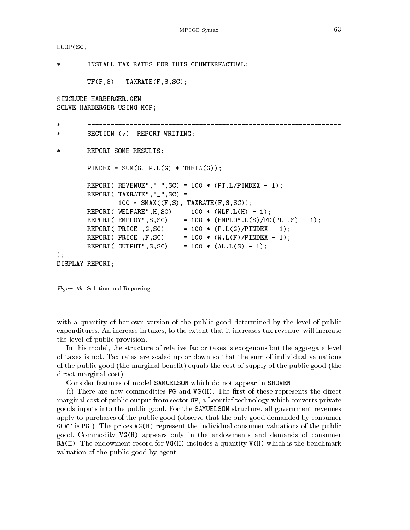LOOP(SC,

INSTALL TAX RATES FOR THIS COUNTERFACTUAL:  $\star$ 

 $TF(F,S) = TAXRATE(F,S,SC);$ 

\$INCLUDE HARBERGER.GEN SOLVE HARBERGER USING MCP;

```
<u> Le Le Le Le Le Le Le Le</u>
                                                   SECTION (v) REPORT WRITING:
\star\starREPORT SOME RESULTS:
               PINDEX = SUM(G, P.L(G) * THETA(G));REPORT("REVENUE","_",SC) = 100 * (PT.L/PINDEX - 1);
               REPORT("TAXRATE","_",SC) =
                                100 * SMAX((F, S), TAXRATE(F, S, SC));\mathcal{L} . The position of \mathcal{L} , and \mathcal{L} , and \mathcal{L} . If \mathcal{L} is a set of \mathcal{L} is a set of \mathcal{L} . If \mathcal{L} is a set of \mathcal{L} is a set of \mathcal{L} is a set of \mathcal{L} is a set of \mathcal{L} i
                R . The position of \mathcal{S} , \mathcal{S} , \mathcal{S} , \mathcal{S} , and \mathcal{S} . If \mathcal{S} is a set of \mathcal{S} , \mathcal{S} , \mathcal{S} , \mathcal{S} , \mathcal{S} , \mathcal{S} , \mathcal{S} , \mathcal{S} , \mathcal{S} , \mathcal{S} , \mathcal{S\mathcal{L} , the interval of the interval of the interval of the interval of the interval of the interval of the interval of the interval of the interval of the interval of the interval of the interval of the interval of th
                REPORT("PRICE",F,SC) = 100 * (W.L(F)/PINDEX - 1);
               REPORT("OUTPUT", S, SC) = 100 * (AL.L(S) - 1););
DISPLAY REPORT;
```
Figure 6b. Solution and Reporting

with a quantity of her own version of the public good determined by the level of public expenditures. An increase in taxes, to the extent that it increases tax revenue, will increase the level of public provision. the level of public public provision. In the level of public public provision of public provision. In the level of public provision of public provision. In the level of public provision of public provision. In the level of

In this model, the structure of relative factor taxes is exogenous but the aggregate level of taxes is not. Tax rates are scaled up or down so that the sum of individual valuations of the public good (the marginal benet) equals the cost of supply of the public good (the direct marginal cost).

Consider features of model SAMUELSON which do not appear in SHOVEN:

(i) There are new commodities  $PG$  and  $VG(H)$ . The first of these represents the direct marginal cost of public output from sector GP, a Leontief technology which converts private goods inputs into the public good. For the SAMUELSON structure, all government revenues apply to purchases of the public good (observe that the only good demanded by consumer GOVT is PG ). The prices VG(H) represent the individual consumer valuations of the public good. Commodity VG(H) appears only in the endowments and demands of consumer  $RA(H)$ . The endowment record for  $VG(H)$  includes a quantity  $V(H)$  which is the benchmark valuation of the public good by agent H.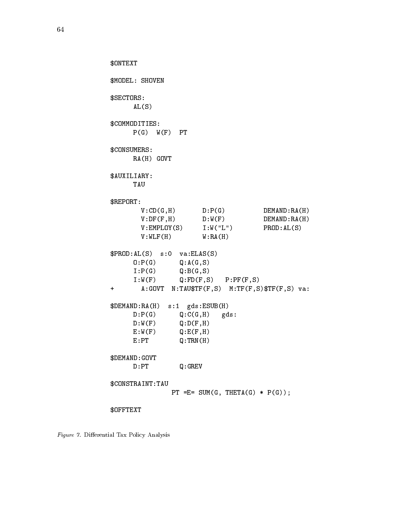\$ONTEXT \$MODEL: SHOVEN \$SECTORS: AL(S) \$COMMODITIES:  $P(G)$   $W(F)$  PT \$CONSUMERS: RA(H) GOVT \$AUXILIARY: TAU \$REPORT:  $V:CD(G,H)$   $D:P(G)$  DEMAND:RA(H)  $V:DF(F,H)$  D:W(F) DEMAND:RA(H) V:EMPLOY(S) I:W("L") PROD:AL(S)  $V: WLF(H)$   $W:RA(H)$  $$PROD:AL(S)$  s:0 va: $ELAS(S)$  $Q: P(G)$   $Q: A(G, S)$  $I: P(G)$   $Q: B(G, S)$  $I:W(F)$  Q:FD(F,S)  $P:PF(F,S)$  $\ddot{+}$  $A:G\text{OUT}\quad N:TAU$TF(F,S)\quad M:TF(F,S)$$TF(F,S) via:$ \$DEMAND:RA(H) s:1 gds:ESUB(H)  $D:P(G)$  Q:C(G,H) gds:  $D: W(F)$   $Q: D(F,H)$  $E: W(F)$   $Q: E(F,H)$  $E:PT$   $Q:TRN(H)$ \$DEMAND:GOVT D:PT Q:GREV \$CONSTRAINT:TAU  $PT$  =E= SUM(G, THETA(G)  $*$  P(G));

Figure 7. Differential Tax Policy Analysis

\$OFFTEXT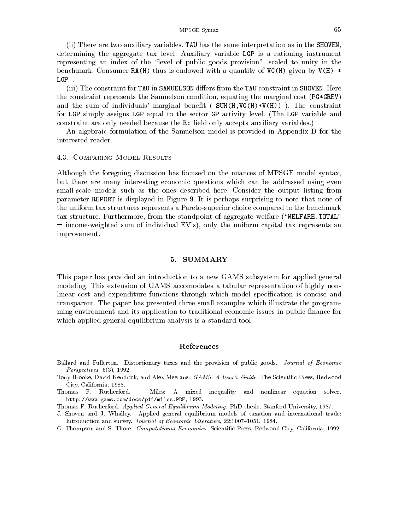### MPSGE Syntax

(ii) There are two auxiliary variables. TAU has the same interpretation as in the SHOVEN, determining the aggregate tax level. Auxiliary variable LGP is a rationing instrument representing an index of the "level of public goods provision", scaled to unity in the benchmark. Consumer RA(H) thus is endowed with a quantity of VG(H) given by V(H)  $*$ 

(iii) The constraint for TAU in SAMUELSON differs from the TAU constraint in SHOVEN. Here the constraint represents the Samuelson condition, equating the marginal cost (PG\*GREV) and the sum of individuals' marginal benefit ( $SW(M,VG(H)*V(H))$ ). The constraint for LGP simply assigns LGP equal to the sector GP activity level. (The LGP variable and constraint are only needed because the  $R$ : field only accepts auxiliary variables.)

An algebraic formulation of the Samuelson model is provided in Appendix D for the

### 4.3. COMPARING MODEL RESULTS

Although the foregoing discussion has focused on the nuances of MPSGE model syntax, but there are many interesting economic questions which can be addressed using even small-scale models such as the ones described here. Consider the output listing from parameter REPORT is displayed in Figure 9. It is perhaps surprising to note that none of the uniform tax structures represents a Pareto-superior choice compared to the benchmark tax structure. Furthermore, from the standpoint of aggregate welfare ("WELFARE.TOTAL"  $=$  income-weighted sum of individual EV's), only the uniform capital tax represents an improvement.

### 5. SUMMARY

This paper has provided an introduction to a new GAMS subsystem for applied general modeling. This extension of GAMS accomodates a tabular representation of highly nonlinear cost and expenditure functions through which model specification is concise and transparent. The paper has presented three small examples which illustrate the programming environment and its application to traditional economic issues in public finance for which applied general equilibrium analysis is a standard tool.

### References

- Ballard and Fullerton. Distortionary taxes and the provision of public goods. Journal of Economic Perspectives, 6(3), 1992.
- Tony Brooke, David Kendrick, and Alex Meeraus. GAMS: A User's Guide. The Scientific Press, Redwood City, California, 1988.
- Thomas F. Rutherford. Miles: A mixed inequality and nonlinear equation solver. http://www.gams.com/docs/pdf/miles.PDF, 1993.
- Thomas F. Rutherford. Applied General Equilibrium Modeling. PhD thesis, Stanford University, 1987.
- J. Shoven and J. Whalley. Applied general equilibrium models of taxation and international trade: Introduction and survey. Journal of Economic Literature, 22:1007-1051, 1984.
- G. Thompson and S. Thore. Computational Economics. Scientic Press, Redwood City, California, 1992.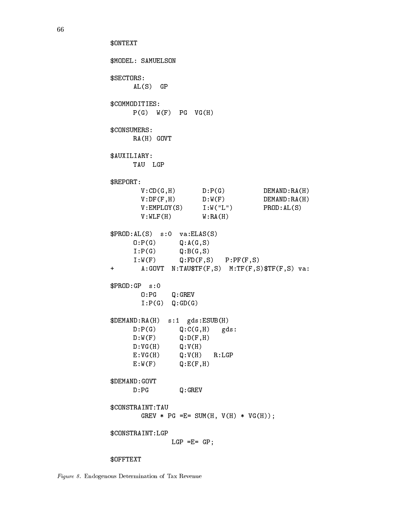\$ONTEXT \$MODEL: SAMUELSON \$MODEL: SAMUELSON \$SECTORS: AL(S) GP \$COMMODITIES:  $P(G)$   $W(F)$   $PG$   $VG(H)$ \$CONSUMERS: RA(H) GOVT \$AUXILIARY: \$AUXILIARY: TAU LGP \$REPORT: \$REPORT:  $V:CD(G,H)$   $D:P(G)$  DEMAND:RA(H)  $V:DF(F,H)$   $D:W(F)$  DEMAND:RA(H) V:EMPLOY(S) I:W("L") PROD:AL(S)  $V: WLF(H)$   $W:RA(H)$  $$PROD:AL(S)$  s:0 va: $ELAS(S)$  $0: P(G)$   $Q: A(G, S)$  $I:P(G)$   $Q:B(G, S)$  $I: W(F)$  Q:FD(F,S) P:PF(F,S) + A:GOVT N:TAU\$TF(F,S) M:TF(F,S)\$TF(F,S) va: \$PROD:GP s:0 O:PG Q:GREV  $I:P(G)$  Q:GD(G) \$DEMAND:RA(H) s:1 gds:ESUB(H)  $D:P(G)$   $Q:C(G,H)$  gds:  $D: W(F)$   $Q: D(F,H)$  $D:VG(H)$   $Q:V(H)$  $E:VG(H)$   $Q:V(H)$   $R: LGP$  $E: W(F)$   $Q: E(F,H)$ \$DEMAND:GOVT D:PG Q:GREV \$CONSTRAINT:TAU GREV \* PG = E= SUM $(H, V(H)$  \* VG $(H))$ ; \$CONSTRAINT:LGP  $LGP = E = GP;$ 

\$OFFTEXT

Figure 8. Endogenous Determination of Tax Revenue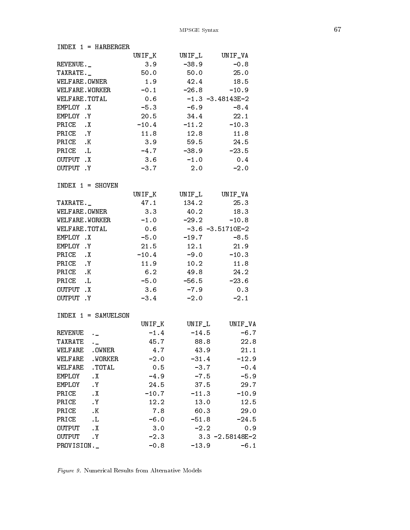| $INDEX 1 = HARBERGER$                 |            |                        |                      |  |
|---------------------------------------|------------|------------------------|----------------------|--|
|                                       |            | UNIF_K UNIF_L UNIF_VA  |                      |  |
|                                       | 3.9        | $-38.9$                | $-0.8$               |  |
| REVENUE._<br>TAXRATE._                | 50.0       | $50.0$                 | 25.0                 |  |
| WELFARE. OWNER                        |            | 1.9 42.4 18.5          |                      |  |
| WELFARE.WORKER $-0.1$ $-26.8$ $-10.9$ |            |                        |                      |  |
| WELFARE.TOTAL 0.6 -1.3 -3.48143E-2    |            |                        |                      |  |
| EMPLOY .X                             |            | $-5.3$ $-6.9$ $-8.4$   |                      |  |
|                                       |            | 20.5 34.4 22.1         |                      |  |
| EMPLOY .Y<br>PRICE .X<br>PRICE .Y     | $-10.4$    | $-11.2$                | $-10.3$              |  |
|                                       | 11.8       | 12.8                   | 11.8                 |  |
| PRICE .K                              |            | $3.9$ $59.5$ $24.5$    |                      |  |
| PRICE .L                              |            | $-4.7$ $-38.9$ $-23.5$ |                      |  |
| OUTPUT .X                             |            | $3.6 -1.0$ 0.4         |                      |  |
| OUTPUT .Y                             | $-3.7$ 2.0 |                        | $-2.0$               |  |
|                                       |            |                        |                      |  |
| $INDEX 1 = SHOVEN$                    |            |                        |                      |  |
|                                       |            | UNIF_K UNIF_L UNIF_VA  |                      |  |
| TAXRATE.                              |            | 47.1 134.2             | 25.3                 |  |
| WELFARE.OWNER 3.3 40.2 18.3           |            |                        |                      |  |
| WELFARE.WORKER $-1.0$ $-29.2$ $-10.8$ |            |                        |                      |  |
| WELFARE.TOTAL                         | 0.6        | $-3.6 -3.51710E-2$     |                      |  |
| EMPLOY .X                             |            | $-5.0$ $-19.7$         | $-8.5$               |  |
| EMPLOY .Y                             |            | 21.5 12.1              | 21.9                 |  |
| PRICE X                               |            | $-10.4$ $-9.0$ $-10.3$ |                      |  |
| PRICE . Y                             |            | 11.9 10.2 11.8         |                      |  |
| PRICE .K                              |            | $6.2$ $49.8$ $24.2$    |                      |  |
| PRICE .L                              |            | $-5.0$ $-56.5$ $-23.6$ |                      |  |
| OUTPUT .X                             | 3.6        | $-7.9$                 | 0.3                  |  |
| OUTPUT . Y                            |            | $-3.4$ $-2.0$          | $-2.1$               |  |
|                                       |            |                        |                      |  |
| $INDEX 1 = SAMUELSON$                 |            |                        |                      |  |
|                                       |            | UNIF_K UNIF_L UNIF_VA  |                      |  |
| REVENUE                               | $-1.4$     | $-14.5$                | $-6.7$               |  |
| TAXRATE                               | 45.7       | 88.8                   | 22.8                 |  |
| .OWNER<br>WELFARE                     | 4.7        | 43.9                   | 21.1                 |  |
| WELFARE<br>. WORKER                   | $-2.0$     | $-31.4$                | $-12.9$              |  |
| .TOTAL<br>WELFARE                     | 0.5        | $-3.7$                 | $-0.4$               |  |
| EMPLOY<br>. X                         | $-4.9$     | $-7.5$                 | $-5.9$               |  |
| EMPLOY<br>. Ү                         | 24.5       | 37.5                   | 29.7                 |  |
| . X<br>PRICE                          | $-10.7$    | $-11.3$                | $-10.9$              |  |
| . Y<br>PRICE                          | 12.2       | 13.0                   | 12.5                 |  |
| PRICE<br>. K                          | 7.8        | 60.3                   | 29.0                 |  |
| PRICE<br>. L                          | $-6.0$     | $-51.8$                | $-24.5$              |  |
| . X<br>OUTPUT                         | 3.0        | $-2.2$                 | 0.9                  |  |
| <b>OUTPUT</b><br>ΤΥ.                  | $-2.3$     |                        | $3.3 - 2.58148E - 2$ |  |
| PROVISION.                            | $-0.8$     | $-13.9$                | $-6.1$               |  |

Figure 9. Numerical Results from Alternative Models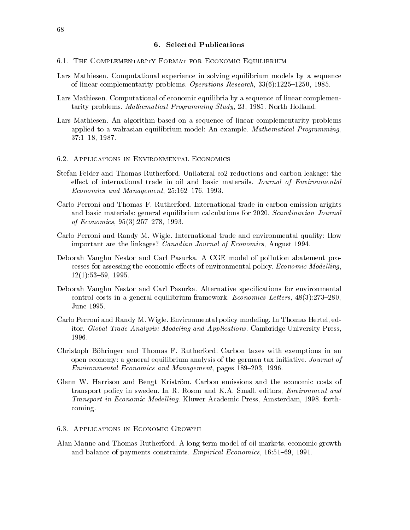- 6.1. The Complementarity Format for Economic Equilibrium
- Lars Mathiesen. Computational experience in solving equilibrium models by a sequence of linear complementarity problems. Operations Research,  $33(6):1225{-}1250$ , 1985.
- Lars Mathiesen. Computational of economic equilibria by a sequence of linear complementarity problems. Mathematical Programming Study, 23, 1985. North Holland.
- Lars Mathiesen. An algorithm based on a sequence of linear complementarity problems applied to a walrasian equilibrium model: An example. Mathematical Programming, 37:1-18, 1987.
- 6.2. Applications in Environmental Economics
- Stefan Felder and Thomas Rutherford. Unilateral co2 reductions and carbon leakage: the effect of international trade in oil and basic materails. Journal of Environmental  $Economics$  and Management,  $25:162-176$ , 1993.
- Carlo Perroni and Thomas F. Rutherford. International trade in carbon emission arights and basic materials: general equilibrium calculations for 2020. Scandinavian Journal of Economics,  $95(3):257-278$ , 1993.
- Carlo Perroni and Randy M. Wigle. International trade and environmental quality: How important are the linkages? Canadian Journal of Economics, August 1994.
- Deborah Vaughn Nestor and Carl Pasurka. A CGE model of pollution abatement processes for assessing the economic effects of environmental policy. *Economic Modelling*,  $12(1):53{-}59, 1995.$
- Deborah Vaughn Nestor and Carl Pasurka. Alternative specifications for environmental control costs in a general equilibrium framework. Economics Letters,  $48(3):273{-}280$ , June 1995.
- Carlo Perroni and Randy M. Wigle. Environmental policy modeling. In Thomas Hertel, editor, Global Trade Analysis: Modeling and Applications. Cambridge University Press, 1996.
- Christoph Bohringer and Thomas F. Rutherford. Carbon taxes with exemptions in an open economy: a general equilibrium analysis of the german tax initiative. Journal of Environmental Economics and Management, pages 189-203, 1996.
- Glenn W. Harrison and Bengt Kriström. Carbon emissions and the economic costs of transport policy in sweden. In R. Roson and K.A. Small, editors, Environment and Transport in Economic Model ling. Kluwer Academic Press, Amsterdam, 1998. forthcoming.
- 6.3. APPLICATIONS IN ECONOMIC GROWTH
- Alan Manne and Thomas Rutherford. A long-term model of oil markets, economic growth and balance of payments constraints. Empirical Economics, 16:51-69, 1991.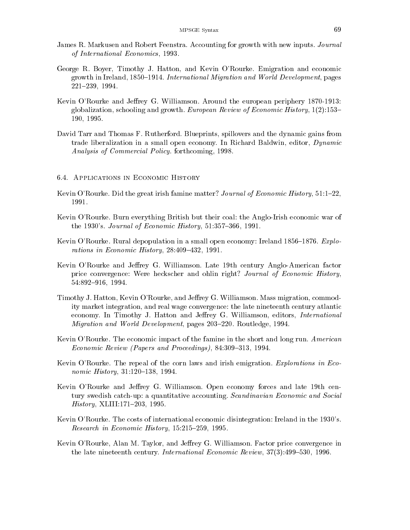- James R. Markusen and Robert Feenstra. Accounting for growth with new inputs. Journal of International Economics, 1993.
- George R. Boyer, Timothy J. Hatton, and Kevin O'Rourke. Emigration and economic growth in Ireland, 1850–1914. International Migration and World Development, pages 221-239, 1994.
- Kevin O'Rourke and Jeffrey G. Williamson. Around the european periphery 1870-1913: globalization, schooling and growth. European Review of Economic History,  $1(2):153-$ 190, 1995.
- David Tarr and Thomas F. Rutherford. Blueprints, spillovers and the dynamic gains from trade liberalization in a small open economy. In Richard Baldwin, editor, Dynamic Analysis of Commercial Policy. forthcoming, 1998.
- 6.4. Applications in Economic History
- Kevin O'Rourke. Did the great irish famine matter? Journal of Economic History,  $51:1-22$ , 1991.
- Kevin O'Rourke. Burn everything British but their coal: the Anglo-Irish economic war of the 1930's. Journal of Economic History,  $51:357-366$ , 1991.
- Kevin O'Rourke. Rural depopulation in a small open economy: Ireland  $1856-1876$ . Explorations in Economic History,  $28:409-432$ , 1991.
- Kevin O'Rourke and Jeffrey G. Williamson. Late 19th century Anglo-American factor price convergence: Were heckscher and ohlin right? Journal of Economic History, 54:892-916, 1994.
- Timothy J. Hatton, Kevin O'Rourke, and Jeffrey G. Williamson. Mass migration, commodity market integration, and real wage convergence: the late nineteenth century atlantic economy. In Timothy J. Hatton and Jeffrey G. Williamson, editors, *International* Migration and World Development, pages 203-220. Routledge, 1994.
- Kevin O'Rourke. The economic impact of the famine in the short and long run. American Economic Review (Papers and Proceedings), 84:309-313, 1994.
- Kevin O'Rourke. The repeal of the corn laws and irish emigration. Explorations in Economic History, 31:120-138, 1994.
- Kevin O'Rourke and Jeffrey G. Williamson. Open economy forces and late 19th century swedish catch-up: a quantitative accounting. Scandinavian Economic and Social  $History, XLIII:171–203, 1995.$
- Kevin O'Rourke. The costs of international economic disintegration: Ireland in the 1930's.  $Research in Economic History, 15:215–259, 1995.$
- Kevin O'Rourke, Alan M. Taylor, and Jeffrey G. Williamson. Factor price convergence in the late nineteenth century. International Economic Review,  $37(3):499-530$ , 1996.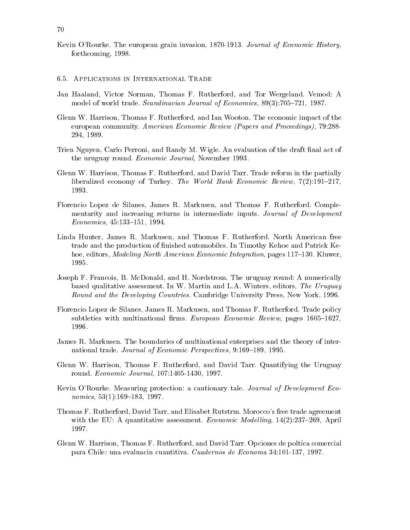- Kevin O'Rourke. The european grain invasion, 1870-1913. Journal of Economic History, forthcoming, 1998.
- 6.5. Applications in International Trade
- Jan Haaland, Victor Norman, Thomas F. Rutherford, and Tor Wergeland. Vemod: A model of world trade. Scandinavian Journal of Economics, 89(3):705-721, 1987.
- Glenn W. Harrison, Thomas F. Rutherford, and Ian Wooton. The economic impact of the european community. American Economic Review (Papers and Proceedings), 79:288- 294, 1989.
- Trien Nguyen, Carlo Perroni, and Randy M. Wigle. An evaluation of the draft final act of the uruguay round. Economic Journal, November 1993.
- Glenn W. Harrison, Thomas F. Rutherford, and David Tarr. Trade reform in the partially liberalized economy of Turkey. The World Bank Economic Review,  $7(2):191-217$ , 1993.
- Florencio Lopez de Silanes, James R. Markusen, and Thomas F. Rutherford. Complementarity and increasing returns in intermediate inputs. Journal of Development  $Economics, 45:133-151, 1994.$
- Linda Hunter, James R. Markusen, and Thomas F. Rutherford. North American free trade and the production of finished automobiles. In Timothy Kehoe and Patrick Kehoe, editors, *Modeling North American Economic Integration*, pages 117-130. Kluwer, 1995.
- Joseph F. Francois, B. McDonald, and H. Nordstrom. The uruguay round: A numerically based qualitative assessment. In W. Martin and L.A. Winters, editors, The Uruguay Round and the Developing Countries. Cambridge University Press, New York, 1996.
- Florencio Lopez de Silanes, James R. Markusen, and Thomas F. Rutherford. Trade policy subtleties with multinational firms. European Economic Review, pages  $1605{-}1627$ , 1996.
- James R. Markusen. The boundaries of multinational enterprises and the theory of international trade. Journal of Economic Perspectives, 9:169-189, 1995.
- Glenn W. Harrison, Thomas F. Rutherford, and David Tarr. Quantifying the Uruguay round. Economic Journal, 107:1405-1430, 1997.
- Kevin O'Rourke. Measuring protection: a cautionary tale. Journal of Development Economics,  $53(1):169-183$ , 1997.
- Thomas F. Rutherford, David Tarr, and Elisabet Rutstrm. Morocco's free trade agreement with the EU: A quantitative assessment. *Economic Modelling*,  $14(2):237-269$ , April 1997.
- Glenn W. Harrison, Thomas F. Rutherford, and David Tarr. Opciones de poltica comercial para Chile: una evaluacin cuantitiva. Cuadernos de Economa 34:101-137, 1997.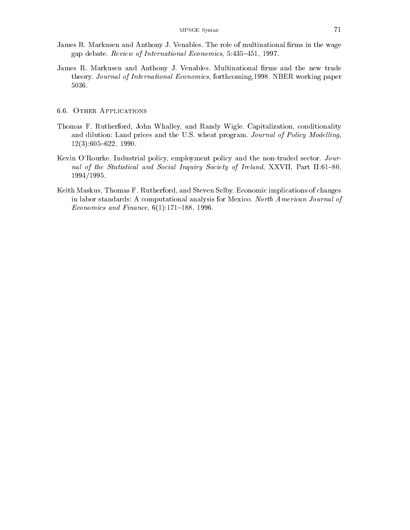- James R. Markusen and Anthony J. Venables. The role of multinational firms in the wage gap debate. Review of International Economics, 5:435-451, 1997.
- James R. Markusen and Anthony J. Venables. Multinational firms and the new trade theory. Journal of International Economics, forthcoming,1998. NBER working paper 5036.

#### 6.6. Other Applications

- Thomas F. Rutherford, John Whalley, and Randy Wigle. Capitalization, conditionality and dilution: Land prices and the U.S. wheat program. Journal of Policy Modelling,  $12(3):605{-}622, 1990.$
- Kevin O'Rourke. Industrial policy, employment policy and the non-traded sector. Journal of the Statistical and Social Inquiry Society of Ireland, XXVII, Part II:61-80, 1994/1995.
- Keith Maskus, Thomas F. Rutherford, and Steven Selby. Economic implications of changes in labor standards: A computational analysis for Mexico. North American Journal of Economics and Finance,  $6(1):171-188$ , 1996.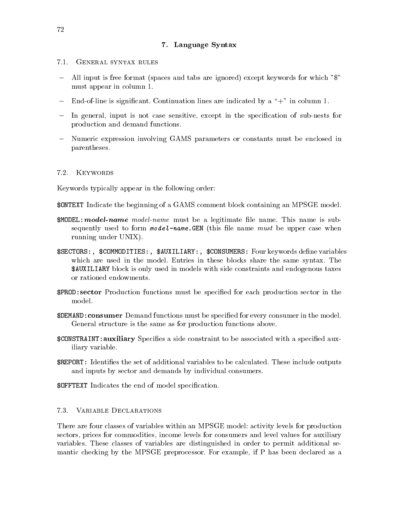## 7. Language Syntax

#### $7.1.$ GENERAL SYNTAX RULES

- All input is free format (spaces and tabs are ignored) except keywords for which "\$" must appear in column 1.
- End-of-line is signicant. Continuation lines are indicated by a \+" in column 1.
- ═ In general, input is not case sensitive, except in the specification of sub-nests for production and demand functions.
- ═ Numeric expression involving GAMS parameters or constants must be enclosed in parentheses.

Keywords typically appear in the following order:

- \$ONTEXT Indicate the beginning of a GAMS comment block containing an MPSGE model.
- \$MODEL: model-name model-name must be a legitimate file name. This name is subsequently used to form model-name.GEN (this file name must be upper case when running under UNIX).
- \$SECTORS:, \$COMMODITIES:, \$AUXILIARY:, \$CONSUMERS: Four keywords define variables which are used in the model. Entries in these blocks share the same syntax. The \$AUXILIARY block is only used in models with side constraints and endogenous taxes or rationed endowments.
- \$PROD:sector Production functions must be specied for each production sector in the model.
- \$DEMAND:consumer Demand functions must be specied for every consumer in the model. General structure is the same as for production functions above.
- \$CONSTRAINT:auxiliary Species a side constraint to be associated with a specied auxiliary variable.
- \$REPORT: Identies the set of additional variables to be calculated. These include outputs and inputs by sector and demands by individual consumers.
- \$OFFTEXT Indicates the end of model specication.

#### $7.3.$ VARIABLE DECLARATIONS

There are four classes of variables within an MPSGE model: activity levels for production sectors, prices for commodities, income levels for consumers and level values for auxiliary variables. These classes of variables are distinguished in order to permit additional semantic checking by the MPSGE preprocessor. For example, if P has been declared as a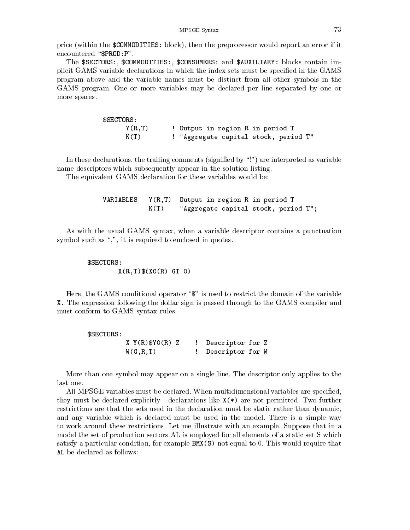price (within the \$COMMODITIES: block), then the preprocessor would report an error if it encountered "\$PROD: P".

The \$SECTORS:, \$COMMODITIES:, \$CONSUMERS: and \$AUXILIARY: blocks contain implicit GAMS variable declarations in which the index sets must be specied in the GAMS program aboveand the variable names must be distinct from all other symbols in the GAMS program. One or more variables may be declared per line separated by one or more spaces.

| \$SECTORS: |                                       |
|------------|---------------------------------------|
| Y(R, T)    | ! Output in region R in period T      |
| K(T)       | " "Aggregate capital stock, period T" |

In these declarations, the trailing comments (signified by  $\cdot$ ") are interpreted as variable name descriptors which subsequently appear in the solution listing.

The equivalent GAMS declaration for these variables would be:

VARIABLES Y(R,T) Output in region R in period T K(T) "Aggregate capital stock, period T";

As with the usual GAMS syntax, when a variable descriptor contains a punctuation symbol such as ",", it is required to enclosed in quotes.

#### \$SECTORS:

 $X(R, T)$ \$(XO(R) GT 0)

Here, the GAMS conditional operator  $\mathscr{C}$ " is used to restrict the domain of the variable X. The expression following the dollar sign is passed through to the GAMS compiler and must conform to GAMS syntax rules.

#### \$SECTORS:

| $X Y(R)$ \$YO(R) Z | ! Descriptor for Z |
|--------------------|--------------------|
| W(G,R,T)           | ! Descriptor for W |

More than one symbol may appear on a single line. The descriptor only applies to the last one.

All MPSGE variables must be declared. When multidimensional variables are specied, they must be declared explicitly - declarations like  $X(*)$  are not permitted. Two further restrictions are that the sets used in the declaration must be static rather than dynamic, and any variable which is declared must be used in the model. There is a simple way to work around these restrictions. Let me illustrate with an example. Suppose that in a model the set of production sectors AL is employed for all elements of a static set S which satisfy a particular condition, for example BMX(S) not equal to 0. This would require that AL be declared as follows: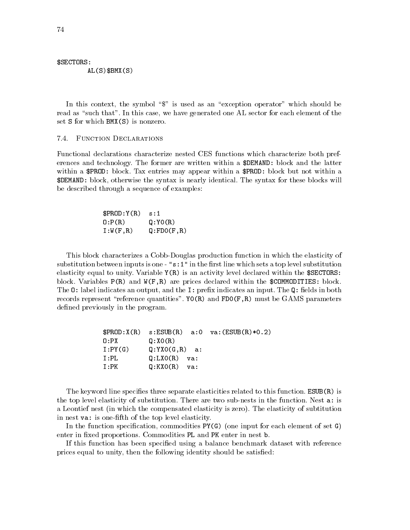\$SECTORS:  $AL(S)$  $BMX(S)$ 

In this context, the symbol " $\$ " is used as an "exception operator" which should be read as "such that". In this case, we have generated one AL sector for each element of the set S for which BMX(S) is nonzero.

Functional declarations characterize nested CES functions which characterize both preferences and technology. The former are written within a \$DEMAND: block and the latter within a \$PROD: block. Tax entries may appear within a \$PROD: block but not within a \$DEMAND: block, otherwise the syntax is nearly identical. The syntax for these blocks will be described through a sequence of examples:

| \$PROD:Y(R) | s:1          |
|-------------|--------------|
| 0: P(R)     | Q:YO(R)      |
| I: W(F, R)  | Q: FDO(F, R) |

This block characterizes a Cobb-Douglas production function in which the elasticity of substitution between inputs is one  $-$  " $s:1$ " in the first line which sets a top level substitution elasticity equal to unity. Variable Y(R) is an activity level declared within the \$SECTORS: block. Variables  $P(R)$  and  $W(F, R)$  are prices declared within the \$COMMODITIES: block. The  $0:$  label indicates an output, and the I: prefix indicates an input. The  $Q:$  fields in both records represent "reference quantities".  $YO(R)$  and  $FDO(F,R)$  must be GAMS parameters defined previously in the program.

| \$PROD: X(R) | $s:ESUB(R)$ $a:0$ $va: (ESUB(R)*0.2)$ |
|--------------|---------------------------------------|
| 0:PX         | Q:XO(R)                               |
| I: PY(G)     | $Q: YXO(G,R)$ a:                      |
| I : PL       | $Q: LXO(R)$ va:                       |
| T : PK       | $Q: KXO(R)$ va:                       |

The keyword line specifies three separate elasticities related to this function. ESUB(R) is the top level elasticity of substitution. There are two sub-nests in the function. Nest a: is a Leontief nest (in which the compensated elasticity is zero). The elasticity of subtitution in nest va: is one-fth of the top level elasticity.

In the function specification, commodities  $PY(G)$  (one input for each element of set G) enter in fixed proportions. Commodities PL and PK enter in nest b.

If this function has been specied using a balance benchmark dataset with reference prices equal to unity, then the following identity should be satisfied: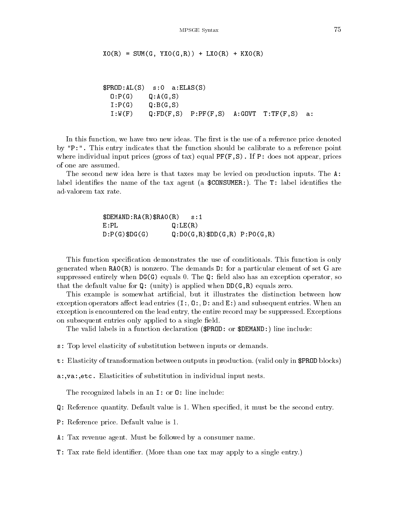```
XO(R) = SUM(G, YXO(G,R)) + LXO(R) + KXO(R)
```

```
$PROD:AL(S) s:0 a:ELAS(S)O:P(G) Q:A(G,S)I: P(G) Q: B(G, S)I:W(F) Q:FD(F,S) P:PF(F,S) A:GOVT T:TF(F,S) a:
```
In this function, we have two new ideas. The first is the use of a reference price denoted by "P:". This entry indicates that the function should be calibrate to a reference point where individual input prices (gross of tax) equal  $PF(F, S)$ . If P: does not appear, prices of one are assumed.

The second new idea here is that taxes may be levied on production inputs. The A: label identifies the name of the tax agent (a  $$COMSUMER$ :). The T: label identifies the

> $$DEMAND:RA(R)$  $$RAO(R)$  $\mathrm{s}:1$ E:PL Q:LE(R)  $D: P(G)$ \$DG(G)  $Q: DO(G,R)$ \$DD(G,R)  $P: PO(G,R)$

This function specication demonstrates the use of conditionals. This function is only generated when RA0(R) is nonzero. The demands D: for a particular element of set G are suppressed entirely when  $DG(G)$  equals 0. The Q: field also has an exception operator, so that the default value for  $Q:$  (unity) is applied when DD( $G, R$ ) equals zero.

This example is somewhat articial, but it illustrates the distinction between how exception operators affect lead entries  $(I:, 0:$ ,  $D:$  and  $E:$ ) and subsequent entries. When an exception is encountered on the lead entry, the entire record may be suppressed. Exceptions on subsequent entries only applied to a single field.

The valid labels in a function declaration (\$PROD: or \$DEMAND:) line include:

- s: Top level elasticity of substitution between inputs or demands.
- t: Elasticity of transformation between outputs in production. (valid only in \$PROD blocks)

a:,va:,etc. Elasticities of substitution in individual input nests.

The recognized labels in an I: or 0: line include:

- Q: Reference quantity. Default value is 1. When specied, it must be the second entry.
- P: Reference price. Default value is 1.
- A: Tax revenue agent. Must be followed by a consumer name.
- T: Tax rate field identifier. (More than one tax may apply to a single entry.)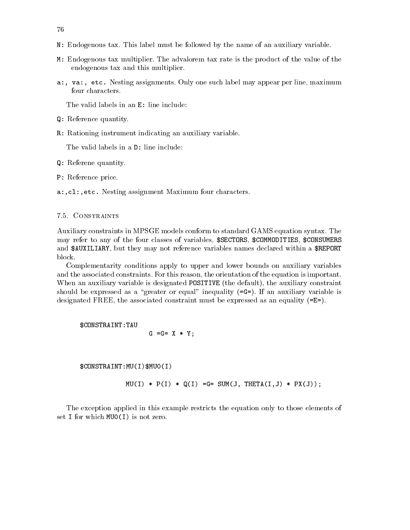- 
- N: Endogenous tax. This label must be followed by the name of an auxiliary variable.
- M: Endogenous tax multiplier. The advalorem tax rate is the product of the value of the endogenous tax and this multiplier.
- a:, va:, etc. Nesting assignments. Only one such label may appear per line, maximum four characters.

The valid labels in an E: line include:

- Q: Reference quantity.
- R: Rationing instrument indicating an auxiliary variable.

The valid labels in a D: line include:

- Q: Referene quantity.
- P: Reference price.
- a:,cl:,etc. Nesting assignment Maximum four characters.

#### 7.5. Constraints

Auxiliary constraints in MPSGE models conform to standard GAMS equation syntax. The may refer to any of the four classes of variables, \$SECTORS, \$COMMODITIES, \$CONSUMERS and \$AUXILIARY, but they may not reference variables names declared within a \$REPORT block.

Complementarity conditions apply to upper and lower bounds on auxiliary variables and the associated constraints. For this reason, the orientation of the equation is important. When an auxiliary variable is designated POSITIVE (the default), the auxiliary constraint should be expressed as a "greater or equal" inequality  $(=G=)$ . If an auxiliary variable is designated FREE, the associated constraint must be expressed as an equality  $(=E=)$ .

\$CONSTRAINT:TAU

$$
G = G = X * Y;
$$

\$CONSTRAINT:MU(I)\$MU0(I)

 $MU(I) * P(I) * Q(I) = G = SUM(J, THETA(I, J) * PX(J));$ 

The exception applied in this example restricts the equation only to those elements of set I for which MU0(I) is not zero.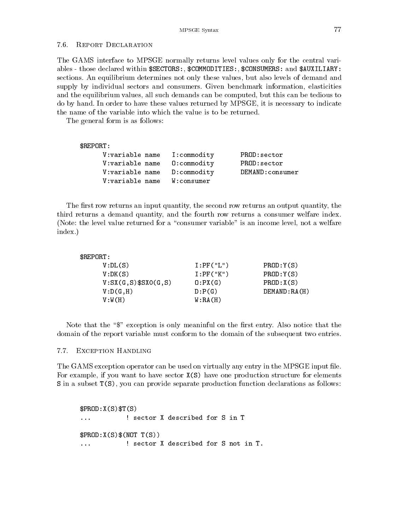The GAMS interface to MPSGE normally returns level values only for the central variables - those declared within \$SECTORS:, \$COMMODITIES:, \$CONSUMERS: and \$AUXILIARY: sections. An equilibrium determines not only these values, but also levels of demand and supply by individual sectors and consumers. Given benchmark information, elasticities and the equilibrium values, all such demands can be computed, but this can be tedious to do by hand. In order to have these values returned by MPSGE, it is necessary to indicate the name of the variable into which the value is to be returned.

The general form is as follows:

| \$REPORT:        |                        |                  |
|------------------|------------------------|------------------|
| V:variable name  | $I:$ commodity         | $PROD:$ sector   |
| V: variable name | $0:$ commodity         | PROD: sector     |
| V: variable name | $D:$ commodity         | DEMAND: consumer |
| V: variable name | $W: \mathtt{consumer}$ |                  |

The first row returns an input quantity, the second row returns an output quantity, the third returns a demand quantity, and the fourth row returns a consumer welfare index. (Note: the level value returned for a "consumer variable" is an income level, not a welfare index.)

| I:PF("L") | PROD:Y(S)    |  |
|-----------|--------------|--|
| I:PF("K") | PROD:Y(S)    |  |
| 0:PX(G)   | PROD: X(S)   |  |
| D: P(G)   | DEMAND:RA(H) |  |
| W:RA(H)   |              |  |
|           |              |  |

Note that the "\$" exception is only meaninful on the first entry. Also notice that the domain of the report variable must conform to the domain of the subsequent two entries.

The GAMS exception operator can be used on virtually any entry in the MPSGE input file. For example, if you want to have sector  $X(S)$  have one production structure for elements S in a subset  $T(S)$ , you can provide separate production function declarations as follows:

```
$PROD: X(S) $T(S)... ! sector X described for S in T
$PROD: X(S)$(NOT T(S))! sector X described for S not in T.
\cdot . .
```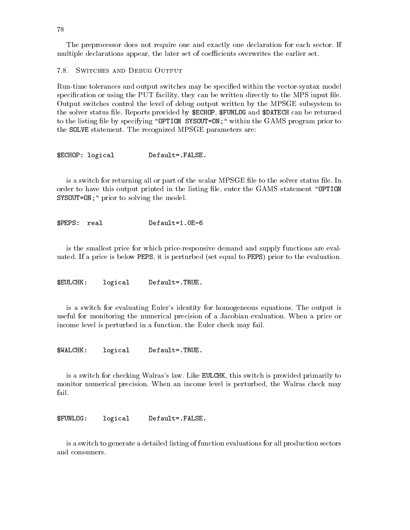The preprocessor does not require one and exactly one declaration for each sector. If multiple declarations appear, the later set of coefficients overwrites the earlier set.

7.8. Switches and Debug Output

Run-time tolerances and output switches may be specied within the vector-syntax model specification or using the PUT facility, they can be written directly to the MPS input file. Output switches control the level of debug output written by the MPSGE subsystem to the solver status file. Reports provided by \$ECHOP, \$FUNLOG and \$DATECH can be returned to the listing file by specifying "OPTION SYSOUT=ON; " within the GAMS program prior to the SOLVE statement. The recognized MPSGE parameters are:

\$ECHOP: logical Default=.FALSE.

is a switch for returning all or part of the scalar MPSGE file to the solver status file. In order to have this output printed in the listing file, enter the GAMS statement "OPTION SYSOUT=ON;" prior to solving the model.

\$PEPS: real  $Default=1.0E-6$  $\ddot{\phantom{1}}$ 

is the smallest price for which price-responsive demand and supply functions are evaluated. If a price is below PEPS, it is perturbed (set equal to PEPS) prior to the evaluation.

\$EULCHK: logical Default=.TRUE.

is a switch for evaluating Euler's identity for homogeneous equations. The output is useful for monitoring the numerical precision of a Jacobian evaluation. When a price or income level is perturbed in a function, the Euler check may fail.

\$WALCHK: logical Default=.TRUE.

is a switch for checking Walras's law. Like EULCHK, this switch is provided primarily to monitor numerical precision. When an income level is perturbed, the Walras check may fail

\$FUNLOG: logical Default=.FALSE.

is a switch to generate a detailed listing of function evaluations for all production sectors and consumers.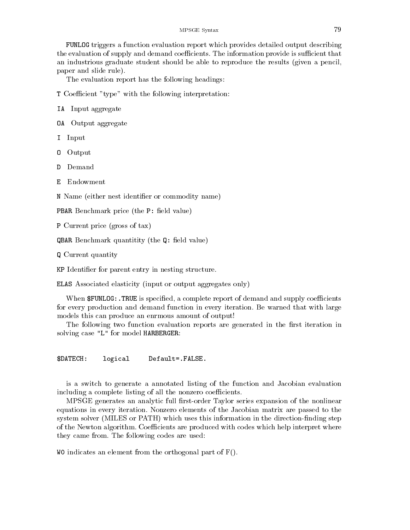FUNLOG triggers a function evaluation report which provides detailed output describing the evaluation of supply and demand coefficients. The information provide is sufficient that an industrious graduate student should be able to reproduce the results (given a pencil, paper and slide rule).

The evaluation report has the following headings:

T Coefficient "type" with the following interpretation:

IA Input aggregate

Output aggregate **OA** 

I Input

O Output

D Demand

 $\mathbf F$ 

N Name (either nest identier or commodity name)

**PBAR** Benchmark price (the P: field value)

P Current price (gross of tax)

**QBAR** Benchmark quantitity (the  $Q$ : field value)

Q Current quantity

KP Identier for parent entry in nesting structure.

ELAS Associated elasticity (input or output aggregates only)

When  $FUNLOG:$ . TRUE is specified, a complete report of demand and supply coefficients for every production and demand function in every iteration. Be warned that with large models this can produce an enrmous amount of output!

The following two function evaluation reports are generated in the first iteration in solving case "L" for model HARBERGER:

\$DATECH: logical Default=.FALSE.

is a switch to generate a annotated listing of the function and Jacobian evaluation including a complete listing of all the nonzero coefficients.

MPSGE generates an analytic full rst-order Taylor series expansion of the nonlinear equations in every iteration. Nonzero elements of the Jacobian matrix are passed to the system solver (MILES or PATH) which uses this information in the direction-finding step of the Newton algorithm. Coefficients are produced with codes which help interpret where they came from. The following codes are used:

WO indicates an element from the orthogonal part of  $F()$ .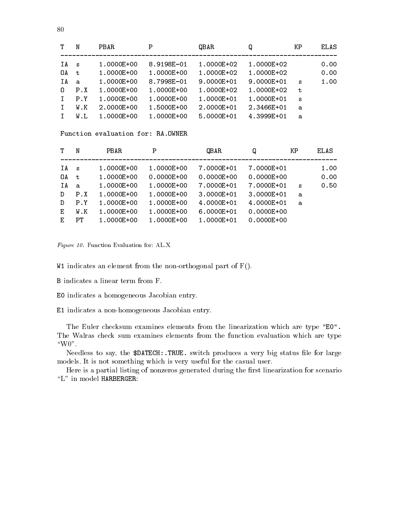|     | N            | PBAR           | P          | QBAR           | Q          | ΚP | ELAS |
|-----|--------------|----------------|------------|----------------|------------|----|------|
| IA. | - S          | 1.0000E+00     | 8.9198E-01 | 1.0000E+02     | 1.0000E+02 |    | 0.00 |
| OA  | $\mathbf t$  | 1.0000E+00     | 1.0000E+00 | 1.0000E+02     | 1.0000E+02 |    | 0.00 |
| ΙA  | $\mathbf{a}$ | 1.0000E+00     | 8.7998E-01 | 9.0000E+01     | 9.0000F+01 | s  | 1.00 |
| 0   | P.X          | 1.0000E+00     | 1.0000E+00 | 1.0000E+02     | 1.0000E+02 | t  |      |
| T.  | P.Y          | $1.0000F + 00$ | 1.0000E+00 | 1.0000E+01     | 1.0000E+01 | s  |      |
| I.  | W.K          | 2.0000E+00     | 1.5000E+00 | 2.0000E+01     | 2.3466E+01 | a  |      |
| I.  | W.L          | $1.0000F + 00$ | 1.0000E+00 | $5.0000F + 01$ | 4.3999F+01 | a  |      |

Function evaluation for: RA.OWNER

|    | N   | <b>PBAR</b> | Ρ              | QBAR           | Q              | ΚP | ELAS |
|----|-----|-------------|----------------|----------------|----------------|----|------|
|    |     |             |                |                |                |    |      |
| ΙA | -S  | 1.0000E+00  | 1.0000E+00     | 7.0000E+01     | 7.0000E+01     |    | 1.00 |
| OΑ | t   | 1.0000E+00  | $0.0000E + 00$ | $0.0000E + 00$ | $0.0000E + 00$ |    | 0.00 |
| ΙA | a   | 1.0000E+00  | 1.0000E+00     | 7.0000E+01     | 7.0000E+01     | s  | 0.50 |
| D  | P.X | 1.0000E+00  | 1.0000E+00     | 3.0000E+01     | 3.0000E+01     | a  |      |
| D  | P Y | 1.0000E+00  | 1.0000E+00     | 4.0000E+01     | 4.0000E+01     | a  |      |
| Е  | W.K | 1.0000F+00  | 1.0000F+00     | $6.0000F + 01$ | $0.0000E + 00$ |    |      |
| Ε  | PТ  | 1.0000E+00  | 1.0000E+00     | 1.0000E+01     | $0.0000E + 00$ |    |      |

Figure 10. Function Evaluation for: AL.X

W1 indicates an element from the non-orthogonal part of  $F()$ .

B indicates a linear term from F.

E0 indicates a homogeneous Jacobian entry.

E1 indicates a non-homogeneous Jacobian entry.

The Euler checksum examines elements from the linearization which are type "E0". The Walras check sum examines elements from the function evaluation which are type " $W0$ ".

Needless to say, the \$DATECH: . TRUE. switch produces a very big status file for large models. It is not something which is very useful for the casual user.

Here is a partial listing of nonzeros generated during the first linearization for scenario "L" in model HARBERGER: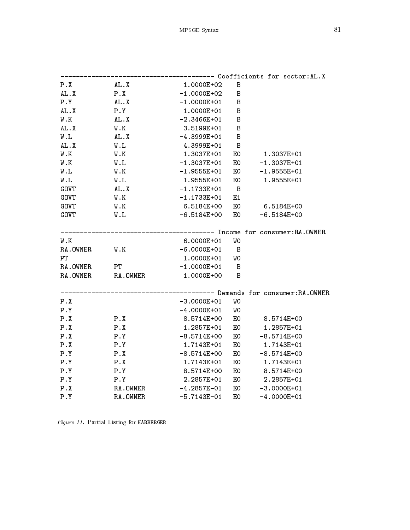|             |          |                 |                | --------- Coefficients for sector:AL.X            |
|-------------|----------|-----------------|----------------|---------------------------------------------------|
| P. X        | AL.X     | 1.0000E+02      | B              |                                                   |
| AL.X        | P.X      | $-1.0000E+02$   | B              |                                                   |
| P. Y        | AL.X     | $-1.0000E+01$   | В              |                                                   |
| AL.X        | P. Y     | 1.0000E+01      | $\, {\bf B}$   |                                                   |
| W.K         | AL.X     | $-2.3466E+01$   | $\, {\bf B}$   |                                                   |
| AL.X        | W.K      | 3.5199E+01      | B              |                                                   |
| W.L         | AL.X     | -4.3999E+01     | $\, {\bf B}$   |                                                   |
| AL.X        | W.L      | 4.3999E+01      | B              |                                                   |
| W.K         | W.K      | 1.3037E+01      | E0             | 1.3037E+01                                        |
| W.K         | W.L      | -1.3037E+01     | E0             | $-1.3037E+01$                                     |
| W.L         | W.K      | $-1.9555E+01$   | E0             | $-1.9555E+01$                                     |
| W.L         | W.L      | 1.9555E+01      | E0             | 1.9555E+01                                        |
| GOVT        | AL.X     | $-1.1733E+01$   | $\overline{B}$ |                                                   |
| GOVT        | W.K      | -1.1733E+01     | E1             |                                                   |
| GOVT        | W.K      | 6.5184E+00      | E0             | 6.5184E+00                                        |
| <b>GOVT</b> | W.L      | $-6.5184E+00$   | E0             | $-6.5184E+00$                                     |
|             |          |                 |                | ----------- Income for consumer: RA. OWNER        |
| W.K         |          | 6.0000E+01      | WО             |                                                   |
| RA.OWNER    | W.K      | $-6.0000E+01$   | $\overline{B}$ |                                                   |
| PI          |          | 1.0000E+01      | <b>WO</b>      |                                                   |
| RA.OWNER    | PT       | $-1.0000E+01$   | $\overline{B}$ |                                                   |
| RA.OWNER    | RA.OWNER | 1.0000E+00      | B              |                                                   |
|             |          |                 |                | ----------------- Demands for consumer: RA. OWNER |
| P.X         |          | $-3.0000E + 01$ | WО             |                                                   |
| P. Y        |          | $-4.0000E+01$   | WO             |                                                   |
| P. X        | P.X      | 8.5714E+00      | E0             | 8.5714E+00                                        |
| P.X         | P.X      | 1.2857E+01      | E0             | 1.2857E+01                                        |
| P.X         | P. Y     | $-8.5714E+00$   | <b>FO</b>      | $-8.5714E+00$                                     |
| P.X         | P. Y     | 1.7143E+01      | E0             | 1.7143E+01                                        |
| P. Y        | P.X      | $-8.5714E+00$   | E0             | $-8.5714E+00$                                     |
| P. Y        | P.X      | 1.7143E+01      | E0             | 1.7143E+01                                        |
| P. Y        | P. Y     | 8.5714E+00      | E0             | 8.5714E+00                                        |
| P. Y        | P. Y     | 2.2857E+01      | E0             | 2.2857E+01                                        |
| P.X         | RA.OWNER | $-4.2857E-01$   | E0             | $-3.0000E + 01$                                   |
| P. Y        | RA.OWNER | $-5.7143E-01$   | E0             | $-4.0000E+01$                                     |

Figure 11. Partial Listing for HARBERGER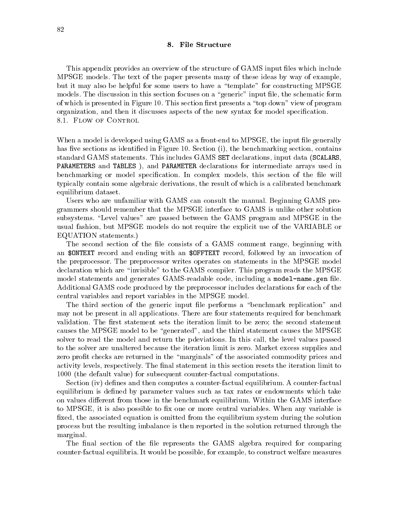This appendix provides an overview of the structure of GAMS input files which include MPSGE models. The text of the paper presents many of these ideas by way of example, but it may also be helpful for some users to have a \template" for constructing MPSGE models. The discussion in this section focuses on a "generic" input file, the schematic form of which is presented in Figure 10. This section first presents a "top down" view of program organization, and then it discusses aspects of the new syntax for model specication. 8.1. Flow of Control

When a model is developed using GAMS as a front-end to MPSGE, the input file generally has five sections as identified in Figure 10. Section  $(i)$ , the benchmarking section, contains standard GAMS statements. This includes GAMS SET declarations, input data (SCALARS, PARAMETERS and TABLES ), and PARAMETER declarations for intermediate arrays used in benchmarking or model specification. In complex models, this section of the file will typically contain some algebraic derivations, the result of which is a calibrated benchmark equilibrium dataset.

Users who are unfamiliar with GAMS can consult the manual. Beginning GAMS programmers should remember that the MPSGE interface to GAMS is unlike other solution subsystems. "Level values" are passed between the GAMS program and MPSGE in the usual fashion, but MPSGE models do not require the explicit use of the VARIABLE or EQUATION statements.)

The second section of the file consists of a GAMS comment range, beginning with an \$ONTEXT record and ending with an \$OFFTEXT record, followed by an invocation of the preprocessor. The preprocessor writes operates on statements in the MPSGE model declaration which are \invisible" to the GAMS compiler. This program reads the MPSGE model statements and generates GAMS-readable code, including a model-name.gen file. Additional GAMS code produced by the preprocessor includes declarations for each of the central variables and report variables in the MPSGE model.

The third section of the generic input file performs a "benchmark replication" and may not be present in all applications. There are four statements required for benchmark validation. The first statement sets the iteration limit to be zero; the second statement causes the MPSGE model to be "generated", and the third statement causes the MPSGE solver to read the model and return the pdeviations. In this call, the level values passed to the solver are unaltered because the iteration limit is zero. Market excess supplies and zero profit checks are returned in the "marginals" of the associated commodity prices and activity levels, respectively. The final statement in this section resets the iteration limit to 1000 (the default value) for subsequent counter-factual computations.

Section (iv) defines and then computes a counter-factual equilibrium. A counter-factual equilibrium is defined by parameter values such as tax rates or endowments which take on values different from those in the benchmark equilibrium. Within the GAMS interface to MPSGE, it is also possible to fix one or more central variables. When any variable is fixed, the associated equation is omitted from the equilibrium system during the solution process but the resulting imbalance is then reported in the solution returned through the marginal.

The final section of the file represents the GAMS algebra required for comparing counter-factual equilibria. It would be possible, for example, to construct welfare measures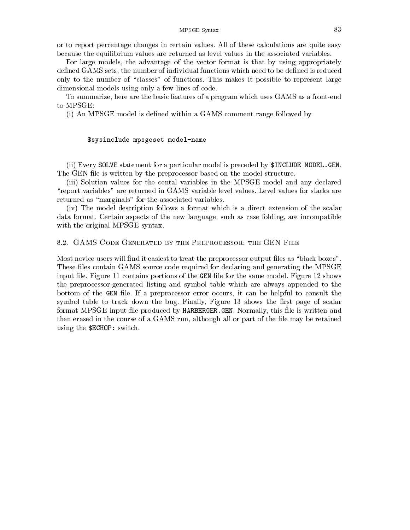or to report percentage changes in certain values. All of these calculations are quite easy because the equilibrium values are returned as level values in the associated variables.

For large models, the advantage of the vector format is that by using appropriately defined GAMS sets, the number of individual functions which need to be defined is reduced only to the number of "classes" of functions. This makes it possible to represent large dimensional models using only a few lines of code.

To summarize, here are the basic features of a program which uses GAMS as a front-end to MPSGE:

(i) An MPSGE model is defined within a GAMS comment range followed by

#### \$sysinclude mpsgeset model-name

(ii) Every SOLVE statement for a particular model is preceded by \$INCLUDE MODEL.GEN. The GEN file is written by the preprocessor based on the model structure.

(iii) Solution values for the cental variables in the MPSGE model and any declared \report variables" are returned in GAMS variable level values. Level values for slacks are returned as "marginals" for the associated variables.

(iv) The model description follows a format which is a direct extension of the scalar data format. Certain aspects of the new language, such as case folding, are incompatible with the original MPSGE syntax.

### 8.2. GAMS Code Generated by the Preprocessor: the GEN File

Most novice users will find it easiest to treat the preprocessor output files as "black boxes". These files contain GAMS source code required for declaring and generating the MPSGE input file. Figure 11 contains portions of the GEN file for the same model. Figure 12 shows the preprocessor-generated listing and symbol table which are always appended to the bottom of the GEN file. If a preprocessor error occurs, it can be helpful to consult the symbol table to track down the bug. Finally, Figure 13 shows the first page of scalar format MPSGE input file produced by **HARBERGER.GEN**. Normally, this file is written and then erased in the course of a GAMS run, although all or part of the file may be retained using the \$ECHOP: switch.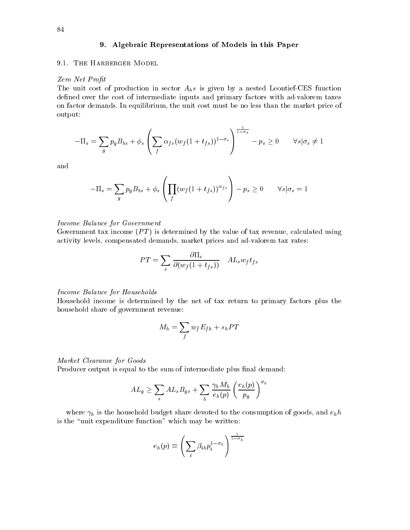## 9. Algebraic Representations of Models in this Paper

#### 9.1. THE HARBERGER MODEL

#### Zero Net Profit

The unit cost of production in sector  $A_h s$  is given by a nested Leontief-CES function defined over the cost of intermediate inputs and primary factors with ad-valorem taxes on factor demands. In equilibrium, the unit cost must be no less than the market price of output:

$$
-\Pi_s = \sum_g p_g B_{bs} + \phi_s \left( \sum_f \alpha_{fs} (w_f (1+t_{fs}))^{1-\sigma_s} \right)^{\frac{1}{1-\sigma_s}} - p_s \ge 0 \qquad \forall s | \sigma_s \ne 1
$$

and

$$
-\Pi_s = \sum_g p_g B_{bs} + \phi_s \left( \prod_f (w_f (1+t_{fs}))^{\alpha_{fs}} \right) - p_s \ge 0 \qquad \forall s | \sigma_s = 1
$$

#### Income Balance for Government

Government tax income  $(PT)$  is determined by the value of tax revenue, calculated using activity levels, compensated demands, market prices and ad-valorem tax rates:

$$
PT = \sum_{s} \frac{\partial \Pi_{s}}{\partial (w_{f}(1+t_{fs}))} \quad AL_{s}w_{f}t_{fs}
$$

#### Income Balance for Households

Household income is determined by the net of tax return to primary factors plus the household share of government revenue:

$$
M_h=\sum_f w_f E_{fh}+s_hPT
$$

#### Market Clearance for Goods

Producer output is equal to the sum of intermediate plus final demand:

$$
A L_g \geq \sum_s A L_s B_{gs} + \sum_h \frac{\gamma_h M_h}{e_h(p)} \left(\frac{e_h(p)}{p_g}\right)^{\sigma_h}
$$

where  $\gamma_h$  is the household budget share devoted to the consumption of goods, and  $e_h h$ is the "unit expenditure function" which may be written:

$$
e_h(p) \equiv \left(\sum_i \beta_{ih} p_i^{1-\sigma_h}\right)^{\frac{1}{1-\sigma_h}}
$$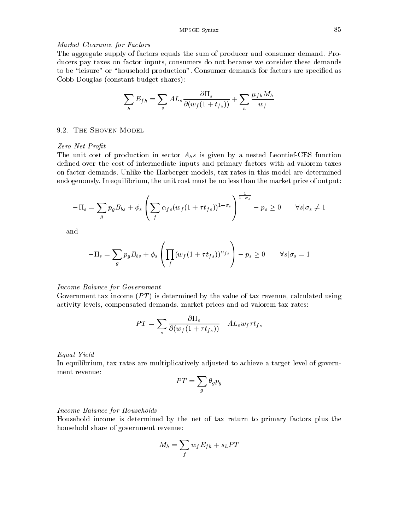#### Market Clearance for Factors

The aggregate supply of factors equals the sum of producer and consumer demand. Producers pay taxes on factor inputs, consumers do not because we consider these demands to be "leisure" or "household production". Consumer demands for factors are specified as Cobb-Douglas (constant budget shares):

$$
\sum_h E_{fh} = \sum_s AL_s \frac{\partial \Pi_s}{\partial (w_f(1+t_{fs}))} + \sum_h \frac{\mu_{fh} M_h}{w_f}
$$

### 9.2. THE SHOVEN MODEL

#### Zero Net Profit

The unit cost of production in sector  $A_h s$  is given by a nested Leontief-CES function defined over the cost of intermediate inputs and primary factors with ad-valorem taxes on factor demands. Unlike the Harberger models, tax rates in this model are determined endogenously. In equilibrium, the unit cost must be no less than the market price of output:

$$
-\Pi_s = \sum_g p_g B_{bs} + \phi_s \left( \sum_f \alpha_{fs} (w_f (1 + \tau t_{fs}))^{1-\sigma_s} \right)^{\frac{1}{1-\sigma_s}} - p_s \ge 0 \qquad \forall s |\sigma_s \ne 1
$$

and

$$
-\Pi_s = \sum_g p_g B_{bs} + \phi_s \left( \prod_f (w_f (1 + \tau t_{fs}))^{\alpha_{fs}} \right) - p_s \ge 0 \qquad \forall s | \sigma_s = 1
$$

#### Income Balance for Government

Government tax income  $(PT)$  is determined by the value of tax revenue, calculated using activity levels, compensated demands, market prices and ad-valorem tax rates:

$$
PT = \sum_{s} \frac{\partial \Pi_{s}}{\partial (w_{f}(1 + \tau t_{fs}))} \quad A L_{s} w_{f} \tau t_{fs}
$$

Equal Yield

In equilibrium, tax rates are multiplicatively adjusted to achieve a target level of government revenue:

$$
PT=\sum_g \theta_g p_g
$$

#### Income Balance for Households

Household income is determined by the net of tax return to primary factors plus the household share of government revenue:

$$
M_h = \sum_f w_f E_{fh} + s_h PT
$$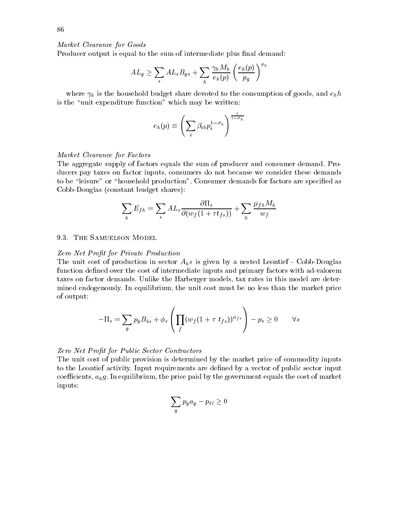### Market Clearance for Goods

Producer output is equal to the sum of intermediate plus final demand:

$$
AL_g \geq \sum_s AL_sB_{gs} + \sum_h \frac{\gamma_h M_h}{e_h(p)} \left(\frac{e_h(p)}{p_g}\right)^{\sigma_h}
$$

where  $\gamma_h$  is the household budget share devoted to the consumption of goods, and  $e_h h$ is the "unit expenditure function" which may be written:

$$
e_h(p) \equiv \left( \sum_i \beta_{ih} p_i^{1-\sigma_h} \right)^{\frac{1}{1-\sigma_h}}
$$

#### Market Clearance for Factors

The aggregate supply of factors equals the sum of producer and consumer demand. Producers pay taxes on factor inputs, consumers do not because we consider these demands to be "leisure" or "household production". Consumer demands for factors are specified as Cobb-Douglas (constant budget shares):

$$
\sum_h E_{fh} = \sum_s AL_s \frac{\partial \Pi_s}{\partial (w_f(1 + \tau t_{fs}))} + \sum_h \frac{\mu_{fh} M_h}{w_f}
$$

#### 9.3. The Samuelson Model

#### Zero Net Profit for Private Production

The unit cost of production in sector  $A_h s$  is given by a nested Leontief - Cobb-Douglas function defined over the cost of intermediate inputs and primary factors with ad-valorem taxes on factor demands. Unlike the Harberger models, tax rates in this model are determined endogenously. In equilibrium, the unit cost must be no less than the market price of output:

$$
-\Pi_s = \sum_g p_g B_{bs} + \phi_s \left( \prod_f (w_f (1 + \tau \ t_{fs}))^{\alpha_{fs}} \right) - p_s \ge 0 \qquad \forall s
$$

#### Zero Net Profit for Public Sector Contractors

The unit cost of public provision is determined by the market price of commodity inputs to the Leontief activity. Input requirements are defined by a vector of public sector input coefficients,  $a_h g$ . In equilibrium, the price paid by the government equals the cost of market inputs:

$$
\sum_g p_g a_g - p_G \geq 0
$$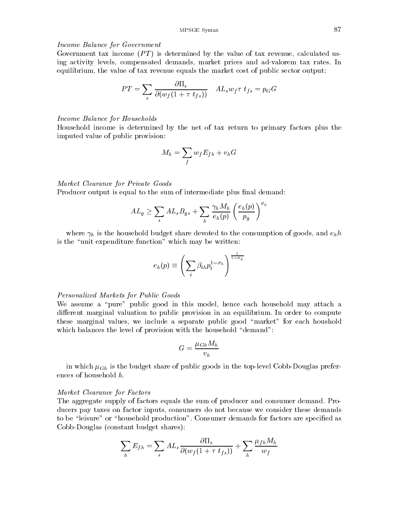## Income Balance for Government

Government tax income  $(PT)$  is determined by the value of tax revenue, calculated using activity levels, compensated demands, market prices and ad-valorem tax rates. In equilibrium, the value of tax revenue equals the market cost of public sector output:

$$
PT = \sum_{s} \frac{\partial \Pi_{s}}{\partial (w_{f}(1 + \tau \ t_{fs}))} \quad A L_{s} w_{f} \tau \ t_{fs} = p_{G} G
$$

#### Income Balance for Households

Household income is determined by the net of tax return to primary factors plus the imputed value of public provision:

$$
M_h=\sum_f w_f E_{fh}+v_h G
$$

#### Market Clearance for Private Goods

Producer output is equal to the sum of intermediate plus final demand:

$$
A L_g \geq \sum_s A L_s B_{gs} + \sum_h \frac{\gamma_h M_h}{e_h(p)} \left(\frac{e_h(p)}{p_g}\right)^{\sigma_h}
$$

where  $\gamma_h$  is the household budget share devoted to the consumption of goods, and  $e_h h$ is the "unit expenditure function" which may be written:

$$
e_h(p) \equiv \left(\sum_i \beta_{ih} p_i^{1-\sigma_h}\right)^{\frac{1}{1-\sigma_h}}
$$

#### Personalized Markets for Public Goods

We assume a "pure" public good in this model, hence each household may attach a different marginal valuation to public provision in an equilibrium. In order to compute these marginal values, we include a separate public good "market" for each houshold which balances the level of provision with the household "demand":

$$
G=\frac{\mu_{Gh}M_h}{v_h}
$$

in which  $\mu_{Gh}$  is the budget share of public goods in the top-level Cobb-Douglas preferences of household h.

#### Market Clearance for Factors

The aggregate supply of factors equals the sum of producer and consumer demand. Producers pay taxes on factor inputs, consumers do not because we consider these demands to be "leisure" or "household production". Consumer demands for factors are specified as Cobb-Douglas (constant budget shares):

$$
\sum_{h} E_{fh} = \sum_{s} AL_{s} \frac{\partial \Pi_{s}}{\partial (w_{f}(1+\tau \ t_{fs}))} + \sum_{h} \frac{\mu_{fh} M_{h}}{w_{f}}
$$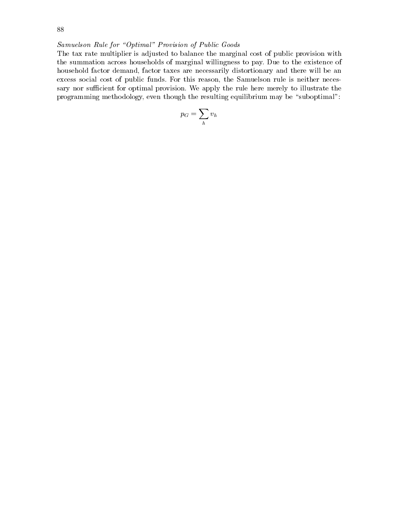## Samuelson Rule for "Optimal" Provision of Public Goods

The tax rate multiplier is adjusted to balance the marginal cost of public provision with the summation across households of marginal willingness to pay. Due to the existence of household factor demand, factor taxes are necessarily distortionary and there will be an excess social cost of public funds. For this reason, the Samuelson rule is neither necessary nor sufficient for optimal provision. We apply the rule here merely to illustrate the programming methodology, even though the resulting equilibrium may be "suboptimal":

$$
p_G = \sum_h v_h
$$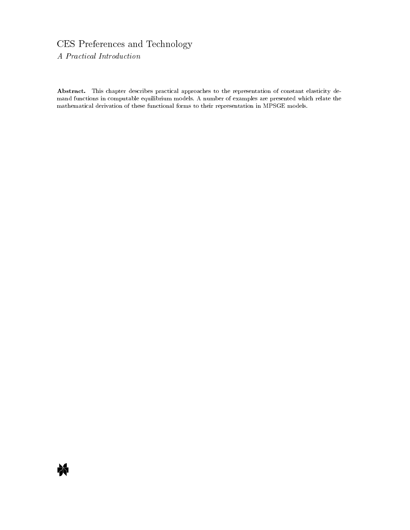# CES Preferences and Technology

A Practical Introduction

Abstract. This chapter describes practical approaches to the representation of constant elasticity demand functions in computable equilibrium models. A number of examples are presented which relate the mathematical derivation of these functional forms to their representation in MPSGE models.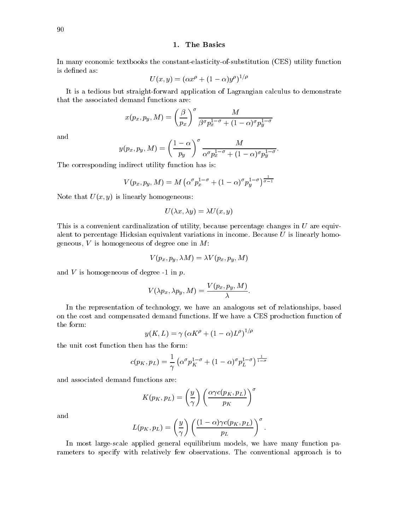### 1. The Basics

In many economic textbooks the constant-elasticity-of-substitution (CES) utility function is defined as:

$$
U(x,y)=(\alpha x^{\rho}+(1-\alpha)y^{\rho})^{1/\rho}
$$

It is a tedious but straight-forward application of Lagrangian calculus to demonstrate that the associated demand functions are:

$$
x(p_x, p_y, M) = \left(\frac{\beta}{p_x}\right)^{\sigma} \frac{M}{\beta^{\sigma} p_x^{1-\sigma} + (1-\alpha)^{\sigma} p_y^{1-\sigma}}
$$

and

$$
y(p_x, p_y, M) = \left(\frac{1-\alpha}{p_y}\right)^{\sigma} \frac{M}{\alpha^{\sigma} p_x^{1-\sigma} + (1-\alpha)^{\sigma} p_y^{1-\sigma}}.
$$

The corresponding indirect utility function has is:

$$
V(p_x, p_y, M) = M\left(\alpha^{\sigma} p_x^{1-\sigma} + (1-\alpha)^{\sigma} p_y^{1-\sigma}\right)^{\frac{1}{\sigma-1}}
$$

Note that  $U(x, y)$  is linearly homogeneous:

$$
U(\lambda x, \lambda y) = \lambda U(x, y)
$$

This is a convenient cardinalization of utility, because percentage changes in  $U$  are equivalent to percentage Hicksian equivalent variations in income. Because  $U$  is linearly homogeneous,  $V$  is homogeneous of degree one in  $M$ :

$$
V(p_x, p_y, \lambda M) = \lambda V(p_x, p_y, M)
$$

and  $V$  is homogeneous of degree -1 in  $p$ .

$$
V(\lambda p_x, \lambda p_y, M) = \frac{V(p_x, p_y, M)}{\lambda}.
$$

In the representation of technology, we have an analogous set of relationships, based on the cost and compensated demand functions. If we have a CES production function of the form:

$$
y(K,L) = \gamma (\alpha K^{\rho} + (1-\alpha)L^{\rho})^{1/\rho}
$$

the unit cost function then has the form:

$$
c(p_K, p_L) = \frac{1}{\gamma} \left( \alpha^{\sigma} p_K^{1-\sigma} + (1-\alpha)^{\sigma} p_L^{1-\sigma} \right)^{\frac{1}{1-\sigma}}
$$

and associated demand functions are:

$$
K(p_K, p_L) = \left(\frac{y}{\gamma}\right) \left(\frac{\alpha \gamma c(p_K, p_L)}{p_K}\right)^{\sigma}
$$

and

$$
L(p_K, p_L) = \left(\frac{y}{\gamma}\right) \left(\frac{(1-\alpha)\gamma c(p_K, p_L)}{p_L}\right)^{\sigma}.
$$

In most large-scale applied general equilibrium models, we have many function parameters to specify with relatively few observations. The conventional approach is to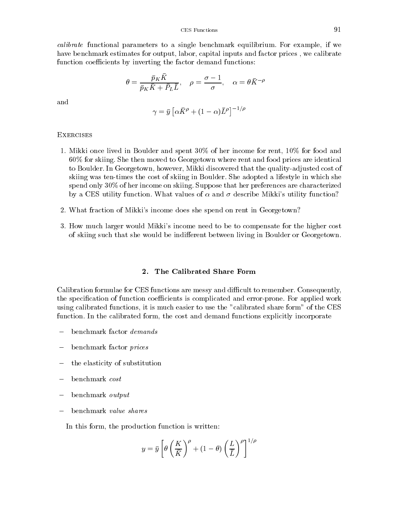calibrate functional parameters to a single benchmark equilibrium. For example, if we have benchmark estimates for output, labor, capital inputs and factor prices , we calibrate function coefficients by inverting the factor demand functions:

$$
\theta = \frac{\bar{p}_K \bar{K}}{\bar{p}_K \bar{K} + \bar{P}_L \bar{L}}, \quad \rho = \frac{\sigma - 1}{\sigma}, \quad \alpha = \theta \bar{K}^{-\rho}
$$

and

$$
\gamma = \bar{y} \left[ \alpha \bar{K}^{\rho} + (1 - \alpha) \bar{L}^{\rho} \right]^{-1/\rho}
$$

#### **EXERCISES**

- 1. Mikki once lived in Boulder and spent 30% of her income for rent, 10% for food and 60% for skiing. She then moved to Georgetown where rent and food prices are identical to Boulder. In Georgetown, however, Mikki discovered that the quality-adjusted cost of skiing was ten-times the cost of skiing in Boulder. She adopted a lifestyle in which she spend only 30% of her income on skiing. Suppose that her preferences are characterized by a CES utility function. What values of  $\alpha$  and  $\sigma$  describe Mikki's utility function?
- 2. What fraction of Mikki's income does she spend on rent in Georgetown?
- 3. How much larger would Mikki's income need to be to compensate for the higher cost of skiing such that she would be indierent between living in Boulder or Georgetown.

#### 2. The Calibrated Share Form

Calibration formulae for CES functions are messy and difficult to remember. Consequently, the specification of function coefficients is complicated and error-prone. For applied work using calibrated functions, it is much easier to use the "calibrated share form" of the CES function. In the calibrated form, the cost and demand functions explicitly incorporate

- benchmark factor demands
- benchmark factor prices
- ═ the elasticity of substitution
- benchmark cost
- benchmark output
- benchmark value shares

In this form, the production function is written:

$$
y = \bar{y} \left[ \theta \left( \frac{K}{\bar{K}} \right)^{\rho} + (1 - \theta) \left( \frac{L}{\bar{L}} \right)^{\rho} \right]^{1/\rho}
$$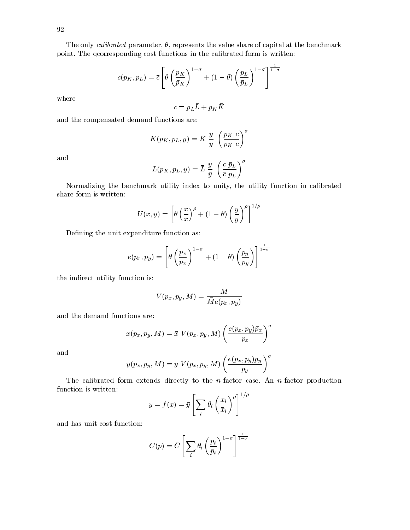The only *calibrated* parameter,  $\theta$ , represents the value share of capital at the benchmark point. The qcorresponding cost functions in the calibrated form is written:

$$
c(p_K, p_L) = \bar{c} \left[ \theta \left( \frac{p_K}{\bar{p}_K} \right)^{1-\sigma} + (1-\theta) \left( \frac{p_L}{\bar{p}_L} \right)^{1-\sigma} \right]^{\frac{1}{1-\sigma}}
$$

where

$$
\bar{c}=\bar{p}_L\bar{L}+\bar{p}_K\bar{K}
$$

and the compensated demand functions are:

$$
K(p_K,p_L,y)=\bar{K}~\frac{y}{\bar{y}}~\left(\frac{\bar{p}_K~c}{p_K~\bar{c}}\right)^\sigma
$$

and

$$
L(p_K,p_L,y)=\bar{L}~\frac{y}{\bar{y}}~\left(\frac{c~\bar{p}_L}{\bar{c}~p_L}\right)^\sigma
$$

Normalizing the benchmark utility index to unity, the utility function in calibrated share form is written:

$$
U(x,y) = \left[\theta \left(\frac{x}{\bar{x}}\right)^{\rho} + (1-\theta) \left(\frac{y}{\bar{y}}\right)^{\rho}\right]^{1/\rho}
$$

Defining the unit expenditure function as:

$$
e(p_x,p_y) = \left[\theta\left(\frac{p_x}{\bar{p}_x}\right)^{1-\sigma} + (1-\theta)\left(\frac{p_y}{\bar{p}_y}\right)\right]^{\frac{1}{1-\sigma}}
$$

the indirect utility function is:

$$
V(p_x,p_y,M)=\frac{M}{\bar{M}e(p_x,p_y)}
$$

and the demand functions are:

$$
x(p_x,p_y,M)=\bar{x}\,\,V(p_x,p_y,M)\left(\frac{e(p_x,p_y)\bar{p}_x}{p_x}\right)^\sigma
$$

and

$$
y(p_x, p_y, M) = \bar{y} V(p_x, p_y, M) \left( \frac{e(p_x, p_y) \bar{p}_y}{p_y} \right)^{\sigma}
$$

The calibrated form extends directly to the *n*-factor case. An *n*-factor production function is written:  $\overline{1}$ 

$$
y = f(x) = \bar{y} \left[ \sum_{i} \theta_{i} \left( \frac{x_{i}}{\bar{x}_{i}} \right)^{\rho} \right]^{1/\rho}
$$

and has unit cost function:

$$
C(p) = \bar{C} \left[ \sum_{i} \theta_{i} \left( \frac{p_{i}}{\bar{p}_{i}} \right)^{1-\sigma} \right]^{\frac{1}{1-\sigma}}
$$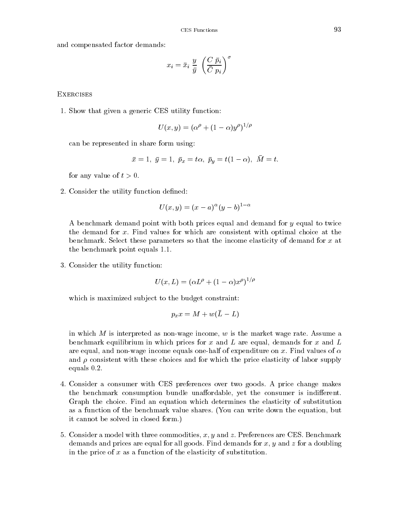and compensated factor demands:

$$
x_i = \bar{x}_i \; \frac{y}{\bar{y}} \; \left( \frac{C \; \bar{p}_i}{\bar{C} \; p_i} \right)^o
$$

1. Show that given a generic CES utility function:

$$
U(x, y) = (\alpha^{\rho} + (1 - \alpha)y^{\rho})^{1/\rho}
$$

can be represented in share form using:

$$
\bar x=1, \ \bar y=1, \ \bar p_x=t\alpha, \ \bar p_y=t(1-\alpha), \ \bar M=t.
$$

for any value of  $t > 0$ .

2. Consider the utility function defined:

$$
U(x,y)=(x-a)^{\alpha}(y-b)^{1-\alpha}
$$

A benchmark demand point with both prices equal and demand for y equal to twice the demand for x. Find values for which are consistent with optimal choice at the benchmark. Select these parameters so that the income elasticity of demand for x at the benchmark point equals 1.1.

3. Consider the utility function:

$$
U(x,L) = (\alpha L^{\rho} + (1-\alpha)x^{\rho})^{1/\rho}
$$

which is maximized subject to the budget constraint:

$$
p_x x = M + w(\bar{L} - L)
$$

in which  $M$  is interpreted as non-wage income,  $w$  is the market wage rate. Assume a benchmark equilibrium in which prices for  $x$  and  $L$  are equal, demands for  $x$  and  $L$ are equal, and non-wage income equals one-half of expenditure on x. Find values of  $\alpha$ and  $\rho$  consistent with these choices and for which the price elasticity of labor supply equals 0.2.

- 4. Consider a consumer with CES preferences over two goods. A price change makes the benchmark consumption bundle unaffordable, yet the consumer is indifferent. Graph the choice. Find an equation which determines the elasticity of substitution as a function of the benchmark value shares. (You can write down the equation, but it cannot be solved in closed form.)
- 5. Consider a model with three commodities,  $x, y$  and  $z$ . Preferences are CES. Benchmark demands and prices are equal for all goods. Find demands for  $x, y$  and  $z$  for a doubling in the price of  $x$  as a function of the elasticity of substitution.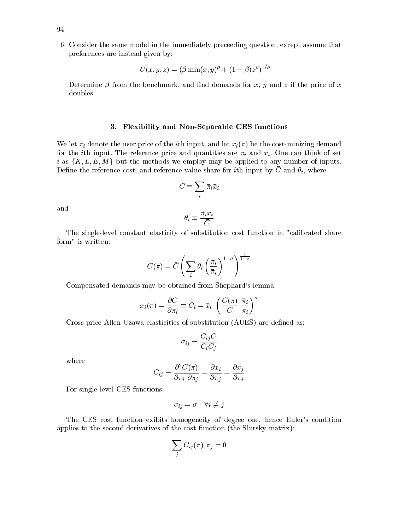6. Consider the same model in the immediately preceeding question, except assume that preferences are instead given by:

$$
U(x, y, z) = (\beta \min(x, y)^{\rho} + (1 - \beta) z^{\rho})^{1/\rho}
$$

Determine  $\beta$  from the benchmark, and find demands for x, y and z if the price of x doubles.

#### 3. Flexibility and Non-Separable CES functions

We let  $\pi_i$  denote the user price of the *i*th input, and let  $x_i(\pi)$  be the cost-minizing demand for the *i*th input. The reference price and quantities are  $\bar{\pi}_i$  and  $\bar{x}_i$ . One can think of set i as  $\{K, L, E, M\}$  but the methods we employ may be applied to any number of inputs. Define the reference cost, and reference value share for  $\iota$ th input by  $C$  and  $v_i$ , where

$$
\bar{C} \equiv \sum_i \bar{\pi}_i \bar{x}_i
$$

and

$$
\theta_i \equiv \frac{\pi_i \bar{x}_i}{\bar{C}}
$$

The single-level constant elasticity of substitution cost function in "calibrated share form" is written:

$$
C(\pi) = \bar{C} \left( \sum_i \theta_i \left( \frac{\pi_i}{\bar{\pi}_i} \right)^{1-\sigma} \right)^{\frac{1}{1-\sigma}}
$$

Compensated demands may be obtained from Shephard's lemma:

$$
x_i(\pi) = \frac{\partial C}{\partial \pi_i} \equiv C_i = \bar{x}_i \; \left( \frac{C(\pi)}{\bar{C}} \; \frac{\bar{\pi}_i}{\pi_i} \right)^{\sigma}
$$

Cross-price Allen-Uzawa elasticities of substitution (AUES) are defined as:

$$
\sigma_{ij} \equiv \frac{C_{ij}C}{C_iC_j}
$$

where

$$
C_{ij} \equiv \frac{\partial^2 C(\pi)}{\partial \pi_i \; \partial \pi_j} = \frac{\partial x_i}{\partial \pi_j} = \frac{\partial x_j}{\partial \pi_i}
$$

For single-level CES functions:

$$
\sigma_{ij} = \sigma \quad \forall i \neq j
$$

The CES cost function exibits homogeneity of degree one, hence Euler's condition applies to the second derivatives of the cost function (the Slutsky matrix):

$$
\sum_j C_{ij}(\pi)\,\,\pi_j=0
$$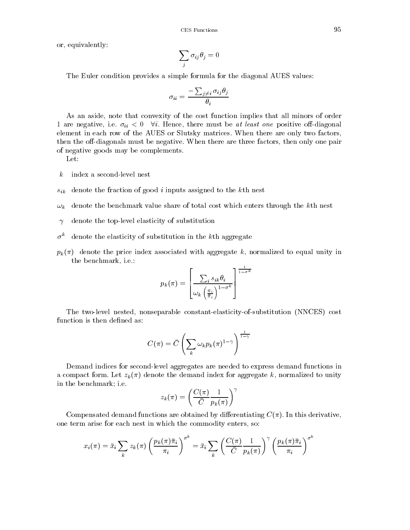or, equivalently:

$$
\sum_j \sigma_{ij} \theta_j = 0
$$

The Euler condition provides a simple formula for the diagonal AUES values:

$$
\sigma_{ii} = \frac{-\sum_{j\neq i}\sigma_{ij}\theta_j}{\theta_i}
$$

As an aside, note that convexity of the cost function implies that all minors of order 1 are negative, i.e.  $\sigma_{ii} < 0 \quad \forall i$ . Hence, there must be *at least one* positive off-diagonal element in each row of the AUES or Slutsky matrices. When there are only two factors, then the off-diagonals must be negative. When there are three factors, then only one pair of negative goods may be complements.

Let:

 $\boldsymbol{k}$ index a second-level nest

- $s_{ik}$  denote the fraction of good *i* inputs assigned to the kth nest
- $\omega_k$  denote the benchmark value share of total cost which enters through the kth nest
- $\gamma$  denote the top-level elasticity of substitution
- $\sigma^k$  denote the elasticity of substitution in the kth aggregate
- $p_k(\pi)$  denote the price index associated with aggregate k, normalized to equal unity in the benchmark, i.e.:

$$
p_k(\pi) = \left[ \frac{\sum_i s_{ik} \theta_i}{\omega_k \left( \frac{\pi_i}{\bar{\pi}_i} \right)^{1 - \sigma^k}} \right]^{\frac{1}{1 - \sigma^k}}
$$

The two-level nested, nonseparable constant-elasticity-of-substitution (NNCES) cost function is then defined as:

$$
C(\pi) = \bar{C} \left( \sum_k \omega_k p_k(\pi)^{1-\gamma} \right)^{\frac{1}{1-\gamma}}
$$

Demand indices for second-level aggregates are needed to express demand functions in a compact form. Let  $z_k(\pi)$  denote the demand index for aggregate k, normalized to unity in the benchmark; i.e.

$$
z_k(\pi)=\left(\frac{C(\pi)}{\bar{C}}\frac{1}{p_k(\pi)}\right)^{\gamma}
$$

Compensated demand functions are obtained by differentiating  $C(\pi)$ . In this derivative, one term arise for each nest in which the commodity enters, so:

$$
x_i(\pi) = \bar{x}_i \sum_k z_k(\pi) \left(\frac{p_k(\pi)\bar{\pi}_i}{\pi_i}\right)^{\sigma^k} = \bar{x}_i \sum_k \left(\frac{C(\pi)}{\bar{C}} \frac{1}{p_k(\pi)}\right)^{\gamma} \left(\frac{p_k(\pi)\bar{\pi}_i}{\pi_i}\right)^{\sigma^k}
$$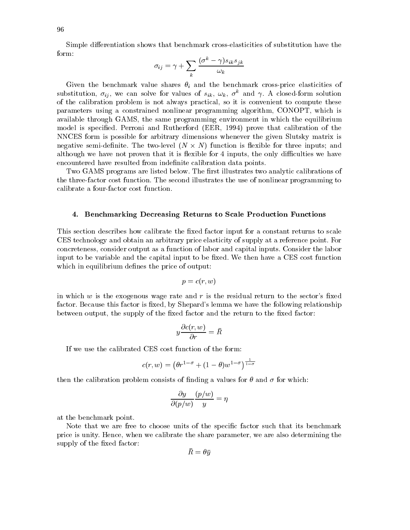Simple differentiation shows that benchmark cross-elasticities of substitution have the form:

$$
\sigma_{ij} = \gamma + \sum_{k} \frac{(\sigma^k - \gamma)s_{ik}s_{jk}}{\omega_k}
$$

Given the benchmark value shares  $\theta_i$  and the benchmark cross-price elasticities of substitution,  $\sigma_{ij}$ , we can solve for values of  $s_{ik}$ ,  $\omega_k$ ,  $\sigma^k$  and  $\gamma$ . A closed-form solution of the calibration problem is not always practical, so it is convenient to compute these parameters using a constrained nonlinear programming algorithm, CONOPT, which is available through GAMS, the same programming environment in which the equilibrium model is specied. Perroni and Rutherford (EER, 1994) prove that calibration of the NNCES form is possible for arbitrary dimensions whenever the given Slutsky matrix is negative semi-definite. The two-level ( $N \times N$ ) function is flexible for three inputs; and although we have not proven that it is flexible for  $4$  inputs, the only difficulties we have encountered have resulted from indefinite calibration data points.

Two GAMS programs are listed below. The first illustrates two analytic calibrations of the three-factor cost function. The second illustrates the use of nonlinear programming to calibrate a four-factor cost function.

#### 4. Benchmarking Decreasing Returns to Scale Production Functions

This section describes how calibrate the fixed factor input for a constant returns to scale CES technology and obtain an arbitrary price elasticity of supply at a reference point. For concreteness, consider output as a function of labor and capital inputs. Consider the labor input to be variable and the capital input to be fixed. We then have a CES cost function which in equilibrium defines the price of output:

$$
p=c(r,w)
$$

in which  $w$  is the exogenous wage rate and  $r$  is the residual return to the sector's fixed factor. Because this factor is fixed, by Shepard's lemma we have the following relationship between output, the supply of the fixed factor and the return to the fixed factor:

$$
y\frac{\partial c(r,w)}{\partial r}=\bar{R}
$$

If we use the calibrated CES cost function of the form:

$$
c(r,w)=\left(\theta r^{1-\sigma}+(1-\theta)w^{1-\sigma}\right)^{\frac{1}{1-\sigma}}
$$

then the calibration problem consists of finding a values for  $\theta$  and  $\sigma$  for which:

$$
\frac{\partial y}{\partial (p/w)} \frac{(p/w)}{y} = \eta
$$

at the benchmark point.

Note that we are free to choose units of the specific factor such that its benchmark price is unity. Hence, when we calibrate the share parameter, we are also determining the supply of the fixed factor:

$$
\bar{R}=\theta \bar{y}
$$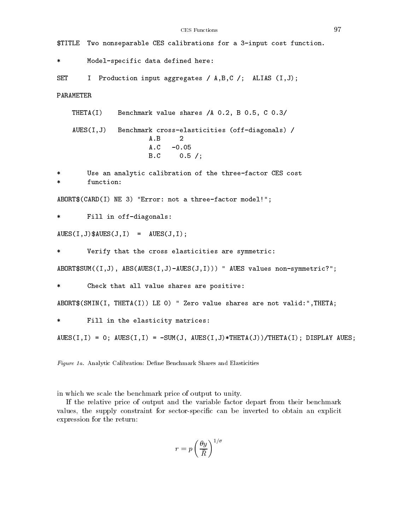\$TITLE Two nonseparable CES calibrations for a 3-input cost function.  $\ast$ Model-specific data defined here: SET I Production input aggregates / A, B, C /; ALIAS (I, J); **PARAMETER** THETA(I) Benchmark value shares /A 0.2, B 0.5, C 0.3/ AUES(I,J) Benchmark cross-elasticities (off-diagonals) /  $B.C$  $0.5 /$ Use an analytic calibration of the three-factor CES cost  $\ast$ function: ABORT\$(CARD(I) NE 3) "Error: not a three-factor model!"; Fill in off-diagonals:  $\ast$  $AUES(I,J)$ \$ $AUES(J,I)$  =  $AUES(J,I);$  $\ast$ Verify that the cross elasticities are symmetric: ABORT\$SUM((I,J), ABS(AUES(I,J)-AUES(J,I))) " AUES values non-symmetric?";  $\ast$ Check that all value shares are positive: ABORT\$(SMIN(I, THETA(I)) LE 0) " Zero value shares are not valid:",THETA;  $\ast$ Fill in the elasticity matrices:  $AUES(I, I) = 0; AUES(I, I) = -SUM(J, AUES(I, J) * THETA(J)) / THETA(I); DISPLAN AUES;$ 

Figure 1a. Analytic Calibration: Define Benchmark Shares and Elasticities

in which we scale the benchmark price of output to unity.

If the relative price of output and the variable factor depart from their benchmark values, the supply constraint for sector-specific can be inverted to obtain an explicit expression for the return:

$$
r = p \left( \frac{\theta y}{\bar{R}} \right)^{1/\sigma}
$$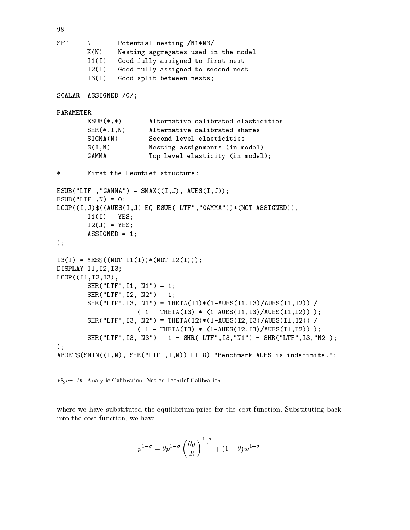```
SET N Potential nesting /N1*N3/
        K(N) Nesting aggregates used in the model
        I1(I) Good fully assigned to first nest
        I2(I) Good fully assigned to second nest
        I3(I) Good split between nests;
SCALAR ASSIGNED /0/;
        ESUB(*,*) Alternative calibrated elasticities
        SHR(*,I,N) Alternative calibrated shares
        SIGMA(N) Second level elasticities
        S(I,N) Nesting assignments (in model)
        GAMMA
                         Top level elasticity (in model);
ESUB("LTF","GAMMA") = SMAX((I,J), AUES(I,J));ESUB('LTF", N) = 0;LOOP((I,J)$((AUES(I,J) EQ ESUB('LTF'',''GAMMA''))*(NOT ASSIGNED)),
        I1(I) = YES;I2(J) = YES;ASSIGNED = 1;);
I3(I) = \text{YES}((\text{NOT } I1(I)) * (\text{NOT } I2(I))),DISPLAY I1,I2,I3;
LOOP((I1,I2,I3),
        SHR("LTF",I1,"N1") = 1;
        SHR("LTF",I2,"N2") = 1;
        SHR("LTF", I3, "N1") = THER(I1)*(1-AUES(I1,I3)/AUES(I1,I2)) /(1 - \text{THETA}(I3) * (1 - \text{AUES}(I1, I3) / \text{AUES}(I1, I2)) ;
        SHR("LTF", I3, "N2") = THER(I2)*(1-AUES(I2,I3)/AUES(I1,I2)) /( 1 - \text{THETA}(I3) * (1 - \text{AUES}(I2, I3) / \text{AUES}(I1, I2)) );
        SHR("LTF",I3,"N3") = 1 - SHR("LTF",I3,"N1") - SHR("LTF",I3,"N2");
);
ABORT$(SMIN((I,N), SHR("LTF",I,N)) LT 0) "Benchmark AUES is indefinite.";
```
Figure 1b. Analytic Calibration: Nested Leontief Calibration

where we have substituted the equilibrium price for the cost function. Substituting back into the cost function, we have

$$
p^{1-\sigma} = \theta p^{1-\sigma} \left(\frac{\theta y}{\overline{R}}\right)^{\frac{1-\sigma}{\sigma}} + (1-\theta) w^{1-\sigma}
$$

98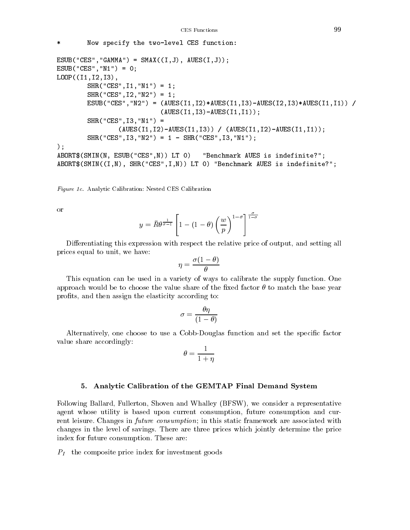Now specify the two-level CES function: ESUB("CES","GAMMA") =  $SMAX((I,J), AUES(I,J));$  $ESUB("CES", "N1") = 0;$ LOOP((I1,I2,I3),  $SHR("CES", I1," N1") = 1;$ SHR("CES",I2,"N2") = 1; ESUB("CES","N2") =  $(AUES(I1, I2)*AUES(I1, I3)-AUES(I2, I3)*AUES(I1, I1))$  / (AUES(I1,I3)-AUES(I1,I1));  $SHR("CES", I3," N1") =$  $(AUES(I1, I2) - AUES(I1, I3)) / (AUES(I1, I2) - AUES(I1, I1));$  $SHR("CES", I3," N2") = 1 - SHR("CES", I3," N1")$ ; ); ABORT\$(SMIN(N, ESUB("CES",N)) LT 0) "Benchmark AUES is indefinite?"; ABORT\$(SMIN((I,N), SHR("CES",I,N)) LT 0) "Benchmark AUES is indefinite?";

Figure 1c. Analytic Calibration: Nested CES Calibration

or

 $\ast$ 

$$
y = \bar{R}\theta^{\frac{1}{\sigma - 1}} \left[ 1 - (1 - \theta) \left( \frac{w}{p} \right)^{1 - \sigma} \right]^{\frac{\sigma}{1 - \sigma}}
$$

Differentiating this expression with respect the relative price of output, and setting all prices equal to unit, we have:

$$
\eta = \frac{\sigma(1-\theta)}{\theta}
$$

This equation can be used in a variety of ways to calibrate the supply function. One approach would be to choose the value share of the fixed factor  $\theta$  to match the base year profits, and then assign the elasticity according to:

$$
\sigma = \frac{\theta \eta}{(1-\theta)}
$$

Alternatively, one choose to use a Cobb-Douglas function and set the specific factor value share accordingly:

$$
\theta = \frac{1}{1+\eta}
$$

### 5. Analytic Calibration of the GEMTAP Final Demand System

Following Ballard, Fullerton, Shoven and Whalley (BFSW), we consider a representative agent whose utility is based upon current consumption, future consumption and current leisure. Changes in future consumption; in this static framework are associated with changes in the level of savings. There are three prices which jointly determine the price index for future consumption. These are:

 $P_I$  the composite price index for investment goods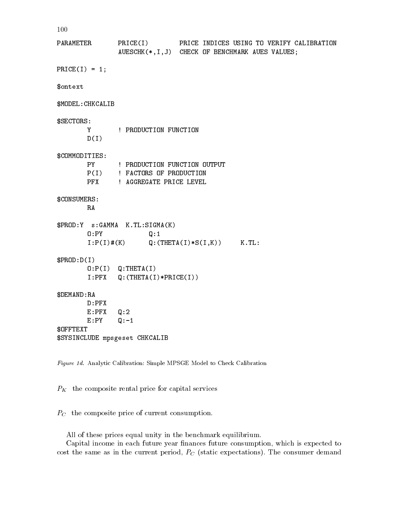PARAMETER PRICE(I) PRICE INDICES USING TO VERIFY CALIBRATION AUESCHK(\*,I,J) CHECK OF BENCHMARK AUES VALUES;  $PRICE(I) = 1;$ \$ontext  $\mathbf{r}$ \$MODEL:CHKCALIB \$SECTORS: Y **! PRODUCTION FUNCTION**  $D(I)$ \$COMMODITIES: \$COMMODITIES: PY : PRODUCTION FUNCTION OUTPUT P(I) ! FACTORS OF PRODUCTION **PFX** ! AGGREGATE PRICE LEVEL \$CONSUMERS: \$PROD:Y s:GAMMA K.TL:SIGMA(K)  $0:PY$   $Q:1$  $I:P(I)\#(K)$  Q:(THETA(I)\*S(I,K)) K.TL:  $$PROD: D(I)$ \$PROD:D(I)  $0: P(I)$  Q: THETA(I)  $I:PFX$  $Q:$  (THETA(I)\*PRICE(I)) \$DEMAND:RA D:PFX  $E:$  PFX  $Q:2$  $E:PY$   $Q:-1$ \$OFFTEXT \$SYSINCLUDE mpsgeset CHKCALIB

Figure 1d. Analytic Calibration: Simple MPSGE Model to Check Calibration

 $P_K$  the composite rental price for capital services

 $P<sub>C</sub>$  the composite price of current consumption.

All of these prices equal unity in the benchmark equilibrium.

Capital income in each future year nances future consumption, which is expected to cost the same as in the current period,  $P<sub>C</sub>$  (static expectations). The consumer demand

100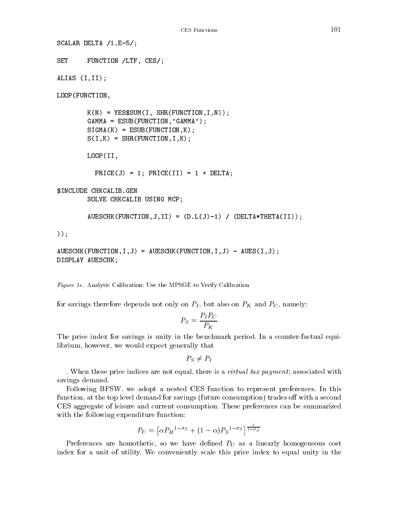SCALAR DELTA /1.E-5/;

**SET** FUNCTION /LTF, CES/;

ALIAS (I,II);

LOOP(FUNCTION,

```
K(N) = YES$SUM(I, SHR(FUNCTION, I, N));GAMMA = ESUB(FUNCTION,"GAMMA");
SIGMA(K) = ESUB(FUNCTION, K);S(I,K) = SHR(FUNCTION,I,K);
```
LOOP(II,

 $PRICE(J) = 1; PRICE(II) = 1 + DELTA;$ 

\$INCLUDE CHKCALIB.GEN SOLVE CHKCALIB USING MCP;

AUESCHK(FUNCTION, J, II) =  $(D.L(J)-1)$  / (DELTA\*THETA(II));

));

```
AUESCHK(FUNCTION, I, J) = AUESCHK(FUNCTION, I, J) - AUES(I, J);DISPLAY AUESCHK;
```
Figure 1e. Analytic Calibration: Use the MPSGE to Verify Calibration

for savings therefore depends not only on  $P_I$ , but also on  $P_K$  and  $P_C$ , namely:

$$
P_S = \frac{P_I P_C}{P_K}
$$

The price index for savings is unity in the benchmark period. In a counter-factual equilibrium, however, we would expect generally that

$$
P_S \neq P_I
$$

. When these price indices are not equal, there is a *virtual tax payment*; associated with savings demand.

Following BFSW, we adopt a nested CES function to represent preferences. In this function, at the top level demand for savings (future consumption) trades off with a second CES aggregate of leisure and current consumption. These preferences can be summarized with the following expenditure function:

$$
P_U = \left[ \alpha P_H^{-1-\sigma_S} + (1-\alpha) P_S^{-1-\sigma_S} \right]^{\frac{1}{1-\sigma_S}}
$$

Preferences are homothetic, so we have defined  $P_U$  as a linearly homogeneous cost index for a unit of utility. We conveniently scale this price index to equal unity in the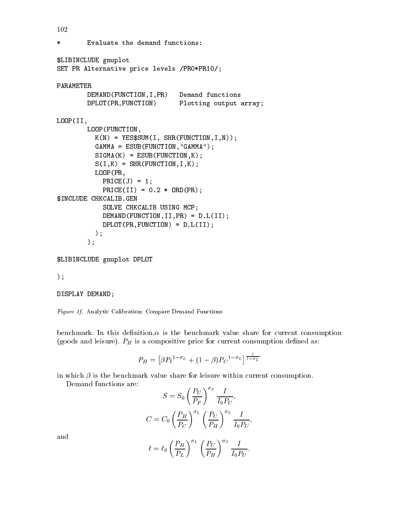```
102
\astEvaluate the demand functions:
$LIBINCLUDE gnuplot
SET PR Alternative price levels /PR0*PR10/;
        DEMAND(FUNCTION,I,PR) Demand functions
        DPLOT(PR,FUNCTION) Plotting output array;
LOOP(II,
        LOOP(FUNCTION,
          K(N) = \text{YES$SUM(I, SHR(FUNCTION, I, N));}GAMMA = ESUB(FUNCTION,"GAMMA");
          SIGMA(K) = ESUB(FUNCTION, K);S(I,K) = SHR(FUNCTION,I,K);LOOP(PR,
            PRICE(J) = 1;PRICE(II) = 0.2 * ORD(PR);$INCLUDE CHKCALIB.GEN
            SOLVE CHKCALIB USING MCP;
```
DEMAND(FUNCTION,II,PR) = D.L(II); DPLOT(PR,FUNCTION) = D.L(II); ); );

```
$LIBINCLUDE gnuplot DPLOT
```
);

DISPLAY DEMAND;

Figure 1f. Analytic Calibration: Compare Demand Functions

benchmark. In this definition,  $\alpha$  is the benchmark value share for current consumption (goods and leisure).  $P_H$  is a compositive price for current consumption defined as:

$$
P_H = \left[\beta P_\ell^{-1-\sigma_L} + (1-\beta) P_C^{-1-\sigma_L}\right]^{\frac{1}{1-\sigma_L}}
$$

in which  $\beta$  is the benchmark value share for leisure within current consumption.

Demand functions are:

$$
S = S_0 \left(\frac{P_U}{P_F}\right)^{\sigma_S} \frac{I}{I_0 P_U},
$$

$$
C = C_0 \left(\frac{P_H}{P_C}\right)^{\sigma_L} \left(\frac{P_U}{P_H}\right)^{\sigma_S} \frac{I}{I_0 P_U},
$$

$$
\ell = \ell_0 \left(\frac{P_H}{P_L}\right)^{\sigma_L} \left(\frac{P_U}{P_H}\right)^{\sigma_S} \frac{I}{I_0 P_U}.
$$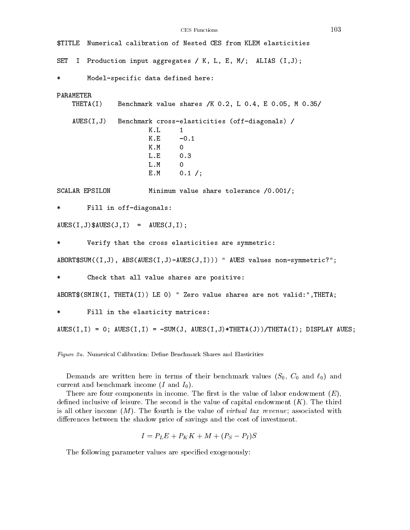\$TITLE Numerical calibration of Nested CES from KLEM elasticities **SET** I Production input aggregates / K, L, E, M/; ALIAS  $(I,J)$ ; \* Model-specific data defined here: PARAMETER THETA(I) Benchmark value shares /K 0.2, L 0.4, E 0.05, M 0.35/ AUES(I,J) Benchmark cross-elasticities (off-diagonals) /  $\mathbf{1}$  $\Omega$ L.E  $0.3$  $\overline{0}$ E.M 0.1 /; SCALAR EPSILON Minimum value share tolerance /0.001/;  $\ast$ Fill in off-diagonals:  $AUES(I,J) $AUES(J,I) = AUES(J,I);$ Verify that the cross elasticities are symmetric: ABORT\$SUM((I,J), ABS(AUES(I,J)-AUES(J,I))) " AUES values non-symmetric?";  $\ast$ Check that all value shares are positive: ABORT\$(SMIN(I, THETA(I)) LE 0) " Zero value shares are not valid:",THETA; Fill in the elasticity matrices:  $\star$ AUES(I,I) = 0; AUES(I,I) =  $-SUM(J, AUES(I, J)*THETA(J))/THETA(I)$ ; DISPLAY AUES;

Figure 2a. Numerical Calibration: Define Benchmark Shares and Elasticities

Demands are written here in terms of their benchmark values  $(S_0, C_0$  and  $\ell_0$ ) and current and benchmark income  $(I \text{ and } I_0)$ .

There are four components in income. The first is the value of labor endowment  $(E)$ , defined inclusive of leisure. The second is the value of capital endowment  $(K)$ . The third is all other income  $(M)$ . The fourth is the value of *virtual tax revenue*; associated with differences between the shadow price of savings and the cost of investment.

$$
I = P_L E + P_K K + M + (P_S - P_I)S
$$

The following parameter values are specified exogenously:

103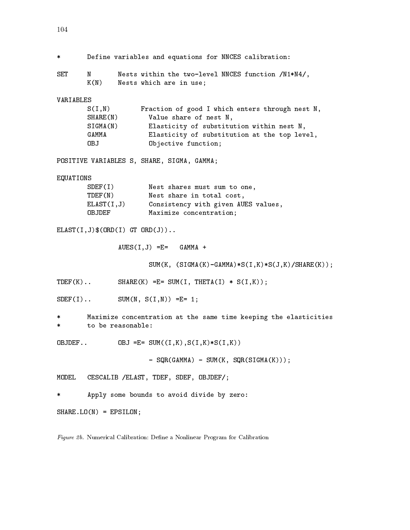| $\ast$                      |                                                  | Define variables and equations for NNCES calibration:                                                                                                                                         |
|-----------------------------|--------------------------------------------------|-----------------------------------------------------------------------------------------------------------------------------------------------------------------------------------------------|
| SET                         | N<br>K(N)                                        | Nests within the two-level NNCES function /N1*N4/,<br>Nests which are in use;                                                                                                                 |
| VARIABLES                   |                                                  |                                                                                                                                                                                               |
|                             | S(I, N)<br>SHARE (N)<br>SIGMA(N)<br>GAMMA<br>0BJ | Fraction of good I which enters through nest N,<br>Value share of nest N,<br>Elasticity of substitution within nest N,<br>Elasticity of substitution at the top level,<br>Objective function; |
|                             | POSITIVE VARIABLES S, SHARE, SIGMA, GAMMA;       |                                                                                                                                                                                               |
| EQUATIONS                   |                                                  |                                                                                                                                                                                               |
|                             | SDEF(I)                                          | Nest shares must sum to one,                                                                                                                                                                  |
|                             | TDEF(N)<br>ELAST(I,J)                            | Nest share in total cost,<br>Consistency with given AUES values,                                                                                                                              |
|                             | OBJDEF                                           | Maximize concentration;                                                                                                                                                                       |
|                             | $ELAST(I,J)$ \$(ORD(I) GT ORD(J))                |                                                                                                                                                                                               |
|                             |                                                  | $AUES(I, J) = E = GAMMA +$                                                                                                                                                                    |
|                             |                                                  | SUM(K, $(SIGMA(K)-GAMMA)*S(I,K)*S(J,K)/SHARE(K));$                                                                                                                                            |
| $\mathrm{TDEF}(\mathrm{K})$ |                                                  | SHARE(K) = E= SUM(I, THETA(I) $*$ S(I,K));                                                                                                                                                    |
|                             | $SDEF(I).$ $SUM(N, S(I,N)) = E = 1;$             |                                                                                                                                                                                               |
| $\ast$<br>$\ast$            | to be reasonable:                                | Maximize concentration at the same time keeping the elasticities                                                                                                                              |
| OBJDEF                      |                                                  | $DBJ = E = SUM((I,K), S(I,K) * S(I,K))$                                                                                                                                                       |
|                             |                                                  | $-$ SQR(GAMMA) $-$ SUM(K, SQR(SIGMA(K)));                                                                                                                                                     |
| MODEL                       |                                                  | CESCALIB / ELAST, TDEF, SDEF, OBJDEF/;                                                                                                                                                        |
| $\ast$                      |                                                  | Apply some bounds to avoid divide by zero:                                                                                                                                                    |
|                             | $SHARE.LO(N) = EPSILON;$                         |                                                                                                                                                                                               |
|                             |                                                  | Figure 2b. Numerical Calibration: Define a Nonlinear Program for Calibration                                                                                                                  |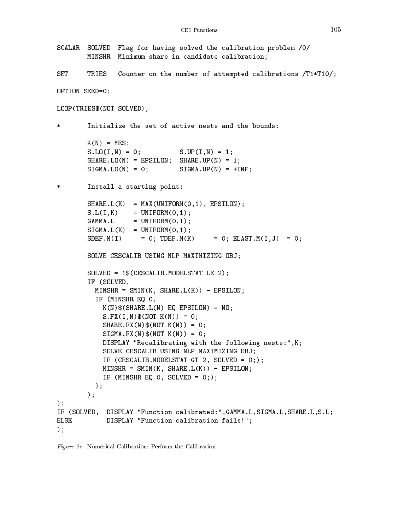```
SCALAR SOLVED Flag for having solved the calibration problem /0/
       MINSHR Minimum share in candidate calibration;
SET TRIES Counter on the number of attempted calibrations /T1*T10/;
OPTION SEED=0;
LOOP(TRIES$(NOT SOLVED),
\starInitialize the set of active nests and the bounds:
       K(N) = YES;S.LO(I,N) = 0; S.UP(I,N) = 1;SHARE.LO(N) = EPSILON; SHARE.UP(N) = 1;SIGMA.LO(N) = 0; SIGMA.UP(N) = +INF;\astInstall a starting point:
       SHARE.L(K) = MAX(UNIFORM(0,1), EPSILON);S.L(I,K) = UNIFORM(0,1);
       GAMMA.L = UNIFORM(0,1);SIGMA.L(K) = UNIFORM(0,1);SDEF.M(I) = 0; TDEF.M(K) = 0; ELAST.M(I,J) = 0;SOLVE CESCALIB USING NLP MAXIMIZING OBJ;
       SOLVED = 1$(CESCALIB.MODELSTAT LE 2);
       IF (SOLVED,
         MINSHR = SMIN(K, SHARE.L(K)) - EPSILON;IF (MINSHR EQ 0,
           K(N)$(SHARE.L(N) EQ EPSILON) = NO;
           S.FX(I,N) $ (NOT K(N)) = 0;
           SHARE.FX(N)(NOT K(N)) = 0;SIGMA.FX(N)(NOT K(N)) = 0;DISPLAY "Recalibrating with the following nests:",K;
           SOLVE CESCALIB USING NLP MAXIMIZING OBJ;
           IF (CESCALIB.MODELSTAT GT 2, SOLVED = 0;);
           MINSHR = SMIN(K, SHARE.L(K)) - EPSILON;IF (MINSHR EQ 0, SOLVED = 0;);
         );
       );
);
IF (SOLVED, DISPLAY "Function calibrated:",GAMMA.L,SIGMA.L,SHARE.L,S.L;
ELSE DISPLAY "Function calibration fails!";
);
```
Figure 2c. Numerical Calibration: Perform the Calibration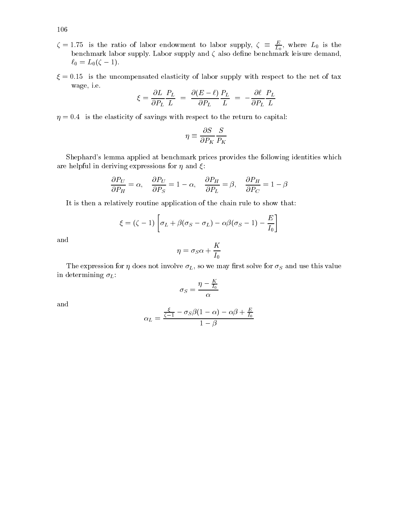- $\zeta = 1.75$  is the ratio of labor endowment to labor supply,  $\zeta \equiv \frac{1}{L_0}$ , where  $L_0$  is the benchmark labor supply. Labor supply and also dene benchmark leisure demand,  $\ell_0 = L_0(\zeta - 1).$
- $\xi = 0.15$  is the uncompensated elasticity of labor supply with respect to the net of tax wage, i.e.

$$
\xi = \frac{\partial L}{\partial P_L} \frac{P_L}{L} \ = \ \frac{\partial (E - \ell)}{\partial P_L} \frac{P_L}{L} \ = \ - \frac{\partial \ell}{\partial P_L} \frac{P_L}{L}
$$

 $\eta = 0.4$  is the elasticity of savings with respect to the return to capital:

$$
\eta \equiv \frac{\partial S}{\partial P_K} \frac{S}{P_K}
$$

Shephard's lemma applied at benchmark prices provides the following identities which are helpful in deriving expressions for  $\eta$  and  $\xi$ :

$$
\frac{\partial P_U}{\partial P_H} = \alpha, \quad \frac{\partial P_U}{\partial P_S} = 1 - \alpha, \quad \frac{\partial P_H}{\partial P_L} = \beta, \quad \frac{\partial P_H}{\partial P_C} = 1 - \beta
$$

It is then a relatively routine application of the chain rule to show that:

$$
\xi = (\zeta - 1) \left[ \sigma_L + \beta(\sigma_S - \sigma_L) - \alpha \beta(\sigma_S - 1) - \frac{E}{I_0} \right]
$$

and

$$
\eta = \sigma_S \alpha + \frac{K}{I_0}
$$

The expression for  $\eta$  does not involve  $\sigma_L$ , so we may first solve for  $\sigma_S$  and use this value in determining  $\sigma_L$ :

$$
\sigma_S = \frac{\eta - \frac{K}{I_0}}{\alpha}
$$

and

$$
\alpha_L = \frac{\frac{\xi}{\zeta-1} - \sigma_S \beta (1-\alpha) - \alpha \beta + \frac{E}{I_0}}{1-\beta}
$$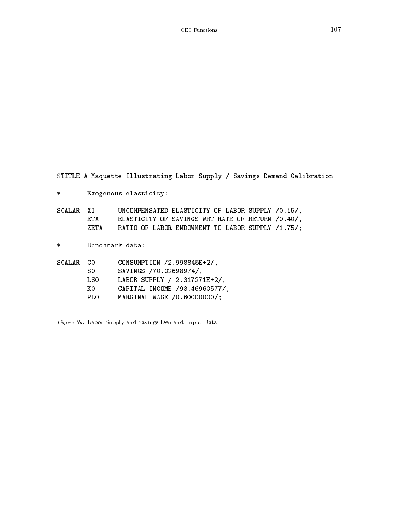\$TITLE A Maquette Illustrating Labor Supply / Savings Demand Calibration

- \* Exogenous elasticity:
- SCALAR XI UNCOMPENSATED ELASTICITY OF LABOR SUPPLY /0.15/, ETA ELASTICITY OF SAVINGS WRT RATE OF RETURN /0.40/,
	- ZETA RATIO OF LABOR ENDOWMENT TO LABOR SUPPLY /1.75/;
- \* Benchmark data:

|      | CONSUMPTION /2.998845E+2/,    |
|------|-------------------------------|
| S0   | SAVINGS /70.02698974/,        |
| LSO. | LABOR SUPPLY / 2.317271E+2/,  |
| КO   | CAPITAL INCOME /93.46960577/, |
| PLO  | MARGINAL WAGE /0.60000000/;   |
|      | SCALAR CO                     |

Figure 3a. Labor Supply and Savings Demand: Input Data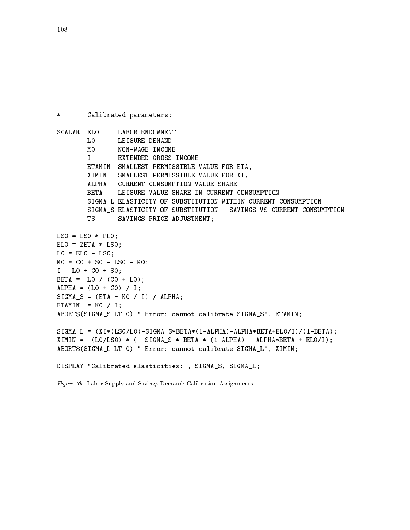```
SCALAR EL0 LABOR ENDOWMENT
       L0 LEISURE DEMAND
       MO
                M0 NON-WAGE INCOME
        \mathbf{I}EXTENDED GROSS INCOME
       ETAMIN SMALLEST PERMISSIBLE VALUE FOR ETA,
       XIMIN SMALLEST PERMISSIBLE VALUE FOR XI,
        ALPHA CURRENT CONSUMPTION VALUE SHARE
       BETA
                LEISURE VALUE SHARE IN CURRENT CONSUMPTION
        SIGMA_L ELASTICITY OF SUBSTITUTION WITHIN CURRENT CONSUMPTION
        SIGMA_S ELASTICITY OF SUBSTITUTION - SAVINGS VS CURRENT CONSUMPTION
        TS
                SAVINGS PRICE ADJUSTMENT;
LSO = LSO * PLO;ELO = ZETA * LSO;LO = ELO - LSO;MO = CO + SO - LSO - KO;I = LO + CO + SO;BETA = LO / (CO + LO);ALPHA = (LO + CO) / I;SIGMA_S = (ETA - KO / I) / ALPHA;ETAMIN = KO / I;
ABORT$(SIGMA_S LT 0) " Error: cannot calibrate SIGMA_S", ETAMIN;
SGCMA_L = (XI * (LSO/LO) - SIGNA_S * BETA * (1 - ALPHA) - ALPHA * BETA + ELO/I) / (1 - BETA);XIMIN = -(L0/LSO) * (-SIGMA_S * BETA * (1-ALPHA) - ALPHA*BETA + ELO/I);ABORT$(SIGMA_L LT 0) " Error: cannot calibrate SIGMA_L", XIMIN;
DISPLAY "Calibrated elasticities:", SIGMA_S, SIGMA_L;
```
Figure 3b. Labor Supply and Savings Demand: Calibration Assignments

Calibrated parameters:

 $\ast$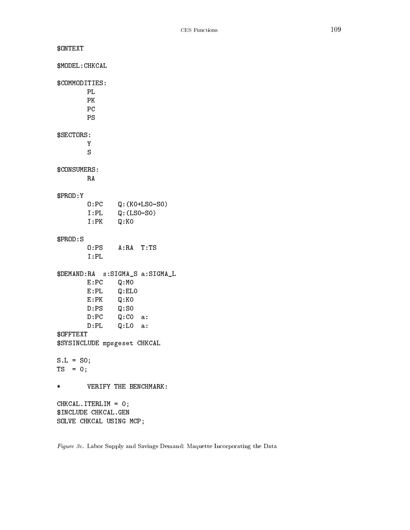| \$ONTEXT                 |                                                                                                               |                                  |  |
|--------------------------|---------------------------------------------------------------------------------------------------------------|----------------------------------|--|
| \$MODEL: CHKCAL          |                                                                                                               |                                  |  |
| \$COMMODITIES:           | PL.<br>PK<br>PC<br>PS                                                                                         |                                  |  |
| \$SECTORS:               | Y<br>S                                                                                                        |                                  |  |
| \$CONSUMERS:             | RA                                                                                                            |                                  |  |
| \$PROD:Y                 | $0:PC$ $Q: (KO+LSO-SO)$<br>I : PL<br>$\mathtt{I}:\mathtt{PK}$                                                 | $Q: (LSO-SO)$<br>Q:KO            |  |
| \$PROD: S                | $0:$ PS $\hskip1cm$<br>I : PL                                                                                 | $A:RA$ $T:TS$                    |  |
| \$0FFTEXT                | $E: PC$ $Q: MO$<br>E:PL<br>$E:PK$ $Q:KO$<br>$D: PS$ $Q: SO$<br>D:PC<br>D : PL<br>\$SYSINCLUDE mpsgeset CHKCAL | Q: ELO<br>$Q:CO$ a:<br>$Q:LO$ a: |  |
| $S.L = SO;$<br>$TS = 0;$ |                                                                                                               |                                  |  |
| $\ast$                   | VERIFY THE BENCHMARK:                                                                                         |                                  |  |
|                          | CHKCAL.ITERLIM = 0;<br>\$INCLUDE CHKCAL.GEN<br>SOLVE CHKCAL USING MCP;                                        |                                  |  |

Figure 3c. Labor Supply and Savings Demand: Maquette Incorporating the Data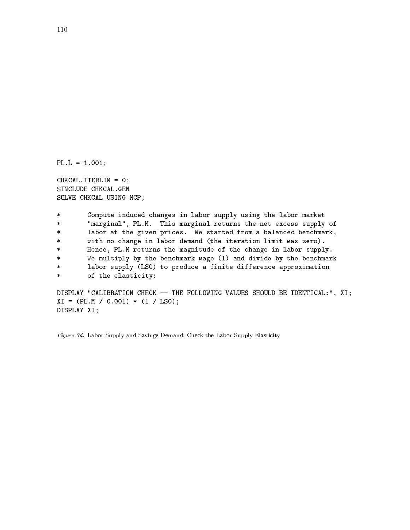PL.L = 1.001;

CHKCAL.ITERLIM = 0; \$INCLUDE CHKCAL.GEN SOLVE CHKCAL USING MCP;

\* Compute induced changes in labor supply using the labor market  $\ast$ "marginal", PL.M. This marginal returns the net excess supply of  $\ast$ labor at the given prices. We started from a balanced benchmark,  $\ast$ with no change in labor demand (the iteration limit was zero).  $\pmb{\ast}$ Hence, PL.M returns the magnitude of the change in labor supply. \* We multiply by the benchmark wage (1) and divide by the benchmark  $\ast$ labor supply (LS0) to produce a finite difference approximation \* of the elasticity:

```
DISPLAY "CALIBRATION CHECK -- THE FOLLOWING VALUES SHOULD BE IDENTICAL:", XI;
XI = (PL.M / 0.001) * (1 / LS0);DISPLAY XI;
```
Figure 3d. Labor Supply and Savings Demand: Check the Labor Supply Elasticity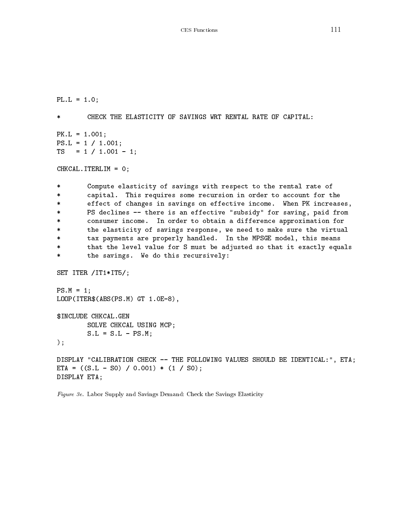PL.L = 1.0;  $\star$ CHECK THE ELASTICITY OF SAVINGS WRT RENTAL RATE OF CAPITAL: PK.L = 1.001; PS.L = 1 / 1.001;  $TS = 1 / 1.001 - 1;$ CHKCAL.ITERLIM = 0;  $\ast$ Compute elasticity of savings with respect to the rental rate of  $\ast$ capital. This requires some recursion in order to account for the  $\ast$ effect of changes in savings on effective income. When PK increases,  $\star$ PS declines -- there is an effective "subsidy" for saving, paid from  $\ast$ consumer income. In order to obtain a difference approximation for \* the elasticity of savings response, we need to make sure the virtual  $\star$ tax payments are properly handled. In the MPSGE model, this means \* that the level value for S must be adjusted so that it exactly equals  $\ast$ the savings. We do this recursively: SET ITER /IT1\*IT5/; PS.M = 1; LOOP(ITER\$(ABS(PS.M) GT 1.0E-8), \$INCLUDE CHKCAL.GEN SOLVE CHKCAL USING MCP;  $S.L = S.L - PS.M;$ ); DISPLAY "CALIBRATION CHECK -- THE FOLLOWING VALUES SHOULD BE IDENTICAL:", ETA; ETA =  $((S.L - S0) / 0.001) * (1 / S0);$ DISPLAY ETA;

Figure 3e. Labor Supply and Savings Demand: Check the Savings Elasticity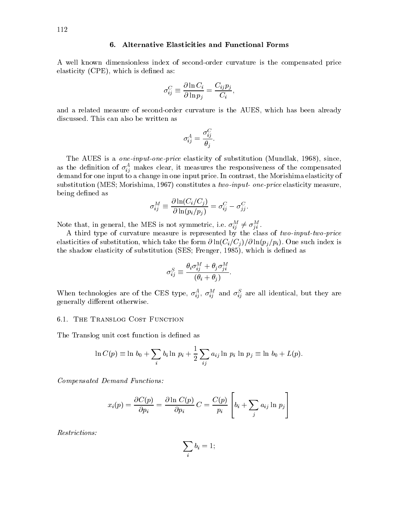112

## 6. Alternative Elasticities and Functional Forms

A well known dimensionless index of second-order curvature is the compensated price elasticity  $(CPE)$ , which is defined as:

$$
\sigma^C_{ij} \equiv \frac{\partial \ln C_i}{\partial \ln p_j} = \frac{C_{ij}p_j}{C_i},
$$

and a related measure of second-order curvature is the AUES, which has been already discussed. This can also be written as

$$
\sigma_{ij}^A = \frac{\sigma_{ij}^C}{\theta_j}.
$$

The AUES is a one-input-one-price elasticity of substitution (Mundlak, 1968), since, as the definition of  $\sigma_{i\bar{j}}$  makes clear, it measures the responsiveness of the compensated demand for one input to a change in one input price. In contrast, the Morishima elasticity of substitution (MES; Morishima, 1967) constitutes a two-input- one-price elasticity measure, being defined as

$$
\sigma^M_{ij} \equiv \frac{\partial \ln(C_i/C_j)}{\partial \ln(p_i/p_j)} = \sigma^C_{ij} - \sigma^C_{jj}.
$$

Note that, in general, the MES is not symmetric, i.e.  $\sigma_{ij}^M \neq \sigma_{ji}^M$ .

A third type of curvature measure is represented by the class of two-input-two-price elasticities of substitution, which take the form  $\partial \ln(C_i/C_j)/\partial \ln(p_i/p_i)$ . One such index is the shadow elasticity of substitution (SES; Frenger, 1985), which is dened as

$$
\sigma_{ij}^S \equiv \frac{\theta_i \sigma_{ij}^M + \theta_j \sigma_{ji}^M}{(\theta_i + \theta_j)}.
$$

when technologies are of the CES type,  $\sigma_{ij}^2$ ,  $\sigma_{ij}^2$  and  $\sigma_{ij}^2$  are all identical, but they are generally different otherwise.

### 6.1. The Translog Cost Function

The Translog unit cost function is defined as

$$
\ln C(p) \equiv \ln b_0 + \sum_i b_i \ln p_i + \frac{1}{2} \sum_{ij} a_{ij} \ln p_i \ln p_j \equiv \ln b_0 + L(p).
$$

Compensated Demand Functions:

$$
x_i(p) = \frac{\partial C(p)}{\partial p_i} = \frac{\partial \ln C(p)}{\partial p_i} C = \frac{C(p)}{p_i} \left[ b_i + \sum_j a_{ij} \ln p_j \right]
$$

Restrictions:

$$
\sum_i b_i = 1;
$$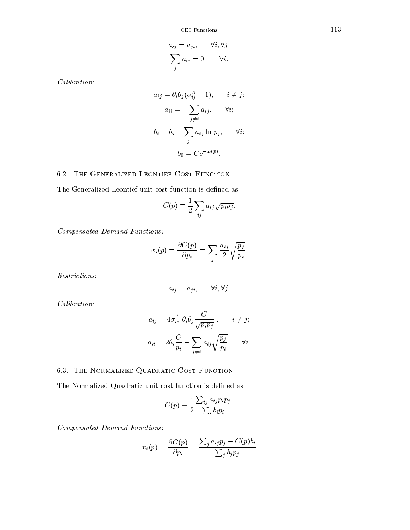$$
a_{ij} = a_{ji}, \qquad \forall i, \forall j;
$$

$$
\sum_{j} a_{ij} = 0, \qquad \forall i.
$$

Calibration:

$$
a_{ij} = \theta_i \theta_j (\sigma_{ij}^A - 1), \qquad i \neq j;
$$
  
\n
$$
a_{ii} = -\sum_{j \neq i} a_{ij}, \qquad \forall i;
$$
  
\n
$$
b_i = \theta_i - \sum_j a_{ij} \ln p_j, \qquad \forall i;
$$
  
\n
$$
b_0 = \bar{C}e^{-L(p)}.
$$

# 6.2. The Generalized Leontief Cost Function

The Generalized Leontief unit cost function is defined as

$$
C(p) \equiv \frac{1}{2} \sum_{ij} a_{ij} \sqrt{p_i p_j}.
$$

Compensated Demand Functions:

$$
x_i(p) = \frac{\partial C(p)}{\partial p_i} = \sum_j \frac{a_{ij}}{2} \sqrt{\frac{p_j}{p_i}}.
$$

Restrictions:

$$
a_{ij} = a_{ji}, \qquad \forall i, \forall j.
$$

Calibration:

$$
a_{ij} = 4\sigma_{ij}^A \theta_i \theta_j \frac{\bar{C}}{\sqrt{p_i p_j}}, \quad i \neq j;
$$
  

$$
a_{ii} = 2\theta_i \frac{\bar{C}}{p_i} - \sum_{j \neq i} a_{ij} \sqrt{\frac{p_j}{p_i}} \qquad \forall i.
$$

# 6.3. The Normalized Quadratic Cost Function

The Normalized Quadratic unit cost function is defined as

$$
C(p) \equiv \frac{1}{2} \frac{\sum_{ij} a_{ij} p_i p_j}{\sum_i b_i p_i}.
$$

Compensated Demand Functions:

$$
x_i(p) = \frac{\partial C(p)}{\partial p_i} = \frac{\sum_j a_{ij} p_j - C(p) b_i}{\sum_j b_j p_j}
$$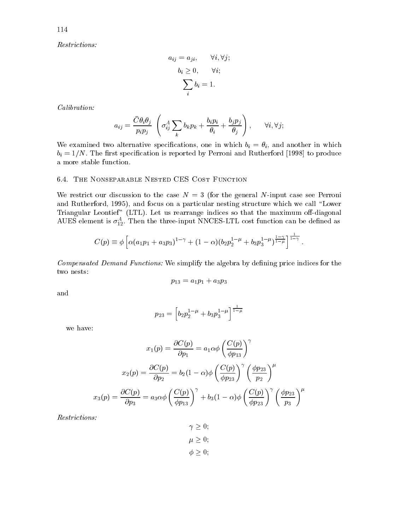Restrictions:

$$
a_{ij} = a_{ji}, \qquad \forall i, \forall j;
$$

$$
b_i \geq 0, \qquad \forall i;
$$

$$
\sum_i b_i = 1.
$$

Calibration:

$$
a_{ij} = \frac{\bar{C}\theta_i \theta_j}{p_i p_j} \left( \sigma_{ij}^A \sum_k b_k p_k + \frac{b_i p_i}{\theta_i} + \frac{b_j p_j}{\theta_j} \right), \quad \forall i, \forall j;
$$

We examined two alternative specifications, one in which  $b_i = \theta_i$ , and another in which  $b_i = 1/N$ . The first specification is reported by Perroni and Rutherford [1998] to produce a more stable function.

#### 6.4. The Nonseparable Nested CES Cost Function

We restrict our discussion to the case  $N = 3$  (for the general N-input case see Perroni and Rutherford, 1995), and focus on a particular nesting structure which we call "Lower Triangular Leontief" (LTL). Let us rearrange indices so that the maximum off-diagonal AUES element is  $\sigma_{12}$ . Then the three-input NNCES-LTL cost function can be defined as

$$
C(p) \equiv \phi \left[ \alpha (a_1 p_1 + a_3 p_3)^{1-\gamma} + (1-\alpha) (b_2 p_2^{1-\mu} + b_3 p_3^{1-\mu})^{\frac{1-\gamma}{1-\mu}} \right]^{\frac{1}{1-\gamma}}.
$$

Compensated Demand Functions: We simplify the algebra by defining price indices for the two nests:

$$
p_{13}=a_1p_1+a_3p_3\\
$$

and

$$
p_{23} = \left[ b_2 p_2^{1-\mu} + b_3 p_3^{1-\mu} \right]^{\frac{1}{1-\mu}}
$$

we have:

$$
x_1(p) = \frac{\partial C(p)}{\partial p_1} = a_1 \alpha \phi \left(\frac{C(p)}{\phi p_{13}}\right)^{\gamma}
$$

$$
x_2(p) = \frac{\partial C(p)}{\partial p_2} = b_2 (1 - \alpha) \phi \left(\frac{C(p)}{\phi p_{23}}\right)^{\gamma} \left(\frac{\phi p_{23}}{p_2}\right)^{\mu}
$$

$$
x_3(p) = \frac{\partial C(p)}{\partial p_3} = a_3 \alpha \phi \left(\frac{C(p)}{\phi p_{13}}\right)^{\gamma} + b_3 (1 - \alpha) \phi \left(\frac{C(p)}{\phi p_{23}}\right)^{\gamma} \left(\frac{\phi p_{23}}{p_3}\right)^{\mu}
$$

 $\gamma\geq 0;$  $\mu \geq 0;$  $\phi \geq 0;$ 

Restrictions: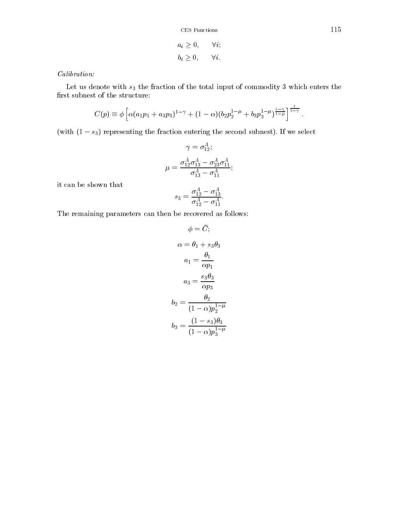CES Functions 115

$$
a_i \geq 0, \qquad \forall i; b_i \geq 0, \qquad \forall i.
$$

# Calibration:

it can be shown that

Let us denote with  $s_3$  the fraction of the total input of commodity 3 which enters the  $\operatorname{first}$  subnest of the structure:

$$
C(p) \equiv \phi \left[ \alpha (a_1 p_1 + a_3 p_3)^{1-\gamma} + (1-\alpha) (b_2 p_2^{1-\mu} + b_3 p_3^{1-\mu})^{\frac{1-\gamma}{1-\mu}} \right]^{\frac{1}{1-\gamma}}.
$$

(with  $(1 - s_3)$  representing the fraction entering the second subnest). If we select

$$
\gamma = \sigma_{12}^{A};
$$
  
\n
$$
\mu = \frac{\sigma_{12}^{A}\sigma_{13}^{A} - \sigma_{23}^{A}\sigma_{11}^{A}}{\sigma_{13}^{A} - \sigma_{11}^{A}};
$$
  
\n
$$
s_3 = \frac{\sigma_{12}^{A} - \sigma_{13}^{A}}{\sigma_{12}^{A} - \sigma_{11}^{A}}.
$$

The remaining parameters can then be recovered as follows:

$$
\phi = \bar{C};
$$
  
\n
$$
\alpha = \theta_1 + s_3 \theta_3
$$
  
\n
$$
a_1 = \frac{\theta_1}{\alpha p_1}
$$
  
\n
$$
a_3 = \frac{s_3 \theta_3}{\alpha p_3}
$$
  
\n
$$
b_2 = \frac{\theta_2}{(1 - \alpha)p_2^{1 - \mu}}
$$
  
\n
$$
b_3 = \frac{(1 - s_3)\theta_3}{(1 - \alpha)p_3^{1 - \mu}}
$$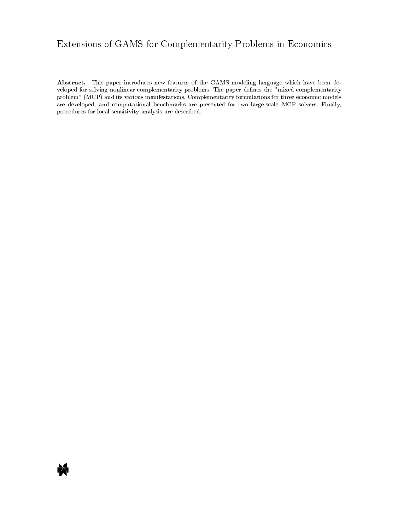# Extensions of GAMS for Complementarity Problems in Economics

Abstract. This paper introduces new features of the GAMS modeling language which have been de veloped for solving nonlinear complementarity problems. The paper defines the "mixed complementarity problem" (MCP) and its various manifestations. Complementarity formulations for three economic models are developed, and computational benchmarks are presented for two large-scale MCP solvers. Finally, procedures for local sensitivity analysis are described.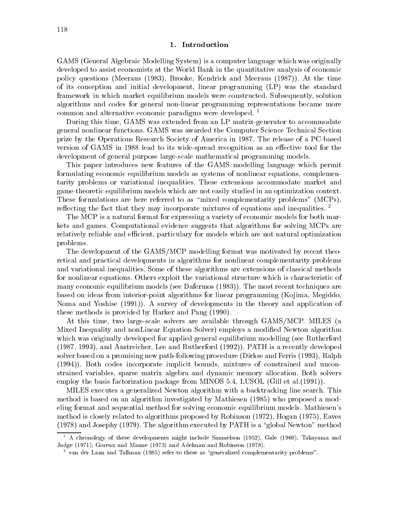#### 1. Introduction

GAMS (General Algebraic Modelling System) is a computer language which was originally developed to assist economists at the World Bank in the quantitative analysis of economic policy questions (Meeraus (1983), Brooke, Kendrick and Meeraus (1987)). At the time of its conception and initial development, linear programming (LP) was the standard framework in which market equilibrium models were constructed. Subsequently, solution algorithms and codes for general non-linear programming representations became more common and alternative economic paradigms were developed. <sup>1</sup>

During this time, GAMS was extended from an LP matrix-generator to accommodate general nonlinear functions. GAMS was awarded the Computer Science Technical Section prize by the Operations Research Society of America in 1987. The release of a PC-based version of GAMS in 1988 lead to its wide-spread recognition as an effective tool for the development of general purpose large-scale mathematical programming models.

This paper introduces new features of the GAMS modelling language which permit formulating economic equilibrium models as systems of nonlinear equations, complementarity problems or variational inequalities. These extensions accommodate market and game-theoretic equilibrium models which are not easily studied in an optimization context. These formulations are here referred to as \mixed complementarity problems" (MCPs), reflecting the fact that they may incorporate mixtures of equations and inequalities.<sup>2</sup>

The MCP is a natural format for expressing a variety of economic models for both markets and games. Computational evidence suggests that algorithms for solving MCPs are relatively reliable and efficient, particulary for models which are not natural optimization problems.

The development of the GAMS/MCP modelling format was motivated by recent theoretical and practical developments in algorithms for nonlinear complementarity problems and variational inequalities. Some of these algorithms are extensions of classical methods for nonlinear equations. Others exploit the variational structure which is characteristic of many economic equilibrium models (see Dafermos (1983)). The most recent techniques are based on ideas from interior-point algorithms for linear programming (Kojima, Megiddo, Noma and Yoshise (1991)). A survey of developments in the theory and application of these methods is provided by Harker and Pang (1990).

At this time, two large-scale solvers are available through GAMS/MCP. MILES (a Mixed Inequality and nonLinear Equation Solver) employs a modied Newton algorithm which was originally developed for applied general equilibrium modelling (see Rutherford (1987, 1993), and Anstreicher, Lee and Rutherford (1992)). PATH is a recently developed solver based on a promising new path-following procedure (Dirkse and Ferris (1993), Ralph (1994)). Both codes incorporate implicit bounds, mixtures of constrained and unconstrained variables, sparse matrix algebra and dynamic memory allocation. Both solvers employ the basis factorization package from MINOS 5.4, LUSOL (Gill et al.(1991)).

MILES executes a generalized Newton algorithm with a backtracking line search. This method is based on an algorithm investigated by Mathiesen (1985) who proposed a modeling format and sequential method for solving economic equilibrium models. Mathiesen's method is closely related to algorithms proposed by Robinson (1972), Hogan (1975), Eaves  $(1978)$  and Josephy  $(1979)$ . The algorithm executed by PATH is a "global Newton" method

<sup>1</sup> A chronology of these developments might include Samuelson (1952), Gale (1960), Takayama and Judge (1971), Goreux and Manne (1973) and Adelman and Robinson (1978).

<sup>2</sup> van der Laan and Tallman (1985) refer to these as \generalized complementarity problems".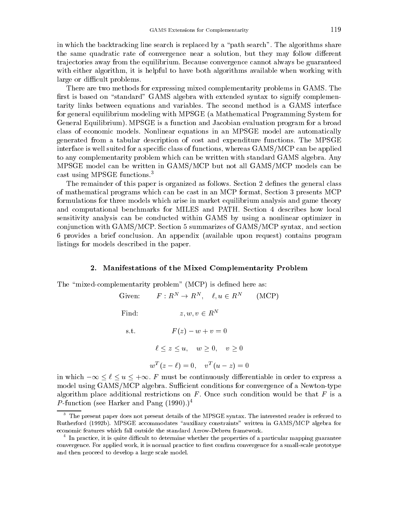in which the backtracking line search is replaced by a "path search". The algorithms share the same quadratic rate of convergence near a solution, but they may follow different tra jectories away from the equilibrium. Because convergence cannot always be guaranteed with either algorithm, it is helpful to have both algorithms available when working with large or difficult problems.

There are two methods for expressing mixed complementarity problems in GAMS. The first is based on "standard" GAMS algebra with extended syntax to signify complementarity links between equations and variables. The second method is a GAMS interface for general equilibrium modeling with MPSGE (a Mathematical Programming System for General Equilibrium). MPSGE is a function and Jacobian evaluation program for a broad class of economic models. Nonlinear equations in an MPSGE model are automatically generated from a tabular description of cost and expenditure functions. The MPSGE interface is well suited for a specific class of functions, whereas GAMS/MCP can be applied to any complementarity problem which can be written with standard GAMS algebra. Any MPSGE model can be written in GAMS/MCP but not all GAMS/MCP models can be cast using MPSGE functions.3

The remainder of this paper is organized as follows. Section 2 defines the general class of mathematical programs which can be cast in an MCP format, Section 3 presents MCP formulations for three models which arise in market equilibrium analysis and game theory and computational benchmarks for MILES and PATH. Section 4 describes how local sensitivity analysis can be conducted within GAMS by using a nonlinear optimizer in conjunction with GAMS/MCP. Section 5 summarizes of GAMS/MCP syntax, and section 6 provides a brief conclusion. An appendix (available upon request) contains program listings for models described in the paper.

#### 2. Manifestations of the Mixed Complementarity Problem

The "mixed-complementarity problem"  $(MCP)$  is defined here as:

Given:  $F: R^N \to R^N$ ,  $\ell, u \in R^N$  (MCF) (MCP) Find:  $z, w, v \in R^N$ s.t.  $F(z) - w + v = 0$  $\ell < z < u, \quad w > 0, \quad v > 0$  $w^2$  ( $z = \ell$ )  $= 0$ ,  $v^2$  ( $u = z$ )  $= 0$ 

in which  $-\infty \leq \ell \leq u \leq +\infty$ . F must be continuously differentiable in order to express a model using GAMS/MCP algebra. Sufficient conditions for convergence of a Newton-type algorithm place additional restrictions on  $F$ . Once such condition would be that  $F$  is a P-function (see Harker and Pang  $(1990).$ )<sup>4</sup>

 $^\circ$  The present paper does not present details of the MPSGE syntax. The interested reader is referred to Rutherford (1992b). MPSGE accommodates "auxiliary constraints" written in GAMS/MCP algebra for economic features which fall outside the standard Arrow-Debreu framework.

 $^\circ$  in practice, it is quite difficult to determine whether the properties of a particular mapping guarantee convergence. For applied work, it is normal practice to first confirm convergence for a small-scale prototype and then proceed to develop a large scale model.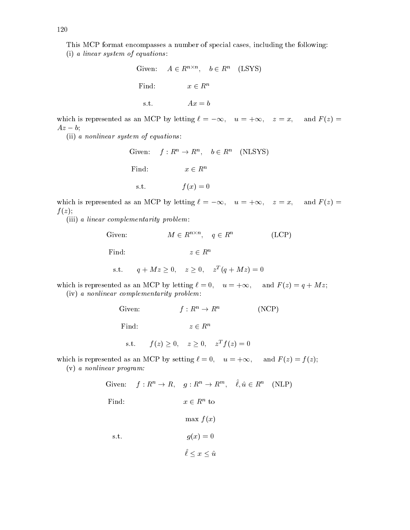This MCP format encompasses a number of special cases, including the following:  $(i)$  a linear system of equations:

```
Given: A \in R^{n \wedge n}, b \in R^n (LSYS)
Find: x \in R^nAx = b
```
which is represented as an MCP by letting  $\ell = -\infty$ ,  $u = +\infty$ ,  $z = x$ , and  $F(z) =$  $Az - b$ ;

(ii) a nonlinear system of equations:

Given: 
$$
f: R^n \to R^n
$$
,  $b \in R^n$  (NLSYS)  
Find:  $x \in R^n$   
s.t.  $f(x) = 0$ 

which is represented as an MCP by letting  $\ell = -\infty$ ,  $u = +\infty$ ,  $z = x$ , and  $F(z) =$  $f(z);$ 

(iii) a linear complementarity problem:

Given: 
$$
M \in R^{n \times n}
$$
,  $q \in R^n$  (LCP)

Find:

$$
z\in R^n
$$

s.t. 
$$
q + Mz \ge 0
$$
,  $z \ge 0$ ,  $z^T(q + Mz) = 0$ 

which is represented as an MCP by letting  $\ell = 0$ ,  $u = +\infty$ , and  $F(z) = q + M z$ ; (iv) a nonlinear complementarity problem:

Given:  $f: R^n \to R^n$  (NCP) Find:  $z \in R^n$ s.t.  $f(z) \geq 0$ ,  $z \geq 0$ ,  $z^T f(z) = 0$ which is represented as an MCP by setting  $\ell = 0$ ,  $u = +\infty$ , and  $F(z) = f(z)$ ;

(v) a nonlinear program:

Given: 
$$
f: R^n \to R
$$
,  $g: R^n \to R^m$ ,  $\hat{\ell}, \hat{u} \in R^n$  (NLP)

Find:  $x \in R^n$  to

 $\max f(x)$ 

$$
s.t. \t\t g(x) = 0
$$

 $\ell \leq x \leq \hat{u}$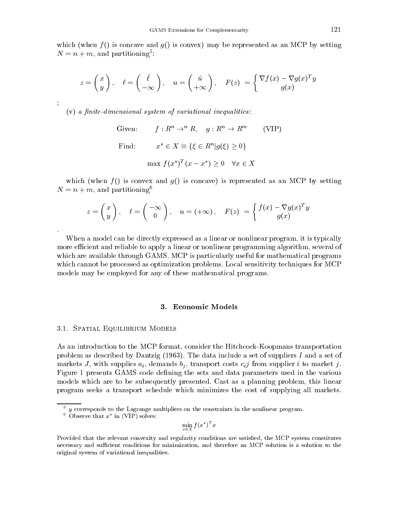which (when  $f()$  is concave and  $g()$  is convex) may be represented as an MCP by setting  $N = n + m$ , and partitioning<sup>5</sup>:

$$
z = \begin{pmatrix} x \\ y \end{pmatrix}, \quad \ell = \begin{pmatrix} \hat{\ell} \\ -\infty \end{pmatrix}, \quad u = \begin{pmatrix} \hat{u} \\ +\infty \end{pmatrix}, \quad F(z) = \begin{cases} \nabla f(x) - \nabla g(x)^T y \\ g(x) \end{cases}
$$

 $(v)$  a finite-dimensional system of variational inequalities:

**The contract of the contract of the contract of the contract of the contract of the contract of the contract of the contract of the contract of the contract of the contract of the contract of the contract of the contract** 

Given:  $f: R^n \to R^n$ ,  $q: R^n \to R^m$ (VIP) Find:  $x^* \in X \equiv \{\xi \in R^n | g(\xi) \geq 0\}$  $\max f(x^*)^T(x-x^*) \geq 0 \quad \forall x \in X$ 

which (when  $f()$  is convex and  $g()$  is concave) is represented as an MCP by setting  $N = n + m$ , and partitioning<sup>6</sup>

$$
z = \begin{pmatrix} x \\ y \end{pmatrix}, \quad \ell = \begin{pmatrix} -\infty \\ 0 \end{pmatrix}, \quad u = (+\infty), \quad F(z) = \begin{cases} f(x) - \nabla g(x)^T y \\ g(x) \end{cases}
$$

When a model can be directly expressed as a linear or nonlinear program, it is typically more efficient and reliable to apply a linear or nonlinear programming algorithm, several of which are available through GAMS. MCP is particularly useful for mathematical programs which cannot be processed as optimization problems. Local sensitivity techniques for MCP models may be employed for any of these mathematical programs.

#### 3. Economic Models

#### 3.1. SPATIAL EQUILIBRIUM MODELS

As an introduction to the MCP format, consider the Hitchcock-Koopmans transportation problem as described by Dantzig (1963). The data include a set of suppliers I and a set of markets J, with supplies  $a_i$ , demands  $b_j$ , transport costs  $c_i j$  from supplier i to market j. Figure 1 presents GAMS code dening the sets and data parameters used in the various models which are to be subsequently presented. Cast as a planning problem, this linear program seeks a transport schedule which minimizes the cost of supplying all markets.

$$
\min_{x \in X} f(x^*)^T x
$$

 $\tau$  y corresponds to the Lagrange multipliers on the constraints in the nonlinear program.

UDServe that  $x$  in (VIP) solves:

Provided that the relevant convexity and regularity conditions are satised, the MCP system constitutes necessary and sufficient conditions for minimization, and therefore an MCP solution is a solution to the original system of variational inequalities.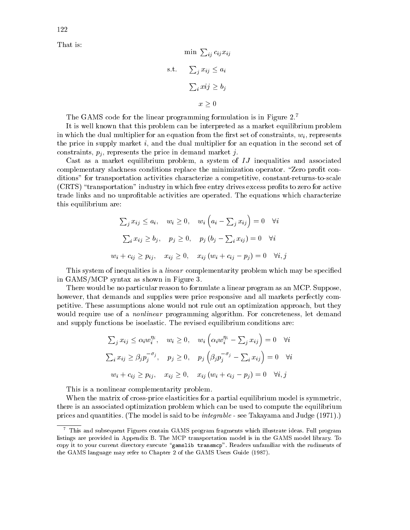That is:

$$
\min \sum_{ij} c_{ij} x_{ij}
$$
\n
$$
\text{s.t.} \quad \sum_{j} x_{ij} \leq a_i
$$
\n
$$
\sum_{i} x_{ij} \geq b_j
$$
\n
$$
x \geq 0
$$

The GAMS code for the linear programming formulation is in Figure 2.7

It is well known that this problem can be interpreted as a market equilibrium problem in which the dual multiplier for an equation from the first set of constraints,  $w_i$ , represents the price in supply market i, and the dual multiplier for an equation in the second set of constraints,  $p_i$ , represents the price in demand market j.

Cast as a market equilibrium problem, a system of IJ inequalities and associated complementary slackness conditions replace the minimization operator. "Zero profit conditions" for transportation activities characterize a competitive, constant-returns-to-scale (CRTS) "transportation" industry in which free entry drives excess profits to zero for active trade links and no unprotable activities are operated. The equations which characterize this equilibrium are:

$$
\sum_{j} x_{ij} \le a_i, \quad w_i \ge 0, \quad w_i \left( a_i - \sum_j x_{ij} \right) = 0 \quad \forall i
$$
  

$$
\sum_{i} x_{ij} \ge b_j, \quad p_j \ge 0, \quad p_j \left( b_j - \sum_i x_{ij} \right) = 0 \quad \forall i
$$
  

$$
w_i + c_{ij} \ge p_{ij}, \quad x_{ij} \ge 0, \quad x_{ij} \left( w_i + c_{ij} - p_j \right) = 0 \quad \forall i, j
$$

This system of inequalities is a *linear* complementarity problem which may be specified in GAMS/MCP syntax as shown in Figure 3.

There would be no particular reason to formulate a linear program as an MCP. Suppose, however, that demands and supplies were price responsive and all markets perfectly competitive. These assumptions alone would not rule out an optimization approach, but they would require use of a *nonlinear* programming algorithm. For concreteness, let demand and supply functions be isoelastic. The revised equilibrium conditions are:

$$
\sum_{j} x_{ij} \le \alpha_i w_i^{\eta_i}, \quad w_i \ge 0, \quad w_i \left( \alpha_i w_i^{\eta_i} - \sum_{j} x_{ij} \right) = 0 \quad \forall i
$$
  

$$
\sum_{i} x_{ij} \ge \beta_j p_j^{-\sigma_j}, \quad p_j \ge 0, \quad p_j \left( \beta_j p_j^{-\sigma_j} - \sum_{i} x_{ij} \right) = 0 \quad \forall i
$$
  

$$
w_i + c_{ij} \ge p_{ij}, \quad x_{ij} \ge 0, \quad x_{ij} \left( w_i + c_{ij} - p_j \right) = 0 \quad \forall i, j
$$

This is a nonlinear complementarity problem.

When the matrix of cross-price elasticities for a partial equilibrium model is symmetric, there is an associated optimization problem which can be used to compute the equilibrium prices and quantities. (The model is said to be integrable - see Takayama and Judge (1971).)

122

<sup>7</sup> This and subsequent Figures contain GAMS program fragments which illustrate ideas. Full program listings are provided in Appendix B. The MCP transportation model is in the GAMS model library. To copy it to your current directory execute \gamslib transmcp". Readers unfamiliar with the rudiments of the GAMS language may refer to Chapter 2 of the GAMS Users Guide (1987).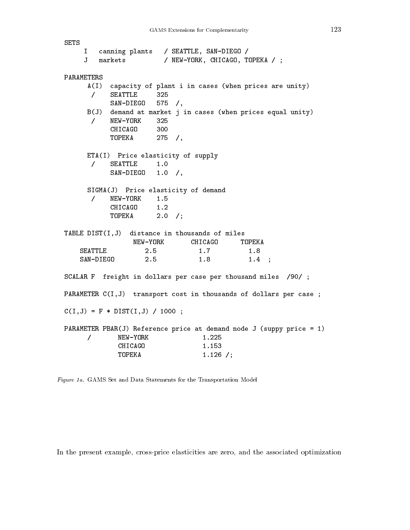```
SETS
    I canning plants / SEATTLE, SAN-DIEGO /
                       / NEW-YORK, CHICAGO, TOPEKA / ;
    Jmarkets
PARAMETERS
     A(I) capacity of plant i in cases (when prices are unity)
      / SEATTLE 325
          SAN-DIEGO 575 /,
     B(J) demand at market j in cases (when prices equal unity)
      \primeNEW-YORK 325
          CHICAGO
                     300
          TOPEKA 275 /,
     ETA(I) Price elasticity of supply
          SEATTLE 1.0
      \primeSAN-DIEGO 1.0 /,
     SIGMA(J) Price elasticity of demand
      \primeNEW-YORK 1.5
          CHICAGO 1.2
          TOPEKA 2.0 /;
TABLE DIST(I,J) distance in thousands of miles
   SAN-DIEGO 2.5 1.8 1.4 ;
SCALAR F freight in dollars per case per thousand miles /90/ ;
PARAMETER C(I,J) transport cost in thousands of dollars per case;
C(I,J) = F * DIST(I,J) / 1000;PARAMETER PBAR(J) Reference price at demand node J (suppy price = 1)
     / NEW-YORK 1.225
            CHICAGO 1.153
            TOPEKA
                                1.126 /:
```
Figure 1a. GAMS Set and Data Statements for the Transportation Model

In the present example, cross-price elasticities are zero, and the associated optimization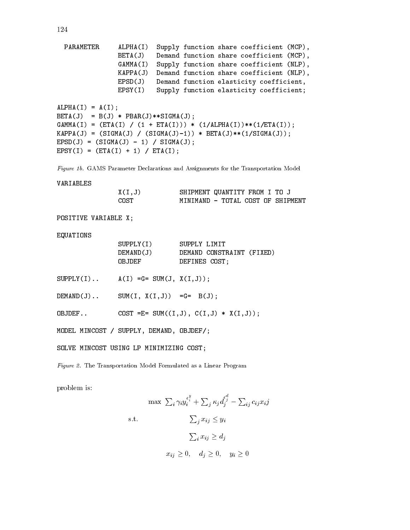```
PARAMETER ALPHA(I) Supply function share coefficient (MCP),
               BETA(J) Demand function share coefficient (MCP),
               GAMMA(I) Supply function share coefficient (NLP),
               KAPPA(J) Demand function share coefficient (NLP),
               EPSD(J) Demand function elasticity coefficient,
               EPSY(I) Supply function elasticity coefficient;
ALPHA(I) = A(I);BETA(J) = B(J) * PBAR(J) * *SIGMA(J);GAMMA(I) = (ETA(I) / (1 + ETA(I))) * (1/ALPHA(I))**(1/ETA(I));KAPPA(J) = (SIGMA(J) / (SIGMA(J)-1)) * BETA(J) ** (1/SIGMA(J));EPSD(J) = (SIGMA(J) - 1) / SIGMA(J);EPSY(I) = (ETA(I) + 1) / ETA(I);
```
Figure 1b. GAMS Parameter Declarations and Assignments for the Transportation Model

#### VARIABLES

| X(I,J) | SHIPMENT QUANTITY FROM I TO J     |
|--------|-----------------------------------|
| COST   | MINIMAND - TOTAL COST OF SHIPMENT |

POSITIVE VARIABLE X;

#### EQUATIONS

| SUPPLY(I) | SUPPLY LIMIT              |
|-----------|---------------------------|
| DEMAND(J) | DEMAND CONSTRAINT (FIXED) |
| OBJDFF.   | DEFINES COST;             |

- $SUPPLY(I)$ ..  $A(I) = G = SUM(J, X(I, J));$
- DEMAND(J).. SUM(I,  $X(I,J)$ ) =G= B(J);
- OBJDEF..  $COST = E= SUM((I,J), C(I,J) * X(I,J));$

MODEL MINCOST / SUPPLY, DEMAND, OBJDEF/;

SOLVE MINCOST USING LP MINIMIZING COST;

Figure 2. The Transportation Model Formulated as a Linear Program

problem is:

```
\max \sum_i \gamma_i y_i^{\epsilon_i} + \sum_i \kappa_j d_i^{\epsilon_j}\frac{\epsilon_i^s}{i} + \sum_j \kappa_j d_j^{\epsilon_j^{-}} - \sum_{ij} c_{ij} x_i\frac{\epsilon_j^z}{i} - \sum_{ij} c_{ij} x_i js.t. \sum_i x_{ij} \leq y_i\sum_i x_{ij} \geq d_jx_{ij} \geq 0, \quad d_i \geq 0, \quad y_i \geq 0
```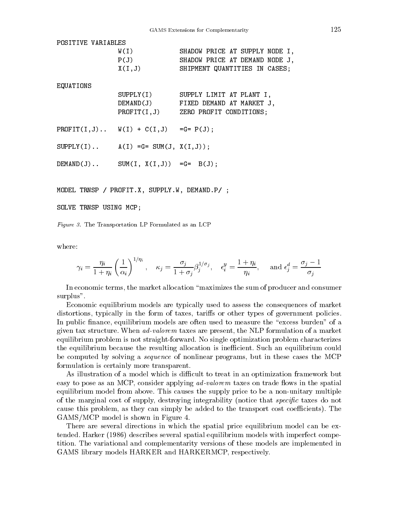| POSITIVE VARIABLES |                                         |                                     |
|--------------------|-----------------------------------------|-------------------------------------|
|                    | W(I)                                    | SHADOW PRICE AT SUPPLY NODE I,      |
|                    | P(J)                                    | SHADOW PRICE AT DEMAND NODE J,      |
|                    | X(I,J)                                  | SHIPMENT QUANTITIES IN CASES;       |
|                    |                                         |                                     |
| EQUATIONS          |                                         |                                     |
|                    | SUPPLY(I)                               | SUPPLY LIMIT AT PLANT I,            |
|                    |                                         | DEMAND(J) FIXED DEMAND AT MARKET J, |
|                    |                                         | PROFIT(I,J) ZERO PROFIT CONDITIONS; |
|                    |                                         |                                     |
|                    | PROFIT(I,J) $W(I) + C(I,J) = G = P(J);$ |                                     |
|                    |                                         |                                     |
|                    | SUPPLY(I) $A(I) = G = SUM(J, X(I, J));$ |                                     |
|                    |                                         |                                     |
|                    | DEMAND(J) SUM(I, $X(I,J)$ ) =G= B(J);   |                                     |
|                    |                                         |                                     |

MODEL TRNSP / PROFIT.X, SUPPLY.W, DEMAND.P/ ;

SOLVE TRNSP USING MCP;

Figure 3. The Transportation LP Formulated as an LCP

where:

$$
\gamma_i = \frac{\eta_i}{1+\eta_i}\left(\frac{1}{\alpha_i}\right)^{1/\eta_i}, \quad \kappa_j = \frac{\sigma_j}{1+\sigma_j}\beta_j^{1/\sigma_j}, \quad \epsilon_i^y = \frac{1+\eta_i}{\eta_i}, \quad \text{ and } \epsilon_j^d = \frac{\sigma_j-1}{\sigma_j}
$$

In economic terms, the market allocation "maximizes the sum of producer and consumer surplus".

Economic equilibrium models are typically used to assess the consequences of market distortions, typically in the form of taxes, tariffs or other types of government policies. In public finance, equilibrium models are often used to measure the "excess burden" of a given tax structure. When ad-valorem taxes are present, the NLP formulation of a market equilibrium problem is not straight-forward. No single optimization problem characterizes the equilibrium because the resulting allocation is inefficient. Such an equilibrium could be computed by solving a sequence of nonlinear programs, but in these cases the MCP formulation is certainly more transparent.

As illustration of a model which is difficult to treat in an optimization framework but easy to pose as an MCP, consider applying  $ad-valuelorem$  taxes on trade flows in the spatial equilibrium model from above. This causes the supply price to be a non-unitary multiple of the marginal cost of supply, destroying integrability (notice that *specific* taxes do not cause this problem, as they can simply be added to the transport cost coefficients). The GAMS/MCP model is shown in Figure 4.

There are several directions in which the spatial price equilibrium model can be extended. Harker (1986) describes several spatial equilibrium models with imperfect competition. The variational and complementarity versions of these models are implemented in GAMS library models HARKER and HARKERMCP, respectively.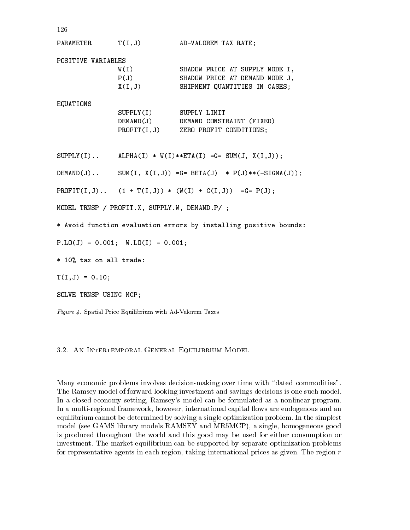126

|                         |                                                           | PARAMETER $T(I,J)$ AD-VALOREM TAX RATE;                           |
|-------------------------|-----------------------------------------------------------|-------------------------------------------------------------------|
| POSITIVE VARIABLES      |                                                           |                                                                   |
|                         | W(I)                                                      | SHADOW PRICE AT SUPPLY NODE I,                                    |
|                         | P(J)                                                      | SHADOW PRICE AT DEMAND NODE J,                                    |
|                         | X(I,J)                                                    | SHIPMENT QUANTITIES IN CASES;                                     |
| EQUATIONS               |                                                           |                                                                   |
|                         | SUPPLY(I) SUPPLY LIMIT                                    |                                                                   |
|                         |                                                           | DEMAND(J) DEMAND CONSTRAINT (FIXED)                               |
|                         |                                                           | $\texttt{PROFIT}(I, J)$ ZERO PROFIT CONDITIONS;                   |
|                         |                                                           |                                                                   |
|                         |                                                           | SUPPLY(I) ALPHA(I) * $W(I)$ * *ETA(I) =G= SUM(J, X(I,J));         |
|                         |                                                           |                                                                   |
|                         |                                                           | DEMAND(J) SUM(I, X(I,J)) =G= BETA(J) * P(J)**(-SIGMA(J));         |
|                         |                                                           | PROFIT(I,J) $(1 + T(I,J)) * (W(I) + C(I,J)) = G = P(J);$          |
|                         | MODEL TRNSP / PROFIT.X, SUPPLY.W, DEMAND.P/;              |                                                                   |
|                         |                                                           | * Avoid function evaluation errors by installing positive bounds: |
|                         | $P.L0(J) = 0.001; W.L0(I) = 0.001;$                       |                                                                   |
| * 10% tax on all trade: |                                                           |                                                                   |
| $T(I,J) = 0.10;$        |                                                           |                                                                   |
| SOLVE TRNSP USING MCP;  |                                                           |                                                                   |
|                         | Figure 4. Spatial Price Equilibrium with Ad-Valorem Taxes |                                                                   |

## 3.2. An Intertemporal General Equilibrium Model

Many economic problems involves decision-making over time with "dated commodities". The Ramsey model of forward-looking investment and savings decisions is one such model. In a closed economy setting, Ramsey's model can be formulated as a nonlinear program. In a multi-regional framework, however, international capital flows are endogenous and an equilibrium cannot be determined by solving a single optimization problem. In the simplest model (see GAMS library models RAMSEY and MR5MCP), a single, homogeneous good is produced throughout the world and this good may be used for either consumption or investment. The market equilibrium can be supported by separate optimization problems for representative agents in each region, taking international prices as given. The region r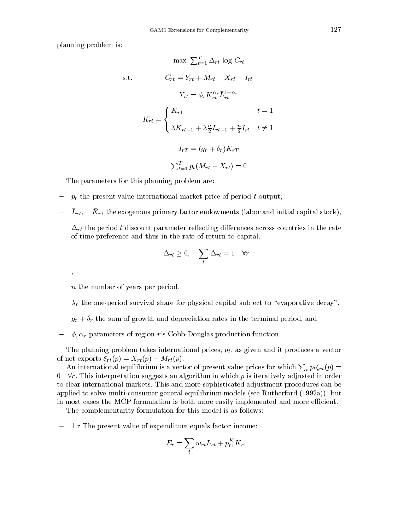planning problem is:

$$
\max \sum_{t=1}^{T} \Delta_{rt} \log C_{rt}
$$
\ns.t. 
$$
C_{rt} = Y_{rt} + M_{rt} - X_{rt} - I_{rt}
$$
\n
$$
Y_{rt} = \phi_r K_{rt}^{\alpha_r} \bar{L}_{rt}^{1-\alpha_r}
$$
\n
$$
K_{rt} = \begin{cases} \bar{K}_{r1} & t=1\\ \lambda K_{rt-1} + \lambda \frac{n}{2} I_{rt-1} + \frac{n}{2} I_{rt} & t \neq 1 \end{cases}
$$
\n
$$
I_{rT} = (g_r + \delta_r) K_{rT}
$$
\n
$$
\sum_{t=1}^{T} \bar{p}_t (M_{rt} - X_{rt}) = 0
$$

The parameters for this planning problem are:

- $p_t$  the present-value international market price or period t output,
- $\mu_{rt}$ ,  $\mu_{r1}$  the exogenous primary factor endowments (fabor and initial capital stock),
- $\Delta_{rt}$  the period t discount parameter reflecting differences across countries in the rate of time preference and thus in the rate of return to capital,

$$
\Delta_{rt} \ge 0, \quad \sum_{t} \Delta_{rt} = 1 \quad \forall r
$$

 $-$  *n* the number of years per period,

,

- ═  $\lambda_r$  the one-period survival share for physical capital subject to "evaporative decay",
- $g_r + \delta_r$  the sum of growth and depreciation rates in the terminal period, and
- $\phi$ ,  $\alpha_r$  parameters of region r's Cobb-Douglas production function.

The planning problem takes international prices,  $p_t$ , as given and it produces a vector of net exports  $\xi_{rt}(p) = X_{rt}(p) - M_{rt}(p)$ .

An international equilibrium is a vector of present value prices for which  $\sum_{r} p_t \xi_{rt}(p) =$  $0 \quad \forall r$ . This interpretation suggests an algorithm in which p is iteratively adjusted in order to clear international markets. This and more sophisticated adjustment procedures can be applied to solve multi-consumer general equilibrium models (see Rutherford (1992a)), but in most cases the MCP formulation is both more easily implemented and more efficient.

The complementarity formulation for this model is as follows:

 $-$  1.1 The present value of expenditure equals factor income.

$$
E_r=\sum_t w_{rt}\bar{L}_{rt}+p_{r1}^K\bar{K}_{r1}
$$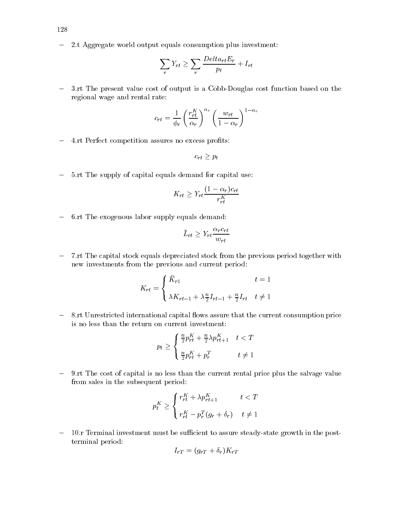$\overline{\phantom{0}}$ 2.t Aggregate world output equals consumption plus investment:

$$
\sum_{r} Y_{rt} \ge \sum_{r} \frac{Delta_{rt} E_r}{p_t} + I_{rt}
$$

═ 3.rt The present value cost of output is a Cobb-Douglas cost function based on the regional wage and rental rate:

$$
c_{rt} = \frac{1}{\phi_r} \left(\frac{r_{rt}^K}{\alpha_r}\right)^{\alpha_r} \left(\frac{w_{rt}}{1 - \alpha_r}\right)^{1 - \alpha_r}
$$

 $-$  4.rt Perfect competition assures no excess promis.

$$
c_{rt} \geq p_t
$$

 $\overline{\phantom{0}}$ 5.rt The supply of capital equals demand for capital use:

$$
K_{rt} \geq Y_{rt} \frac{(1 - \alpha_r)c_{rt}}{r_{rt}^K}
$$

 $\equiv$ 6.rt The exogenous labor supply equals demand:

$$
\bar{L}_{rt} \geq Y_{rt} \frac{\alpha_r c_{rt}}{w_{rt}}
$$

 $\overline{\phantom{0}}$  7.rt The capital stock equals depreciated stock from the previous period together with new investments from the previous and current period:

$$
K_{rt} = \begin{cases} \bar{K}_{r1} & t = 1\\ \lambda K_{rt-1} + \lambda \frac{n}{2} I_{rt-1} + \frac{n}{2} I_{rt} & t \neq 1 \end{cases}
$$

 $\overline{\phantom{0}}$ 8.rt Unrestricted international capital flows assure that the current consumption price is no less than the return on current investment:

$$
p_t \ge \begin{cases} \frac{n}{2} p_{rt}^K + \frac{n}{2} \lambda p_{rt+1}^K & t < T \\ \frac{n}{2} p_{rt}^K + p_r^T & t \ne 1 \end{cases}
$$

 $\frac{1}{2}$  9.rt The cost of capital is no less than the current rental price plus the salvage value from sales in the subsequent period:

$$
p_t^K \ge \begin{cases} r_{rt}^K + \lambda p_{rt+1}^K & t < T \\ r_{rt}^K - p_r^T (g_r + \delta_r) & t \neq 1 \end{cases}
$$

 $-$  10.1 Terminal investment must be sumclem to assure steady-state growth in the postterminal period:

$$
I_{rT}=(g_{rT}+\delta_r)K_{rT}
$$

128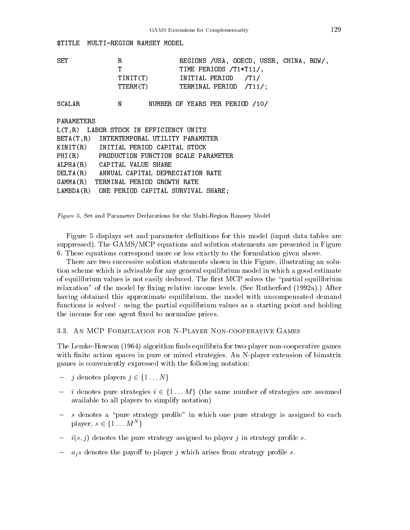| SET.                         | R                                            | REGIONS /USA, OOECD, USSR, CHINA, ROW/, |  |  |
|------------------------------|----------------------------------------------|-----------------------------------------|--|--|
|                              | T                                            | TIME PERIODS /T1*T11/,                  |  |  |
|                              | TINIT(T)                                     | INITIAL PERIOD /T1/                     |  |  |
|                              |                                              | TTERM(T) TERMINAL PERIOD /T11/;         |  |  |
|                              |                                              |                                         |  |  |
| <b>SCALAR</b>                |                                              | N WUMBER OF YEARS PER PERIOD /10/       |  |  |
| PARAMETERS                   |                                              |                                         |  |  |
|                              | L(T.R) LABOR STOCK IN EFFICIENCY UNITS       |                                         |  |  |
|                              | BETA(T,R) INTERTEMPORAL UTILITY PARAMETER    |                                         |  |  |
|                              | KINIT(R) INITIAL PERIOD CAPITAL STOCK        |                                         |  |  |
|                              | PHI(R) PRODUCTION FUNCTION SCALE PARAMETER   |                                         |  |  |
| ALPHA(R) CAPITAL VALUE SHARE |                                              |                                         |  |  |
|                              | DELTA(R) ANNUAL CAPITAL DEPRECIATION RATE    |                                         |  |  |
|                              | GAMMA(R) TERMINAL PERIOD GROWTH RATE         |                                         |  |  |
|                              | LAMBDA(R) ONE PERIOD CAPITAL SURVIVAL SHARE; |                                         |  |  |

Figure 5. Set and Parameter Declarations for the Multi-Region Ramsey Model

Figure 5 displays set and parameter definitions for this model (input data tables are suppressed). The GAMS/MCP equations and solution statements are presented in Figure 6. These equations correspond more or less exactly to the formulation given above.

There are two successive solution statements shown in this Figure, illustrating an solution scheme which is advisable for any general equilibrium model in which a good estimate of equilibrium values is not easily deduced. The first MCP solves the "partial equilibrium relaxation" of the model by fixing relative income levels. (See Rutherford  $(1992a)$ .) After having obtained this approximate equilibrium, the model with uncompensated demand functions is solved - using the partial equilibrium values as a starting point and holding the income for one agent fixed to normalize prices.

# 3.3. An MCP Formulation for N-Player Non-cooperative Games

The Lemke-Howson (1964) algorithm finds equilibria for two-player non-cooperative games with finite action spaces in pure or mixed strategies. An N-player extension of bimatrix games is conveniently expressed with the following notation:

– j denotes players  $j \in \{1...N\}$ 

\$TITLE MULTI-REGION RAMSEY MODEL

- *i* denotes pure strategies  $i \in \{1...M\}$  (the same number of strategies are assumed available to all players to simplify notation)
- ═ s denotes a "pure strategy profile" in which one pure strategy is assigned to each player,  $s \in \{1 \dots M^N\}$  $\}$
- ═  $i(s, j)$  denotes the pure strategy assigned to player j in strategy profile s.
- ═  $a_j s$  denotes the payoff to player j which arises from strategy profile s.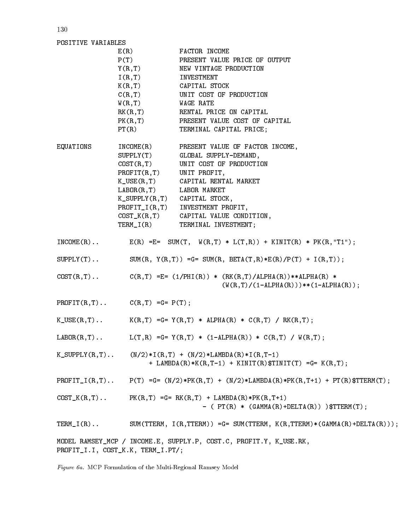POSITIVE VARIABLES E(R) FACTOR INCOME  $P(T)$ PRESENT VALUE PRICE OF OUTPUT P(T) PRESENT VALUE PRICE OF OUTPUT Y(R,T) NEW VINTAGE PRODUCTION I(R,T) INVESTMENT K(R,T) CAPITAL STOCK C(R,T) UNIT COST OF PRODUCTION W(R,T) WAGE RATE RK(R,T) RENTAL PRICE ON CAPITAL PK(R,T) PRESENT VALUE COST OF CAPITAL PT(R) TERMINAL CAPITAL PRICE; EQUATIONS INCOME(R) PRESENT VALUE OF FACTOR INCOME, SUPPLY(T) GLOBAL SUPPLY-DEMAND, COST(R,T) UNIT COST OF PRODUCTION PROFIT(R,T) UNIT PROFIT, K\_USE(R,T) CAPITAL RENTAL MARKET  $LABOR(R,T)$ **LABOR MARKET** K\_SUPPLY(R,T) CAPITAL STOCK, PROFIT\_I(R,T) INVESTMENT PROFIT, COST\_K(R,T) CAPITAL VALUE CONDITION, TERM\_I(R) TERMINAL INVESTMENT;  $INCOME(R)$ ..  $E(R) = E = SUM(T, W(R, T) * L(T, R)) + KINIT(R) * PK(R, "T1")$ ; SUM(R, Y(R,T)) =G= SUM(R, BETA(T,R)\*E(R)/P(T) + I(R,T));  $SUPPLY(T)$ ..  $COST(R,T)$ ..  $C(R,T) = E = (1/PHI(R)) * (RK(R,T)/ALPHA(R))**ALPHA(R) *$  $(W(R,T)/(1-ALPHA(R)))$  \*\*  $(1-ALPHA(R))$ ;  $PROFIT(R,T)$ ..  $C(R,T) = G = P(T);$  $K_USE(R, T)$ ..  $K(R, T) = G = Y(R, T) * ALPHA(R) * C(R, T) / RK(R, T);$ LABOR(R,T)..  $L(T,R) = G = Y(R,T) * (1 - ALPHA(R)) * C(R,T) / W(R,T);$ K SUPPLY(R,T)..  $(N/2)*I(R,T) + (N/2)*LAMBDA(R)*I(R,T-1)$  $+$  LAMBDA(R)\*K(R,T-1) + KINIT(R)\$TINIT(T) =G= K(R,T);  $PROFIT_I(R,T)$ ..  $P(T) = G = (N/2) * PK(R,T) + (N/2) * LAMBDA(R) * PK(R,T+1) + PT(R) * TERN(T);$  $COST_K(R,T)$ .. PK $(R,T) = G = RK(R,T) + LAMBDA(R)*PK(R,T+1)$  $-$  ( PT(R)  $*$  (GAMMA(R)+DELTA(R)) )\$TTERM(T); TERM\_I(R).. SUM(TTERM, I(R,TTERM)) =G= SUM(TTERM, K(R,TTERM)\*(GAMMA(R)+DELTA(R))); MODEL RAMSEY\_MCP / INCOME.E, SUPPLY.P, COST.C, PROFIT.Y, K\_USE.RK, PROFIT\_I.I, COST\_K.K, TERM\_I.PT/;

Figure 6a. MCP Formulation of the Multi-Regional Ramsey Model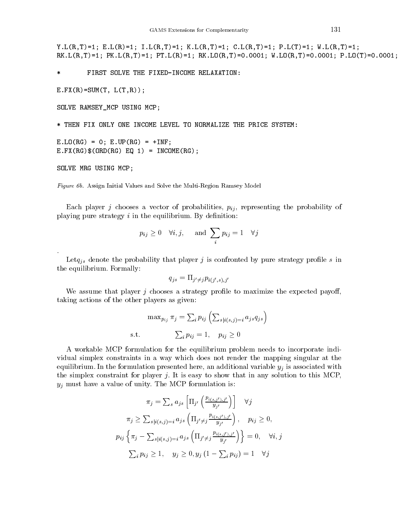Y.L(R,T)=1; E.L(R)=1; I.L(R,T)=1; K.L(R,T)=1; C.L(R,T)=1; P.L(T)=1; W.L(R,T)=1; RK.L(R,T)=1; PK.L(R,T)=1; PT.L(R)=1; RK.LO(R,T)=0.0001; W.LO(R,T)=0.0001; P.LO(T)=0.0001;

 $\ast$ FIRST SOLVE THE FIXED-INCOME RELAXATION:

 $E.FX(R) = SUM(T, L(T,R));$ 

SOLVE RAMSEY\_MCP USING MCP;

\* THEN FIX ONLY ONE INCOME LEVEL TO NORMALIZE THE PRICE SYSTEM:

 $E.LO(RG) = 0$ ;  $E.UP(RG) = +INF$ ;  $E.FX(RG)$   $(ORD(RG)$   $EQ 1$  = INCOME(RG);

SOLVE MRG USING MCP;

Figure 6b. Assign Initial Values and Solve the Multi-Region Ramsey Model

Each player j chooses a vector of probabilities,  $p_{ij}$ , representing the probability of playing pure strategy  $i$  in the equilibrium. By definition:

$$
p_{ij}\geq 0 \quad \forall i,j, \quad \text{ and } \sum_i p_{ij}=1 \quad \forall j
$$

Let<sub>qis</sub> denote the probability that player j is confronted by pure strategy profile s in the equilibrium. Formally:

$$
q_{js}=\Pi_{j'\neq j}p_{i(j',s),j'}
$$

We assume that player  $j$  chooses a strategy profile to maximize the expected payoff, taking actions of the other players as given:

$$
\max_{p_{ij}} \pi_j = \sum_i p_{ij} \left( \sum_{s \mid i(s,j)=i} a_{js} q_{js} \right)
$$
  
s.t. 
$$
\sum_i p_{ij} = 1, \quad p_{ij} \ge 0
$$

A workable MCP formulation for the equilibrium problem needs to incorporate individual simplex constraints in a way which does not render the mapping singular at the equilibrium. In the formulation presented here, an additional variable  $y_i$  is associated with the simplex constraint for player  $j$ . It is easy to show that in any solution to this MCP,  $y_i$  must have a value of unity. The MCP formulation is:

$$
\pi_j = \sum_s a_{js} \left[ \Pi_{j'} \left( \frac{p_{i(s,j'),j'}}{y_{j'}} \right) \right] \quad \forall j
$$
  

$$
\pi_j \ge \sum_{s \mid i(s,j)=i} a_{js} \left( \Pi_{j' \ne j} \frac{p_{i(s,j'),j'}}{y_{j'}} \right), \quad p_{ij} \ge 0,
$$
  

$$
p_{ij} \left\{ \pi_j - \sum_{s \mid i(s,j)=i} a_{js} \left( \Pi_{j' \ne j} \frac{p_{i(s,j'),j'}}{y_{j'}} \right) \right\} = 0, \quad \forall i, j
$$
  

$$
\sum_i p_{ij} \ge 1, \quad y_j \ge 0, y_j \left( 1 - \sum_i p_{ij} \right) = 1 \quad \forall j
$$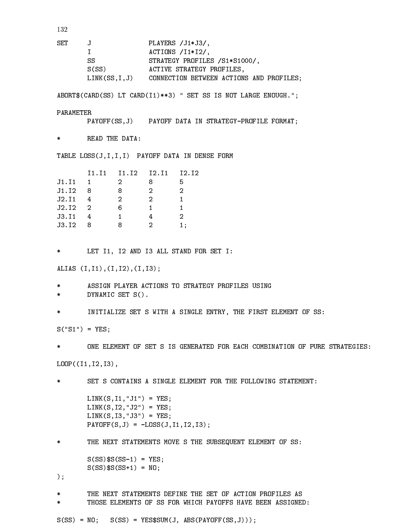SET J PLAYERS /J1\*J3/,  $\mathbf{I}$ ACTIONS /I1\*I2/,  $SS$ STRATEGY PROFILES /S1\*S1000/, S(SS) ACTIVE STRATEGY PROFILES, LINK(SS,I,J) CONNECTION BETWEEN ACTIONS AND PROFILES; ABORT\$(CARD(SS) LT CARD(I1)\*\*3) " SET SS IS NOT LARGE ENOUGH."; PARAMETER PAYOFF(SS,J) PAYOFF DATA IN STRATEGY-PROFILE FORMAT;  $\star$ READ THE DATA: TABLE LOSS(J,I,I,I) PAYOFF DATA IN DENSE FORM I1.I1 I1.I2 I2.I1 I2.I2 - 5 J3.I2 8 8 2 1;  $\star$  . The set of  $\star$ LET I1, I2 AND I3 ALL STAND FOR SET I: ALIAS (I,I1),(I,I2),(I,I3);  $\star$ ASSIGN PLAYER ACTIONS TO STRATEGY PROFILES USING  $*$ DYNAMIC SET S().  $\star$ INITIALIZE SET S WITH A SINGLE ENTRY, THE FIRST ELEMENT OF SS:  $S("S1") = YES;$  $\ast$ ONE ELEMENT OF SET S IS GENERATED FOR EACH COMBINATION OF PURE STRATEGIES: LOOP((I1,I2,I3),  $\star$  . The set of  $\star$ SET S CONTAINS A SINGLE ELEMENT FOR THE FOLLOWING STATEMENT:  $LINK(S, I1, "J1") = YES;$  $LINK(S,I2,'J2'') = YES;$  $LINK(S, I3, "J3") = YES;$  $PAYOFF(S,J) = -LOSS(J,I1,I2,I3);$  $\pmb{\ast}$ THE NEXT STATEMENTS MOVE S THE SUBSEQUENT ELEMENT OF SS:  $S(SS)$  $S(SS-1) = YES;$  $S(SS)$  \$S(SS+1) = NO; ); THE NEXT STATEMENTS DEFINE THE SET OF ACTION PROFILES AS  $\ast$ THOSE ELEMENTS OF SS FOR WHICH PAYOFFS HAVE BEEN ASSIGNED:  $\ast$ 

 $S(SS) = NO; S(SS) = YESSSUM(J, ABS(PAYOFF(SS,J)))$ ;

132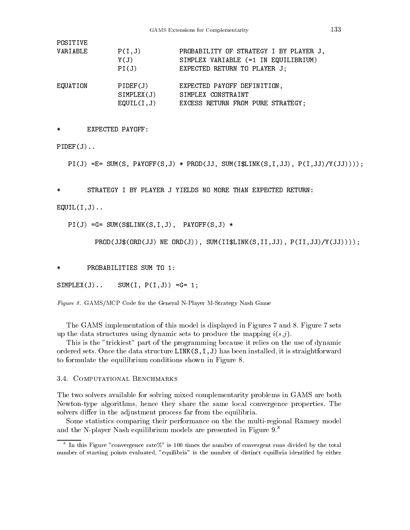| VARIABLE | P(I,J)<br>Y(J)<br>PI(J)              | PROBABILITY OF STRATEGY I BY PLAYER J,<br>SIMPLEX VARIABLE (=1 IN EQUILIBRIUM)<br>EXPECTED RETURN TO PLAYER J; |
|----------|--------------------------------------|----------------------------------------------------------------------------------------------------------------|
| EQUATION | PIDEF(J)<br>SIMPLEX(J)<br>EQUIL(I,J) | EXPECTED PAYOFF DEFINITION,<br>SIMPLEX CONSTRAINT<br>EXCESS RETURN FROM PURE STRATEGY;                         |

EXPECTED PAYOFF:  $\ast$ 

PIDEF(J)..

POSITIVE

 $PI(J)$  =E= SUM(S, PAYOFF(S,J) \* PROD(JJ, SUM(I\$LINK(S,I,JJ),  $P(I,JJ)/Y(JJ))$ );

 $\ast$ STRATEGY I BY PLAYER J YIELDS NO MORE THAN EXPECTED RETURN:

 $EQUIL(I,J)$ ..

 $PI(J) = G = SUM(S$LINK(S,I,J), PAYOFF(S,J) *$ 

 $PROD(JJ$(ORD(JJ))$  NE  $ORD(J))$ , SUM(II\$LINK(S,II,JJ),  $P(II,JJ)/Y(JJ))$ );

 $\ast$ PROBABILITIES SUM TO 1:

 $SIMPLEX(J)$ ..  $SUM(I, P(I,J)) = G = 1$ ;

Figure 8. GAMS/MCP Code for the General N-Player M-Strategy Nash Game

The GAMS implementation of this model is displayed in Figures 7 and 8. Figure 7 sets up the data structures using dynamic sets to produce the mapping  $i(s,j)$ .

This is the "trickiest" part of the programming because it relies on the use of dynamic ordered sets. Once the data structure LINK(S,I,J) has been installed, it is straightforward to formulate the equilibrium conditions shown in Figure 8.

The two solvers available for solving mixed complementarity problems in GAMS are both Newton-type algorithms, hence they share the same local convergence properties. The solvers differ in the adjustment process far from the equilibria.

Some statistics comparing their performance on the the multi-regional Ramsey model and the N-player Nash equilibrium models are presented in Figure 9.8

 $^\circ$  In this Figure "convergence rate%" is 100 times the number of convergent runs divided by the total  $^\circ$ number of starting points evaluated, "equilibria" is the number of distinct equilbria identified by either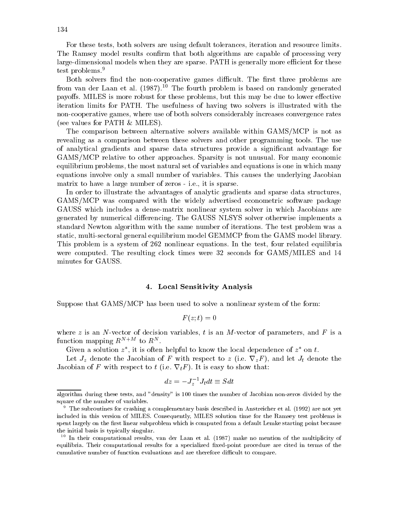For these tests, both solvers are using default tolerances, iteration and resource limits. The Ramsey model results confirm that both algorithms are capable of processing very large-dimensional models when they are sparse. PATH is generally more efficient for these test problems.<sup>9</sup>

Both solvers find the non-cooperative games difficult. The first three problems are from van der Laan et al. (1987).10 The fourth problem is based on randomly generated payoffs. MILES is more robust for these problems, but this may be due to lower effective iteration limits for PATH. The usefulness of having two solvers is illustrated with the non-cooperative games, where use of both solvers considerably increases convergence rates (see values for PATH & MILES).

The comparison between alternative solvers available within GAMS/MCP is not as revealing as a comparison between these solvers and other programming tools. The use of analytical gradients and sparse data structures provide a signicant advantage for GAMS/MCP relative to other approaches. Sparsity is not unusual. For many economic equilibrium problems, the most natural set of variables and equations is one in which many equations involve only a small number of variables. This causes the underlying Jacobian matrix to have a large number of zeros - i.e., it is sparse.

In order to illustrate the advantages of analytic gradients and sparse data structures, GAMS/MCP wascompared with the widely advertised econometric software package GAUSS which includes a dense-matrix nonlinear system solver in which Jacobians are generated by numerical differencing. The GAUSS NLSYS solver otherwise implements a standard Newton algorithm with the same number of iterations. The test problem was a static, multi-sectoral general equilibrium model GEMMCP from the GAMS model library. This problem is a system of 262 nonlinear equations. In the test, four related equilibria were computed. The resulting clock times were 32 seconds for GAMS/MILES and 14 minutes for GAUSS.

### 4. Local Sensitivity Analysis

Suppose that GAMS/MCP has been used to solve a nonlinear system of the form:

$$
F(z;t) = 0
$$

where z is an N-vector of decision variables, t is an M-vector of parameters, and F is a function mapping  $R^{N+M}$  to  $R^N$ .

Given a solution  $z$ , it is often helpful to know the local dependence of  $z$  for  $t$ .

Let  $J_z$  denote the Jacobian of F with respect to z (i.e.  $\nabla_z F$ ), and let  $J_t$  denote the Jacobian of F with respect to t (i.e.  $\nabla_t F$ ). It is easy to show that:

$$
dz = -J_z^{-1}J_t dt \equiv Sdt
$$

algorithm during these tests, and "density" is 100 times the number of Jacobian non-zeros divided by the square of the number of variables.

<sup>9</sup> The subroutines for crashing a complementary basis described in Anstreicher et al. (1992) are not yet included in this version of MILES. Consequently, MILES solution time for the Ramsey test problems is spent largely on the first linear subproblem which is computed from a default Lemke starting point because the initial basis is typically singular.

 $^\circ$  In their computational results, van der Laan et al. (1987) make no mention of the multiplicity of  $^\circ$ equilibria. Their computational results for a specialized fixed-point procedure are cited in terms of the cumulative number of function evaluations and are therefore difficult to compare.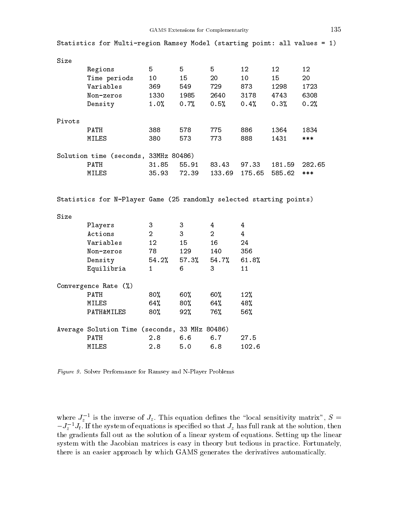| Statistics for Multi-region Ramsey Model (starting point: all values = 1) |                                                                     |                 |                |                |                 |                 |                 |
|---------------------------------------------------------------------------|---------------------------------------------------------------------|-----------------|----------------|----------------|-----------------|-----------------|-----------------|
| Size                                                                      |                                                                     |                 |                |                |                 |                 |                 |
|                                                                           | Regions                                                             | 5               | 5.             | 5              | 12 <sub>1</sub> | 12 <sup>°</sup> | 12 <sub>2</sub> |
|                                                                           | Time periods                                                        | 10 <sub>1</sub> | 15             | 20             | 10 <sub>1</sub> | 15              | 20              |
|                                                                           | Variables                                                           | 369             | 549            | 729            | 873             | 1298            | 1723            |
|                                                                           | Non-zeros                                                           | 1330            | 1985           | 2640           | 3178            | 4743            | 6308            |
|                                                                           | Density                                                             | 1.0%            | 0.7%           | 0.5%           | 0.4%            | 0.3%            | 0.2%            |
|                                                                           |                                                                     |                 |                |                |                 |                 |                 |
| Pivots                                                                    |                                                                     |                 |                |                |                 |                 |                 |
|                                                                           | PATH                                                                | 388             | 578            | 775            | 886             | 1364            | 1834            |
|                                                                           | MILES                                                               | 380             | 573            | 773            | 888             | 1431            | ***             |
|                                                                           |                                                                     |                 |                |                |                 |                 |                 |
|                                                                           | Solution time (seconds, 33MHz 80486)                                |                 |                |                |                 |                 |                 |
|                                                                           | PATH                                                                | 31.85           | 55.91          | 83.43          | 97.33           | 181.59          | 282.65          |
|                                                                           | MILES                                                               | 35.93           | 72.39          | 133.69         | 175.65          | 585.62          | ***             |
|                                                                           |                                                                     |                 |                |                |                 |                 |                 |
|                                                                           | Statistics for N-Player Game (25 randomly selected starting points) |                 |                |                |                 |                 |                 |
| Size                                                                      |                                                                     |                 |                |                |                 |                 |                 |
|                                                                           | Players                                                             | $\mathbf{3}$    | 3              | $\overline{4}$ | $\overline{4}$  |                 |                 |
|                                                                           | Actions                                                             | $\overline{2}$  | 3 <sup>1</sup> | $\overline{2}$ | $\overline{4}$  |                 |                 |
|                                                                           | Variables                                                           | 12              | 15             | 16             | 24              |                 |                 |
|                                                                           | Non-zeros                                                           | 78              | 129            | 140            | 356             |                 |                 |
|                                                                           | Density                                                             | 54.2%           | 57.3%          | 54.7%          | 61.8%           |                 |                 |
|                                                                           | Equilibria                                                          | $\mathbf{1}$    | 6              | 3              | 11              |                 |                 |
|                                                                           |                                                                     |                 |                |                |                 |                 |                 |
|                                                                           | Convergence Rate (%)                                                |                 |                |                |                 |                 |                 |
|                                                                           | <b>PATH</b>                                                         | 80%             | 60%            | 60%            | 12%             |                 |                 |
|                                                                           | MILES                                                               | 64%             | 80%            | 64%            | 48%             |                 |                 |
|                                                                           | <b>PATH&amp;MILES</b>                                               | 80%             | 92%            | 76%            | $56\%$          |                 |                 |
|                                                                           | Average Solution Time (seconds, 33 MHz 80486)                       |                 |                |                |                 |                 |                 |
|                                                                           | PATH                                                                | 2.8             | 6.6            | 6.7            | 27.5            |                 |                 |
|                                                                           | MILES                                                               | 2.8             | 5.0            | 6.8            | 102.6           |                 |                 |
|                                                                           |                                                                     |                 |                |                |                 |                 |                 |

Figure 9. Solver Performance for Ramsey and N-Player Problems

where  $J_z$  is the inverse of  $J_z$ . This equation defines the slocal sensitivity matrix  $, S =$  $-J_z$  -  $J_t.$  It the system of equations is specified so that  $J_z$  has full rank at the solution, then the gradients fall out as the solution of a linear system of equations. Setting up the linear system with the Jacobian matrices is easy in theory but tedious in practice. Fortunately, there is an easier approach by which GAMS generates the derivatives automatically.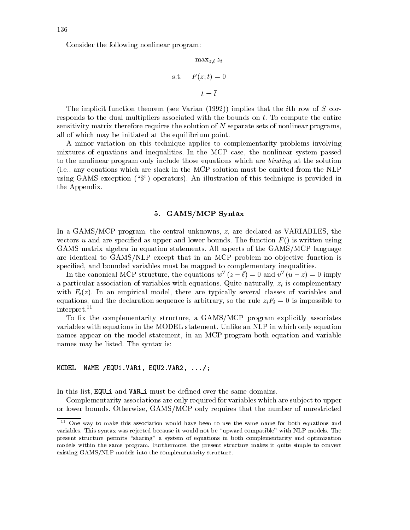Consider the following nonlinear program:

$$
\max_{z,t} z_i
$$
  
s.t. 
$$
F(z; t) = 0
$$

$$
t = \bar{t}
$$

The implicit function theorem (see Varian  $(1992)$ ) implies that the *i*th row of S corresponds to the dual multipliers associated with the bounds on t. To compute the entire sensitivity matrix therefore requires the solution of  $N$  separate sets of nonlinear programs, all of which may be initiated at the equilibrium point.

A minor variation on this technique applies to complementarity problems involving mixtures of equations and inequalities. In the MCP case, the nonlinear system passed to the nonlinear program only include those equations which are binding at the solution (i.e., any equations which are slack in the MCP solution must be omitted from the NLP using GAMS exception ("\"") operators). An illustration of this technique is provided in the Appendix.

## 5. GAMS/MCP Syntax

In a GAMS/MCP program, the central unknowns, z, are declared as VARIABLES, the vectors u and are specified as upper and lower bounds. The function  $F()$  is written using GAMS matrix algebra in equation statements. All aspects of the GAMS/MCP language are identical to GAMS/NLP except that in an MCP problem no objective function is specied, and bounded variables must be mapped to complementary inequalities.

In the canonical MCP structure, the equations  $w_-(z - \ell) = 0$  and  $v_-(u - z) = 0$  imply a particular association of variables with equations. Quite naturally,  $z_i$  is complementary with  $F_i(z)$ . In an empirical model, there are typically several classes of variables and equations, and the declaration sequence is arbitrary, so the rule  $z_iF_i = 0$  is impossible to interpret.11

To fix the complementarity structure, a GAMS/MCP program explicitly associates variables with equations in the MODEL statement. Unlike an NLP in which only equation names appear on the model statement, in an MCP program both equation and variable names may be listed. The syntax is:

MODEL NAME /EQU1.VAR1, EQU2.VAR2, .../;

In this list, EQU i and VAR i must be defined over the same domains.

Complementarity associations are only required for variables which are sub ject to upper or lower bounds. Otherwise, GAMS/MCP only requires that the number of unrestricted

 $^\circ\phantom{1}^\circ$  One way to make this association would have been to use the same name for both equations and variables. This syntax was rejected because it would not be \upward compatible" with NLP models. The present structure permits "sharing" a system of equations in both complementarity and optimization models within the same program. Furthermore, the present structure makes it quite simple to convert existing GAMS/NLP models into the complementarity structure.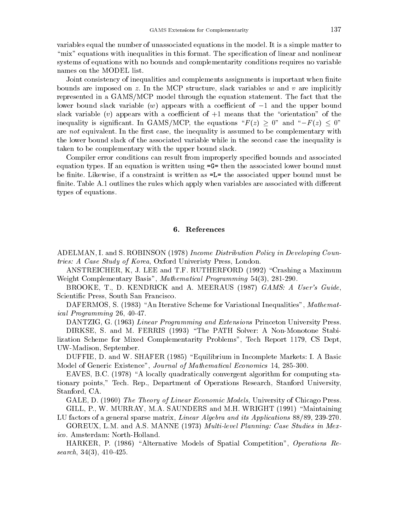variables equal the number of unassociated equations in the model. It is a simple matter to "mix" equations with inequalities in this format. The specification of linear and nonlinear systems of equations with no bounds and complementarity conditions requires no variable names on the MODEL list.

Joint consistency of inequalities and complements assignments is important when finite bounds are imposed on z. In the MCP structure, slack variables  $w$  and  $v$  are implicitly represented in a GAMS/MCP model through the equation statement. The fact that the lower bound slack variable  $(w)$  appears with a coefficient of  $-1$  and the upper bound slack variable (v) appears with a coefficient of  $+1$  means that the "orientation" of the inequality is significant. In GAMS/MCP, the equations " $F(z) > 0$ " and " $-F(z) < 0$ " are not equivalent. In the first case, the inequality is assumed to be complementary with the lower bound slack of the associated variable while in the second case the inequality is taken to be complementary with the upper bound slack.

Compiler error conditions can result from improperly specied bounds and associated equation types. If an equation is written using  $=$ G $=$  then the associated lower bound must be finite. Likewise, if a constraint is written as  $=L$ = the associated upper bound must be finite. Table A.1 outlines the rules which apply when variables are associated with different types of equations.

#### 6. References

ADELMAN, I. and S. ROBINSON (1978) Income Distribution Policy in Developing Countries: A Case Study of Korea, Oxford Univeristy Press, London.

ANSTREICHER, K, J. LEE and T.F. RUTHERFORD  $(1992)$  "Crashing a Maximum Weight Complementary Basis", Mathematical Programming 54(3), 281-290.

BROOKE, T., D. KENDRICK and A. MEERAUS (1987) GAMS: A User's Guide, Scientic Press, South San Francisco.

DAFERMOS, S.  $(1983)$  "An Iterative Scheme for Variational Inequalities", *Mathemat*ical Programming 26, 40-47.

DANTZIG, G. (1963) Linear Programming and Extensions Princeton University Press. DIRKSE, S. and M. FERRIS (1993) "The PATH Solver: A Non-Monotone Stabilization Scheme for Mixed Complementarity Problems", Tech Report 1179, CS Dept, UW-Madison, September.

DUFFIE, D. and W. SHAFER (1985) \Equilibrium in Incomplete Markets: I. A Basic Model of Generic Existence", Journal of Mathematical Economics 14, 285-300.

EAVES, B.C.  $(1978)$  "A locally quadratically convergent algorithm for computing stationary points," Tech. Rep., Department of Operations Research, Stanford University, Stanford, CA.

GALE, D. (1960) The Theory of Linear Economic Models, University of Chicago Press. GILL, P., W. MURRAY, M.A. SAUNDERS and M.H. WRIGHT (1991) "Maintaining

LU factors of a general sparse matrix, Linear Algebra and its Applications 88/89, 239-270. GOREUX, L.M. and A.S. MANNE (1973) Multi-level Planning: Case Studies in Mex-

ico. Amsterdam: North-Holland.

HARKER, P. (1986) "Alternative Models of Spatial Competition", Operations Research, 34(3), 410-425.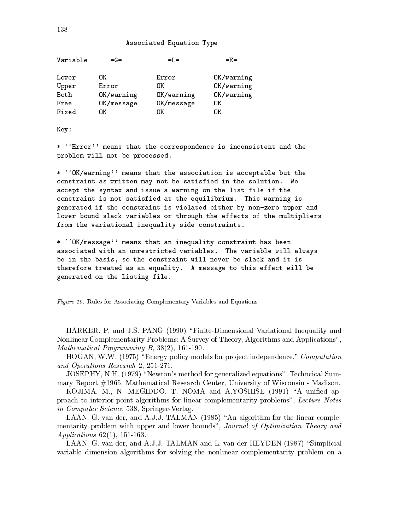#### Associated Equation Type

| Variable | $=(\frac{1}{2})$ | $=$ $=$    | $=$ $\vdash =$ |
|----------|------------------|------------|----------------|
| Lower    | OK               | Error      | OK/warning     |
| Upper    | Error            | OK         | OK/warning     |
| Both     | OK/warning       | OK/warning | OK/warning     |
| Free     | OK/message       | OK/message | OK             |
| Fixed    | OK               | OK         | OK             |

Key:

\* ``Error'' means that the correspondence is inconsistent and the problem will not be processed.

\* ``OK/warning'' means that the association is acceptable but the constraint as written may not be satisfied in the solution. We accept the syntax and issue a warning on the list file if the constraint is not satisfied at the equilibrium. This warning is generated if the constraint is violated either by non-zero upper and lower bound slack variables or through the effects of the multipliers from the variational inequality side constraints.

\* ``OK/message'' means that an inequality constraint has been associated with an unrestricted variables. The variable will always be in the basis, so the constraint will never be slack and it is therefore treated as an equality. A message to this effect will be generated on the listing file.

Figure 10. Rules for Associating Complementary Variables and Equations

HARKER, P. and J.S. PANG (1990) "Finite-Dimensional Variational Inequality and Nonlinear Complementarity Problems: A Survey of Theory, Algorithms and Applications", Mathematical Programming B, 38(2), 161-190.

HOGAN, W.W. (1975) "Energy policy models for project independence," *Computation* and Operations Research 2, 251-271.

JOSEPHY, N.H. (1979) "Newton's method for generalized equations", Techncical Summary Report #1965, Mathematical Research Center, University of Wisconsin - Madison.

KOJIMA, M., N. MEGIDDO, T. NOMA and A.YOSHISE (1991) "A unified approach to interior point algorithms for linear complementarity problems", Lecture Notes in Computer Science 538, Springer-Verlag.

LAAN, G. van der, and A.J.J. TALMAN  $(1985)$  "An algorithm for the linear complementarity problem with upper and lower bounds", Journal of Optimization Theory and Applications 62(1), 151-163.

LAAN, G. van der, and A.J.J. TALMAN and L. van der HEYDEN (1987) "Simplicial variable dimension algorithms for solving the nonlinear complementarity problem on a

 $\sim$   $\sim$   $\sim$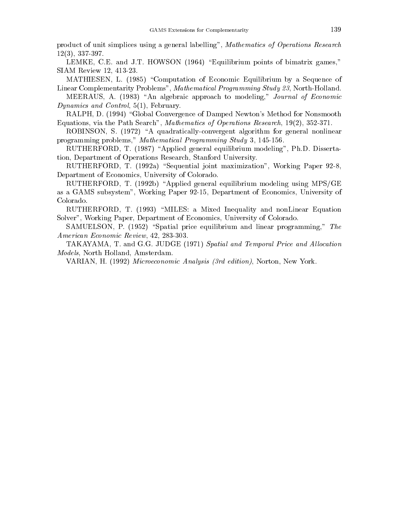product of unit simplices using a general labelling", Mathematics of Operations Research 12(3), 337-397.

LEMKE, C.E. and J.T. HOWSON (1964) "Equilibrium points of bimatrix games," SIAM Review 12, 413-23.

MATHIESEN, L. (1985) "Computation of Economic Equilibrium by a Sequence of Linear Complementarity Problems", Mathematical Programming Study 23, North-Holland.

MEERAUS, A.  $(1983)$  "An algebraic approach to modeling," Journal of Economic Dynamics and Control, 5(1), February.

RALPH, D. (1994) "Global Convergence of Damped Newton's Method for Nonsmooth Equations, via the Path Search", Mathematics of Operations Research, 19(2), 352-371.

ROBINSON, S. (1972) "A quadratically-convergent algorithm for general nonlinear programming problems," Mathematical Programming Study 3, 145-156.

RUTHERFORD, T. (1987) "Applied general equilibrium modeling", Ph.D. Dissertation, Department of Operations Research, Stanford University.

RUTHERFORD, T. (1992a) "Sequential joint maximization", Working Paper 92-8, Department of Economics, University of Colorado.

RUTHERFORD, T. (1992b) "Applied general equilibrium modeling using MPS/GE as a GAMS subsystem", Working Paper 92-15, Department of Economics, University of Colorado.

RUTHERFORD, T. (1993) "MILES: a Mixed Inequality and nonLinear Equation Solver", Working Paper, Department of Economics, University of Colorado.

SAMUELSON, P.  $(1952)$  "Spatial price equilibrium and linear programming," The American Economic Review, 42, 283-303.

TAKAYAMA, T. and G.G. JUDGE (1971) Spatial and Temporal Price and Allocation Models, North Holland, Amsterdam.

VARIAN, H. (1992) Microeconomic Analysis (3rd edition), Norton, New York.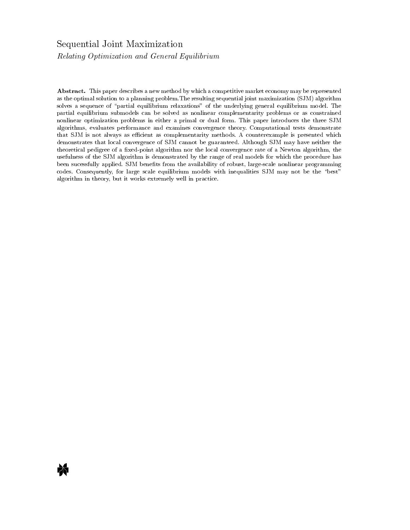# Sequential Joint Maximization Relating Optimization and General Equilibrium

Abstract. This paper describes a new method by which a competitive market economy may be represented as the optimal solution to a planning problem.The resulting sequential joint maximization (SJM) algorithm solves a sequence of "partial equilibrium relaxations" of the underlying general equilibrium model. The partial equilibrium submodels can be solved as nonlinear complementarity problems or as constrained nonlinear optimization problems in either a primal or dual form. This paper introduces the three SJM algorithms, evaluates performance and examines convergence theory. Computational tests demonstrate that SJM is not always as efficient as complementarity methods. A counterexample is presented which demonstrates that local convergence of SJM cannot be guaranteed. Although SJM may have neither the theoretical pedigree of a xed-point algorithm nor the local convergence rate of a Newton algorithm, the usefulness of the SJM algorithm is demonstrated by the range of real models for which the procedure has been sucessfully applied. SJM benefits from the availability of robust, large-scale nonlinear programming codes. Consequently, for large scale equilibrium models with inequalities SJM may not be the "best" algorithm in theory, but it works extremely well in practice.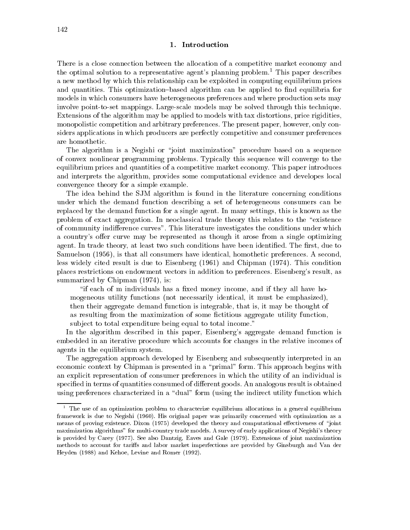#### 1. Introduction

There is a close connection between the allocation of a competitive market economy and the optimal solution to a representative agent's planning problem.<sup>1</sup> This paper describes a new method by which this relationship can be exploited in computing equilibrium prices and quantities. This optimization-based algorithm can be applied to find equilibria for models in which consumers have heterogeneous preferences and where production sets may involve point-to-set mappings. Large-scale models may be solved through this technique. Extensions of the algorithm may be applied to models with tax distortions, price rigidities, monopolistic competition and arbitrary preferences. The present paper, however, only considers applications in which producers are perfectly competitive and consumer preferences are homothetic.

The algorithm is a Negishi or "joint maximization" procedure based on a sequence of convex nonlinear programming problems. Typically this sequence will converge to the equilibrium prices and quantities of a competitive market economy. This paper introduces and interprets the algorithm, provides some computational evidence and developes local convergence theory for a simple example.

The idea behind the SJM algorithm is found in the literature concerning conditions under which the demand function describing a set of heterogeneous consumers can be replaced by the demand function for a single agent. In many settings, this is known as the problem of exact aggregation. In neoclassical trade theory this relates to the \existence of community indifference curves". This literature investigates the conditions under which a country's offer curve may be represented as though it arose from a single optimizing agent. In trade theory, at least two such conditions have been identified. The first, due to Samuelson (1956), is that all consumers have identical, homothetic preferences. A second, less widely cited result is due to Eisenberg (1961) and Chipman (1974). This condition places restrictions on endowment vectors in addition to preferences. Eisenberg's result, as summarized by Chipman (1974), is:

"if each of m individuals has a fixed money income, and if they all have homogeneous utility functions (not necessarily identical, it must be emphasized), then their aggregate demand function is integrable, that is, it may be thought of as resulting from the maximization of some fictitious aggregate utility function, subject to total expenditure being equal to total income."

In the algorithm described in this paper, Eisenberg's aggregate demand function is embedded in an iterative procedure which accounts for changes in the relative incomes of agents in the equilibrium system.

The aggregation approach developed by Eisenberg and subsequently interpreted in an economic context by Chipman is presented in a "primal" form. This approach begins with an explicit representation of consumer preferences in which the utility of an individual is specified in terms of quantities consumed of different goods. An analogous result is obtained using preferences characterized in a "dual" form (using the indirect utility function which

<sup>1</sup> The use of an optimization problem to characterize equilibrium allocations in a general equilibrium framework is due to Negishi (1960). His original paper was primarily concerned with optimization asa means of proving existence. Dixon (1975) developed the theory and computational effectiveness of "joint" maximization algorithms" for multi-country trade models. A survey of early applications of Negishi's theory is provided by Carey (1977). See also Dantzig, Eaves and Gale (1979). Extensions of joint maximization methods to account for tariffs and labor market imperfections are provided by Ginsburgh and Van der Heyden (1988) and Kehoe, Levine and Romer (1992).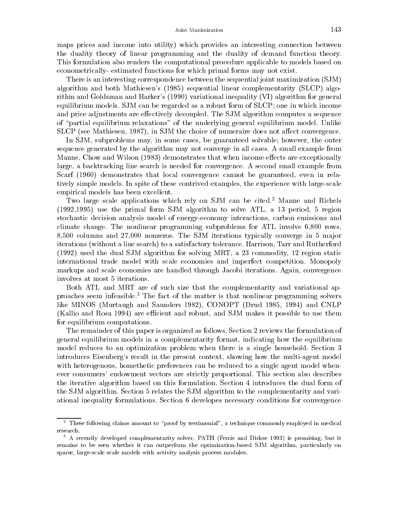maps prices and income into utility) which provides an interesting connection between the duality theory of linear programming and the duality of demand function theory. This formulation also renders the computational procedure applicable to models based on econometrically- estimated functions for which primal forms may not exist.

There is an interesting correspondence between the sequential joint maximization (SJM) algorithm and both Mathiesen's (1985) sequential linear complementarity (SLCP) algorithm and Goldsman and Harker's (1990) variational inequality (VI) algorithm for general equilibrium models. SJM can be regarded as a robust form of SLCP; one in which income and price adjustments are effectively decoupled. The SJM algorithm computes a sequence of \partial equilibrium relaxations" of the underlying general equilibrium model. Unlike SLCP (see Mathiesen, 1987), in SJM the choice of numeraire does not affect convergence.

In SJM, subproblems may, in some cases, be guaranteed solvable; however, the outer sequence generated by the algorithm may not converge in all cases. A small example from Manne, Chow and Wilson (1983) demonstrates that when income effects are exceptionally large, a backtracking line search is needed for convergence. A second small example from Scarf (1960) demonstrates that local convergence cannot be guaranteed, even in relatively simple models. In spite of these contrived examples, the experience with large-scale empirical models has been excellent.

Two large scale applications which rely on SJM can becited.2 Manne and Richels (1992,1995) use the primal form SJM algorithm to solve ATL, a 13 period, 5 region stochastic decision analysis model of energy-economy interactions, carbon emissions and climate change. The nonlinear programming subproblems for ATL involve 6,800 rows, 8,500 columns and 27,000 nonzeros. The SJM iterations typically converge in 5 major iterations (without a line search) to a satisfactory tolerance. Harrison, Tarr and Rutherford (1992) used the dual SJM algorithm for solving MRT, a 23 commodity, 12 region static international trade model with scale economies and imperfect competition. Monopoly markups and scale economies are handled through Jacobi iterations. Again, convergence involves at most 5 iterations.

Both ATL and MRT are of such size that the complementarity and variational approaches seem infeasible.3 The fact of the matter is that nonlinear programming solvers like MINOS (Murtaugh and Saunders 1982), CONOPT (Drud 1985, 1994) and CNLP (Kallio and Rosa 1994) are efficient and robust, and SJM makes it possible to use them for equilibrium computations.

The remainder of this paper is organized as follows. Section 2 reviews the formulation of general equilibrium models in a complementarity format, indicating how the equilibrium model reduces to an optimization problem when there is a single household. Section 3 introduces Eisenberg's result in the present context, showing how the multi-agent model with heterogenous, homethetic preferences can be reduced to a single agent model whenever consumers' endowment vectors are strictly proportional. This section also describes the iterative algorithm based on this formulation. Section 4 introduces the dual form of the SJM algorithm. Section 5 relates the SJM algorithm to the complementarity and variational inequality formulations. Section 6 developes necessary conditions for convergence

 $^{\circ}$  These following claims amount to "proof by testimonial", a technique commonly employed in medical  $\;$ 

 $^\circ$  A recently developed complementarity solver, PATH (Ferris and Dirkse 1993) is promising, but it remains to be seen whether it can outperform the optimization-based SJM algorithm, particularly on sparse, large-scale scale models with activity analysis process modules.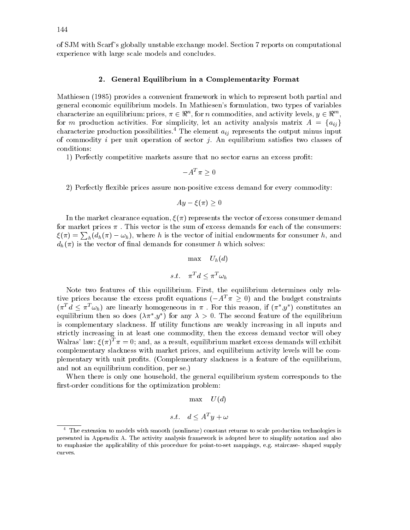of SJM with Scarf 's globally unstable exchange model. Section 7 reports on computational experience with large scale models and concludes.

## 2. General Equilibrium in a Complementarity Format

Mathiesen (1985) provides a convenient framework in which to represent both partial and general economic equilibrium models. In Mathiesen's formulation, two types of variables characterize an equilibrium: prices,  $\pi \in \mathbb{R}^n$ , for n commodities, and activity levels,  $y \in \mathbb{R}^m$ , for m production activities. For simplicity, let an activity analysis matrix  $A = \{a_{ij}\}\$ characterize production possibilities.<sup>4</sup> The element  $a_{ij}$  represents the output minus input of commodity  $i$  per unit operation of sector  $j$ . An equilibrium satisfies two classes of

1) Perfectly competitive markets assure that no sector earns an excess prot:

$$
-A^T\pi\geq 0
$$

2) Perfectly flexible prices assure non-positive excess demand for every commodity:

$$
Ay-\xi(\pi)\geq 0
$$

In the market clearance equation,  $\xi(\pi)$  represents the vector of excess consumer demand for market prices  $\pi$ . This vector is the sum of excess demands for each of the consumers:  $\xi(\pi) = \sum_h (d_h(\pi) - \omega_h)$ , where h is the vector of initial endowments for consumer h, and  $d_h(\pi)$  is the vector of final demands for consumer h which solves:

$$
\max \quad U_h(d)
$$
  
s.t. 
$$
\pi^T d \le \pi^T \omega_h
$$

Note two features of this equilibrium. First, the equilibrium determines only relative prices because the excess profit equations  $(-A^T \pi > 0)$  and the budget constraints  $(\pi^d d \leq \pi^d \omega_h)$  are linearly homogeneous in  $\pi$ . For this reason, if  $(\pi^*, y^*)$  constitutes an equilibrium then so does  $(\lambda \pi, y)$  for any  $\lambda \geq 0$ . The second feature of the equilibrium is complementary slackness. If utility functions are weakly increasing in all inputs and strictly increasing in atleast one commodity, then the excess demand vector will obey Walras' law:  $\xi(\pi)^T \pi = 0$ ; and, as a result, equilibrium market excess demands will exhibit complementary slackness with market prices, and equilibrium activity levels will be complementary with unit profits. (Complementary slackness is a feature of the equilibrium, and not an equilibrium condition, per se.)

When there is only one household, the general equilibrium system corresponds to the first-order conditions for the optimization problem:

$$
\begin{aligned}\n\max \quad & U(d) \\
s.t. \quad & d \le A^T y + \omega\n\end{aligned}
$$

 $^\circ$  The extension to models with smooth (nonlinear) constant returns to scale production technologies is presented in Appendix A. The activity analysis framework is adopted here to simplify notation and also to emphasize the applicability of this procedure for point-to-set mappings, e.g. staircase- shaped supply curves.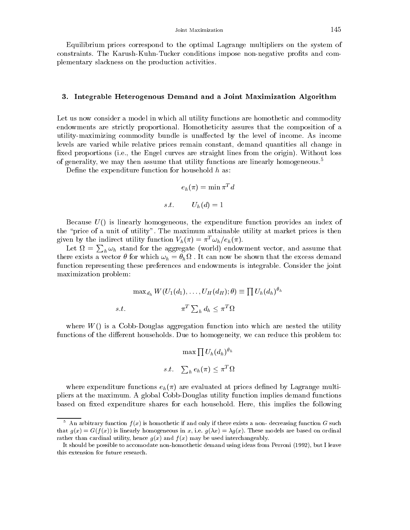Equilibrium prices correspond to the optimal Lagrange multipliers on the system of constraints. The Karush-Kuhn-Tucker conditions impose non-negative profits and complementary slackness on the production activities.

#### 3. Integrable Heterogenous Demand and a Joint Maximization Algorithm

Let us now consider a model in which all utility functions are homothetic and commodity endowments are strictly proportional. Homotheticity assures that the composition of a utility-maximizing commodity bundle is unaffected by the level of income. As income levels are varied while relative prices remain constant, demand quantities all change in fixed proportions (i.e., the Engel curves are straight lines from the origin). Without loss of generality, we may then assume that utility functions are linearly homogeneous.<sup>5</sup>

Define the expenditure function for household  $h$  as:

$$
e_h(\pi) = \min \pi^T d
$$
  
s.t. 
$$
U_h(d) = 1
$$

Because  $U($ ) is linearly homogeneous, the expenditure function provides an index of the \price of a unit of utility". The maximum attainable utility at market prices is then given by the indirect utility function  $V_h(\pi) = \pi^T \omega_h/e_h(\pi)$ .

Let  $\Omega = \sum_{h} \omega_h$  stand for the aggregate (world) endowment vector, and assume that  $\mathbf{u} = \mathbf{h}$  . It can now be shown that the excess of  $\mathbf{h}$  and  $\mathbf{h}$  and the excess of  $\mathbf{h}$ function representing these preferences and endowments is integrable. Consider the joint maximization problem:

$$
\max_{d_h} W(U_1(d_1), \dots, U_H(d_H); \theta) \equiv \prod U_h(d_h)^{\theta_h}
$$
  
s.t. 
$$
\pi^T \sum_h d_h \leq \pi^T \Omega
$$

where  $W()$  is a Cobb-Douglas aggregation function into which are nested the utility functions of the different households. Due to homogeneity, we can reduce this problem to:

$$
\max \prod U_h (d_h)^{\theta_h}
$$
  
s.t. 
$$
\sum_h e_h(\pi) \leq \pi^T \Omega
$$

where expenditure functions  $e_h(\pi)$  are evaluated at prices defined by Lagrange multipliers at the maximum. A global Cobb-Douglas utility function implies demand functions based on fixed expenditure shares for each household. Here, this implies the following

 $^\circ$  An arbitrary function  $f(x)$  is homothetic if and only if there exists a non- decreasing function G such that  $g(x) = G(f(x))$  is linearly homogeneous in x, i.e.  $g(\lambda x) = \lambda g(x)$ . These models are based on ordinal rather than cardinal utility, hence  $g(x)$  and  $f(x)$  may be used interchangeably.

It should be possible to accomodate non-homothetic demand using ideas from Perroni (1992), but I leave this extension for future research.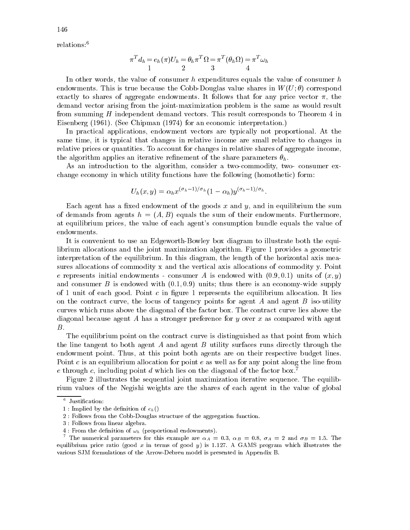relations:6

$$
\pi^T d_h = e_h(\pi) U_h = \theta_h \pi^T \Omega = \pi^T (\theta_h \Omega) = \pi^T \omega_h \\ 1 \qquad \qquad 1
$$

In other words, the value of consumer  $h$  expenditures equals the value of consumer  $h$ endowments. This is true because the Cobb-Douglas value shares in  $W(U; \theta)$  correspond exactly to shares of aggregate endowments. It follows that for any price vector  $\pi$ , the demand vector arising from the joint-maximization problem is the same as would result from summing  $H$  independent demand vectors. This result corresponds to Theorem  $4$  in Eisenberg (1961). (See Chipman (1974) for an economic interpretation.)

In practical applications, endowment vectors are typically not proportional. At the same time, it is typical that changes in relative income are small relative to changes in relative prices or quantities. To account for changes in relative shares of aggregate income, the algorithm applies an iterative refinement of the share parameters  $\theta_h$ .

As an introduction to the algorithm, consider a two-commodity, two- consumer exchange economy in which utility functions have the following (homothetic) form:

$$
U_h(x,y) = \alpha_h x^{(\sigma_h - 1)/\sigma_h} (1 - \alpha_h) y^{(\sigma_h - 1)/\sigma_h}.
$$

Each agent has a fixed endowment of the goods  $x$  and  $y$ , and in equilibrium the sum of demands from agents  $h = (A, B)$  equals the sum of their endowments. Furthermore, at equilibrium prices, the value of each agent's consumption bundle equals the value of endowments.

It is convenient to use an Edgeworth-Bowley box diagram to illustrate both the equilibrium allocations and the joint maximization algorithm. Figure 1 provides a geometric interpretation of the equilibrium. In this diagram, the length of the horizontal axis measures allocations of commodity x and the vertical axis allocations of commodity y. Point e represents initial endowments - consumer A is endowed with  $(0.9, 0.1)$  units of  $(x, y)$ and consumer B is endowed with  $(0.1, 0.9)$  units; thus there is an economy-wide supply of 1 unit of each good. Point  $c$  in figure 1 represents the equilibrium allocation. It lies on the contract curve, the locus of tangency points for agent  $A$  and agent  $B$  iso-utility curves which runs above the diagonal of the factor box. The contract curve lies above the diagonal because agent A has a stronger preference for y over x as compared with agent B.

The equilibrium point on the contract curve is distinguished as that point from which the line tangent to both agent  $A$  and agent  $B$  utility surfaces runs directly through the endowment point. Thus, at this point both agents are on their respective budget lines. Point c is an equilibrium allocation for point  $e$  as well as for any point along the line from e through c, including point d which lies on the diagonal of the factor box.<sup>7</sup>

Figure 2 illustrates the sequential joint maximization iterative sequence. The equilibrium values of the Negishi weights are the shares of each agent in the value of global

<sup>6</sup> Justication:

<sup>1 :</sup> Implied by the definition of  $e_h()$ 

<sup>2:</sup>Follows from the Cobb-Douglas structure of the aggregation function.

<sup>3:</sup>Follows from linear algebra.

<sup>4 :</sup> From the definition of  $\omega_h$  (proportional endowments).

The numerical parameters for this example are  $\alpha_A = 0.3, \ \alpha_B = 0.8, \ \sigma_A = 2$  and  $\sigma_B = 1.5$ . The equilibrium price ratio (good  $x$  in terms of good  $y$ ) is 1.127. A GAMS program which illustrates the various SJM formulations of the Arrow-Debreu model is presented in Appendix B.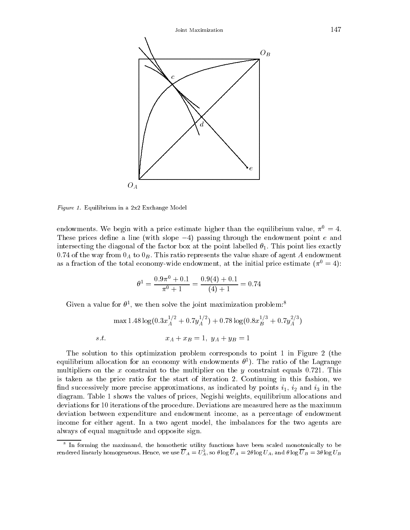

Figure 1. Equilibrium in a 2x2 Exchange Model

endowments. We begin with a price estimate higher than the equilibrium value,  $\pi^0 = 4$ . These prices define a line (with slope  $-4$ ) passing through the endowment point e and intersecting the diagonal of the factor box at the point labelled  $\theta_1$ . This point lies exactly 0.74 of the way from  $0_A$  to  $0_B$ . This ratio represents the value share of agent A endowment as a fraction of the total economy-wide endowment, at the initial price estimate  $(\pi^0 = 4)$ :

$$
\theta^1 = \frac{0.9\pi^0 + 0.1}{\pi^0 + 1} = \frac{0.9(4) + 0.1}{(4) + 1} = 0.74
$$

Given a value for  $\theta^1$ , we then solve the joint maximization problem:<sup>8</sup>

$$
\max 1.48 \log(0.3x_A^{1/2} + 0.7y_A^{1/2}) + 0.78 \log(0.8x_B^{1/3} + 0.7y_A^{2/3})
$$
  
s.t. 
$$
x_A + x_B = 1, \ y_A + y_B = 1
$$

The solution to this optimization problem corresponds to point 1 in Figure 2 (the equilibrium allocation for an economy with endowments  $\theta^1$ ). The ratio of the Lagrange multipliers on the x constraint to the multiplier on the y constraint equals 0.721. This is taken as the price ratio for the start of iteration 2. Continuing in this fashion, we find successively more precise approximations, as indicated by points  $i_1$ ,  $i_2$  and  $i_3$  in the diagram. Table 1 shows the values of prices, Negishi weights, equilibrium allocations and deviations for 10 iterations of the procedure. Deviations are measured here as the maximum deviation between expenditure and endowment income, as a percentage of endowment income for either agent. In a two agent model, the imbalances for the two agents are always of equal magnitude and opposite sign.

In forming the maximand, the homothetic utility functions have been scaled monotonically to be rendered linearly homogeneous. Hence, we use  $\overline{U}_A = U_A^2$ , so  $\theta \log \overline{U}_A = 2\theta \log U_A$ , and  $\theta \log \overline{U}_B = 3\theta \log U_B$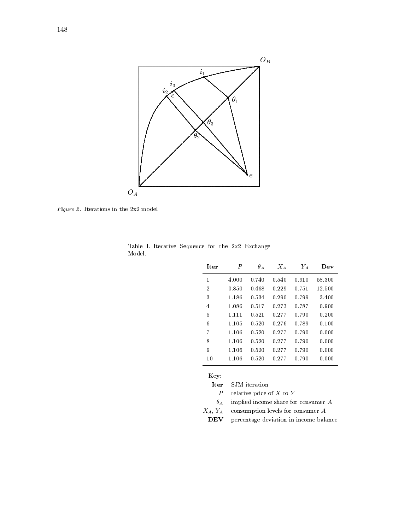

 $Figure\ 2.$  Iterations in the  $2 \mathrm{x} 2$  model

| Iter | P     | $\theta_A$ | $X_A$ | $Y_{A}$ | Dev    |
|------|-------|------------|-------|---------|--------|
| 1    | 4.000 | 0.740      | 0.540 | 0.910   | 58.300 |
| 2    | 0.850 | 0.468      | 0.229 | 0.751   | 12.500 |
| 3    | 1.186 | 0.534      | 0.290 | 0.799   | 3.400  |
| 4    | 1.086 | 0.517      | 0.273 | 0.787   | 0.900  |
| 5    | 1.111 | 0.521      | 0.277 | 0.790   | 0.200  |
| 6    | 1.105 | 0.520      | 0.276 | 0.789   | 0.100  |
| 7    | 1.106 | 0.520      | 0.277 | 0.790   | 0.000  |
| 8    | 1.106 | 0.520      | 0.277 | 0.790   | 0.000  |
| 9    | 1.106 | 0.520      | 0.277 | 0.790   | 0.000  |
| 10   | 1.106 | 0.520      | 0.277 | 0.790   | 0.000  |
|      |       |            |       |         |        |

Table I. Iterative Sequence for the 2x2 Exchange  $\rm{Model}.$ 

Key:

Iter SJM iteration  $\boldsymbol{P}$ relative price of  $X$  to  $Y$ 

 $\theta_A$ implied income share for consumer  $A$ 

consumption levels for consumer  ${\cal A}$  $\mathcal{X}_A, \ \mathcal{Y}_A$ 

DEV percentage deviation in income balance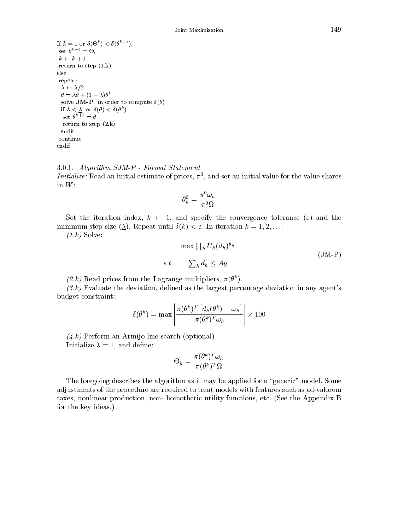If 
$$
k = 1
$$
 or  $\delta(\Theta^k) < \delta(\theta^{k-1}),$  set  $\theta^{k+1} = \Theta$ ,  $k \leftarrow k + 1$  return to step (1.k) else  $\text{repeat:}$ \n $\lambda \leftarrow \lambda/2$ \n $\theta = \lambda \theta + (1 - \lambda)\theta^k$  solve **JM-P** in order to compute  $\delta(\theta)$  if  $\lambda < \lambda$  or  $\delta(\theta) < \delta(\theta^k)$  set  $\theta^{k+1} = \theta$  return to step (2.k) endif  $\text{continue}$ 

## 3.0.1. Algorithm SJM-P - Formal Statement

*Intiturize:* Read an initial estimate of prices,  $\pi$  , and set an initial value for the value shares in  $W$ :

$$
\theta_h^0=\frac{\pi^0\omega_h}{\pi^0\Omega}
$$

Set the iteration index,  $k \leftarrow 1$ , and specify the convergence tolerance  $(\varepsilon)$  and the minimum step size  $(\lambda)$ . Repeat until  $\delta(k) < \varepsilon$ . In iteration  $k = 1, 2, \ldots$ :

 $(1.k)$  Solve:

$$
\max \prod_{h} U_h (d_h)^{\theta_h}
$$
  
s.t. 
$$
\sum_{h} d_h \le Ay
$$
 (JM-P)

 $(z, \kappa)$  Read prices from the Lagrange multipliers,  $\pi(\sigma^*)$ .

 $(3.k)$  Evaluate the deviation, defined as the largest percentage deviation in any agent's budget constraint:

$$
\delta(\theta^k) = \max \left| \frac{\pi(\theta^k)^T \left[ d_h(\theta^k) - \omega_h \right]}{\pi(\theta^k)^T \omega_h} \right| \times 100
$$

 $(4.k)$  Perform an Armijo line search (optional) Initialize  $\lambda = 1$ , and define:

$$
\Theta_h = \frac{\pi(\theta^k)^T \omega_h}{\pi(\theta^k)^T \Omega}
$$

The foregoing describes the algorithm as it may be applied for a "generic" model. Some adjustments of the procedure are required to treat models with features such as ad-valorem taxes, nonlinear production, non- homothetic utility functions, etc. (See the Appendix B for the key ideas.)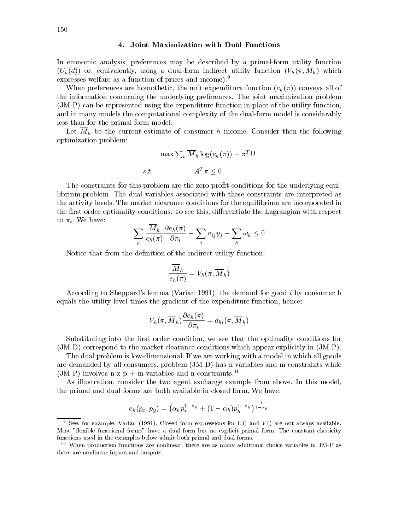#### 4. Joint Maximization with Dual Functions

In economic analysis, preferences may be described by a primal-form utility function  $(U_h(d))$  or, equivalently, using a dual-form indirect utility function  $(V_h(\pi,M_h))$  which expresses welfare as a function of prices and income).<sup>9</sup>

When preferences are homothetic, the unit expenditure function  $(e_h(\pi))$  conveys all of the information concerning the underlying preferences. The joint maximization problem (JM-P) can be represented using the expenditure function in place of the utility function, and in many models the computational complexity of the dual-form model is considerably less than for the primal form model.

Let  $\overline{M}_h$  be the current estimate of consumer h income. Consider then the following optimization problem:

$$
\max \sum_{h} \overline{M}_{h} \log(e_{h}(\pi)) - \pi^{T} \Omega
$$
  
s.t. 
$$
A^{T} \pi \leq 0
$$

The constraints for this problem are the zero profit conditions for the underlying equilibrium problem. The dual variables associated with these constraints are interpreted as the activity levels. The market clearance conditions for the equilibrium are incorporated in the first-order optimality conditions. To see this, differentiate the Lagrangian with respect to  $\pi_i$ . We have:

$$
\sum_h \frac{M_h}{e_h(\pi)} \frac{\partial e_h(\pi)}{\partial \pi_i} - \sum_j a_{ij} y_j - \sum_h \omega_h \leq 0
$$

Notice that from the definition of the indirect utility function:

$$
\frac{\overline{M}_h}{e_h(\pi)}=V_h(\pi,\overline{M}_h)
$$

According to Sheppard's lemma (Varian 1991), the demand for good i by consumer h equals the utility level times the gradient of the expenditure function, hence:

$$
V_h(\pi,\overline{M}_h)\frac{\partial e_h(\pi)}{\partial \pi_i}=d_{hi}(\pi,\overline{M}_h)
$$

Substituting into the first order condition, we see that the optimality conditions for (JM-D) correspond to the market clearance conditions which appear explicitly in (JM-P).

The dual problem is low-dimensional. If we are working with a model in which all goods are demanded by all consumers, problem (JM-D) has n variables and m constraints while (JM-P) involves n x p + m variables and n constraints.<sup>10</sup>

As illustration, consider the two agent exchange example from above. In this model, the primal and dual forms are both available in closed form. We have:

$$
e_h(p_x, p_y) = \left(\alpha_h p_x^{1-\sigma_h} + (1-\alpha_h) p_y^{1-\sigma_h}\right)^{\frac{1}{1-\sigma_h}}
$$

 $^{\circ}$  See, for example, Varian (1991). Closed form expressions for  $U($ ) and  $V$  () are not always available. Most "flexible functional forms" have a dual form but no explicit primal form. The constant elasticity functions used in the examples below admit both primal and dual forms.

 $^\circ$  – When production functions are nonlinear, there are as many additional choice variables in JM-P as there are nonlinear inputs and outputs.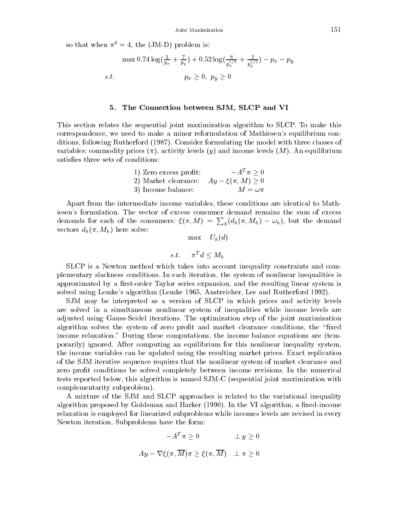so that when  $\pi^0 = 4$ , the (JM-D) problem is:

$$
\max 0.74 \log(\frac{3}{p_x} + \frac{7}{p_y}) + 0.52 \log(\frac{8}{p_x^{1/2}} + \frac{2}{p_y^{1/2}}) - p_x - p_y
$$
  
s.t. 
$$
p_x \ge 0, \ p_y \ge 0
$$

#### 5. The Connection between SJM, SLCP and VI

This section relates the sequential joint maximization algorithm to SLCP. To make this correspondence, we need to make a minor reformulation of Mathiesen's equilibrium conditions, following Rutherford (1987). Consider formulating the model with three classes of variables: commodity prices  $(\pi)$ , activity levels  $(y)$  and income levels  $(M)$ . An equilibrium satisfies three sets of conditions:

| 1) Zero excess profit:                         | $-A^T \pi \geq 0$ |  |
|------------------------------------------------|-------------------|--|
| 2) Market clearance: $Ay - \xi(\pi, M) \geq 0$ |                   |  |
| 3) Income balance:                             | $M = \omega \pi$  |  |

Apart from the intermediate income variables, these conditions are identical to Mathiesen's formulation. The vector of excess consumer demand remains the sum of excess demands for each of the consumers:  $\xi(\pi,M) = \sum_h (d_h(\pi,M_h) - \omega_h)$ , but the demand vectors  $d_h(\pi,M_h)$  here solve:

$$
\max \quad U_h(d)
$$

$$
s.t. \quad \pi^T d \le M_h
$$

SLCP is a Newton method which takes into account inequality constraints and complementary slackness conditions. In each iteration, the system of nonlinear inequalities is approximated by a first-order Taylor series expansion, and the resulting linear system is solved using Lemke's algorithm (Lemke 1965, Anstreicher, Lee and Rutherford 1992).

SJM may be interpreted as a version of SLCP in which prices and activity levels are solved in a simultaneous nonlinear system of inequalities while income levels are adjusted using Gauss-Seidel iterations. The optimization step of the joint maximization algorithm solves the system of zero profit and market clearance conditions, the "fixed income relaxation." During these computations, the income balance equations are (temporarily) ignored. After computing an equilibrium for this nonlinear inequality system, the income variables can be updated using the resulting market prices. Exact replication of the SJM iterative sequence requires that the nonlinear system of market clearance and zero profit conditions be solved completely between income revisions. In the numerical tests reported below, this algorithm is named SJM-C (sequential joint maximization with complementarity subproblem).

A mixture of the SJM and SLCP approaches is related to the variational inequality algorithm proposed by Goldsman and Harker (1990). In the VI algorithm, a fixed-income relaxation is employed for linearized subproblems while incomes levels are revised in every Newton iteration. Subproblems have the form:

$$
-A^{T}\pi \ge 0 \qquad \qquad \perp y \ge 0
$$

$$
Ay - \nabla \xi(\pi, \overline{M})\pi \ge \xi(\pi, \overline{M}) \quad \perp \pi \ge 0
$$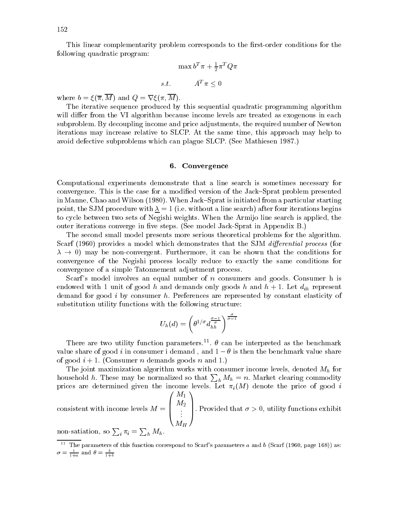$$
\max b^T \pi + \frac{1}{2} \pi^T Q \pi
$$
  
s.t. 
$$
A^T \pi \leq 0
$$

where  $b = \xi(\overline{\pi}, \overline{M})$  and  $Q = \nabla \xi(\pi, \overline{M}).$ 

The iterative sequence produced by this sequential quadratic programming algorithm will differ from the VI algorithm because income levels are treated as exogenous in each subproblem. By decoupling income and price adjustments, the required number of Newton iterations may increase relative to SLCP. At the same time, this approach may help to avoid defective subproblems which can plague SLCP. (See Mathiesen 1987.)

## 6. Convergence

Computational experiments demonstrate that a line search issometimes necessary for convergence. This is the case for a modified version of the Jack–Sprat problem presented in Manne, Chao and Wilson (1980). When Jack-Sprat is initiated from a particular starting point, the SJM procedure with  $\lambda = 1$  (i.e. without a line search) after four iterations begins to cycle between two sets of Negishi weights. When the Armijo line search is applied, the outer iterations converge in five steps. (See model Jack-Sprat in Appendix B.)

The second small model presents more serious theoretical problems for the algorithm. Scarf (1960) provides a model which demonstrates that the SJM differential process (for  $\lambda \rightarrow 0$  may be non-convergent. Furthermore, it can be shown that the conditions for convergence of the Negishi process locally reduce to exactly the same conditions for convergence of a simple Tatonnement adjustment process.

Scarf's model involves an equal number of  $n$  consumers and goods. Consumer h is endowed with 1 unit of good h and demands only goods h and  $h + 1$ . Let  $d_{ih}$  represent demand for good i by consumer h. Preferences are represented by constant elasticity of substitution utility functions with the following structure:

$$
U_h(d) = \left(\theta^{1/\sigma} d_{hh}^{\frac{\sigma-1}{\sigma}}\right)^{\frac{\sigma-1}{\sigma-1}}
$$

There are two utility function parameters.<sup>11</sup> . can be interpreted asthe benchmark value share of good i in consumer i demand, and  $1 - \theta$  is then the benchmark value share of good  $i + 1$ . (Consumer *n* demands goods *n* and 1.)

household h. These may be normalized so that  $\sum_h M_h = n$ . Market clearing commodity prices are determined given the income levels. Let i(M) denote the price of good i

 $\mathbf{1}$ 

 $\text{consistent with income levels } M = \left( \begin{array}{c} M_1 \ M_2 \ \cdot \end{array} \right).$  Provid  $\left[\begin{array}{c} \cdots \end{array}\right]$ . Provid  $-1$  M  $\sim$   $\sim$   $\sim$   $\sim$ . . .  $\cdots$  11 /  $\Box$ . Provided that  $\sigma > 0$ , utility functions exhibit

non-satiation, so  $\sum_i \pi_i = \sum_h M_h$ .

<sup>&</sup>lt;sup>11</sup> The parameters of this function correspond to Scarf's parameters a and b (Scarf (1960, page 168)) as:  $\sigma = \frac{1}{1+a}$  and  $\sigma = \frac{1}{1+b}$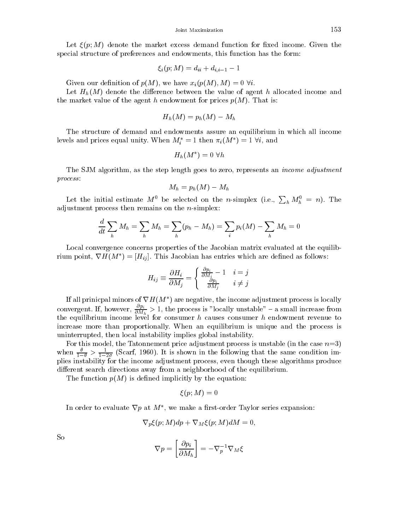Let  $\xi(p; M)$  denote the market excess demand function for fixed income. Given the special structure of preferences and endowments, this function has the form:

$$
\xi_i(p;M)=d_{ii}+d_{i,i-1}-1
$$

Given our definition of  $p(M)$ , we have  $x_i(p(M), M)=0$   $\forall i$ .

Let  $H_h(M)$  denote the difference between the value of agent h allocated income and the market value of the agent h endowment for prices  $p(M)$ . That is:

$$
H_h(M)=p_h(M)-M_h\,
$$

The structure of demand and endowments assure an equilibrium in which all income levels and prices equal unity. When  $M_i^* = 1$  then  $\pi_i(M^*) = 1$   $\forall i$ , and

$$
H_h(M^*)=0 \; \forall h
$$

The SJM algorithm, as the step length goes to zero, represents an income adjustment process:

$$
M_h = p_h(M) - M_h\,
$$

Let the initial estimate  $M^0$  be selected on the *n*-simplex (i.e.,  $\sum_h M_h^0 = n$ ). The adjustment process then remains on the  $n$ -simplex:

$$
\frac{d}{dt}\sum_h M_h = \sum_h M_h = \sum_h (p_h - M_h) = \sum_i p_i(M) - \sum_h M_h = 0
$$

Local convergence concerns properties of the Jacobian matrix evaluated at the equilibrium point,  $\nabla H(M^*) = |H_{ij}|$ . This Jacobian has entries which are defined as follows:

$$
H_{ij} \equiv \frac{\partial H_i}{\partial M_j} = \begin{cases} \frac{\partial p_i}{\partial M_i} - 1 & i = j \\ \frac{\partial p_i}{\partial M_j} & i \neq j \end{cases}
$$

If all prinicpal minors of  $\nabla H(M^*)$  are negative, the income adjustment process is locally convergent. If, however,  $\frac{\partial u}{\partial M_h} > 1$ , the process is "locally unstable" – a small increase from the equilibrium income level for consumer h causes consumer h endowment revenue to increase more than proportionally. When an equilibrium is unique and the process is uninterrupted, then local instability implies global instability.

For this model, the Tatonnement price adjustment process is unstable (in the case  $n=3$ ) when  $\frac{1}{1-\theta} > \frac{1}{1-2\sigma}$  (Scart, 1960). It is shown in the following that the same condition implies instability for the income adjustment process, even though these algorithms produce different search directions away from a neighborhood of the equilibrium.

The function  $p(M)$  is defined implicitly by the equation:

$$
\xi(p;M)=0
$$

In order to evaluate  $\nabla p$  at  $M^*$ , we make a first-order Taylor series expansion:

$$
\nabla_p \xi(p;M)dp + \nabla_M \xi(p;M) dM = 0,
$$

So

$$
\nabla p = \left[ \frac{\partial p_i}{\partial M_h} \right] = - \nabla_p^{-1} \nabla_M \xi
$$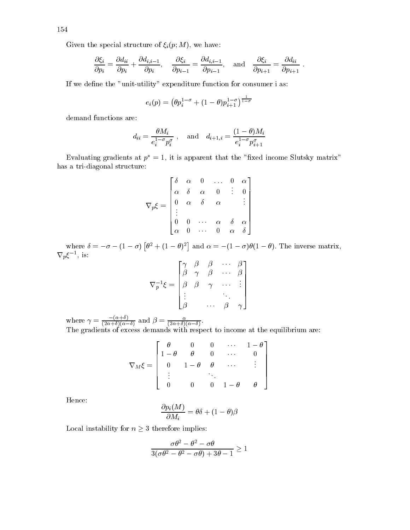Given the special structure of  $\xi_i(p; M)$ , we have:

$$
\frac{\partial \xi_i}{\partial p_i} = \frac{\partial d_{ii}}{\partial p_i} + \frac{\partial d_{i,i-1}}{\partial p_i}, \quad \frac{\partial \xi_i}{\partial p_{i-1}} = \frac{\partial d_{i,i-1}}{\partial p_{i-1}}, \quad \text{and} \quad \frac{\partial \xi_i}{\partial p_{i+1}} = \frac{\partial d_{ii}}{\partial p_{i+1}}.
$$

If we define the "unit-utility" expenditure function for consumer i as:

$$
e_i(p) = \left(\theta p_i^{1-\sigma} + (1-\theta) p_{i+1}^{1-\sigma}\right)^{\frac{1}{1-\sigma}}
$$

demand functions are:

$$
d_{ii} = \frac{\theta M_i}{e_i^{1-\sigma}p_i^\sigma}\;,\quad\text{and}\quad d_{i+1,i} = \frac{(1-\theta)M_i}{e_i^{1-\sigma}p_{i+1}^\sigma}
$$

Evaluating gradients at  $p^* = 1$ , it is apparent that the "fixed income Slutsky matrix" has a tri-diagonal structure:

$$
\nabla_p \xi = \begin{bmatrix}\n\delta & \alpha & 0 & \dots & 0 & \alpha \\
\alpha & \delta & \alpha & 0 & \vdots & 0 \\
0 & \alpha & \delta & \alpha & & \vdots \\
\vdots & & & & & \\
0 & 0 & \dots & \alpha & \delta & \alpha \\
\alpha & 0 & \dots & 0 & \alpha & \delta\n\end{bmatrix}
$$

where  $\delta = -\sigma - (1 - \sigma) [\theta^2 + (1 - \theta)^2]$  and  $\alpha = -(1 - \sigma) \theta (1 - \theta)$ . The inverse matrix,  $\nabla_p \xi^{-1}$ , is:

$$
\nabla_{p}^{-1}\xi = \begin{bmatrix}\n\gamma & \beta & \beta & \cdots & \beta \\
\beta & \gamma & \beta & \cdots & \beta \\
\beta & \beta & \gamma & \cdots & \vdots \\
\vdots & & & \ddots & \vdots \\
\beta & & & & \beta & \gamma\n\end{bmatrix}
$$

where  $\gamma = \frac{\overline{(\overline{2\alpha+ \delta})(\alpha-\delta)}}{(2\alpha+\delta)(\alpha-\delta)}$  and  $\beta = \frac{\overline{\alpha}}{(2\alpha+\delta)(\alpha-\delta)}$ . The gradients of excess demands with respect to income at the equilibrium are:

$$
\nabla_M \xi = \begin{bmatrix}\n\theta & 0 & 0 & \cdots & 1 - \theta \\
1 - \theta & \theta & 0 & \cdots & 0 \\
0 & 1 - \theta & \theta & \cdots & \vdots \\
\vdots & \ddots & \ddots & \vdots \\
0 & 0 & 0 & 1 - \theta & \theta\n\end{bmatrix}
$$

Hence:

$$
\frac{\partial p_i(M)}{\partial M_i} = \theta \delta + (1-\theta) \beta
$$

Local instability for  $n \geq 3$  therefore implies:

$$
\frac{\sigma\theta^2 - \theta^2 - \sigma\theta}{3(\sigma\theta^2 - \theta^2 - \sigma\theta) + 3\theta - 1} \ge 1
$$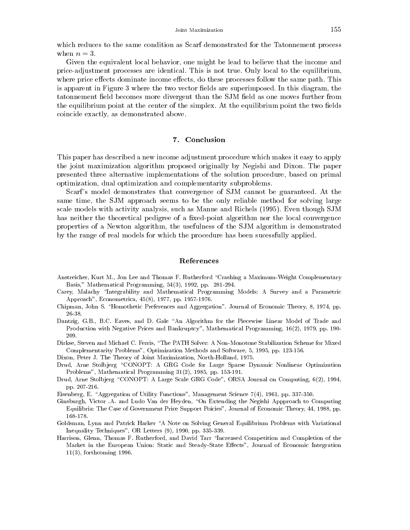which reduces to the same condition as Scarf demonstrated for the Tatonnement process when  $n=3$ .

Given the equivalent local behavior, one might be lead to believe that the income and price-adjustment processes are identical. This is not true. Only local to the equilibrium, where price effects dominate income effects, do these processes follow the same path. This is apparent in Figure 3 where the two vector fields are superimposed. In this diagram, the tatonnement field becomes more divergent than the SJM field as one moves further from the equilibrium point at the center of the simplex. At the equilibrium point the two fields coincide exactly, as demonstrated above.

## 7. Conclusion

This paper has described a new income adjustment procedure which makes it easy to apply the joint maximization algorithm proposed originally by Negishi and Dixon. The paper presented three alternative implementations of the solution procedure, based on primal optimization, dual optimization and complementarity subproblems.

Scarf 's model demonstrates that convergence of SJM cannot be guaranteed. At the same time, the SJM approach seems to be the only reliable method for solving large scale models with activity analysis, such as Manne and Richels (1995). Even though SJM has neither the theoretical pedigree of a fixed-point algorithm nor the local convergence properties of a Newton algorithm, the usefulness of the SJM algorithm is demonstrated by the range of real models for which the procedure has been sucessfully applied.

### References

- Anstreicher, Kurt M., Jon Lee and Thomas F. Rutherford \Crashing a Maximum-Weight Complementary Basis," Mathematical Programming, 54(3), 1992, pp. 281-294.
- Carey, Malachy \Integrability and Mathematical Programming Models: A Survey and a Parametric Approach", Econometrica, 45(8), 1977, pp. 1957-1976.
- Chipman, John S. "Homothetic Preferences and Aggregation". Journal of Economic Theory, 8, 1974, pp. 26 38.
- Dantzig, G.B., B.C. Eaves, and D. Gale "An Algorithm for the Piecewise Linear Model of Trade and Production with Negative Prices and Bankruptcy", Mathematical Programming, 16(2), 1979, pp. 190- 209.
- Dirkse, Steven and Michael C. Ferris, \The PATH Solver: A Non-Monotone Stabilization Scheme for Mixed Complementarity Problems", Optimization Methods and Software, 5, 1995, pp. 123-156.
- Dixon, Peter J. The Theory of Joint Maximization, North-Holland, 1975.
- Drud, Arne Stolbjerg "CONOPT: A GRG Code for Large Sparse Dynamic Nonlinear Optimization Problems", Mathematical Programming 31(2), 1985, pp. 153-191.
- Drud, Arne Stolbjerg "CONOPT: A Large Scale GRG Code", ORSA Journal on Computing, 6(2), 1994, pp. 207-216.
- Eisenberg, E. "Aggregation of Utility Functions", Management Science 7(4), 1961, pp. 337-350.
- Ginsburgh, Victor .A. and Ludo Van der Heyden, "On Extending the Negishi Appproach to Computing Equilibria: The Case of Government Price Support Poicies", Journal of Economic Theory, 44, 1988, pp.
- Goldsman, Lynn and Patrick Harker "A Note on Solving General Equilibrium Problems with Variational Inequality Techniques", OR Letters (9), 1990, pp. 335-339.
- Harrison, Glenn, Thomas F. Rutherford, and David Tarr \Increased Competition and Completion of the Market in the European Union: Static and Steady-State Effects", Journal of Economic Integration 11(3), forthcoming 1996.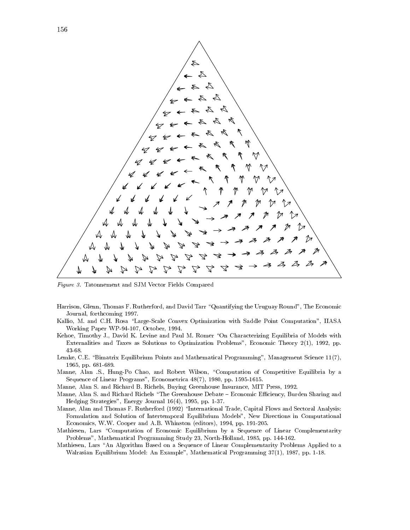

Figure 3. Tatonnement and SJM Vector Fields Compared

- Harrison, Glenn, Thomas F. Rutherford, and David Tarr \Quantifying the Uruguay Round", The Economic Journal, forthcoming 1997.
- Kallio, M. and C.H. Rosa "Large-Scale Convex Optimization with Saddle Point Computation", IIASA Working Paper WP-94-107, October, 1994.
- Kehoe, Timothy J., David K. Levine and Paul M. Romer "On Characterizing Equilibria of Models with Externalities and Taxes as Solutions to Optimization Problems", Economic Theory 2(1), 1992, pp. 43-68.
- Lemke, C.E. "Bimatrix Equilibrium Points and Mathematical Programming", Management Science 11(7), 1965, pp. 681-689.
- Manne, Alan .S., Hung-Po Chao, and Robert Wilson, "Computation of Competitive Equilibria by a Sequence of Linear Programs", Econometrica 48(7), 1980, pp. 1595-1615.
- Manne, Alan S. and Richard B. Richels, Buying Greenhouse Insurance, MIT Press, 1992.
- Manne, Alan S. and Richard Richels "The Greenhouse Debate Economic Efficiency, Burden Sharing and Hedging Strategies", Energy Journal 16(4), 1995, pp. 1-37.
- Manne, Alan and Thomas F. Rutherford (1992) "International Trade, Capital Flows and Sectoral Analysis: Formulation and Solution of Intertemporal Equilibrium Models", New Directions in Computational Economics, W.W. Cooper and A.B. Whinston (editors), 1994, pp. 191-205.
- Mathiesen, Lars "Computation of Economic Equilibrium by a Sequence of Linear Complementarity Problems", Mathematical Programming Study 23, North-Holland, 1985, pp. 144-162.
- Mathiesen, Lars "An Algorithm Based on a Sequence of Linear Complementarity Problems Applied to a Walrasian Equilibrium Model: An Example", Mathematical Programming 37(1), 1987, pp. 1-18.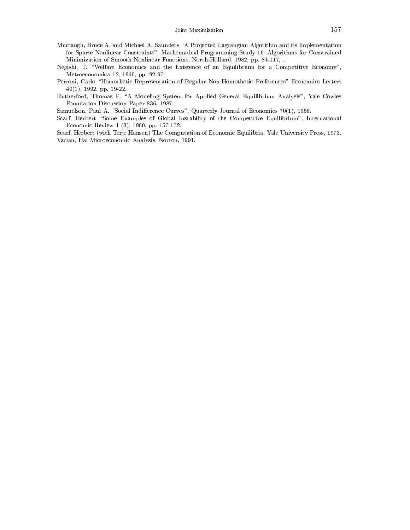- Murtaugh, Bruce A. and Michael A. Saunders "A Projected Lagrangian Algorithm and its Implementation for Sparse Nonlinear Constraints", Mathematical Programming Study 16: Algorithms for Constrained Minimization of Smooth Nonlinear Functions, North-Holland, 1982, pp. 84-117, .
- Negishi, T. "Welfare Economics and the Existence of an Equilibrium for a Competitive Economy", Metroeconomica 12, 1960, pp. 92-97.
- Perroni, Carlo "Homothetic Representation of Regular Non-Homothetic Preferences" Economics Letters 40(1), 1992, pp. 19-22.
- Rutherford, Thomas F. "A Modeling System for Applied General Equilibrium Analysis", Yale Cowles Foundation Discussion Paper 836, 1987.

Samuelson, Paul A. "Social Indifference Curves", Quarterly Journal of Economics 70(1), 1956.

Scarf, Herbert "Some Examples of Global Instability of the Competitive Equilibrium", International Economic Review 1 (3), 1960, pp. 157-172.

Scarf, Herbert (with Terje Hansen) The Computation of Economic Equilibria, Yale University Press, 1973. Varian, Hal Microeconomic Analysis, Norton, 1991.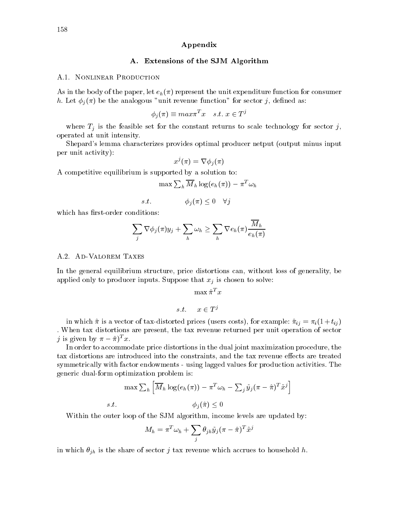### Appendix

## A. Extensions of the SJM Algorithm

### A.1. NONLINEAR PRODUCTION

As in the body of the paper, let  $e_h(\pi)$  represent the unit expenditure function for consumer h. Let  $\phi_i(\pi)$  be the analogous "unit revenue function" for sector j, defined as:

$$
\phi_j(\pi)\equiv max\pi^Tx \quad s.t. \,\, x \in T^j
$$

where  $T_j$  is the feasible set for the constant returns to scale technology for sector j, operated at unit intensity.

Shepard's lemma characterizes provides optimal producer netput (output minus input per unit activity):

$$
x^j(\pi) = \nabla \phi_j(\pi)
$$

A competitive equilibrium is supported by a solution to:

$$
\max \textstyle \sum_h \overline M_h \log(e_h(\pi)) - \pi^T \omega_h
$$

$$
s.t. \qquad \qquad \phi_j(\pi) \leq 0 \quad \forall j
$$

which has first-order conditions:

$$
\sum_{j} \nabla \phi_j(\pi) y_j + \sum_{h} \omega_h \ge \sum_{h} \nabla e_h(\pi) \frac{M_h}{e_h(\pi)}
$$

In the general equilibrium structure, price distortions can, without loss of generality, be applied only to producer inputs. Suppose that  $x_i$  is chosen to solve:

 $\max \hat{\pi}^T x$ 

$$
s.t. \quad x \in T^j
$$

in which  $\hat{\pi}$  is a vector of tax-distorted prices (users costs), for example:  $\hat{\pi}_{ij} = \pi_i(1 + t_{ij})$ . When tax distortions are present, the tax revenue returned per unit operation of sector j is given by  $\pi - \hat{\pi}^T x$ .

In order to accommodate price distortions in the dual joint maximization procedure, the tax distortions are introduced into the constraints, and the tax revenue effects are treated symmetrically with factor endowments - using lagged values for production activities. The generic dual-form optimization problem is:

$$
\max \sum_{h} \left[ \overline{M}_{h} \log(e_{h}(\pi)) - \pi^{T} \omega_{h} - \sum_{j} \tilde{y}_{j} (\pi - \hat{\pi})^{T} \tilde{x}^{j} \right]
$$
  
s.t.  

$$
\phi_{j}(\hat{\pi}) \leq 0
$$

Within the outer loop of the SJM algorithm, income levels are updated by:

$$
M_h = \pi^T \omega_h + \sum_j \theta_{jh} \tilde{y}_j (\pi - \hat{\pi})^T \tilde{x}^j
$$

in which  $\theta_{jh}$  is the share of sector j tax revenue which accrues to household h.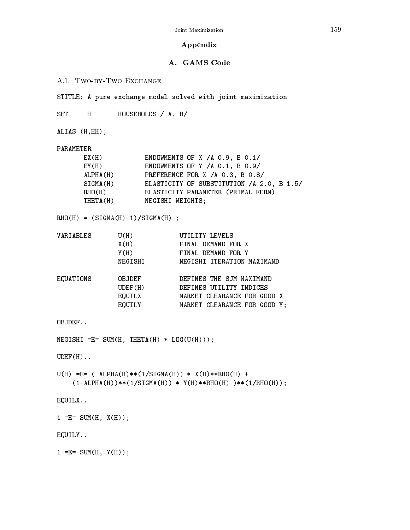# Appendix

# A. GAMS Code

A.1. Two-by-Two Exchange

\$TITLE: A pure exchange model solved with joint maximization

SET H HOUSEHOLDS / A, B/

ALIAS (H,HH);

## PARAMETER

| EX(H)    | ENDOWMENTS OF X /A 0.9, B 0.1/            |
|----------|-------------------------------------------|
| EY(H)    | ENDOWMENTS OF Y /A O.1, B O.9/            |
| ALPHA(H) | PREFERENCE FOR X /A 0.3, B 0.8/           |
| SIGMA(H) | ELASTICITY OF SUBSTITUTION /A 2.0, B 1.5/ |
| RHO (H)  | ELASTICITY PARAMETER (PRIMAL FORM)        |
| THETA(H) | NEGISHI WEIGHTS:                          |

 $RHO(H) = (SIGMA(H)-1)/SIGMA(H)$ ;

| VARIABLES | U(H)    | UTILITY LEVELS               |
|-----------|---------|------------------------------|
|           | X(H)    | FINAL DEMAND FOR X           |
|           | Y(H)    | FINAL DEMAND FOR Y           |
|           | NEGISHI | NEGISHI ITERATION MAXIMAND   |
| EQUATIONS | OBJDEF  | DEFINES THE SJM MAXIMAND     |
|           | UDEF(H) | DEFINES UTILITY INDICES      |
|           | EQUILX  | MARKET CLEARANCE FOR GOOD X  |
|           | EQUILY  | MARKET CLEARANCE FOR GOOD Y; |

OBJDEF..

 $NEGISHI =E= SUM(H, THETA(H) * LOG(U(H)))$ ;

 $UDEF(H)$ ..

 $U(H) = E = (ALPHA(H)**(1/SIGMA(H)) * X(H)**RHO(H) +$  $(1-ALPHA(H))**(1/SIGMA(H)) * Y(H)**RHO(H)) **(1/RHO(H));$ 

EQUILX..

 $1 = E = SUM(H, X(H));$ 

EQUILY..

 $1 = E = SUM(H, Y(H));$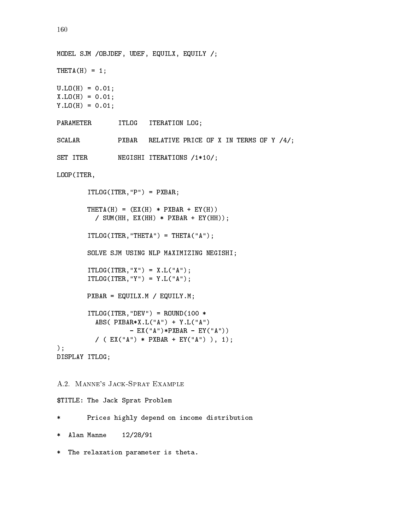MODEL SJM /OBJDEF, UDEF, EQUILX, EQUILY /;  $THETA(H) = 1;$  $U.L0(H) = 0.01;$  $X.L0(H) = 0.01;$  $Y.L0(H) = 0.01;$ PARAMETER ITLOG ITERATION LOG; SCALAR PXBAR RELATIVE PRICE OF X IN TERMS OF Y /4/; SET ITER NEGISHI ITERATIONS /1\*10/; LOOP(ITER, ITLOG(ITER,"P") = PXBAR; THETA(H) =  $(EX(H) * PXBAR + EY(H))$ / SUM(HH,  $EX(HH) * PXBAR + EY(HH));$ ITLOG(ITER,"THETA") = THETA("A"); SOLVE SJM USING NLP MAXIMIZING NEGISHI;  $ITLOG(TTER, "X") = X.L("A")$ ; ITLOG(ITER,"Y") = Y.L("A");  $PXBAR = EQUILX.M / EQUILY.M;$ ITLOG(ITER, "DEV") =  $ROUND(100 *$ ABS( PXBAR\*X.L("A") + Y.L("A")  $-$  EX("A")\*PXBAR - EY("A")) / ( EX("A") \* PXBAR + EY("A") ), 1); ); DISPLAY ITLOG; A.2. Manne's Jack-Sprat Example \$TITLE: The Jack Sprat Problem  $\ast$ Prices highly depend on income distribution

\* Alan Manne 12/28/91 12/28/91 12/28 12:00 12:00 12:00 12:00 12:00 12:00 12:00 12:00 12:00 12:00 12:00 12:00 1

\* The relaxation parameter is theta.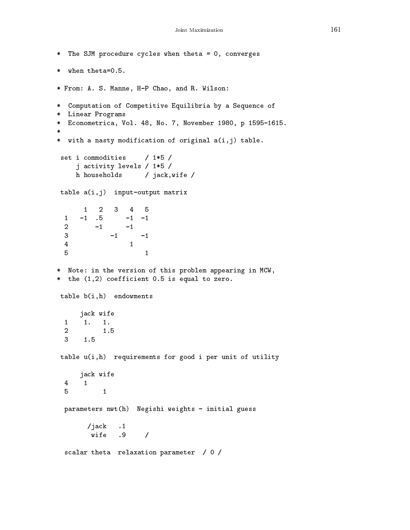```
* The SJM procedure cycles when theta = 0, converges
* when theta=0.5.
* From: A. S. Manne, H-P Chao, and R. Wilson:
* Computation of Competitive Equilibria by a Sequence of
* Linear Programs
* Econometrica, Vol. 48, No. 7, November 1980, p 1595-1615.
* with a nasty modification of original a(i,j) table.
 set i commodities / 1*5 /
     j activity levels / 1*5 /
    h households / jack,wife /
 table a(i, j) input-output matrix
       1 2 3 4 5
  1 -1 .5 -1 -12 -1 -13 -1 -1\mathbf{1}\overline{4}5
                       \mathbf{1}* Note: in the version of this problem appearing in MCW,
* the (1,2) coefficient 0.5 is equal to zero.
 table b(i,h) endowments
      jack wife
      1 1. 1.
  \mathbf{1}\overline{2}2 1.5
  3<sup>1</sup>3 1.5
 table u(i,h) requirements for good i per unit of utility
      jack wife
  5
  parameters nwt(h) Negishi weights - initial guess
        /jack .1
         wife .9 /
  scalar theta relaxation parameter / 0 /
```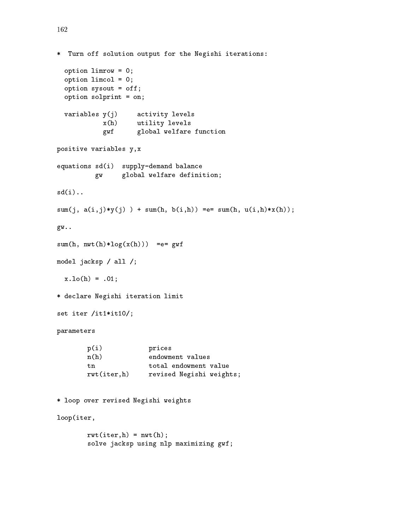```
* Turn off solution output for the Negishi iterations:
  option limrow = 0;
  option limcol = 0;
  option sysout = off;
  option solprint = on;
 variables y(j) activity levels
           x(h) utility levels
           gwf global welfare function
positive variables y,x
equations sd(i) supply-demand balance
         gw global welfare definition;
sd(i)..
sum(j, a(i,j)*y(j)) + sum(h, b(i,h)) == sum(h, u(i,h)*x(h));gw \cdot .sum(h, nwt(h)*log(x(h))) == gwfmodel jacksp / all /;
 x.lo(h) = .01;
* declare Negishi iteration limit
set iter /it1*it10/;
parameters
       p(i) prices
       n(h) endowment values
       tn total endowment value
       rwt(iter,h) revised Negishi weights;
* loop over revised Negishi weights
loop(iter,
       rwt(iter,h) = nwt(h);solve jacksp using nlp maximizing gwf;
```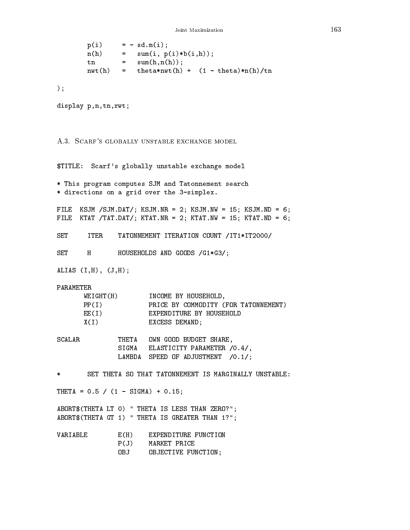```
p(i) = - sd.m(i);n(h) = sum(i, p(i)*b(i,h));
tn = sum(h,n(h));
nwt(h) = theta*nwt(h) + (1 - theta)*n(h)/tn
```
);

```
display p,n,tn,rwt;
```
A.3. SCARF'S GLOBALLY UNSTABLE EXCHANGE MODEL

\$TITLE: Scarf's globally unstable exchange model

\* This program computes SJM and Tatonnement search \* directions on a grid over the 3-simplex.

FILE KSJM /SJM.DAT/; KSJM.NR = 2; KSJM.NW = 15; KSJM.ND = 6; FILE KTAT /TAT.DAT/; KTAT.NR = 2; KTAT.NW = 15; KTAT.ND = 6;

SET ITER TATONNEMENT ITERATION COUNT /IT1\*IT2000/

**SET**  $H$ HOUSEHOLDS AND GOODS /G1\*G3/;

ALIAS  $(I,H)$ ,  $(J,H)$ ;

PARAMETER

| WEIGHT(H) | INCOME BY HOUSEHOLD,                 |
|-----------|--------------------------------------|
| PP(I)     | PRICE BY COMMODITY (FOR TATONNEMENT) |
| EE(I)     | EXPENDITURE BY HOUSEHOLD             |
| X(I)      | EXCESS DEMAND:                       |

SCALAR THETA OWN GOOD BUDGET SHARE, SIGMA ELASTICITY PARAMETER / 0.4/, LAMBDA SPEED OF ADJUSTMENT /0.1/;

 $\ast$ SET THETA SO THAT TATONNEMENT IS MARGINALLY UNSTABLE:

THETA =  $0.5 / (1 - SIGMA) + 0.15$ ;

ABORT\$(THETA LT 0) " THETA IS LESS THAN ZERO?"; ABORT\$(THETA GT 1) " THETA IS GREATER THAN 1?";

VARIABLE E(H) EXPENDITURE FUNCTION P(J) MARKET PRICE P(J) MARKET PRICE OBJ OBJECTIVE FUNCTION;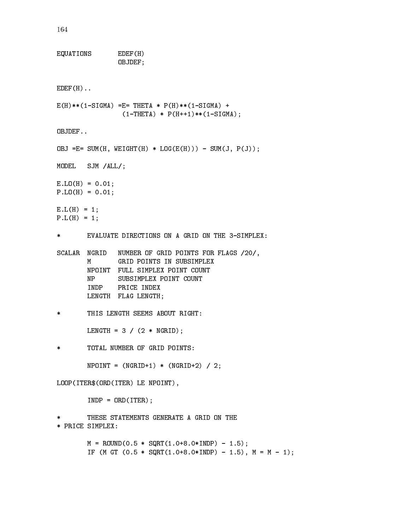EQUATIONS EDEF(H) OBJDEF;  $EDEF(H)$ ..  $E(H)$ \*\*(1-SIGMA) =E= THETA \*  $P(H)$ \*\*(1-SIGMA) +  $(1-THETA) * P(H++1) * *(1-SIGMA);$ OBJDEF.. OBJ =E= SUM(H, WEIGHT(H)  $*$  LOG(E(H))) - SUM(J, P(J)); MODEL SJM /ALL/;  $E.LO(H) = 0.01;$  $P.LO(H) = 0.01;$  $E.L(H) = 1;$  $P.L(H) = 1$ ;  $\ast$ EVALUATE DIRECTIONS ON A GRID ON THE 3-SIMPLEX: SCALAR NGRID NUMBER OF GRID POINTS FOR FLAGS /20/, M GRID POINTS IN SUBSIMPLEX  $NP$ SUBSIMPLEX POINT COUNT INDP PRICE INDEX LENGTH FLAG LENGTH;  $\star$ THIS LENGTH SEEMS ABOUT RIGHT: LENGTH =  $3 / (2 * NGRID)$ ; TOTAL NUMBER OF GRID POINTS:  $\ast$  $NPOINT = (NGRID+1) * (NGRID+2) / 2;$ LOOP(ITER\$(ORD(ITER) LE NPOINT),  $INDP = ORD(TTER);$ THESE STATEMENTS GENERATE A GRID ON THE \* PRICE SIMPLEX:  $M = \text{ROUND}(0.5 * \text{SQRT}(1.0+8.0* \text{INDP}) - 1.5);$ IF (M GT (0.5  $*$  SQRT(1.0+8.0\*INDP) - 1.5), M = M - 1);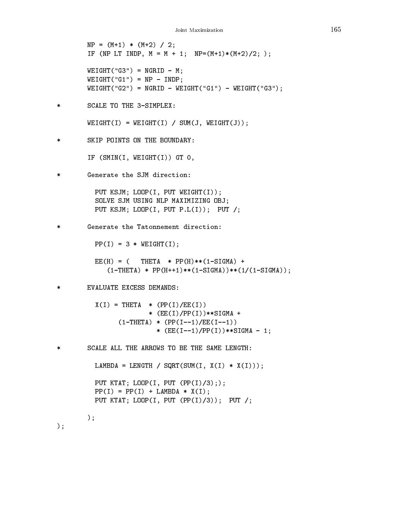```
NP = (M+1) * (M+2) / 2;IF (NP LT INDP, M = M + 1; NP=(M+1)*(M+2)/2; );
        WEIGHT("G3") = NGRID - M;WEIGHT("G1") = NP - INDP;WEIGHT("G2") = NGRID - WEIGHT("G1") - WEIGHT("G3");
\astSCALE TO THE 3-SIMPLEX:
        WEIGHT(I) = WEIGHT(I) / SUM(J, WEIGHT(J));\astSKIP POINTS ON THE BOUNDARY:
        IF (SMIN(I, WEIGHT(I)) GT 0,
\astGenerate the SJM direction:
         PUT KSJM; LOOP(I, PUT WEIGHT(I));
          SOLVE SJM USING NLP MAXIMIZING OBJ;
         PUT KSJM; LOOP(I, PUT P.L(I)); PUT /;
\starGenerate the Tatonnement direction:
          PP(I) = 3 * WELGHT(I);EE(H) = (THETA * PP(H) ** (1-SIGMA) +(1-THETA) * PP(H++1)**(1-SIGMA))**(1/(1-SIGMA));* EVALUATE EXCESS DEMANDS:
          X(I) = THER + (PP(I)/EE(I))* (EE(I)/PP(I))**SIGMA +
                (1-THETA) * (PP(I--1)/EE(I--1))* (EE(I--1)/PP(I))**SIGMA - 1;SCALE ALL THE ARROWS TO BE THE SAME LENGTH:
\starLAMBDA = LENGTH / SQRT(SUM(I, X(I) * X(I));
          PUT KTAT; LOOP(I, PUT (PP(I)/3););
          PP(I) = PP(I) + LAMBDA * X(I);PUT KTAT; LOOP(I, PUT (PP(I)/3)); PUT /;
        );
);
```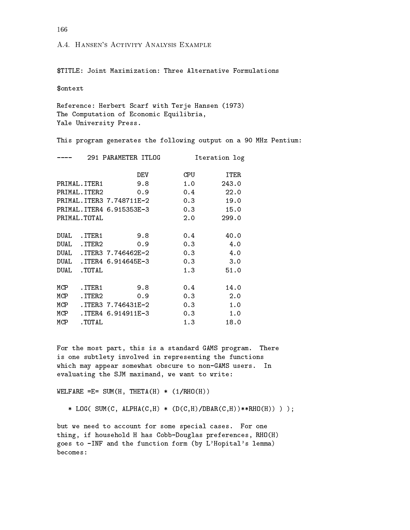166

A.4. Hansen's Activity Analysis Example

\$TITLE: Joint Maximization: Three Alternative Formulations

\$ontext

Reference: Herbert Scarf with Terje Hansen (1973) The Computation of Economic Equilibria, Yale University Press.

This program generates the following output on a 90 MHz Pentium:

|     |              | 291 PARAMETER ITLOG               |            | Iteration log |  |
|-----|--------------|-----------------------------------|------------|---------------|--|
|     |              | DEV                               | CPU        | <b>ITER</b>   |  |
|     | PRIMAL.ITER1 | 9.8                               | 1.0        | 243.0         |  |
|     |              | PRIMAL.ITER2 0.9                  | 0.4        | 22.0          |  |
|     |              | PRIMAL.ITER3 7.748711E-2          | $0.3$ 19.0 |               |  |
|     |              | PRIMAL.ITER4 6.915353E-3 0.3 15.0 |            |               |  |
|     | PRIMAL.TOTAL |                                   | 2.0        | 299.0         |  |
|     | DUAL .ITER1  | 9.8                               | 0.4        | 40.0          |  |
|     |              | DUAL .ITER2 0.9                   | 0.3        | 4.0           |  |
|     |              | DUAL .ITER3 7.746462E-2           | 0.3        | 4.0           |  |
|     |              | DUAL .ITER4 6.914645E-3 0.3       |            | 3.0           |  |
|     | DUAL TOTAL   |                                   | 1.3        | 51.0          |  |
| MCP | .ITER1       | 9.8                               | 0.4        | 14.0          |  |
| MCP | .ITER2       | 0.9                               | 0.3        | 2.0           |  |
|     |              | MCP .ITER3 7.746431E-2            | 0.3        | 1.0           |  |
| MCP |              | .ITER4 6.914911E-3                | 0.3        | 1.0           |  |
| MCP | .TOTAL       |                                   | 1.3        | 18.0          |  |

For the most part, this is a standard GAMS program. There is one subtlety involved in representing the functions which may appear somewhat obscure to non-GAMS users. In evaluating the SJM maximand, we want to write:

WELFARE = E= SUM(H, THETA(H)  $*$  (1/RHO(H))

\* LOG( SUM(C, ALPHA(C,H) \*  $(D(C,H)/DBAR(C,H))**RHO(H))$ ) );

but we need to account for some special cases. For one thing, if household H has Cobb-Douglas preferences, RHO(H) goes to -INF and the function form (by L'Hopital's lemma) becomes: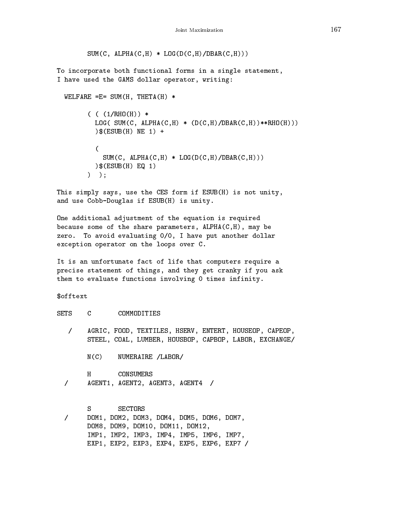```
SUM(C, ALPHA(C,H) * LOG(D(C,H)/DBAR(C,H)))
To incorporate both functional forms in a single statement,
I have used the GAMS dollar operator, writing:
   WELFARE = E= SUM (H, THETA(H) *
            ( (1/RHO(H)) *LOG( SUM(C, ALPHA(C,H) * (D(C,H)/DBAR(C,H))**RHO(H)))
               ){\$(ESUB(H) NE 1) +
                \left(\sim (1) \sim (1) \sim (1) \sim (1) \sim (1) \sim (1) \sim (1) \sim (1) \sim (1) \sim (1) \sim (1) \sim (1) \sim (1) \sim (1) \sim (1) \sim (1) \sim (1) \sim (1) \sim (1) \sim (1) \sim (1) \sim (1) \sim (1) \sim (1) \sim 
                  SUM(C, ALPHA(C,H) * LOG(D(C,H)/DBAR(C,H)))
               )$(ESUB(H) EQ 1)
            ) );
This simply says, use the CES form if ESUB(H) is not unity,
```
and use Cobb-Douglas if ESUB(H) is unity.

One additional adjustment of the equation is required because some of the share parameters, ALPHA(C,H), may be zero. To avoid evaluating 0/0, I have put another dollar exception operator on the loops over C.

It is an unfortunate fact of life that computers require a precise statement of things, and they get cranky if you ask them to evaluate functions involving 0 times infinity.

 $\ddotsc$  of the state  $\ddotsc$ 

- **SFTS**  $\mathbf{C}$ COMMODITIES
	- / AGRIC, FOOD, TEXTILES, HSERV, ENTERT, HOUSEOP, CAPEOP, STEEL, COAL, LUMBER, HOUSBOP, CAPBOP, LABOR, EXCHANGE/
		- N(C) NUMERAIRE /LABOR/
	- $H$ CONSUMERS  $\overline{1}$ / AGENT1, AGENT2, AGENT3, AGENT4 /

**SECTORS** S / DOM1, DOM2, DOM3, DOM4, DOM5, DOM6, DOM7, DOM8, DOM9, DOM10, DOM11, DOM12, IMP1, IMP2, IMP3, IMP4, IMP5, IMP6, IMP7, EXP1, EXP2, EXP3, EXP4, EXP5, EXP6, EXP7 /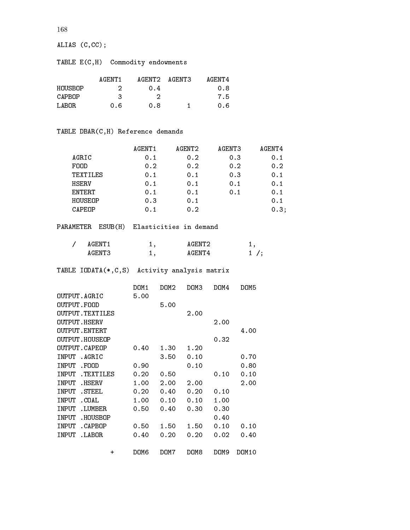ALIAS (C,CC);

TABLE E(C,H) Commodity endowments

|         | AGENT1 | AGENT2 | AGENT3 | AGENT4 |
|---------|--------|--------|--------|--------|
| HOUSBOP |        | 0.4    |        | 0.8    |
| CAPBOP  | ີ      |        |        | 7.5    |
| LA BOR. | 0.6    | 0.8    |        | 0.6    |

## TABLE DBAR(C,H) Reference demands

|               | AGENT1 | AGENT <sub>2</sub> | AGENT3 | AGENT4 |
|---------------|--------|--------------------|--------|--------|
| AGRIC         | 0.1    | 0.2                | 0.3    | 0.1    |
| F00D          | 0.2    | 0.2                | 0.2    | 0.2    |
| TEXTILES      | 0.1    | 0.1                | 0.3    | 0.1    |
| <b>HSERV</b>  | 0.1    | 0.1                | 0.1    | 0.1    |
| <b>ENTERT</b> | 0.1    | 0.1                | 0.1    | 0.1    |
| HOUSEOP       | 0.3    | 0.1                |        | 0.1    |
| CAPEOP        | 0.1    | 0.2                |        | 0.3;   |

PARAMETER ESUB(H) Elasticities in demand

| 'NI<br>   | . . | M |  |
|-----------|-----|---|--|
| …µN⊤^<br> | . . |   |  |

TABLE IODATA(\*,C,S) Activity analysis matrix

|                    | DOM1 | DOM2 | DOM3 | DOM4 | DOM5  |
|--------------------|------|------|------|------|-------|
| OUTPUT.AGRIC       | 5.00 |      |      |      |       |
| OUTPUT.FOOD        |      | 5.00 |      |      |       |
| OUTPUT.TEXTILES    |      |      | 2.00 |      |       |
| OUTPUT.HSERV       |      |      |      | 2.00 |       |
| OUTPUT.ENTERT      |      |      |      |      | 4.00  |
| OUTPUT.HOUSEOP     |      |      |      | 0.32 |       |
| OUTPUT.CAPEOP      | 0.40 | 1.30 | 1.20 |      |       |
| INPUT<br>.AGRIC    |      | 3.50 | 0.10 |      | 0.70  |
| INPUT<br>. FOOD    | 0.90 |      | 0.10 |      | 0.80  |
| INPUT<br>TEXTILES. | 0.20 | 0.50 |      | 0.10 | 0.10  |
| INPUT<br>.HSERV    | 1.00 | 2.00 | 2.00 |      | 2.00  |
| . STEEL<br>INPUT   | 0.20 | 0.40 | 0.20 | 0.10 |       |
| .COAL<br>INPUT     | 1.00 | 0.10 | 0.10 | 1.00 |       |
| .LUMBER<br>INPUT   | 0.50 | 0.40 | 0.30 | 0.30 |       |
| .HOUSBOP<br>INPUT  |      |      |      | 0.40 |       |
| INPUT<br>.CAPBOP   | 0.50 | 1.50 | 1.50 | 0.10 | 0.10  |
| INPUT<br>LABOR .   | 0.40 | 0.20 | 0.20 | 0.02 | 0.40  |
|                    |      |      |      |      |       |
| $\ddot{}$          | DOM6 | DOM7 | DOM8 | DOM9 | DOM10 |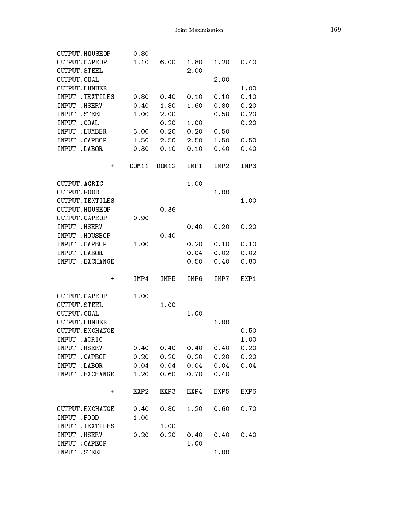| OUTPUT.HOUSEOP   | 0.80     |            |      |      |      |
|------------------|----------|------------|------|------|------|
| OUTPUT.CAPEOP    | $1\,.10$ | 6.00       | 1.80 | 1.20 | 0.40 |
| OUTPUT.STEEL     |          |            | 2.00 |      |      |
| OUTPUT.COAL      |          |            |      | 2.00 |      |
| OUTPUT.LUMBER    |          |            |      |      | 1.00 |
| INPUT . TEXTILES | 0.80     | 0.40       | 0.10 | 0.10 | 0.10 |
| INPUT<br>.HSERV  | 0.40     | 1.80       | 1.60 | 0.80 | 0.20 |
| INPUT . STEEL    | 1.00     | 2.00       |      | 0.50 | 0.20 |
|                  |          |            | 1.00 |      | 0.20 |
| INPUT<br>.COAL   |          | 0.20       |      |      |      |
| INPUT .LUMBER    | 3.00     | 0.20       | 0.20 | 0.50 |      |
| INPUT . CAPBOP   | 1.50     | 2.50       | 2.50 | 1.50 | 0.50 |
| INPUT .LABOR     | 0.30     | 0.10       | 0.10 | 0.40 | 0.40 |
| $\ddot{}$        | DOM11    | DOM12      | IMP1 | IMP2 | IMP3 |
| OUTPUT.AGRIC     |          |            | 1.00 |      |      |
| OUTPUT.FOOD      |          |            |      | 1.00 |      |
| OUTPUT.TEXTILES  |          |            |      |      | 1.00 |
| OUTPUT.HOUSEOP   |          | 0.36       |      |      |      |
| OUTPUT.CAPEOP    | 0.90     |            |      |      |      |
| INPUT .HSERV     |          |            | 0.40 | 0.20 | 0.20 |
| INPUT .HOUSBOP   |          | 0.40       |      |      |      |
| INPUT . CAPBOP   | 1.00     |            | 0.20 | 0.10 | 0.10 |
| INPUT .LABOR     |          |            | 0.04 | 0.02 | 0.02 |
| INPUT . EXCHANGE |          |            | 0.50 | 0.40 | 0.80 |
|                  |          |            |      |      |      |
| $\ddot{}$        | IMP4     | IMP5       | IMP6 | IMP7 | EXP1 |
| OUTPUT.CAPEOP    | 1.00     |            |      |      |      |
| OUTPUT.STEEL     |          | 1.00       |      |      |      |
| OUTPUT.COAL      |          |            | 1.00 |      |      |
| OUTPUT.LUMBER    |          |            |      | 1.00 |      |
| OUTPUT.EXCHANGE  |          |            |      |      | 0.50 |
| INPUT .AGRIC     |          |            |      |      | 1.00 |
| INPUT .HSERV     | 0.40     | 0.40       | 0.40 | 0.40 | 0.20 |
| INPUT . CAPBOP   | 0.20     | 0.20       | 0.20 | 0.20 | 0.20 |
| INPUT .LABOR     | 0.04     | 0.04       | 0.04 | 0.04 | 0.04 |
|                  | 1.20     |            |      |      |      |
| INPUT .EXCHANGE  |          | 0.60       | 0.70 | 0.40 |      |
| $\ddot{}$        | EXP2     | EXP3       | EXP4 | EXP5 | EXP6 |
| OUTPUT.EXCHANGE  | 0.40     | 0.80       | 1.20 | 0.60 | 0.70 |
| INPUT .FOOD      | 1.00     |            |      |      |      |
| INPUT . TEXTILES |          | $1\,.\,00$ |      |      |      |
| INPUT .HSERV     | 0.20     | 0.20       | 0.40 | 0.40 | 0.40 |
| INPUT . CAPEOP   |          |            | 1.00 |      |      |
| INPUT .STEEL     |          |            |      | 1.00 |      |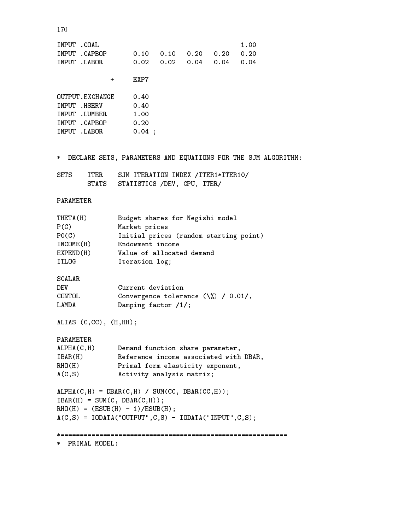| INPUT COAL |               |  |                                      | 1 <sub>1</sub> |
|------------|---------------|--|--------------------------------------|----------------|
|            | INPUT .CAPBOP |  | $0.10 \t 0.10 \t 0.20 \t 0.20 \t 0.$ |                |
|            | INPUT IABOR   |  | $0.02$ $0.02$ $0.04$ $0.04$ $0.1$    |                |
|            |               |  |                                      |                |

```
+ EXP7
```

| OUTPUT FXCHANGE | 0.40     |  |
|-----------------|----------|--|
| INPUT .HSERV    | 0.40     |  |
| INPUT .LUMBER   | 1.00     |  |
| INPUT CAPBOP    | 0.20     |  |
| INPUT IABOR     | $0.04$ : |  |
|                 |          |  |

\* DECLARE SETS, PARAMETERS AND EQUATIONS FOR THE SJM ALGORITHM:

| SETS | ITER | SJM ITERATION INDEX /ITER1*ITER10/ |
|------|------|------------------------------------|
|      |      | STATS STATISTICS /DEV, CPU, ITER/  |

## PARAMETER

| THETA(H)     | Budget shares for Negishi model        |
|--------------|----------------------------------------|
| P(C)         | Market prices                          |
| PO(C)        | Initial prices (random starting point) |
| INCOME(H)    | Endowment income                       |
| EXPEND(H)    | Value of allocated demand              |
| <b>ITLOG</b> | Iteration log;                         |

SCALAR

| DEV    | Current deviation                          |
|--------|--------------------------------------------|
| CONTOL | Convergence tolerance $(\aleph) / 0.01/$ , |
| LAMDA  | Damping factor $/1$ ;                      |

ALIAS (C,CC), (H,HH);

| PARAMETER   |                                        |
|-------------|----------------------------------------|
| ALPHA(C, H) | Demand function share parameter,       |
| IBAR(H)     | Reference income associated with DBAR, |
| RHO(H)      | Primal form elasticity exponent,       |
| A(C, S)     | Activity analysis matrix;              |

```
ALPHA(C,H) = DBAR(C,H) / SUM(CC, DBAR(CC,H));IBAR(H) = SUM(C, DBAR(C,H));RHO(H) = (ESUB(H) - 1)/ESUB(H);A(C, S) = IDDATA('OUTPUT'', C, S) - IDDATA('INPUT'', C, S);
```
\* PRIMAL MODEL: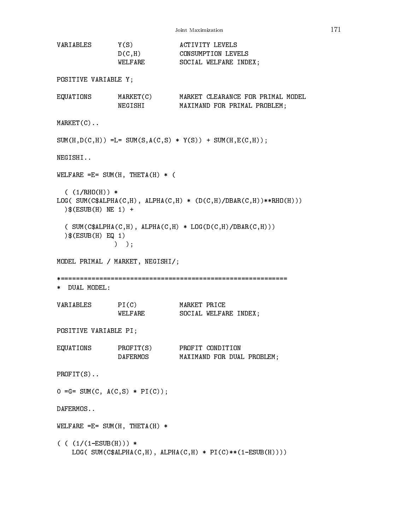```
VARIABLES Y(S) ACTIVITY LEVELS
                 D(C,H) CONSUMPTION LEVELS
                 WELFARE SOCIAL WELFARE INDEX;
POSITIVE VARIABLE Y;
EQUATIONS MARKET(C) MARKET CLEARANCE FOR PRIMAL MODEL
                 NEGISHI MAXIMAND FOR PRIMAL PROBLEM;
MARKET(C)..
\texttt{SUM}(H, \texttt{D}(\texttt{C}, \texttt{H})) \texttt{=} = \texttt{SUM}(\texttt{S}, \texttt{A}(\texttt{C}, \texttt{S}) \texttt{} * \texttt{Y}(\texttt{S})) + \texttt{SUM}(\texttt{H}, \texttt{E}(\texttt{C}, \texttt{H}));NEGISHI..
WELFARE = E= SUM(H, THETA(H) * (
  ( (1/RHO(H)) *LOG( SUM(C$ALPHA(C,H), ALPHA(C,H) * (D(C,H)/DBAR(C,H))**RHO(H))))$(ESUB(H) NE 1) +
  ( SUM(C$ALPHA(C,H), ALPHA(C,H) * LOG(D(C,H)/DBAR(C,H))))$(ESUB(H) EQ 1)
               ) );
MODEL PRIMAL / MARKET, NEGISHI/;
* DUAL MODEL:
VARIABLES PI(C) MARKET PRICE
                 WELFARE SOCIAL WELFARE INDEX;
POSITIVE VARIABLE PI;
EQUATIONS
                 PROFIT(S)PROFIT CONDITION
                 DAFERMOS MAXIMAND FOR DUAL PROBLEM;
PROFIT(S)..
0 = G = SUM(C, A(C, S) * PI(C));DAFERMOS..
WELFARE = E= SUM(H, THETA(H) *( ( (1/(1-ESUB(H)))) *
\mathcal{N} ( \mathcal{N} ) and \mathcal{N} ( \mathcal{N} ) for \mathcal{N}LOG( SUM(C$ALPHA(C,H), ALPHA(C,H) * PI(C) * *(1-ESUB(H)))
```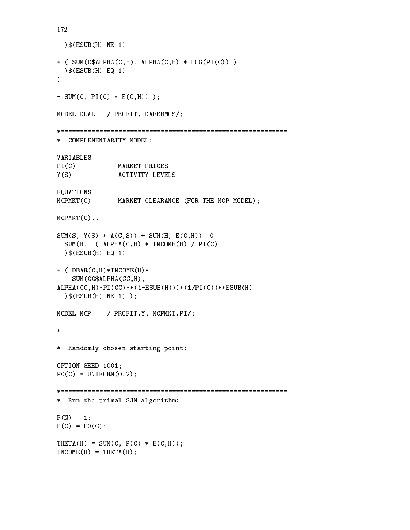```
172
  )$(ESUB(H) NE 1)
+ ( SUM(C$ALPHA(C,H), ALPHA(C,H) * LOG(PI(C)))
  )$(ESUB(H) EQ 1)
\lambda)
- SUM(C, PI(C) * E(C,H));
MODEL DUAL / PROFIT, DAFERMOS/;
* COMPLEMENTARITY MODEL:
VARIABLES
PI(C) MARKET PRICES
Y(S)ACTIVITY LEVELS
Y(S) ACTIVITY LEVELS AND LEVEL AND LEVEL AND LEVEL AND LEVEL AND LEVEL AND LEVEL AND LEVEL AND LEVEL AND LEVEL
EQUATIONS
MCPMKT(C) MARKET CLEARANCE (FOR THE MCP MODEL);
MCPMKT(C)..
SUM(S, Y(S) * A(C,S)) + SUM(H, E(C,H)) =G=
  SUM(H, (ALPHA(C,H) * INCOME(H) / PI(C)))$(ESUB(H) EQ 1)
+ ( DBAR(C,H)*INCOME(H)*
   SUM(CC$ALPHA(CC,H),
ALPHA(CC,H) * PI(CC) * *(1-ESUB(H))) * (1/PI(C)) **ESUB(H))$(ESUB(H) NE 1) );
MODEL MCP / PROFIT.Y, MCPMKT.PI/;
* Randomly chosen starting point:
OPTION SEED=1001;
PO(C) = UNIFORM(0, 2);*===========================================================
* Run the primal SJM algorithm:
P(N) = 1;P(C) = PO(C);THETA(H) = SUM(C, P(C) * E(C,H));
INCOME(H) = THETA(H);
```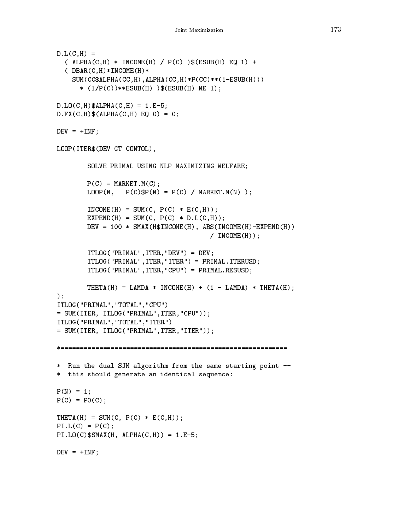```
D.L(C,H) =(ALPHA(C,H) * INCOME(H) / P(C))$(ESUB(H) EQ 1) +
  ( DBAR(C,H) * INCOME(H) *
    SUM(CC$ALPHA(CC,H),ALPHA(CC,H)*P(CC)**(1-ESUB(H)))
     * (1/P(C))**ESUB(H) )$(ESUB(H) NE 1);
D.LO(C,H)$ALPHA(C,H) = 1.E-5;D.FX(C,H) $ (ALPHA(C, H) EQ 0) = 0;
DEF:LOOP(ITER$(DEV GT CONTOL),
       SOLVE PRIMAL USING NLP MAXIMIZING WELFARE;
       P(C) = MARKET.M(C);LOOP(N, P(C)$P(N) = P(C) / MARKET.M(N) );
       INCOME(H) = SUM(C, P(C) * E(C,H));EXPEND(H) = SUM(C, P(C) * D.L(C,H));DEV = 100 * SMAX(H$INCOME(H), ABS(INCOME(H)-EXPEND(H))
                                     / INCOME(H));
       ITLOG("PRIMAL",ITER,"DEV") = DEV;
       ITLOG("PRIMAL",ITER,"ITER") = PRIMAL.ITERUSD;
       ITLOG("PRIMAL",ITER,"CPU") = PRIMAL.RESUSD;
       THETA(H) = LAMDA * INCOME(H) + (1 - LAMDA) * THETA(H);
);
ITLOG("PRIMAL","TOTAL","CPU")
= SUM(ITER, ITLOG("PRIMAL",ITER,"CPU"));
ITLOG("PRIMAL","TOTAL","ITER")
= SUM(ITER, ITLOG("PRIMAL",ITER,"ITER"));
* Run the dual SJM algorithm from the same starting point --
* this should generate an identical sequence:
P(N) = 1;P(C) = PO(C);THETA(H) = SUM(C, P(C) * E(C,H));
PI.L(C) = P(C);PI.LO(C) $SMAX(H, ALPHA(C,H)) = 1.E-5;DEF:
```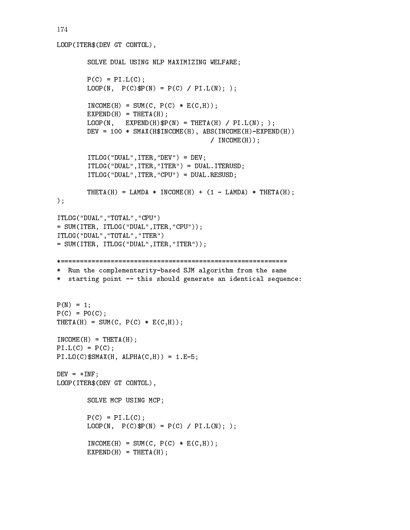```
LOOP(ITER$(DEV GT CONTOL),
       SOLVE DUAL USING NLP MAXIMIZING WELFARE;
       P(C) = PI.L(C);LOOP(N, P(C)P(N) = P(C) / PI.L(N););
       INCOME(H) = SUM(C, P(C) * E(C,H));EXPEND(H) = THETA(H);LOOP(N, EXPEND(H)$P(N) = THETA(H) / PI.L(N); );
       DEV = 100 * SMAX(H$INCOME(H), ABS(INCOME(H)-EXPEND(H))
                                     / INCOME(H));
       ITLOG("DUAL",ITER,"DEV") = DEV;
       ITLOG("DUAL",ITER,"ITER") = DUAL.ITERUSD;
       ITLOG("DUAL",ITER,"CPU") = DUAL.RESUSD;
       THETA(H) = LAMDA * INCOME(H) + (1 - LAMDA) * THETA(H);
);
ITLOG("DUAL","TOTAL","CPU")
= SUM(ITER, ITLOG("DUAL",ITER,"CPU"));
ITLOG("DUAL","TOTAL","ITER")
= SUM(ITER, ITLOG("DUAL",ITER,"ITER"));
* Run the complementarity-based SJM algorithm from the same
* starting point -- this should generate an identical sequence:
P(N) = 1;P(C) = PO(C);THETA(H) = SUM(C, P(C) * E(C,H));
INCOME(H) = THETA(H);PI.L(C) = P(C);PI.LO(C) $SMAX(H, ALPHA(C,H)) = 1.E-5;DEF:LOOP(ITER$(DEV GT CONTOL),
       SOLVE MCP USING MCP;
       P(C) = PI.L(C);LOOP(N, P(C)$P(N) = P(C) / P I.L(N););
       INCOME(H) = SUM(C, P(C) * E(C,H));EXPEND(H) = THETA(H);
```